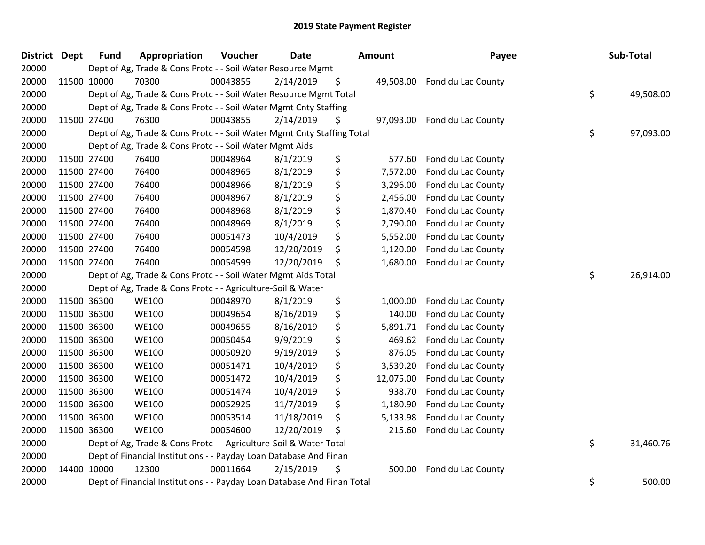| <b>District Dept</b> | <b>Fund</b> | Appropriation                                                           | Voucher  | <b>Date</b> |    | Amount    | Payee              | Sub-Total       |
|----------------------|-------------|-------------------------------------------------------------------------|----------|-------------|----|-----------|--------------------|-----------------|
| 20000                |             | Dept of Ag, Trade & Cons Protc - - Soil Water Resource Mgmt             |          |             |    |           |                    |                 |
| 20000                | 11500 10000 | 70300                                                                   | 00043855 | 2/14/2019   | \$ | 49,508.00 | Fond du Lac County |                 |
| 20000                |             | Dept of Ag, Trade & Cons Protc - - Soil Water Resource Mgmt Total       |          |             |    |           |                    | \$<br>49,508.00 |
| 20000                |             | Dept of Ag, Trade & Cons Protc - - Soil Water Mgmt Cnty Staffing        |          |             |    |           |                    |                 |
| 20000                | 11500 27400 | 76300                                                                   | 00043855 | 2/14/2019   | Ş  | 97,093.00 | Fond du Lac County |                 |
| 20000                |             | Dept of Ag, Trade & Cons Protc - - Soil Water Mgmt Cnty Staffing Total  |          |             |    |           |                    | \$<br>97,093.00 |
| 20000                |             | Dept of Ag, Trade & Cons Protc - - Soil Water Mgmt Aids                 |          |             |    |           |                    |                 |
| 20000                | 11500 27400 | 76400                                                                   | 00048964 | 8/1/2019    | \$ | 577.60    | Fond du Lac County |                 |
| 20000                | 11500 27400 | 76400                                                                   | 00048965 | 8/1/2019    | \$ | 7,572.00  | Fond du Lac County |                 |
| 20000                | 11500 27400 | 76400                                                                   | 00048966 | 8/1/2019    | \$ | 3,296.00  | Fond du Lac County |                 |
| 20000                | 11500 27400 | 76400                                                                   | 00048967 | 8/1/2019    | \$ | 2,456.00  | Fond du Lac County |                 |
| 20000                | 11500 27400 | 76400                                                                   | 00048968 | 8/1/2019    | \$ | 1,870.40  | Fond du Lac County |                 |
| 20000                | 11500 27400 | 76400                                                                   | 00048969 | 8/1/2019    | \$ | 2,790.00  | Fond du Lac County |                 |
| 20000                | 11500 27400 | 76400                                                                   | 00051473 | 10/4/2019   | \$ | 5,552.00  | Fond du Lac County |                 |
| 20000                | 11500 27400 | 76400                                                                   | 00054598 | 12/20/2019  | \$ | 1,120.00  | Fond du Lac County |                 |
| 20000                | 11500 27400 | 76400                                                                   | 00054599 | 12/20/2019  | \$ | 1,680.00  | Fond du Lac County |                 |
| 20000                |             | Dept of Ag, Trade & Cons Protc - - Soil Water Mgmt Aids Total           |          |             |    |           |                    | \$<br>26,914.00 |
| 20000                |             | Dept of Ag, Trade & Cons Protc - - Agriculture-Soil & Water             |          |             |    |           |                    |                 |
| 20000                | 11500 36300 | <b>WE100</b>                                                            | 00048970 | 8/1/2019    | \$ | 1,000.00  | Fond du Lac County |                 |
| 20000                | 11500 36300 | <b>WE100</b>                                                            | 00049654 | 8/16/2019   | \$ | 140.00    | Fond du Lac County |                 |
| 20000                | 11500 36300 | <b>WE100</b>                                                            | 00049655 | 8/16/2019   | \$ | 5,891.71  | Fond du Lac County |                 |
| 20000                | 11500 36300 | <b>WE100</b>                                                            | 00050454 | 9/9/2019    | \$ | 469.62    | Fond du Lac County |                 |
| 20000                | 11500 36300 | <b>WE100</b>                                                            | 00050920 | 9/19/2019   | \$ | 876.05    | Fond du Lac County |                 |
| 20000                | 11500 36300 | <b>WE100</b>                                                            | 00051471 | 10/4/2019   | \$ | 3,539.20  | Fond du Lac County |                 |
| 20000                | 11500 36300 | <b>WE100</b>                                                            | 00051472 | 10/4/2019   | \$ | 12,075.00 | Fond du Lac County |                 |
| 20000                | 11500 36300 | <b>WE100</b>                                                            | 00051474 | 10/4/2019   | \$ | 938.70    | Fond du Lac County |                 |
| 20000                | 11500 36300 | <b>WE100</b>                                                            | 00052925 | 11/7/2019   | \$ | 1,180.90  | Fond du Lac County |                 |
| 20000                | 11500 36300 | <b>WE100</b>                                                            | 00053514 | 11/18/2019  | \$ | 5,133.98  | Fond du Lac County |                 |
| 20000                | 11500 36300 | <b>WE100</b>                                                            | 00054600 | 12/20/2019  | \$ | 215.60    | Fond du Lac County |                 |
| 20000                |             | Dept of Ag, Trade & Cons Protc - - Agriculture-Soil & Water Total       |          |             |    |           |                    | \$<br>31,460.76 |
| 20000                |             | Dept of Financial Institutions - - Payday Loan Database And Finan       |          |             |    |           |                    |                 |
| 20000                | 14400 10000 | 12300                                                                   | 00011664 | 2/15/2019   | \$ | 500.00    | Fond du Lac County |                 |
| 20000                |             | Dept of Financial Institutions - - Payday Loan Database And Finan Total |          |             |    |           |                    | \$<br>500.00    |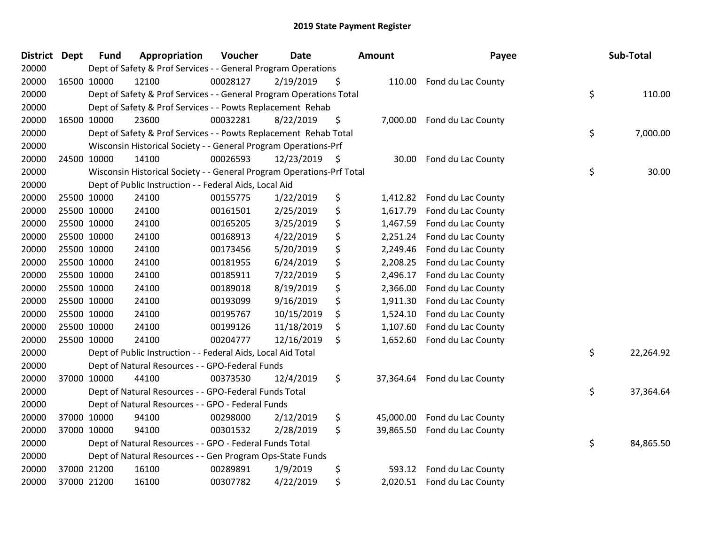| <b>District</b> | <b>Dept</b> | <b>Fund</b> | Appropriation                                                         | Voucher  | <b>Date</b> | <b>Amount</b>   | Payee                       | Sub-Total       |
|-----------------|-------------|-------------|-----------------------------------------------------------------------|----------|-------------|-----------------|-----------------------------|-----------------|
| 20000           |             |             | Dept of Safety & Prof Services - - General Program Operations         |          |             |                 |                             |                 |
| 20000           |             | 16500 10000 | 12100                                                                 | 00028127 | 2/19/2019   | \$<br>110.00    | Fond du Lac County          |                 |
| 20000           |             |             | Dept of Safety & Prof Services - - General Program Operations Total   |          |             |                 |                             | \$<br>110.00    |
| 20000           |             |             | Dept of Safety & Prof Services - - Powts Replacement Rehab            |          |             |                 |                             |                 |
| 20000           |             | 16500 10000 | 23600                                                                 | 00032281 | 8/22/2019   | \$<br>7,000.00  | Fond du Lac County          |                 |
| 20000           |             |             | Dept of Safety & Prof Services - - Powts Replacement Rehab Total      |          |             |                 |                             | \$<br>7,000.00  |
| 20000           |             |             | Wisconsin Historical Society - - General Program Operations-Prf       |          |             |                 |                             |                 |
| 20000           |             | 24500 10000 | 14100                                                                 | 00026593 | 12/23/2019  | \$<br>30.00     | Fond du Lac County          |                 |
| 20000           |             |             | Wisconsin Historical Society - - General Program Operations-Prf Total |          |             |                 |                             | \$<br>30.00     |
| 20000           |             |             | Dept of Public Instruction - - Federal Aids, Local Aid                |          |             |                 |                             |                 |
| 20000           |             | 25500 10000 | 24100                                                                 | 00155775 | 1/22/2019   | \$<br>1,412.82  | Fond du Lac County          |                 |
| 20000           |             | 25500 10000 | 24100                                                                 | 00161501 | 2/25/2019   | \$<br>1,617.79  | Fond du Lac County          |                 |
| 20000           |             | 25500 10000 | 24100                                                                 | 00165205 | 3/25/2019   | \$<br>1,467.59  | Fond du Lac County          |                 |
| 20000           |             | 25500 10000 | 24100                                                                 | 00168913 | 4/22/2019   | \$<br>2,251.24  | Fond du Lac County          |                 |
| 20000           |             | 25500 10000 | 24100                                                                 | 00173456 | 5/20/2019   | \$<br>2,249.46  | Fond du Lac County          |                 |
| 20000           |             | 25500 10000 | 24100                                                                 | 00181955 | 6/24/2019   | \$<br>2,208.25  | Fond du Lac County          |                 |
| 20000           |             | 25500 10000 | 24100                                                                 | 00185911 | 7/22/2019   | \$<br>2,496.17  | Fond du Lac County          |                 |
| 20000           |             | 25500 10000 | 24100                                                                 | 00189018 | 8/19/2019   | \$<br>2,366.00  | Fond du Lac County          |                 |
| 20000           |             | 25500 10000 | 24100                                                                 | 00193099 | 9/16/2019   | \$<br>1,911.30  | Fond du Lac County          |                 |
| 20000           |             | 25500 10000 | 24100                                                                 | 00195767 | 10/15/2019  | \$<br>1,524.10  | Fond du Lac County          |                 |
| 20000           |             | 25500 10000 | 24100                                                                 | 00199126 | 11/18/2019  | \$<br>1,107.60  | Fond du Lac County          |                 |
| 20000           |             | 25500 10000 | 24100                                                                 | 00204777 | 12/16/2019  | \$<br>1,652.60  | Fond du Lac County          |                 |
| 20000           |             |             | Dept of Public Instruction - - Federal Aids, Local Aid Total          |          |             |                 |                             | \$<br>22,264.92 |
| 20000           |             |             | Dept of Natural Resources - - GPO-Federal Funds                       |          |             |                 |                             |                 |
| 20000           |             | 37000 10000 | 44100                                                                 | 00373530 | 12/4/2019   | \$<br>37,364.64 | Fond du Lac County          |                 |
| 20000           |             |             | Dept of Natural Resources - - GPO-Federal Funds Total                 |          |             |                 |                             | \$<br>37,364.64 |
| 20000           |             |             | Dept of Natural Resources - - GPO - Federal Funds                     |          |             |                 |                             |                 |
| 20000           |             | 37000 10000 | 94100                                                                 | 00298000 | 2/12/2019   | \$<br>45,000.00 | Fond du Lac County          |                 |
| 20000           |             | 37000 10000 | 94100                                                                 | 00301532 | 2/28/2019   | \$<br>39,865.50 | Fond du Lac County          |                 |
| 20000           |             |             | Dept of Natural Resources - - GPO - Federal Funds Total               |          |             |                 |                             | \$<br>84,865.50 |
| 20000           |             |             | Dept of Natural Resources - - Gen Program Ops-State Funds             |          |             |                 |                             |                 |
| 20000           |             | 37000 21200 | 16100                                                                 | 00289891 | 1/9/2019    | \$<br>593.12    | Fond du Lac County          |                 |
| 20000           |             | 37000 21200 | 16100                                                                 | 00307782 | 4/22/2019   | \$              | 2,020.51 Fond du Lac County |                 |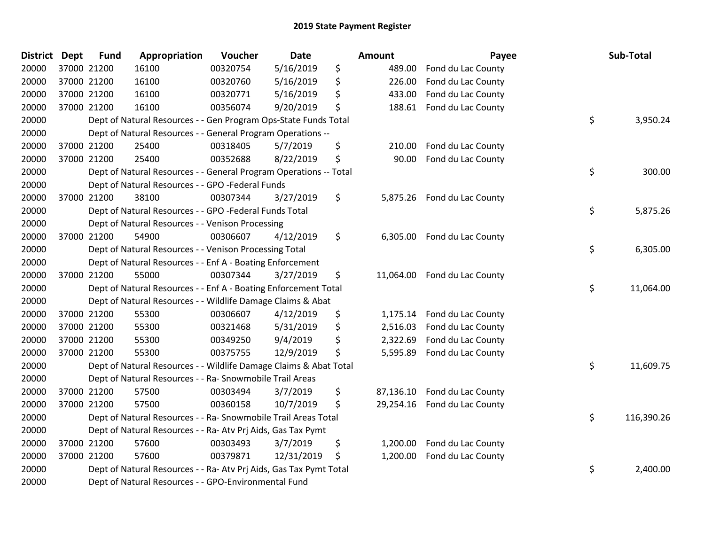| <b>District</b> | <b>Dept</b> | <b>Fund</b> | Appropriation                                                      | Voucher  | <b>Date</b> | Amount          | Payee                       | Sub-Total        |
|-----------------|-------------|-------------|--------------------------------------------------------------------|----------|-------------|-----------------|-----------------------------|------------------|
| 20000           |             | 37000 21200 | 16100                                                              | 00320754 | 5/16/2019   | \$<br>489.00    | Fond du Lac County          |                  |
| 20000           |             | 37000 21200 | 16100                                                              | 00320760 | 5/16/2019   | \$<br>226.00    | Fond du Lac County          |                  |
| 20000           |             | 37000 21200 | 16100                                                              | 00320771 | 5/16/2019   | \$<br>433.00    | Fond du Lac County          |                  |
| 20000           |             | 37000 21200 | 16100                                                              | 00356074 | 9/20/2019   | \$<br>188.61    | Fond du Lac County          |                  |
| 20000           |             |             | Dept of Natural Resources - - Gen Program Ops-State Funds Total    |          |             |                 |                             | \$<br>3,950.24   |
| 20000           |             |             | Dept of Natural Resources - - General Program Operations --        |          |             |                 |                             |                  |
| 20000           |             | 37000 21200 | 25400                                                              | 00318405 | 5/7/2019    | \$<br>210.00    | Fond du Lac County          |                  |
| 20000           |             | 37000 21200 | 25400                                                              | 00352688 | 8/22/2019   | \$<br>90.00     | Fond du Lac County          |                  |
| 20000           |             |             | Dept of Natural Resources - - General Program Operations -- Total  |          |             |                 |                             | \$<br>300.00     |
| 20000           |             |             | Dept of Natural Resources - - GPO -Federal Funds                   |          |             |                 |                             |                  |
| 20000           |             | 37000 21200 | 38100                                                              | 00307344 | 3/27/2019   | \$              | 5,875.26 Fond du Lac County |                  |
| 20000           |             |             | Dept of Natural Resources - - GPO -Federal Funds Total             |          |             |                 |                             | \$<br>5,875.26   |
| 20000           |             |             | Dept of Natural Resources - - Venison Processing                   |          |             |                 |                             |                  |
| 20000           |             | 37000 21200 | 54900                                                              | 00306607 | 4/12/2019   | \$<br>6,305.00  | Fond du Lac County          |                  |
| 20000           |             |             | Dept of Natural Resources - - Venison Processing Total             |          |             |                 |                             | \$<br>6,305.00   |
| 20000           |             |             | Dept of Natural Resources - - Enf A - Boating Enforcement          |          |             |                 |                             |                  |
| 20000           |             | 37000 21200 | 55000                                                              | 00307344 | 3/27/2019   | \$<br>11,064.00 | Fond du Lac County          |                  |
| 20000           |             |             | Dept of Natural Resources - - Enf A - Boating Enforcement Total    |          |             |                 |                             | \$<br>11,064.00  |
| 20000           |             |             | Dept of Natural Resources - - Wildlife Damage Claims & Abat        |          |             |                 |                             |                  |
| 20000           |             | 37000 21200 | 55300                                                              | 00306607 | 4/12/2019   | \$<br>1,175.14  | Fond du Lac County          |                  |
| 20000           |             | 37000 21200 | 55300                                                              | 00321468 | 5/31/2019   | \$<br>2,516.03  | Fond du Lac County          |                  |
| 20000           |             | 37000 21200 | 55300                                                              | 00349250 | 9/4/2019    | \$<br>2,322.69  | Fond du Lac County          |                  |
| 20000           |             | 37000 21200 | 55300                                                              | 00375755 | 12/9/2019   | \$<br>5,595.89  | Fond du Lac County          |                  |
| 20000           |             |             | Dept of Natural Resources - - Wildlife Damage Claims & Abat Total  |          |             |                 |                             | \$<br>11,609.75  |
| 20000           |             |             | Dept of Natural Resources - - Ra- Snowmobile Trail Areas           |          |             |                 |                             |                  |
| 20000           |             | 37000 21200 | 57500                                                              | 00303494 | 3/7/2019    | \$<br>87,136.10 | Fond du Lac County          |                  |
| 20000           |             | 37000 21200 | 57500                                                              | 00360158 | 10/7/2019   | \$<br>29,254.16 | Fond du Lac County          |                  |
| 20000           |             |             | Dept of Natural Resources - - Ra- Snowmobile Trail Areas Total     |          |             |                 |                             | \$<br>116,390.26 |
| 20000           |             |             | Dept of Natural Resources - - Ra- Atv Prj Aids, Gas Tax Pymt       |          |             |                 |                             |                  |
| 20000           |             | 37000 21200 | 57600                                                              | 00303493 | 3/7/2019    | \$<br>1,200.00  | Fond du Lac County          |                  |
| 20000           |             | 37000 21200 | 57600                                                              | 00379871 | 12/31/2019  | \$<br>1,200.00  | Fond du Lac County          |                  |
| 20000           |             |             | Dept of Natural Resources - - Ra- Atv Prj Aids, Gas Tax Pymt Total |          |             |                 |                             | \$<br>2,400.00   |
| 20000           |             |             | Dept of Natural Resources - - GPO-Environmental Fund               |          |             |                 |                             |                  |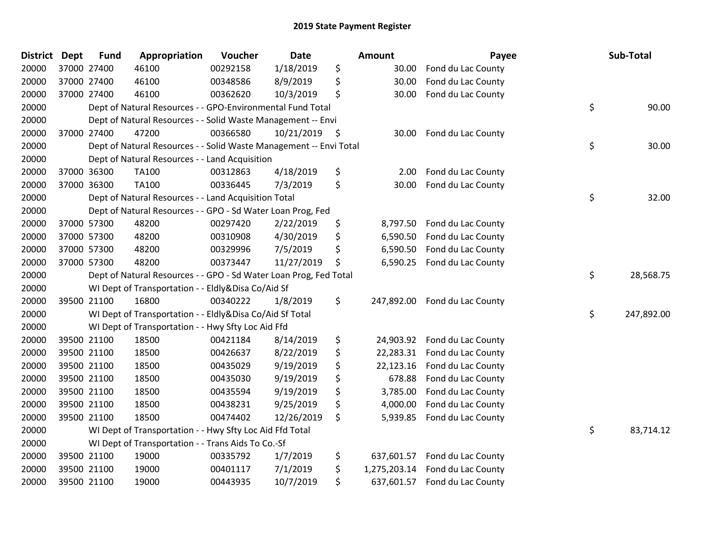| <b>District Dept</b> |             | <b>Fund</b> | Appropriation                                                      | Voucher  | <b>Date</b> |      | <b>Amount</b> | Payee                         | Sub-Total        |
|----------------------|-------------|-------------|--------------------------------------------------------------------|----------|-------------|------|---------------|-------------------------------|------------------|
| 20000                | 37000 27400 |             | 46100                                                              | 00292158 | 1/18/2019   | \$   | 30.00         | Fond du Lac County            |                  |
| 20000                |             | 37000 27400 | 46100                                                              | 00348586 | 8/9/2019    | \$   | 30.00         | Fond du Lac County            |                  |
| 20000                | 37000 27400 |             | 46100                                                              | 00362620 | 10/3/2019   | \$   | 30.00         | Fond du Lac County            |                  |
| 20000                |             |             | Dept of Natural Resources - - GPO-Environmental Fund Total         |          |             |      |               |                               | \$<br>90.00      |
| 20000                |             |             | Dept of Natural Resources - - Solid Waste Management -- Envi       |          |             |      |               |                               |                  |
| 20000                |             | 37000 27400 | 47200                                                              | 00366580 | 10/21/2019  | - \$ | 30.00         | Fond du Lac County            |                  |
| 20000                |             |             | Dept of Natural Resources - - Solid Waste Management -- Envi Total |          |             |      |               |                               | \$<br>30.00      |
| 20000                |             |             | Dept of Natural Resources - - Land Acquisition                     |          |             |      |               |                               |                  |
| 20000                |             | 37000 36300 | TA100                                                              | 00312863 | 4/18/2019   | \$   | 2.00          | Fond du Lac County            |                  |
| 20000                |             | 37000 36300 | <b>TA100</b>                                                       | 00336445 | 7/3/2019    | \$   | 30.00         | Fond du Lac County            |                  |
| 20000                |             |             | Dept of Natural Resources - - Land Acquisition Total               |          |             |      |               |                               | \$<br>32.00      |
| 20000                |             |             | Dept of Natural Resources - - GPO - Sd Water Loan Prog, Fed        |          |             |      |               |                               |                  |
| 20000                |             | 37000 57300 | 48200                                                              | 00297420 | 2/22/2019   | \$   | 8,797.50      | Fond du Lac County            |                  |
| 20000                |             | 37000 57300 | 48200                                                              | 00310908 | 4/30/2019   | \$   | 6,590.50      | Fond du Lac County            |                  |
| 20000                |             | 37000 57300 | 48200                                                              | 00329996 | 7/5/2019    | \$   | 6,590.50      | Fond du Lac County            |                  |
| 20000                | 37000 57300 |             | 48200                                                              | 00373447 | 11/27/2019  | \$   | 6,590.25      | Fond du Lac County            |                  |
| 20000                |             |             | Dept of Natural Resources - - GPO - Sd Water Loan Prog, Fed Total  |          |             |      |               |                               | \$<br>28,568.75  |
| 20000                |             |             | WI Dept of Transportation - - Eldly&Disa Co/Aid Sf                 |          |             |      |               |                               |                  |
| 20000                |             | 39500 21100 | 16800                                                              | 00340222 | 1/8/2019    | \$   | 247,892.00    | Fond du Lac County            |                  |
| 20000                |             |             | WI Dept of Transportation - - Eldly&Disa Co/Aid Sf Total           |          |             |      |               |                               | \$<br>247,892.00 |
| 20000                |             |             | WI Dept of Transportation - - Hwy Sfty Loc Aid Ffd                 |          |             |      |               |                               |                  |
| 20000                |             | 39500 21100 | 18500                                                              | 00421184 | 8/14/2019   | \$   | 24,903.92     | Fond du Lac County            |                  |
| 20000                |             | 39500 21100 | 18500                                                              | 00426637 | 8/22/2019   | \$   | 22,283.31     | Fond du Lac County            |                  |
| 20000                |             | 39500 21100 | 18500                                                              | 00435029 | 9/19/2019   | \$   | 22,123.16     | Fond du Lac County            |                  |
| 20000                |             | 39500 21100 | 18500                                                              | 00435030 | 9/19/2019   | \$   | 678.88        | Fond du Lac County            |                  |
| 20000                |             | 39500 21100 | 18500                                                              | 00435594 | 9/19/2019   | \$   | 3,785.00      | Fond du Lac County            |                  |
| 20000                |             | 39500 21100 | 18500                                                              | 00438231 | 9/25/2019   | \$   | 4,000.00      | Fond du Lac County            |                  |
| 20000                |             | 39500 21100 | 18500                                                              | 00474402 | 12/26/2019  | \$   | 5,939.85      | Fond du Lac County            |                  |
| 20000                |             |             | WI Dept of Transportation - - Hwy Sfty Loc Aid Ffd Total           |          |             |      |               |                               | \$<br>83,714.12  |
| 20000                |             |             | WI Dept of Transportation - - Trans Aids To Co.-Sf                 |          |             |      |               |                               |                  |
| 20000                |             | 39500 21100 | 19000                                                              | 00335792 | 1/7/2019    | \$   | 637,601.57    | Fond du Lac County            |                  |
| 20000                |             | 39500 21100 | 19000                                                              | 00401117 | 7/1/2019    | \$   | 1,275,203.14  | Fond du Lac County            |                  |
| 20000                | 39500 21100 |             | 19000                                                              | 00443935 | 10/7/2019   | \$   |               | 637,601.57 Fond du Lac County |                  |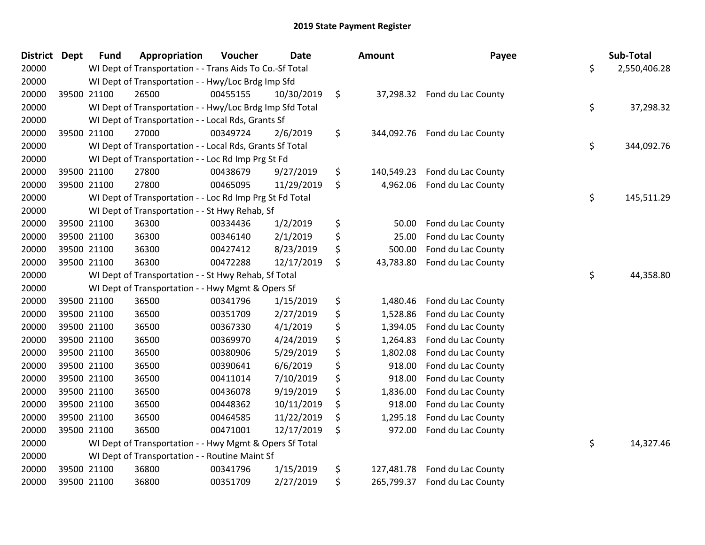| <b>District</b> | <b>Dept</b> | <b>Fund</b> | Appropriation                                            | Voucher  | <b>Date</b> | Amount           | Payee                        | Sub-Total          |
|-----------------|-------------|-------------|----------------------------------------------------------|----------|-------------|------------------|------------------------------|--------------------|
| 20000           |             |             | WI Dept of Transportation - - Trans Aids To Co.-Sf Total |          |             |                  |                              | \$<br>2,550,406.28 |
| 20000           |             |             | WI Dept of Transportation - - Hwy/Loc Brdg Imp Sfd       |          |             |                  |                              |                    |
| 20000           | 39500 21100 |             | 26500                                                    | 00455155 | 10/30/2019  | \$               | 37,298.32 Fond du Lac County |                    |
| 20000           |             |             | WI Dept of Transportation - - Hwy/Loc Brdg Imp Sfd Total |          |             |                  |                              | \$<br>37,298.32    |
| 20000           |             |             | WI Dept of Transportation - - Local Rds, Grants Sf       |          |             |                  |                              |                    |
| 20000           | 39500 21100 |             | 27000                                                    | 00349724 | 2/6/2019    | \$<br>344,092.76 | Fond du Lac County           |                    |
| 20000           |             |             | WI Dept of Transportation - - Local Rds, Grants Sf Total |          |             |                  |                              | \$<br>344,092.76   |
| 20000           |             |             | WI Dept of Transportation - - Loc Rd Imp Prg St Fd       |          |             |                  |                              |                    |
| 20000           | 39500 21100 |             | 27800                                                    | 00438679 | 9/27/2019   | \$<br>140,549.23 | Fond du Lac County           |                    |
| 20000           | 39500 21100 |             | 27800                                                    | 00465095 | 11/29/2019  | \$<br>4,962.06   | Fond du Lac County           |                    |
| 20000           |             |             | WI Dept of Transportation - - Loc Rd Imp Prg St Fd Total |          |             |                  |                              | \$<br>145,511.29   |
| 20000           |             |             | WI Dept of Transportation - - St Hwy Rehab, Sf           |          |             |                  |                              |                    |
| 20000           | 39500 21100 |             | 36300                                                    | 00334436 | 1/2/2019    | \$<br>50.00      | Fond du Lac County           |                    |
| 20000           | 39500 21100 |             | 36300                                                    | 00346140 | 2/1/2019    | \$<br>25.00      | Fond du Lac County           |                    |
| 20000           | 39500 21100 |             | 36300                                                    | 00427412 | 8/23/2019   | \$<br>500.00     | Fond du Lac County           |                    |
| 20000           | 39500 21100 |             | 36300                                                    | 00472288 | 12/17/2019  | \$<br>43,783.80  | Fond du Lac County           |                    |
| 20000           |             |             | WI Dept of Transportation - - St Hwy Rehab, Sf Total     |          |             |                  |                              | \$<br>44,358.80    |
| 20000           |             |             | WI Dept of Transportation - - Hwy Mgmt & Opers Sf        |          |             |                  |                              |                    |
| 20000           | 39500 21100 |             | 36500                                                    | 00341796 | 1/15/2019   | \$<br>1,480.46   | Fond du Lac County           |                    |
| 20000           | 39500 21100 |             | 36500                                                    | 00351709 | 2/27/2019   | \$<br>1,528.86   | Fond du Lac County           |                    |
| 20000           | 39500 21100 |             | 36500                                                    | 00367330 | 4/1/2019    | \$<br>1,394.05   | Fond du Lac County           |                    |
| 20000           | 39500 21100 |             | 36500                                                    | 00369970 | 4/24/2019   | \$<br>1,264.83   | Fond du Lac County           |                    |
| 20000           | 39500 21100 |             | 36500                                                    | 00380906 | 5/29/2019   | \$<br>1,802.08   | Fond du Lac County           |                    |
| 20000           | 39500 21100 |             | 36500                                                    | 00390641 | 6/6/2019    | \$<br>918.00     | Fond du Lac County           |                    |
| 20000           | 39500 21100 |             | 36500                                                    | 00411014 | 7/10/2019   | \$<br>918.00     | Fond du Lac County           |                    |
| 20000           | 39500 21100 |             | 36500                                                    | 00436078 | 9/19/2019   | \$<br>1,836.00   | Fond du Lac County           |                    |
| 20000           | 39500 21100 |             | 36500                                                    | 00448362 | 10/11/2019  | \$<br>918.00     | Fond du Lac County           |                    |
| 20000           | 39500 21100 |             | 36500                                                    | 00464585 | 11/22/2019  | \$<br>1,295.18   | Fond du Lac County           |                    |
| 20000           | 39500 21100 |             | 36500                                                    | 00471001 | 12/17/2019  | \$<br>972.00     | Fond du Lac County           |                    |
| 20000           |             |             | WI Dept of Transportation - - Hwy Mgmt & Opers Sf Total  |          |             |                  |                              | \$<br>14,327.46    |
| 20000           |             |             | WI Dept of Transportation - - Routine Maint Sf           |          |             |                  |                              |                    |
| 20000           | 39500 21100 |             | 36800                                                    | 00341796 | 1/15/2019   | \$<br>127,481.78 | Fond du Lac County           |                    |
| 20000           | 39500 21100 |             | 36800                                                    | 00351709 | 2/27/2019   | \$<br>265,799.37 | Fond du Lac County           |                    |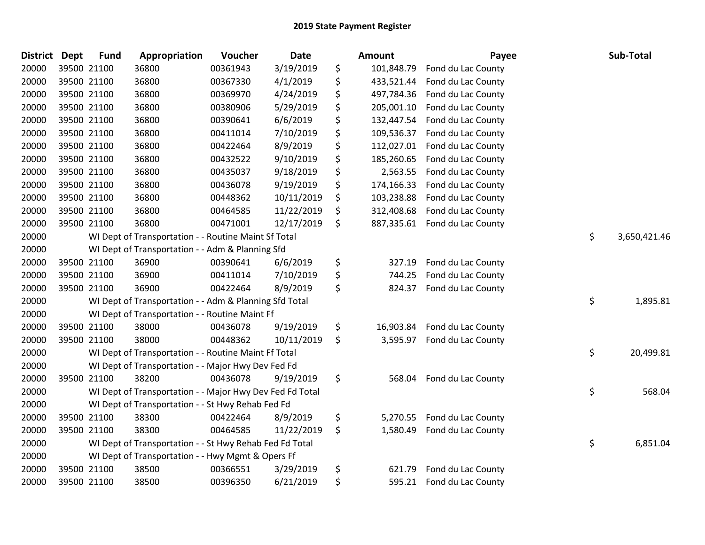| <b>District</b> | <b>Dept</b> | <b>Fund</b> | Appropriation                                            | Voucher  | Date       | Amount           | Payee              | Sub-Total          |
|-----------------|-------------|-------------|----------------------------------------------------------|----------|------------|------------------|--------------------|--------------------|
| 20000           |             | 39500 21100 | 36800                                                    | 00361943 | 3/19/2019  | \$<br>101,848.79 | Fond du Lac County |                    |
| 20000           |             | 39500 21100 | 36800                                                    | 00367330 | 4/1/2019   | \$<br>433,521.44 | Fond du Lac County |                    |
| 20000           |             | 39500 21100 | 36800                                                    | 00369970 | 4/24/2019  | \$<br>497,784.36 | Fond du Lac County |                    |
| 20000           |             | 39500 21100 | 36800                                                    | 00380906 | 5/29/2019  | \$<br>205,001.10 | Fond du Lac County |                    |
| 20000           |             | 39500 21100 | 36800                                                    | 00390641 | 6/6/2019   | \$<br>132,447.54 | Fond du Lac County |                    |
| 20000           |             | 39500 21100 | 36800                                                    | 00411014 | 7/10/2019  | \$<br>109,536.37 | Fond du Lac County |                    |
| 20000           |             | 39500 21100 | 36800                                                    | 00422464 | 8/9/2019   | \$<br>112,027.01 | Fond du Lac County |                    |
| 20000           |             | 39500 21100 | 36800                                                    | 00432522 | 9/10/2019  | \$<br>185,260.65 | Fond du Lac County |                    |
| 20000           |             | 39500 21100 | 36800                                                    | 00435037 | 9/18/2019  | \$<br>2,563.55   | Fond du Lac County |                    |
| 20000           |             | 39500 21100 | 36800                                                    | 00436078 | 9/19/2019  | \$<br>174,166.33 | Fond du Lac County |                    |
| 20000           |             | 39500 21100 | 36800                                                    | 00448362 | 10/11/2019 | \$<br>103,238.88 | Fond du Lac County |                    |
| 20000           |             | 39500 21100 | 36800                                                    | 00464585 | 11/22/2019 | \$<br>312,408.68 | Fond du Lac County |                    |
| 20000           |             | 39500 21100 | 36800                                                    | 00471001 | 12/17/2019 | \$<br>887,335.61 | Fond du Lac County |                    |
| 20000           |             |             | WI Dept of Transportation - - Routine Maint Sf Total     |          |            |                  |                    | \$<br>3,650,421.46 |
| 20000           |             |             | WI Dept of Transportation - - Adm & Planning Sfd         |          |            |                  |                    |                    |
| 20000           |             | 39500 21100 | 36900                                                    | 00390641 | 6/6/2019   | \$<br>327.19     | Fond du Lac County |                    |
| 20000           |             | 39500 21100 | 36900                                                    | 00411014 | 7/10/2019  | \$<br>744.25     | Fond du Lac County |                    |
| 20000           |             | 39500 21100 | 36900                                                    | 00422464 | 8/9/2019   | \$<br>824.37     | Fond du Lac County |                    |
| 20000           |             |             | WI Dept of Transportation - - Adm & Planning Sfd Total   |          |            |                  |                    | \$<br>1,895.81     |
| 20000           |             |             | WI Dept of Transportation - - Routine Maint Ff           |          |            |                  |                    |                    |
| 20000           |             | 39500 21100 | 38000                                                    | 00436078 | 9/19/2019  | \$<br>16,903.84  | Fond du Lac County |                    |
| 20000           |             | 39500 21100 | 38000                                                    | 00448362 | 10/11/2019 | \$<br>3,595.97   | Fond du Lac County |                    |
| 20000           |             |             | WI Dept of Transportation - - Routine Maint Ff Total     |          |            |                  |                    | \$<br>20,499.81    |
| 20000           |             |             | WI Dept of Transportation - - Major Hwy Dev Fed Fd       |          |            |                  |                    |                    |
| 20000           |             | 39500 21100 | 38200                                                    | 00436078 | 9/19/2019  | \$<br>568.04     | Fond du Lac County |                    |
| 20000           |             |             | WI Dept of Transportation - - Major Hwy Dev Fed Fd Total |          |            |                  |                    | \$<br>568.04       |
| 20000           |             |             | WI Dept of Transportation - - St Hwy Rehab Fed Fd        |          |            |                  |                    |                    |
| 20000           |             | 39500 21100 | 38300                                                    | 00422464 | 8/9/2019   | \$<br>5,270.55   | Fond du Lac County |                    |
| 20000           |             | 39500 21100 | 38300                                                    | 00464585 | 11/22/2019 | \$<br>1,580.49   | Fond du Lac County |                    |
| 20000           |             |             | WI Dept of Transportation - - St Hwy Rehab Fed Fd Total  |          |            |                  |                    | \$<br>6,851.04     |
| 20000           |             |             | WI Dept of Transportation - - Hwy Mgmt & Opers Ff        |          |            |                  |                    |                    |
| 20000           |             | 39500 21100 | 38500                                                    | 00366551 | 3/29/2019  | \$<br>621.79     | Fond du Lac County |                    |
| 20000           |             | 39500 21100 | 38500                                                    | 00396350 | 6/21/2019  | \$<br>595.21     | Fond du Lac County |                    |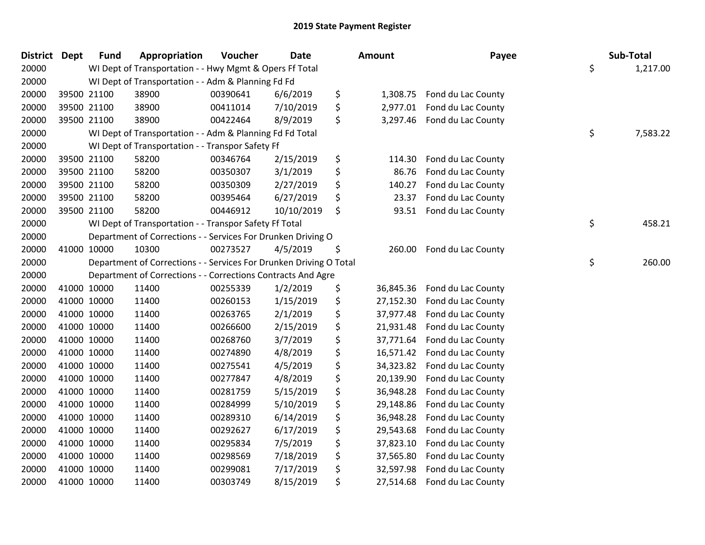| <b>District Dept</b> |             | <b>Fund</b> | Appropriation                                                      | Voucher  | <b>Date</b> | <b>Amount</b>   | Payee                       | Sub-Total      |
|----------------------|-------------|-------------|--------------------------------------------------------------------|----------|-------------|-----------------|-----------------------------|----------------|
| 20000                |             |             | WI Dept of Transportation - - Hwy Mgmt & Opers Ff Total            |          |             |                 |                             | \$<br>1,217.00 |
| 20000                |             |             | WI Dept of Transportation - - Adm & Planning Fd Fd                 |          |             |                 |                             |                |
| 20000                | 39500 21100 |             | 38900                                                              | 00390641 | 6/6/2019    | \$              | 1,308.75 Fond du Lac County |                |
| 20000                | 39500 21100 |             | 38900                                                              | 00411014 | 7/10/2019   | \$<br>2,977.01  | Fond du Lac County          |                |
| 20000                | 39500 21100 |             | 38900                                                              | 00422464 | 8/9/2019    | \$              | 3,297.46 Fond du Lac County |                |
| 20000                |             |             | WI Dept of Transportation - - Adm & Planning Fd Fd Total           |          |             |                 |                             | \$<br>7,583.22 |
| 20000                |             |             | WI Dept of Transportation - - Transpor Safety Ff                   |          |             |                 |                             |                |
| 20000                | 39500 21100 |             | 58200                                                              | 00346764 | 2/15/2019   | \$<br>114.30    | Fond du Lac County          |                |
| 20000                | 39500 21100 |             | 58200                                                              | 00350307 | 3/1/2019    | \$<br>86.76     | Fond du Lac County          |                |
| 20000                | 39500 21100 |             | 58200                                                              | 00350309 | 2/27/2019   | \$<br>140.27    | Fond du Lac County          |                |
| 20000                | 39500 21100 |             | 58200                                                              | 00395464 | 6/27/2019   | \$<br>23.37     | Fond du Lac County          |                |
| 20000                | 39500 21100 |             | 58200                                                              | 00446912 | 10/10/2019  | \$<br>93.51     | Fond du Lac County          |                |
| 20000                |             |             | WI Dept of Transportation - - Transpor Safety Ff Total             |          |             |                 |                             | \$<br>458.21   |
| 20000                |             |             | Department of Corrections - - Services For Drunken Driving O       |          |             |                 |                             |                |
| 20000                | 41000 10000 |             | 10300                                                              | 00273527 | 4/5/2019    | \$<br>260.00    | Fond du Lac County          |                |
| 20000                |             |             | Department of Corrections - - Services For Drunken Driving O Total |          |             |                 |                             | \$<br>260.00   |
| 20000                |             |             | Department of Corrections - - Corrections Contracts And Agre       |          |             |                 |                             |                |
| 20000                | 41000 10000 |             | 11400                                                              | 00255339 | 1/2/2019    | \$<br>36,845.36 | Fond du Lac County          |                |
| 20000                | 41000 10000 |             | 11400                                                              | 00260153 | 1/15/2019   | \$<br>27,152.30 | Fond du Lac County          |                |
| 20000                | 41000 10000 |             | 11400                                                              | 00263765 | 2/1/2019    | \$<br>37,977.48 | Fond du Lac County          |                |
| 20000                | 41000 10000 |             | 11400                                                              | 00266600 | 2/15/2019   | \$<br>21,931.48 | Fond du Lac County          |                |
| 20000                | 41000 10000 |             | 11400                                                              | 00268760 | 3/7/2019    | \$<br>37,771.64 | Fond du Lac County          |                |
| 20000                | 41000 10000 |             | 11400                                                              | 00274890 | 4/8/2019    | \$<br>16,571.42 | Fond du Lac County          |                |
| 20000                | 41000 10000 |             | 11400                                                              | 00275541 | 4/5/2019    | \$<br>34,323.82 | Fond du Lac County          |                |
| 20000                | 41000 10000 |             | 11400                                                              | 00277847 | 4/8/2019    | \$<br>20,139.90 | Fond du Lac County          |                |
| 20000                | 41000 10000 |             | 11400                                                              | 00281759 | 5/15/2019   | \$<br>36,948.28 | Fond du Lac County          |                |
| 20000                | 41000 10000 |             | 11400                                                              | 00284999 | 5/10/2019   | \$<br>29,148.86 | Fond du Lac County          |                |
| 20000                | 41000 10000 |             | 11400                                                              | 00289310 | 6/14/2019   | \$<br>36,948.28 | Fond du Lac County          |                |
| 20000                | 41000 10000 |             | 11400                                                              | 00292627 | 6/17/2019   | \$<br>29,543.68 | Fond du Lac County          |                |
| 20000                | 41000 10000 |             | 11400                                                              | 00295834 | 7/5/2019    | \$<br>37,823.10 | Fond du Lac County          |                |
| 20000                | 41000 10000 |             | 11400                                                              | 00298569 | 7/18/2019   | \$<br>37,565.80 | Fond du Lac County          |                |
| 20000                | 41000 10000 |             | 11400                                                              | 00299081 | 7/17/2019   | \$<br>32,597.98 | Fond du Lac County          |                |
| 20000                | 41000 10000 |             | 11400                                                              | 00303749 | 8/15/2019   | \$<br>27,514.68 | Fond du Lac County          |                |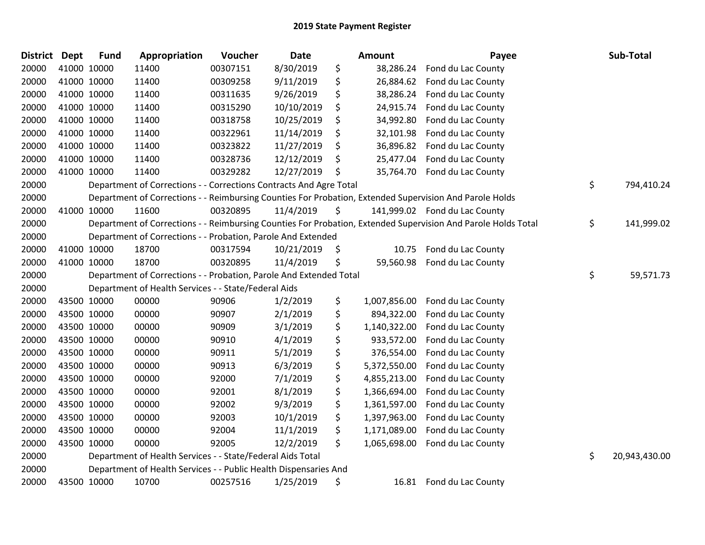| <b>District</b> | <b>Dept</b> | <b>Fund</b> | Appropriation                                                      | Voucher  | <b>Date</b> | <b>Amount</b>      | Payee                                                                                                         | Sub-Total           |
|-----------------|-------------|-------------|--------------------------------------------------------------------|----------|-------------|--------------------|---------------------------------------------------------------------------------------------------------------|---------------------|
| 20000           | 41000 10000 |             | 11400                                                              | 00307151 | 8/30/2019   | \$<br>38,286.24    | Fond du Lac County                                                                                            |                     |
| 20000           |             | 41000 10000 | 11400                                                              | 00309258 | 9/11/2019   | \$<br>26,884.62    | Fond du Lac County                                                                                            |                     |
| 20000           | 41000 10000 |             | 11400                                                              | 00311635 | 9/26/2019   | \$<br>38,286.24    | Fond du Lac County                                                                                            |                     |
| 20000           | 41000 10000 |             | 11400                                                              | 00315290 | 10/10/2019  | \$<br>24,915.74    | Fond du Lac County                                                                                            |                     |
| 20000           | 41000 10000 |             | 11400                                                              | 00318758 | 10/25/2019  | \$<br>34,992.80    | Fond du Lac County                                                                                            |                     |
| 20000           |             | 41000 10000 | 11400                                                              | 00322961 | 11/14/2019  | \$<br>32,101.98    | Fond du Lac County                                                                                            |                     |
| 20000           | 41000 10000 |             | 11400                                                              | 00323822 | 11/27/2019  | \$<br>36,896.82    | Fond du Lac County                                                                                            |                     |
| 20000           |             | 41000 10000 | 11400                                                              | 00328736 | 12/12/2019  | \$<br>25,477.04    | Fond du Lac County                                                                                            |                     |
| 20000           |             | 41000 10000 | 11400                                                              | 00329282 | 12/27/2019  | \$<br>35,764.70    | Fond du Lac County                                                                                            |                     |
| 20000           |             |             | Department of Corrections - - Corrections Contracts And Agre Total |          |             |                    |                                                                                                               | \$<br>794,410.24    |
| 20000           |             |             |                                                                    |          |             |                    | Department of Corrections - - Reimbursing Counties For Probation, Extended Supervision And Parole Holds       |                     |
| 20000           |             | 41000 10000 | 11600                                                              | 00320895 | 11/4/2019   | \$                 | 141,999.02 Fond du Lac County                                                                                 |                     |
| 20000           |             |             |                                                                    |          |             |                    | Department of Corrections - - Reimbursing Counties For Probation, Extended Supervision And Parole Holds Total | \$<br>141,999.02    |
| 20000           |             |             | Department of Corrections - - Probation, Parole And Extended       |          |             |                    |                                                                                                               |                     |
| 20000           |             | 41000 10000 | 18700                                                              | 00317594 | 10/21/2019  | \$<br>10.75        | Fond du Lac County                                                                                            |                     |
| 20000           |             | 41000 10000 | 18700                                                              | 00320895 | 11/4/2019   | \$<br>59,560.98    | Fond du Lac County                                                                                            |                     |
| 20000           |             |             | Department of Corrections - - Probation, Parole And Extended Total |          |             |                    |                                                                                                               | \$<br>59,571.73     |
| 20000           |             |             | Department of Health Services - - State/Federal Aids               |          |             |                    |                                                                                                               |                     |
| 20000           |             | 43500 10000 | 00000                                                              | 90906    | 1/2/2019    | \$<br>1,007,856.00 | Fond du Lac County                                                                                            |                     |
| 20000           |             | 43500 10000 | 00000                                                              | 90907    | 2/1/2019    | \$<br>894,322.00   | Fond du Lac County                                                                                            |                     |
| 20000           |             | 43500 10000 | 00000                                                              | 90909    | 3/1/2019    | \$<br>1,140,322.00 | Fond du Lac County                                                                                            |                     |
| 20000           |             | 43500 10000 | 00000                                                              | 90910    | 4/1/2019    | \$<br>933,572.00   | Fond du Lac County                                                                                            |                     |
| 20000           | 43500 10000 |             | 00000                                                              | 90911    | 5/1/2019    | \$<br>376,554.00   | Fond du Lac County                                                                                            |                     |
| 20000           | 43500 10000 |             | 00000                                                              | 90913    | 6/3/2019    | \$<br>5,372,550.00 | Fond du Lac County                                                                                            |                     |
| 20000           |             | 43500 10000 | 00000                                                              | 92000    | 7/1/2019    | \$<br>4,855,213.00 | Fond du Lac County                                                                                            |                     |
| 20000           |             | 43500 10000 | 00000                                                              | 92001    | 8/1/2019    | \$<br>1,366,694.00 | Fond du Lac County                                                                                            |                     |
| 20000           | 43500 10000 |             | 00000                                                              | 92002    | 9/3/2019    | \$<br>1,361,597.00 | Fond du Lac County                                                                                            |                     |
| 20000           | 43500 10000 |             | 00000                                                              | 92003    | 10/1/2019   | \$<br>1,397,963.00 | Fond du Lac County                                                                                            |                     |
| 20000           | 43500 10000 |             | 00000                                                              | 92004    | 11/1/2019   | \$<br>1,171,089.00 | Fond du Lac County                                                                                            |                     |
| 20000           |             | 43500 10000 | 00000                                                              | 92005    | 12/2/2019   | \$<br>1,065,698.00 | Fond du Lac County                                                                                            |                     |
| 20000           |             |             | Department of Health Services - - State/Federal Aids Total         |          |             |                    |                                                                                                               | \$<br>20,943,430.00 |
| 20000           |             |             | Department of Health Services - - Public Health Dispensaries And   |          |             |                    |                                                                                                               |                     |
| 20000           |             | 43500 10000 | 10700                                                              | 00257516 | 1/25/2019   | \$<br>16.81        | Fond du Lac County                                                                                            |                     |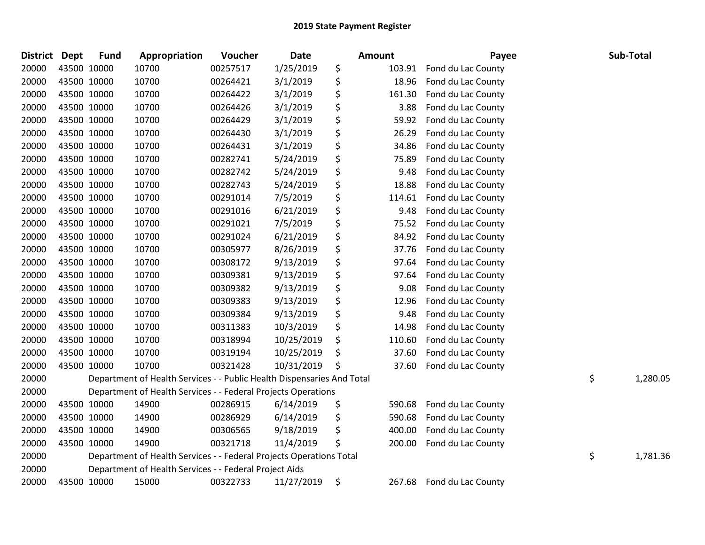| <b>District</b> | <b>Dept</b> | <b>Fund</b> | Appropriation                                                          | Voucher  | <b>Date</b> | <b>Amount</b> | Payee              | Sub-Total      |
|-----------------|-------------|-------------|------------------------------------------------------------------------|----------|-------------|---------------|--------------------|----------------|
| 20000           |             | 43500 10000 | 10700                                                                  | 00257517 | 1/25/2019   | \$<br>103.91  | Fond du Lac County |                |
| 20000           | 43500 10000 |             | 10700                                                                  | 00264421 | 3/1/2019    | \$<br>18.96   | Fond du Lac County |                |
| 20000           | 43500 10000 |             | 10700                                                                  | 00264422 | 3/1/2019    | \$<br>161.30  | Fond du Lac County |                |
| 20000           | 43500 10000 |             | 10700                                                                  | 00264426 | 3/1/2019    | \$<br>3.88    | Fond du Lac County |                |
| 20000           | 43500 10000 |             | 10700                                                                  | 00264429 | 3/1/2019    | \$<br>59.92   | Fond du Lac County |                |
| 20000           | 43500 10000 |             | 10700                                                                  | 00264430 | 3/1/2019    | \$<br>26.29   | Fond du Lac County |                |
| 20000           | 43500 10000 |             | 10700                                                                  | 00264431 | 3/1/2019    | \$<br>34.86   | Fond du Lac County |                |
| 20000           | 43500 10000 |             | 10700                                                                  | 00282741 | 5/24/2019   | \$<br>75.89   | Fond du Lac County |                |
| 20000           | 43500 10000 |             | 10700                                                                  | 00282742 | 5/24/2019   | \$<br>9.48    | Fond du Lac County |                |
| 20000           | 43500 10000 |             | 10700                                                                  | 00282743 | 5/24/2019   | \$<br>18.88   | Fond du Lac County |                |
| 20000           | 43500 10000 |             | 10700                                                                  | 00291014 | 7/5/2019    | \$<br>114.61  | Fond du Lac County |                |
| 20000           | 43500 10000 |             | 10700                                                                  | 00291016 | 6/21/2019   | \$<br>9.48    | Fond du Lac County |                |
| 20000           | 43500 10000 |             | 10700                                                                  | 00291021 | 7/5/2019    | \$<br>75.52   | Fond du Lac County |                |
| 20000           | 43500 10000 |             | 10700                                                                  | 00291024 | 6/21/2019   | \$<br>84.92   | Fond du Lac County |                |
| 20000           | 43500 10000 |             | 10700                                                                  | 00305977 | 8/26/2019   | \$<br>37.76   | Fond du Lac County |                |
| 20000           | 43500 10000 |             | 10700                                                                  | 00308172 | 9/13/2019   | \$<br>97.64   | Fond du Lac County |                |
| 20000           | 43500 10000 |             | 10700                                                                  | 00309381 | 9/13/2019   | \$<br>97.64   | Fond du Lac County |                |
| 20000           | 43500 10000 |             | 10700                                                                  | 00309382 | 9/13/2019   | \$<br>9.08    | Fond du Lac County |                |
| 20000           | 43500 10000 |             | 10700                                                                  | 00309383 | 9/13/2019   | \$<br>12.96   | Fond du Lac County |                |
| 20000           | 43500 10000 |             | 10700                                                                  | 00309384 | 9/13/2019   | \$<br>9.48    | Fond du Lac County |                |
| 20000           | 43500 10000 |             | 10700                                                                  | 00311383 | 10/3/2019   | \$<br>14.98   | Fond du Lac County |                |
| 20000           | 43500 10000 |             | 10700                                                                  | 00318994 | 10/25/2019  | \$<br>110.60  | Fond du Lac County |                |
| 20000           | 43500 10000 |             | 10700                                                                  | 00319194 | 10/25/2019  | \$<br>37.60   | Fond du Lac County |                |
| 20000           | 43500 10000 |             | 10700                                                                  | 00321428 | 10/31/2019  | \$<br>37.60   | Fond du Lac County |                |
| 20000           |             |             | Department of Health Services - - Public Health Dispensaries And Total |          |             |               |                    | \$<br>1,280.05 |
| 20000           |             |             | Department of Health Services - - Federal Projects Operations          |          |             |               |                    |                |
| 20000           |             | 43500 10000 | 14900                                                                  | 00286915 | 6/14/2019   | \$<br>590.68  | Fond du Lac County |                |
| 20000           | 43500 10000 |             | 14900                                                                  | 00286929 | 6/14/2019   | \$<br>590.68  | Fond du Lac County |                |
| 20000           | 43500 10000 |             | 14900                                                                  | 00306565 | 9/18/2019   | \$<br>400.00  | Fond du Lac County |                |
| 20000           | 43500 10000 |             | 14900                                                                  | 00321718 | 11/4/2019   | \$<br>200.00  | Fond du Lac County |                |
| 20000           |             |             | Department of Health Services - - Federal Projects Operations Total    |          |             |               |                    | \$<br>1,781.36 |
| 20000           |             |             | Department of Health Services - - Federal Project Aids                 |          |             |               |                    |                |
| 20000           | 43500 10000 |             | 15000                                                                  | 00322733 | 11/27/2019  | \$<br>267.68  | Fond du Lac County |                |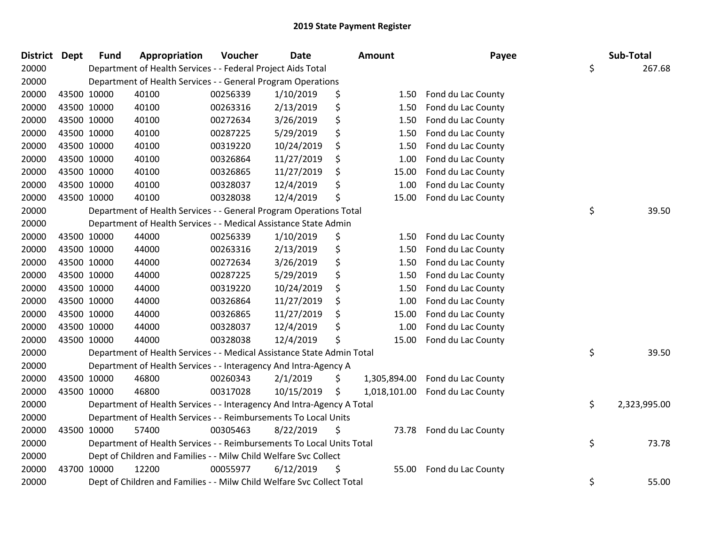| <b>District</b> | <b>Dept</b> | <b>Fund</b> | Appropriation                                                          | Voucher  | <b>Date</b> |    | Amount       | Payee              | Sub-Total          |
|-----------------|-------------|-------------|------------------------------------------------------------------------|----------|-------------|----|--------------|--------------------|--------------------|
| 20000           |             |             | Department of Health Services - - Federal Project Aids Total           |          |             |    |              |                    | \$<br>267.68       |
| 20000           |             |             | Department of Health Services - - General Program Operations           |          |             |    |              |                    |                    |
| 20000           |             | 43500 10000 | 40100                                                                  | 00256339 | 1/10/2019   | \$ | 1.50         | Fond du Lac County |                    |
| 20000           |             | 43500 10000 | 40100                                                                  | 00263316 | 2/13/2019   | \$ | 1.50         | Fond du Lac County |                    |
| 20000           |             | 43500 10000 | 40100                                                                  | 00272634 | 3/26/2019   | \$ | 1.50         | Fond du Lac County |                    |
| 20000           |             | 43500 10000 | 40100                                                                  | 00287225 | 5/29/2019   | \$ | 1.50         | Fond du Lac County |                    |
| 20000           |             | 43500 10000 | 40100                                                                  | 00319220 | 10/24/2019  | \$ | 1.50         | Fond du Lac County |                    |
| 20000           |             | 43500 10000 | 40100                                                                  | 00326864 | 11/27/2019  | \$ | 1.00         | Fond du Lac County |                    |
| 20000           |             | 43500 10000 | 40100                                                                  | 00326865 | 11/27/2019  | \$ | 15.00        | Fond du Lac County |                    |
| 20000           |             | 43500 10000 | 40100                                                                  | 00328037 | 12/4/2019   | \$ | 1.00         | Fond du Lac County |                    |
| 20000           |             | 43500 10000 | 40100                                                                  | 00328038 | 12/4/2019   | \$ | 15.00        | Fond du Lac County |                    |
| 20000           |             |             | Department of Health Services - - General Program Operations Total     |          |             |    |              |                    | \$<br>39.50        |
| 20000           |             |             | Department of Health Services - - Medical Assistance State Admin       |          |             |    |              |                    |                    |
| 20000           |             | 43500 10000 | 44000                                                                  | 00256339 | 1/10/2019   | \$ | 1.50         | Fond du Lac County |                    |
| 20000           |             | 43500 10000 | 44000                                                                  | 00263316 | 2/13/2019   | \$ | 1.50         | Fond du Lac County |                    |
| 20000           |             | 43500 10000 | 44000                                                                  | 00272634 | 3/26/2019   | \$ | 1.50         | Fond du Lac County |                    |
| 20000           |             | 43500 10000 | 44000                                                                  | 00287225 | 5/29/2019   | \$ | 1.50         | Fond du Lac County |                    |
| 20000           |             | 43500 10000 | 44000                                                                  | 00319220 | 10/24/2019  | \$ | 1.50         | Fond du Lac County |                    |
| 20000           |             | 43500 10000 | 44000                                                                  | 00326864 | 11/27/2019  | \$ | 1.00         | Fond du Lac County |                    |
| 20000           |             | 43500 10000 | 44000                                                                  | 00326865 | 11/27/2019  | \$ | 15.00        | Fond du Lac County |                    |
| 20000           |             | 43500 10000 | 44000                                                                  | 00328037 | 12/4/2019   | \$ | 1.00         | Fond du Lac County |                    |
| 20000           |             | 43500 10000 | 44000                                                                  | 00328038 | 12/4/2019   | Ś  | 15.00        | Fond du Lac County |                    |
| 20000           |             |             | Department of Health Services - - Medical Assistance State Admin Total |          |             |    |              |                    | \$<br>39.50        |
| 20000           |             |             | Department of Health Services - - Interagency And Intra-Agency A       |          |             |    |              |                    |                    |
| 20000           |             | 43500 10000 | 46800                                                                  | 00260343 | 2/1/2019    | \$ | 1,305,894.00 | Fond du Lac County |                    |
| 20000           |             | 43500 10000 | 46800                                                                  | 00317028 | 10/15/2019  | \$ | 1,018,101.00 | Fond du Lac County |                    |
| 20000           |             |             | Department of Health Services - - Interagency And Intra-Agency A Total |          |             |    |              |                    | \$<br>2,323,995.00 |
| 20000           |             |             | Department of Health Services - - Reimbursements To Local Units        |          |             |    |              |                    |                    |
| 20000           |             | 43500 10000 | 57400                                                                  | 00305463 | 8/22/2019   | \$ | 73.78        | Fond du Lac County |                    |
| 20000           |             |             | Department of Health Services - - Reimbursements To Local Units Total  |          |             |    |              |                    | \$<br>73.78        |
| 20000           |             |             | Dept of Children and Families - - Milw Child Welfare Svc Collect       |          |             |    |              |                    |                    |
| 20000           |             | 43700 10000 | 12200                                                                  | 00055977 | 6/12/2019   | \$ | 55.00        | Fond du Lac County |                    |
| 20000           |             |             | Dept of Children and Families - - Milw Child Welfare Svc Collect Total |          |             |    |              |                    | \$<br>55.00        |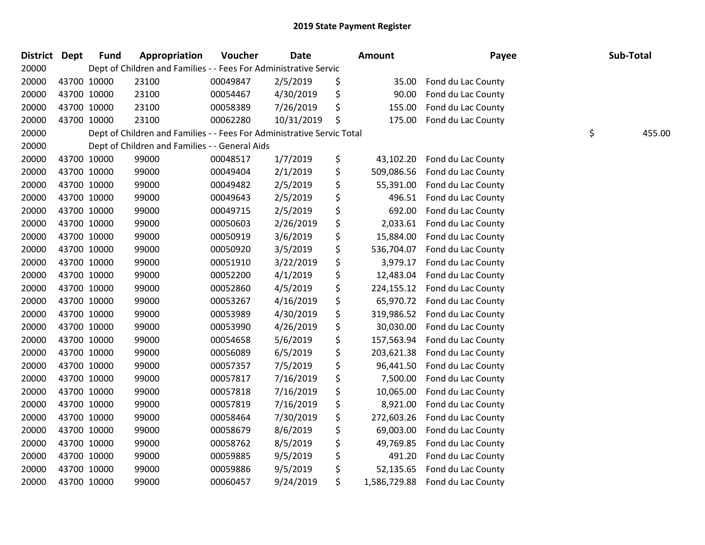| <b>District Dept</b> | <b>Fund</b> | Appropriation                                                          | Voucher  | <b>Date</b> | <b>Amount</b>      | Payee              | Sub-Total    |
|----------------------|-------------|------------------------------------------------------------------------|----------|-------------|--------------------|--------------------|--------------|
| 20000                |             | Dept of Children and Families - - Fees For Administrative Servic       |          |             |                    |                    |              |
| 20000                | 43700 10000 | 23100                                                                  | 00049847 | 2/5/2019    | \$<br>35.00        | Fond du Lac County |              |
| 20000                | 43700 10000 | 23100                                                                  | 00054467 | 4/30/2019   | \$<br>90.00        | Fond du Lac County |              |
| 20000                | 43700 10000 | 23100                                                                  | 00058389 | 7/26/2019   | \$<br>155.00       | Fond du Lac County |              |
| 20000                | 43700 10000 | 23100                                                                  | 00062280 | 10/31/2019  | \$<br>175.00       | Fond du Lac County |              |
| 20000                |             | Dept of Children and Families - - Fees For Administrative Servic Total |          |             |                    |                    | \$<br>455.00 |
| 20000                |             | Dept of Children and Families - - General Aids                         |          |             |                    |                    |              |
| 20000                | 43700 10000 | 99000                                                                  | 00048517 | 1/7/2019    | \$<br>43,102.20    | Fond du Lac County |              |
| 20000                | 43700 10000 | 99000                                                                  | 00049404 | 2/1/2019    | \$<br>509,086.56   | Fond du Lac County |              |
| 20000                | 43700 10000 | 99000                                                                  | 00049482 | 2/5/2019    | \$<br>55,391.00    | Fond du Lac County |              |
| 20000                | 43700 10000 | 99000                                                                  | 00049643 | 2/5/2019    | \$<br>496.51       | Fond du Lac County |              |
| 20000                | 43700 10000 | 99000                                                                  | 00049715 | 2/5/2019    | \$<br>692.00       | Fond du Lac County |              |
| 20000                | 43700 10000 | 99000                                                                  | 00050603 | 2/26/2019   | \$<br>2,033.61     | Fond du Lac County |              |
| 20000                | 43700 10000 | 99000                                                                  | 00050919 | 3/6/2019    | \$<br>15,884.00    | Fond du Lac County |              |
| 20000                | 43700 10000 | 99000                                                                  | 00050920 | 3/5/2019    | \$<br>536,704.07   | Fond du Lac County |              |
| 20000                | 43700 10000 | 99000                                                                  | 00051910 | 3/22/2019   | \$<br>3,979.17     | Fond du Lac County |              |
| 20000                | 43700 10000 | 99000                                                                  | 00052200 | 4/1/2019    | \$<br>12,483.04    | Fond du Lac County |              |
| 20000                | 43700 10000 | 99000                                                                  | 00052860 | 4/5/2019    | \$<br>224,155.12   | Fond du Lac County |              |
| 20000                | 43700 10000 | 99000                                                                  | 00053267 | 4/16/2019   | \$<br>65,970.72    | Fond du Lac County |              |
| 20000                | 43700 10000 | 99000                                                                  | 00053989 | 4/30/2019   | \$<br>319,986.52   | Fond du Lac County |              |
| 20000                | 43700 10000 | 99000                                                                  | 00053990 | 4/26/2019   | \$<br>30,030.00    | Fond du Lac County |              |
| 20000                | 43700 10000 | 99000                                                                  | 00054658 | 5/6/2019    | \$<br>157,563.94   | Fond du Lac County |              |
| 20000                | 43700 10000 | 99000                                                                  | 00056089 | 6/5/2019    | \$<br>203,621.38   | Fond du Lac County |              |
| 20000                | 43700 10000 | 99000                                                                  | 00057357 | 7/5/2019    | \$<br>96,441.50    | Fond du Lac County |              |
| 20000                | 43700 10000 | 99000                                                                  | 00057817 | 7/16/2019   | \$<br>7,500.00     | Fond du Lac County |              |
| 20000                | 43700 10000 | 99000                                                                  | 00057818 | 7/16/2019   | \$<br>10,065.00    | Fond du Lac County |              |
| 20000                | 43700 10000 | 99000                                                                  | 00057819 | 7/16/2019   | \$<br>8,921.00     | Fond du Lac County |              |
| 20000                | 43700 10000 | 99000                                                                  | 00058464 | 7/30/2019   | \$<br>272,603.26   | Fond du Lac County |              |
| 20000                | 43700 10000 | 99000                                                                  | 00058679 | 8/6/2019    | \$<br>69,003.00    | Fond du Lac County |              |
| 20000                | 43700 10000 | 99000                                                                  | 00058762 | 8/5/2019    | \$<br>49,769.85    | Fond du Lac County |              |
| 20000                | 43700 10000 | 99000                                                                  | 00059885 | 9/5/2019    | \$<br>491.20       | Fond du Lac County |              |
| 20000                | 43700 10000 | 99000                                                                  | 00059886 | 9/5/2019    | \$<br>52,135.65    | Fond du Lac County |              |
| 20000                | 43700 10000 | 99000                                                                  | 00060457 | 9/24/2019   | \$<br>1,586,729.88 | Fond du Lac County |              |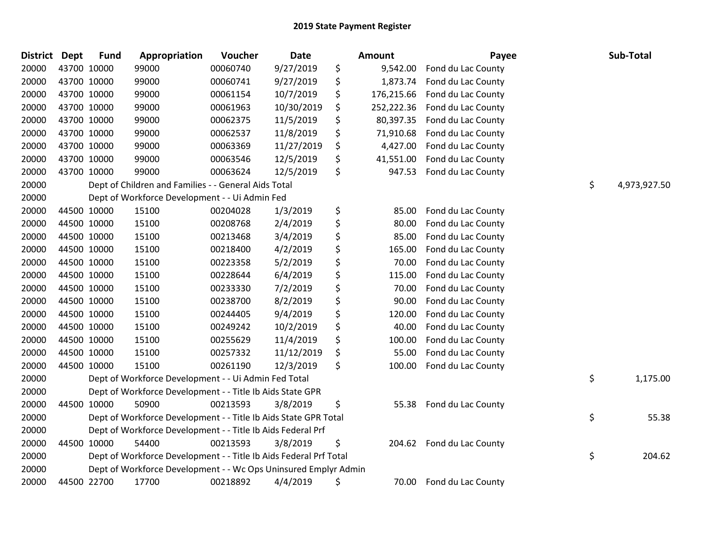| <b>District Dept</b> | <b>Fund</b> | Appropriation                                                     | Voucher  | <b>Date</b> | <b>Amount</b>    | Payee              | Sub-Total          |
|----------------------|-------------|-------------------------------------------------------------------|----------|-------------|------------------|--------------------|--------------------|
| 20000                | 43700 10000 | 99000                                                             | 00060740 | 9/27/2019   | \$<br>9,542.00   | Fond du Lac County |                    |
| 20000                | 43700 10000 | 99000                                                             | 00060741 | 9/27/2019   | \$<br>1,873.74   | Fond du Lac County |                    |
| 20000                | 43700 10000 | 99000                                                             | 00061154 | 10/7/2019   | \$<br>176,215.66 | Fond du Lac County |                    |
| 20000                | 43700 10000 | 99000                                                             | 00061963 | 10/30/2019  | \$<br>252,222.36 | Fond du Lac County |                    |
| 20000                | 43700 10000 | 99000                                                             | 00062375 | 11/5/2019   | \$<br>80,397.35  | Fond du Lac County |                    |
| 20000                | 43700 10000 | 99000                                                             | 00062537 | 11/8/2019   | \$<br>71,910.68  | Fond du Lac County |                    |
| 20000                | 43700 10000 | 99000                                                             | 00063369 | 11/27/2019  | \$<br>4,427.00   | Fond du Lac County |                    |
| 20000                | 43700 10000 | 99000                                                             | 00063546 | 12/5/2019   | \$<br>41,551.00  | Fond du Lac County |                    |
| 20000                | 43700 10000 | 99000                                                             | 00063624 | 12/5/2019   | \$<br>947.53     | Fond du Lac County |                    |
| 20000                |             | Dept of Children and Families - - General Aids Total              |          |             |                  |                    | \$<br>4,973,927.50 |
| 20000                |             | Dept of Workforce Development - - Ui Admin Fed                    |          |             |                  |                    |                    |
| 20000                | 44500 10000 | 15100                                                             | 00204028 | 1/3/2019    | \$<br>85.00      | Fond du Lac County |                    |
| 20000                | 44500 10000 | 15100                                                             | 00208768 | 2/4/2019    | \$<br>80.00      | Fond du Lac County |                    |
| 20000                | 44500 10000 | 15100                                                             | 00213468 | 3/4/2019    | \$<br>85.00      | Fond du Lac County |                    |
| 20000                | 44500 10000 | 15100                                                             | 00218400 | 4/2/2019    | \$<br>165.00     | Fond du Lac County |                    |
| 20000                | 44500 10000 | 15100                                                             | 00223358 | 5/2/2019    | \$<br>70.00      | Fond du Lac County |                    |
| 20000                | 44500 10000 | 15100                                                             | 00228644 | 6/4/2019    | \$<br>115.00     | Fond du Lac County |                    |
| 20000                | 44500 10000 | 15100                                                             | 00233330 | 7/2/2019    | \$<br>70.00      | Fond du Lac County |                    |
| 20000                | 44500 10000 | 15100                                                             | 00238700 | 8/2/2019    | \$<br>90.00      | Fond du Lac County |                    |
| 20000                | 44500 10000 | 15100                                                             | 00244405 | 9/4/2019    | \$<br>120.00     | Fond du Lac County |                    |
| 20000                | 44500 10000 | 15100                                                             | 00249242 | 10/2/2019   | \$<br>40.00      | Fond du Lac County |                    |
| 20000                | 44500 10000 | 15100                                                             | 00255629 | 11/4/2019   | \$<br>100.00     | Fond du Lac County |                    |
| 20000                | 44500 10000 | 15100                                                             | 00257332 | 11/12/2019  | \$<br>55.00      | Fond du Lac County |                    |
| 20000                | 44500 10000 | 15100                                                             | 00261190 | 12/3/2019   | \$<br>100.00     | Fond du Lac County |                    |
| 20000                |             | Dept of Workforce Development - - Ui Admin Fed Total              |          |             |                  |                    | \$<br>1,175.00     |
| 20000                |             | Dept of Workforce Development - - Title Ib Aids State GPR         |          |             |                  |                    |                    |
| 20000                | 44500 10000 | 50900                                                             | 00213593 | 3/8/2019    | \$<br>55.38      | Fond du Lac County |                    |
| 20000                |             | Dept of Workforce Development - - Title Ib Aids State GPR Total   |          |             |                  |                    | \$<br>55.38        |
| 20000                |             | Dept of Workforce Development - - Title Ib Aids Federal Prf       |          |             |                  |                    |                    |
| 20000                | 44500 10000 | 54400                                                             | 00213593 | 3/8/2019    | \$<br>204.62     | Fond du Lac County |                    |
| 20000                |             | Dept of Workforce Development - - Title Ib Aids Federal Prf Total |          |             |                  |                    | \$<br>204.62       |
| 20000                |             | Dept of Workforce Development - - Wc Ops Uninsured Emplyr Admin   |          |             |                  |                    |                    |
| 20000                | 44500 22700 | 17700                                                             | 00218892 | 4/4/2019    | \$<br>70.00      | Fond du Lac County |                    |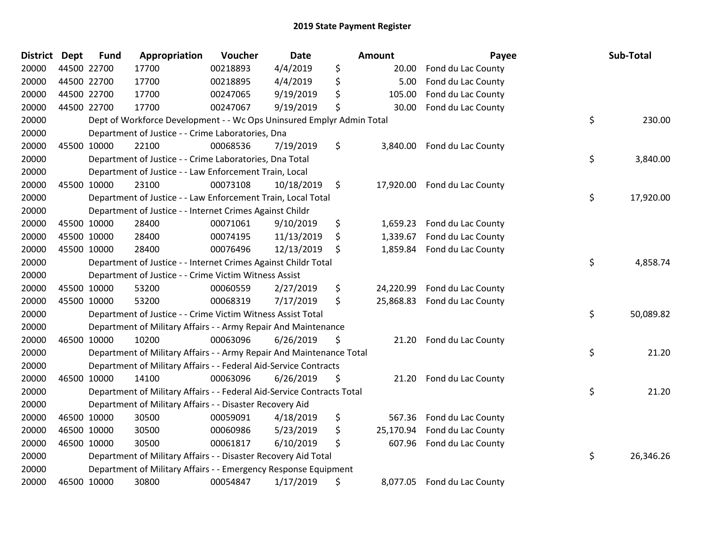| <b>District</b> | <b>Dept</b> | <b>Fund</b> | Appropriation                                                          | Voucher  | Date       | Amount          | Payee                       | Sub-Total       |
|-----------------|-------------|-------------|------------------------------------------------------------------------|----------|------------|-----------------|-----------------------------|-----------------|
| 20000           |             | 44500 22700 | 17700                                                                  | 00218893 | 4/4/2019   | \$<br>20.00     | Fond du Lac County          |                 |
| 20000           | 44500 22700 |             | 17700                                                                  | 00218895 | 4/4/2019   | \$<br>5.00      | Fond du Lac County          |                 |
| 20000           | 44500 22700 |             | 17700                                                                  | 00247065 | 9/19/2019  | \$<br>105.00    | Fond du Lac County          |                 |
| 20000           | 44500 22700 |             | 17700                                                                  | 00247067 | 9/19/2019  | \$<br>30.00     | Fond du Lac County          |                 |
| 20000           |             |             | Dept of Workforce Development - - Wc Ops Uninsured Emplyr Admin Total  |          |            |                 |                             | \$<br>230.00    |
| 20000           |             |             | Department of Justice - - Crime Laboratories, Dna                      |          |            |                 |                             |                 |
| 20000           | 45500 10000 |             | 22100                                                                  | 00068536 | 7/19/2019  | \$<br>3,840.00  | Fond du Lac County          |                 |
| 20000           |             |             | Department of Justice - - Crime Laboratories, Dna Total                |          |            |                 |                             | \$<br>3,840.00  |
| 20000           |             |             | Department of Justice - - Law Enforcement Train, Local                 |          |            |                 |                             |                 |
| 20000           | 45500 10000 |             | 23100                                                                  | 00073108 | 10/18/2019 | \$<br>17,920.00 | Fond du Lac County          |                 |
| 20000           |             |             | Department of Justice - - Law Enforcement Train, Local Total           |          |            |                 |                             | \$<br>17,920.00 |
| 20000           |             |             | Department of Justice - - Internet Crimes Against Childr               |          |            |                 |                             |                 |
| 20000           | 45500 10000 |             | 28400                                                                  | 00071061 | 9/10/2019  | \$<br>1,659.23  | Fond du Lac County          |                 |
| 20000           | 45500 10000 |             | 28400                                                                  | 00074195 | 11/13/2019 | \$<br>1,339.67  | Fond du Lac County          |                 |
| 20000           |             | 45500 10000 | 28400                                                                  | 00076496 | 12/13/2019 | \$<br>1,859.84  | Fond du Lac County          |                 |
| 20000           |             |             | Department of Justice - - Internet Crimes Against Childr Total         |          |            |                 |                             | \$<br>4,858.74  |
| 20000           |             |             | Department of Justice - - Crime Victim Witness Assist                  |          |            |                 |                             |                 |
| 20000           | 45500 10000 |             | 53200                                                                  | 00060559 | 2/27/2019  | \$<br>24,220.99 | Fond du Lac County          |                 |
| 20000           | 45500 10000 |             | 53200                                                                  | 00068319 | 7/17/2019  | \$<br>25,868.83 | Fond du Lac County          |                 |
| 20000           |             |             | Department of Justice - - Crime Victim Witness Assist Total            |          |            |                 |                             | \$<br>50,089.82 |
| 20000           |             |             | Department of Military Affairs - - Army Repair And Maintenance         |          |            |                 |                             |                 |
| 20000           | 46500 10000 |             | 10200                                                                  | 00063096 | 6/26/2019  | \$<br>21.20     | Fond du Lac County          |                 |
| 20000           |             |             | Department of Military Affairs - - Army Repair And Maintenance Total   |          |            |                 |                             | \$<br>21.20     |
| 20000           |             |             | Department of Military Affairs - - Federal Aid-Service Contracts       |          |            |                 |                             |                 |
| 20000           |             | 46500 10000 | 14100                                                                  | 00063096 | 6/26/2019  | \$<br>21.20     | Fond du Lac County          |                 |
| 20000           |             |             | Department of Military Affairs - - Federal Aid-Service Contracts Total |          |            |                 |                             | \$<br>21.20     |
| 20000           |             |             | Department of Military Affairs - - Disaster Recovery Aid               |          |            |                 |                             |                 |
| 20000           | 46500 10000 |             | 30500                                                                  | 00059091 | 4/18/2019  | \$<br>567.36    | Fond du Lac County          |                 |
| 20000           |             | 46500 10000 | 30500                                                                  | 00060986 | 5/23/2019  | \$<br>25,170.94 | Fond du Lac County          |                 |
| 20000           |             | 46500 10000 | 30500                                                                  | 00061817 | 6/10/2019  | \$<br>607.96    | Fond du Lac County          |                 |
| 20000           |             |             | Department of Military Affairs - - Disaster Recovery Aid Total         |          |            |                 |                             | \$<br>26,346.26 |
| 20000           |             |             | Department of Military Affairs - - Emergency Response Equipment        |          |            |                 |                             |                 |
| 20000           |             | 46500 10000 | 30800                                                                  | 00054847 | 1/17/2019  | \$              | 8,077.05 Fond du Lac County |                 |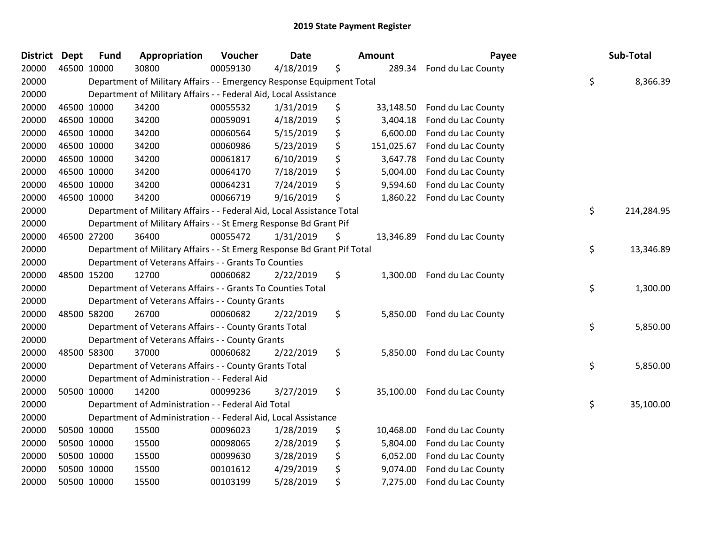| <b>District Dept</b> |             | <b>Fund</b> | Appropriation                                                           | Voucher  | <b>Date</b> | <b>Amount</b>    | Payee                        | Sub-Total        |
|----------------------|-------------|-------------|-------------------------------------------------------------------------|----------|-------------|------------------|------------------------------|------------------|
| 20000                | 46500 10000 |             | 30800                                                                   | 00059130 | 4/18/2019   | \$<br>289.34     | Fond du Lac County           |                  |
| 20000                |             |             | Department of Military Affairs - - Emergency Response Equipment Total   |          |             |                  |                              | \$<br>8,366.39   |
| 20000                |             |             | Department of Military Affairs - - Federal Aid, Local Assistance        |          |             |                  |                              |                  |
| 20000                |             | 46500 10000 | 34200                                                                   | 00055532 | 1/31/2019   | \$<br>33,148.50  | Fond du Lac County           |                  |
| 20000                |             | 46500 10000 | 34200                                                                   | 00059091 | 4/18/2019   | \$<br>3,404.18   | Fond du Lac County           |                  |
| 20000                |             | 46500 10000 | 34200                                                                   | 00060564 | 5/15/2019   | \$<br>6,600.00   | Fond du Lac County           |                  |
| 20000                |             | 46500 10000 | 34200                                                                   | 00060986 | 5/23/2019   | \$<br>151,025.67 | Fond du Lac County           |                  |
| 20000                |             | 46500 10000 | 34200                                                                   | 00061817 | 6/10/2019   | \$<br>3,647.78   | Fond du Lac County           |                  |
| 20000                |             | 46500 10000 | 34200                                                                   | 00064170 | 7/18/2019   | \$<br>5,004.00   | Fond du Lac County           |                  |
| 20000                |             | 46500 10000 | 34200                                                                   | 00064231 | 7/24/2019   | \$<br>9,594.60   | Fond du Lac County           |                  |
| 20000                |             | 46500 10000 | 34200                                                                   | 00066719 | 9/16/2019   | \$<br>1,860.22   | Fond du Lac County           |                  |
| 20000                |             |             | Department of Military Affairs - - Federal Aid, Local Assistance Total  |          |             |                  |                              | \$<br>214,284.95 |
| 20000                |             |             | Department of Military Affairs - - St Emerg Response Bd Grant Pif       |          |             |                  |                              |                  |
| 20000                |             | 46500 27200 | 36400                                                                   | 00055472 | 1/31/2019   | \$               | 13,346.89 Fond du Lac County |                  |
| 20000                |             |             | Department of Military Affairs - - St Emerg Response Bd Grant Pif Total |          |             |                  |                              | \$<br>13,346.89  |
| 20000                |             |             | Department of Veterans Affairs - - Grants To Counties                   |          |             |                  |                              |                  |
| 20000                |             | 48500 15200 | 12700                                                                   | 00060682 | 2/22/2019   | \$<br>1,300.00   | Fond du Lac County           |                  |
| 20000                |             |             | Department of Veterans Affairs - - Grants To Counties Total             |          |             |                  |                              | \$<br>1,300.00   |
| 20000                |             |             | Department of Veterans Affairs - - County Grants                        |          |             |                  |                              |                  |
| 20000                |             | 48500 58200 | 26700                                                                   | 00060682 | 2/22/2019   | \$               | 5,850.00 Fond du Lac County  |                  |
| 20000                |             |             | Department of Veterans Affairs - - County Grants Total                  |          |             |                  |                              | \$<br>5,850.00   |
| 20000                |             |             | Department of Veterans Affairs - - County Grants                        |          |             |                  |                              |                  |
| 20000                |             | 48500 58300 | 37000                                                                   | 00060682 | 2/22/2019   | \$               | 5,850.00 Fond du Lac County  |                  |
| 20000                |             |             | Department of Veterans Affairs - - County Grants Total                  |          |             |                  |                              | \$<br>5,850.00   |
| 20000                |             |             | Department of Administration - - Federal Aid                            |          |             |                  |                              |                  |
| 20000                |             | 50500 10000 | 14200                                                                   | 00099236 | 3/27/2019   | \$<br>35,100.00  | Fond du Lac County           |                  |
| 20000                |             |             | Department of Administration - - Federal Aid Total                      |          |             |                  |                              | \$<br>35,100.00  |
| 20000                |             |             | Department of Administration - - Federal Aid, Local Assistance          |          |             |                  |                              |                  |
| 20000                |             | 50500 10000 | 15500                                                                   | 00096023 | 1/28/2019   | \$<br>10,468.00  | Fond du Lac County           |                  |
| 20000                |             | 50500 10000 | 15500                                                                   | 00098065 | 2/28/2019   | \$<br>5,804.00   | Fond du Lac County           |                  |
| 20000                |             | 50500 10000 | 15500                                                                   | 00099630 | 3/28/2019   | \$<br>6,052.00   | Fond du Lac County           |                  |
| 20000                |             | 50500 10000 | 15500                                                                   | 00101612 | 4/29/2019   | \$<br>9,074.00   | Fond du Lac County           |                  |
| 20000                |             | 50500 10000 | 15500                                                                   | 00103199 | 5/28/2019   | \$<br>7,275.00   | Fond du Lac County           |                  |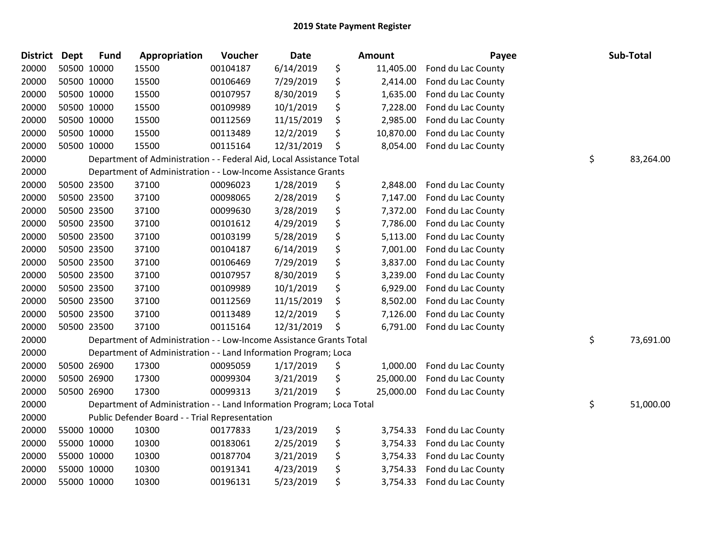| <b>District</b> | <b>Dept</b> | <b>Fund</b> | Appropriation                                                         | Voucher  | Date       | Amount          | Payee              | Sub-Total       |
|-----------------|-------------|-------------|-----------------------------------------------------------------------|----------|------------|-----------------|--------------------|-----------------|
| 20000           |             | 50500 10000 | 15500                                                                 | 00104187 | 6/14/2019  | \$<br>11,405.00 | Fond du Lac County |                 |
| 20000           |             | 50500 10000 | 15500                                                                 | 00106469 | 7/29/2019  | \$<br>2,414.00  | Fond du Lac County |                 |
| 20000           |             | 50500 10000 | 15500                                                                 | 00107957 | 8/30/2019  | \$<br>1,635.00  | Fond du Lac County |                 |
| 20000           |             | 50500 10000 | 15500                                                                 | 00109989 | 10/1/2019  | \$<br>7,228.00  | Fond du Lac County |                 |
| 20000           |             | 50500 10000 | 15500                                                                 | 00112569 | 11/15/2019 | \$<br>2,985.00  | Fond du Lac County |                 |
| 20000           |             | 50500 10000 | 15500                                                                 | 00113489 | 12/2/2019  | \$<br>10,870.00 | Fond du Lac County |                 |
| 20000           |             | 50500 10000 | 15500                                                                 | 00115164 | 12/31/2019 | \$<br>8,054.00  | Fond du Lac County |                 |
| 20000           |             |             | Department of Administration - - Federal Aid, Local Assistance Total  |          |            |                 |                    | \$<br>83,264.00 |
| 20000           |             |             | Department of Administration - - Low-Income Assistance Grants         |          |            |                 |                    |                 |
| 20000           |             | 50500 23500 | 37100                                                                 | 00096023 | 1/28/2019  | \$<br>2,848.00  | Fond du Lac County |                 |
| 20000           |             | 50500 23500 | 37100                                                                 | 00098065 | 2/28/2019  | \$<br>7,147.00  | Fond du Lac County |                 |
| 20000           |             | 50500 23500 | 37100                                                                 | 00099630 | 3/28/2019  | \$<br>7,372.00  | Fond du Lac County |                 |
| 20000           |             | 50500 23500 | 37100                                                                 | 00101612 | 4/29/2019  | \$<br>7,786.00  | Fond du Lac County |                 |
| 20000           |             | 50500 23500 | 37100                                                                 | 00103199 | 5/28/2019  | \$<br>5,113.00  | Fond du Lac County |                 |
| 20000           |             | 50500 23500 | 37100                                                                 | 00104187 | 6/14/2019  | \$<br>7,001.00  | Fond du Lac County |                 |
| 20000           |             | 50500 23500 | 37100                                                                 | 00106469 | 7/29/2019  | \$<br>3,837.00  | Fond du Lac County |                 |
| 20000           |             | 50500 23500 | 37100                                                                 | 00107957 | 8/30/2019  | \$<br>3,239.00  | Fond du Lac County |                 |
| 20000           |             | 50500 23500 | 37100                                                                 | 00109989 | 10/1/2019  | \$<br>6,929.00  | Fond du Lac County |                 |
| 20000           |             | 50500 23500 | 37100                                                                 | 00112569 | 11/15/2019 | \$<br>8,502.00  | Fond du Lac County |                 |
| 20000           |             | 50500 23500 | 37100                                                                 | 00113489 | 12/2/2019  | \$<br>7,126.00  | Fond du Lac County |                 |
| 20000           |             | 50500 23500 | 37100                                                                 | 00115164 | 12/31/2019 | \$<br>6,791.00  | Fond du Lac County |                 |
| 20000           |             |             | Department of Administration - - Low-Income Assistance Grants Total   |          |            |                 |                    | \$<br>73,691.00 |
| 20000           |             |             | Department of Administration - - Land Information Program; Loca       |          |            |                 |                    |                 |
| 20000           |             | 50500 26900 | 17300                                                                 | 00095059 | 1/17/2019  | \$<br>1,000.00  | Fond du Lac County |                 |
| 20000           |             | 50500 26900 | 17300                                                                 | 00099304 | 3/21/2019  | \$<br>25,000.00 | Fond du Lac County |                 |
| 20000           |             | 50500 26900 | 17300                                                                 | 00099313 | 3/21/2019  | \$<br>25,000.00 | Fond du Lac County |                 |
| 20000           |             |             | Department of Administration - - Land Information Program; Loca Total |          |            |                 |                    | \$<br>51,000.00 |
| 20000           |             |             | Public Defender Board - - Trial Representation                        |          |            |                 |                    |                 |
| 20000           |             | 55000 10000 | 10300                                                                 | 00177833 | 1/23/2019  | \$<br>3,754.33  | Fond du Lac County |                 |
| 20000           |             | 55000 10000 | 10300                                                                 | 00183061 | 2/25/2019  | \$<br>3,754.33  | Fond du Lac County |                 |
| 20000           |             | 55000 10000 | 10300                                                                 | 00187704 | 3/21/2019  | \$<br>3,754.33  | Fond du Lac County |                 |
| 20000           |             | 55000 10000 | 10300                                                                 | 00191341 | 4/23/2019  | \$<br>3,754.33  | Fond du Lac County |                 |
| 20000           |             | 55000 10000 | 10300                                                                 | 00196131 | 5/23/2019  | \$<br>3,754.33  | Fond du Lac County |                 |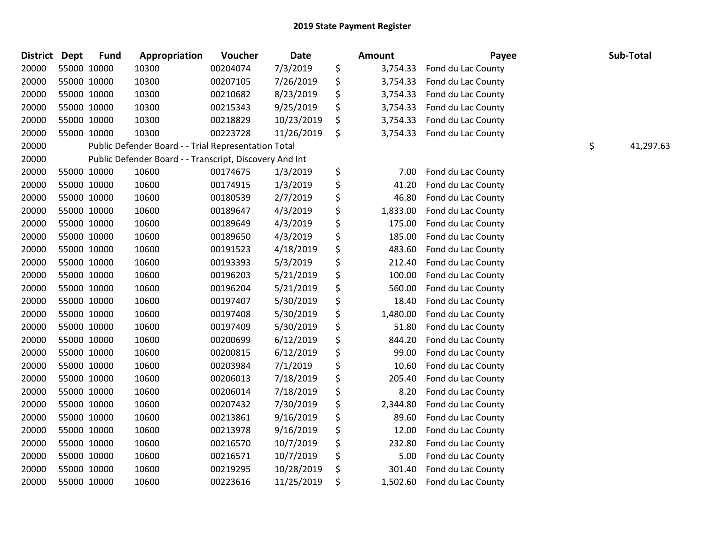| <b>District</b> | <b>Dept</b> | <b>Fund</b> | <b>Appropriation</b>                                    | Voucher  | <b>Date</b> | <b>Amount</b>  | Payee              | Sub-Total       |
|-----------------|-------------|-------------|---------------------------------------------------------|----------|-------------|----------------|--------------------|-----------------|
| 20000           |             | 55000 10000 | 10300                                                   | 00204074 | 7/3/2019    | \$<br>3,754.33 | Fond du Lac County |                 |
| 20000           |             | 55000 10000 | 10300                                                   | 00207105 | 7/26/2019   | \$<br>3,754.33 | Fond du Lac County |                 |
| 20000           |             | 55000 10000 | 10300                                                   | 00210682 | 8/23/2019   | \$<br>3,754.33 | Fond du Lac County |                 |
| 20000           |             | 55000 10000 | 10300                                                   | 00215343 | 9/25/2019   | \$<br>3,754.33 | Fond du Lac County |                 |
| 20000           |             | 55000 10000 | 10300                                                   | 00218829 | 10/23/2019  | \$<br>3,754.33 | Fond du Lac County |                 |
| 20000           |             | 55000 10000 | 10300                                                   | 00223728 | 11/26/2019  | \$<br>3,754.33 | Fond du Lac County |                 |
| 20000           |             |             | Public Defender Board - - Trial Representation Total    |          |             |                |                    | \$<br>41,297.63 |
| 20000           |             |             | Public Defender Board - - Transcript, Discovery And Int |          |             |                |                    |                 |
| 20000           |             | 55000 10000 | 10600                                                   | 00174675 | 1/3/2019    | \$<br>7.00     | Fond du Lac County |                 |
| 20000           |             | 55000 10000 | 10600                                                   | 00174915 | 1/3/2019    | \$<br>41.20    | Fond du Lac County |                 |
| 20000           |             | 55000 10000 | 10600                                                   | 00180539 | 2/7/2019    | \$<br>46.80    | Fond du Lac County |                 |
| 20000           |             | 55000 10000 | 10600                                                   | 00189647 | 4/3/2019    | \$<br>1,833.00 | Fond du Lac County |                 |
| 20000           |             | 55000 10000 | 10600                                                   | 00189649 | 4/3/2019    | \$<br>175.00   | Fond du Lac County |                 |
| 20000           |             | 55000 10000 | 10600                                                   | 00189650 | 4/3/2019    | \$<br>185.00   | Fond du Lac County |                 |
| 20000           |             | 55000 10000 | 10600                                                   | 00191523 | 4/18/2019   | \$<br>483.60   | Fond du Lac County |                 |
| 20000           |             | 55000 10000 | 10600                                                   | 00193393 | 5/3/2019    | \$<br>212.40   | Fond du Lac County |                 |
| 20000           |             | 55000 10000 | 10600                                                   | 00196203 | 5/21/2019   | \$<br>100.00   | Fond du Lac County |                 |
| 20000           |             | 55000 10000 | 10600                                                   | 00196204 | 5/21/2019   | \$<br>560.00   | Fond du Lac County |                 |
| 20000           |             | 55000 10000 | 10600                                                   | 00197407 | 5/30/2019   | \$<br>18.40    | Fond du Lac County |                 |
| 20000           |             | 55000 10000 | 10600                                                   | 00197408 | 5/30/2019   | \$<br>1,480.00 | Fond du Lac County |                 |
| 20000           |             | 55000 10000 | 10600                                                   | 00197409 | 5/30/2019   | \$<br>51.80    | Fond du Lac County |                 |
| 20000           |             | 55000 10000 | 10600                                                   | 00200699 | 6/12/2019   | \$<br>844.20   | Fond du Lac County |                 |
| 20000           |             | 55000 10000 | 10600                                                   | 00200815 | 6/12/2019   | \$<br>99.00    | Fond du Lac County |                 |
| 20000           |             | 55000 10000 | 10600                                                   | 00203984 | 7/1/2019    | \$<br>10.60    | Fond du Lac County |                 |
| 20000           |             | 55000 10000 | 10600                                                   | 00206013 | 7/18/2019   | \$<br>205.40   | Fond du Lac County |                 |
| 20000           |             | 55000 10000 | 10600                                                   | 00206014 | 7/18/2019   | \$<br>8.20     | Fond du Lac County |                 |
| 20000           |             | 55000 10000 | 10600                                                   | 00207432 | 7/30/2019   | \$<br>2,344.80 | Fond du Lac County |                 |
| 20000           |             | 55000 10000 | 10600                                                   | 00213861 | 9/16/2019   | \$<br>89.60    | Fond du Lac County |                 |
| 20000           |             | 55000 10000 | 10600                                                   | 00213978 | 9/16/2019   | \$<br>12.00    | Fond du Lac County |                 |
| 20000           |             | 55000 10000 | 10600                                                   | 00216570 | 10/7/2019   | \$<br>232.80   | Fond du Lac County |                 |
| 20000           |             | 55000 10000 | 10600                                                   | 00216571 | 10/7/2019   | \$<br>5.00     | Fond du Lac County |                 |
| 20000           |             | 55000 10000 | 10600                                                   | 00219295 | 10/28/2019  | \$<br>301.40   | Fond du Lac County |                 |
| 20000           |             | 55000 10000 | 10600                                                   | 00223616 | 11/25/2019  | \$<br>1,502.60 | Fond du Lac County |                 |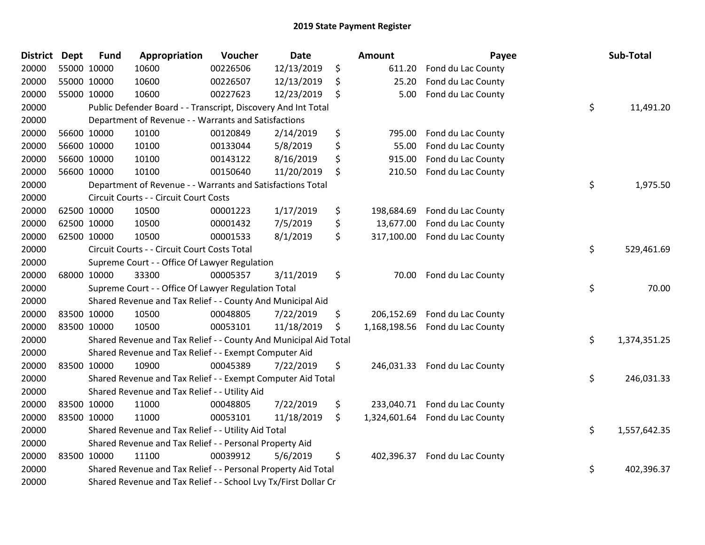| <b>District</b> | <b>Dept</b> | <b>Fund</b> | Appropriation                                                    | Voucher  | <b>Date</b> | Amount             | Payee                           | Sub-Total          |
|-----------------|-------------|-------------|------------------------------------------------------------------|----------|-------------|--------------------|---------------------------------|--------------------|
| 20000           | 55000 10000 |             | 10600                                                            | 00226506 | 12/13/2019  | \$<br>611.20       | Fond du Lac County              |                    |
| 20000           | 55000 10000 |             | 10600                                                            | 00226507 | 12/13/2019  | \$<br>25.20        | Fond du Lac County              |                    |
| 20000           | 55000 10000 |             | 10600                                                            | 00227623 | 12/23/2019  | \$<br>5.00         | Fond du Lac County              |                    |
| 20000           |             |             | Public Defender Board - - Transcript, Discovery And Int Total    |          |             |                    |                                 | \$<br>11,491.20    |
| 20000           |             |             | Department of Revenue - - Warrants and Satisfactions             |          |             |                    |                                 |                    |
| 20000           |             | 56600 10000 | 10100                                                            | 00120849 | 2/14/2019   | \$<br>795.00       | Fond du Lac County              |                    |
| 20000           |             | 56600 10000 | 10100                                                            | 00133044 | 5/8/2019    | \$<br>55.00        | Fond du Lac County              |                    |
| 20000           |             | 56600 10000 | 10100                                                            | 00143122 | 8/16/2019   | \$<br>915.00       | Fond du Lac County              |                    |
| 20000           |             | 56600 10000 | 10100                                                            | 00150640 | 11/20/2019  | \$<br>210.50       | Fond du Lac County              |                    |
| 20000           |             |             | Department of Revenue - - Warrants and Satisfactions Total       |          |             |                    |                                 | \$<br>1,975.50     |
| 20000           |             |             | Circuit Courts - - Circuit Court Costs                           |          |             |                    |                                 |                    |
| 20000           |             | 62500 10000 | 10500                                                            | 00001223 | 1/17/2019   | \$<br>198,684.69   | Fond du Lac County              |                    |
| 20000           |             | 62500 10000 | 10500                                                            | 00001432 | 7/5/2019    | \$<br>13,677.00    | Fond du Lac County              |                    |
| 20000           | 62500 10000 |             | 10500                                                            | 00001533 | 8/1/2019    | \$<br>317,100.00   | Fond du Lac County              |                    |
| 20000           |             |             | Circuit Courts - - Circuit Court Costs Total                     |          |             |                    |                                 | \$<br>529,461.69   |
| 20000           |             |             | Supreme Court - - Office Of Lawyer Regulation                    |          |             |                    |                                 |                    |
| 20000           |             | 68000 10000 | 33300                                                            | 00005357 | 3/11/2019   | \$<br>70.00        | Fond du Lac County              |                    |
| 20000           |             |             | Supreme Court - - Office Of Lawyer Regulation Total              |          |             |                    |                                 | \$<br>70.00        |
| 20000           |             |             | Shared Revenue and Tax Relief - - County And Municipal Aid       |          |             |                    |                                 |                    |
| 20000           |             | 83500 10000 | 10500                                                            | 00048805 | 7/22/2019   | \$<br>206,152.69   | Fond du Lac County              |                    |
| 20000           | 83500 10000 |             | 10500                                                            | 00053101 | 11/18/2019  | \$<br>1,168,198.56 | Fond du Lac County              |                    |
| 20000           |             |             | Shared Revenue and Tax Relief - - County And Municipal Aid Total |          |             |                    |                                 | \$<br>1,374,351.25 |
| 20000           |             |             | Shared Revenue and Tax Relief - - Exempt Computer Aid            |          |             |                    |                                 |                    |
| 20000           |             | 83500 10000 | 10900                                                            | 00045389 | 7/22/2019   | \$<br>246,031.33   | Fond du Lac County              |                    |
| 20000           |             |             | Shared Revenue and Tax Relief - - Exempt Computer Aid Total      |          |             |                    |                                 | \$<br>246,031.33   |
| 20000           |             |             | Shared Revenue and Tax Relief - - Utility Aid                    |          |             |                    |                                 |                    |
| 20000           |             | 83500 10000 | 11000                                                            | 00048805 | 7/22/2019   | \$                 | 233,040.71 Fond du Lac County   |                    |
| 20000           | 83500 10000 |             | 11000                                                            | 00053101 | 11/18/2019  | \$                 | 1,324,601.64 Fond du Lac County |                    |
| 20000           |             |             | Shared Revenue and Tax Relief - - Utility Aid Total              |          |             |                    |                                 | \$<br>1,557,642.35 |
| 20000           |             |             | Shared Revenue and Tax Relief - - Personal Property Aid          |          |             |                    |                                 |                    |
| 20000           |             | 83500 10000 | 11100                                                            | 00039912 | 5/6/2019    | \$<br>402,396.37   | Fond du Lac County              |                    |
| 20000           |             |             | Shared Revenue and Tax Relief - - Personal Property Aid Total    |          |             |                    |                                 | \$<br>402,396.37   |
| 20000           |             |             | Shared Revenue and Tax Relief - - School Lvy Tx/First Dollar Cr  |          |             |                    |                                 |                    |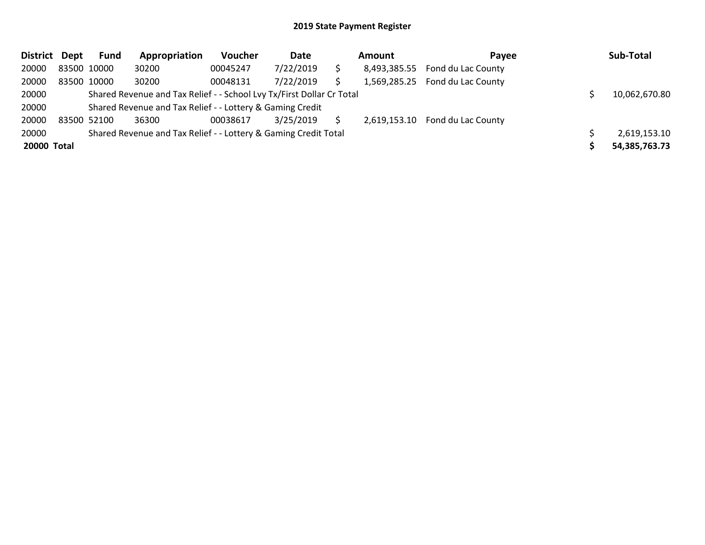| District Dept |             | Fund | Appropriation                                                         | Voucher  | Date      | Amount | Pavee                           | Sub-Total     |
|---------------|-------------|------|-----------------------------------------------------------------------|----------|-----------|--------|---------------------------------|---------------|
| 20000         | 83500 10000 |      | 30200                                                                 | 00045247 | 7/22/2019 |        | 8,493,385.55 Fond du Lac County |               |
| 20000         | 83500 10000 |      | 30200                                                                 | 00048131 | 7/22/2019 |        | 1,569,285.25 Fond du Lac County |               |
| 20000         |             |      | Shared Revenue and Tax Relief - - School Lvy Tx/First Dollar Cr Total |          |           |        |                                 | 10,062,670.80 |
| 20000         |             |      | Shared Revenue and Tax Relief - - Lottery & Gaming Credit             |          |           |        |                                 |               |
| 20000         | 83500 52100 |      | 36300                                                                 | 00038617 | 3/25/2019 |        | 2,619,153.10 Fond du Lac County |               |
| 20000         |             |      | Shared Revenue and Tax Relief - - Lottery & Gaming Credit Total       |          |           |        |                                 | 2,619,153.10  |
| 20000 Total   |             |      |                                                                       |          |           |        |                                 | 54,385,763.73 |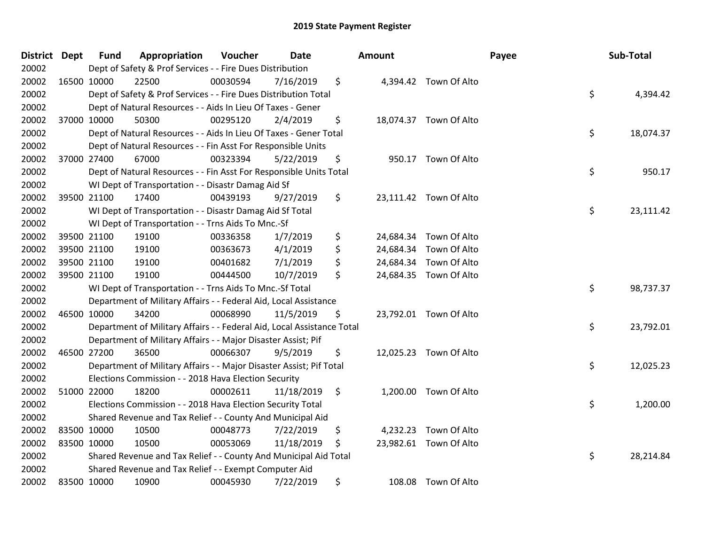| District Dept |             | <b>Fund</b> | Appropriation                                                          | Voucher  | <b>Date</b> | Amount          |                        | Payee | Sub-Total |
|---------------|-------------|-------------|------------------------------------------------------------------------|----------|-------------|-----------------|------------------------|-------|-----------|
| 20002         |             |             | Dept of Safety & Prof Services - - Fire Dues Distribution              |          |             |                 |                        |       |           |
| 20002         | 16500 10000 |             | 22500                                                                  | 00030594 | 7/16/2019   | \$              | 4,394.42 Town Of Alto  |       |           |
| 20002         |             |             | Dept of Safety & Prof Services - - Fire Dues Distribution Total        |          |             |                 |                        | \$    | 4,394.42  |
| 20002         |             |             | Dept of Natural Resources - - Aids In Lieu Of Taxes - Gener            |          |             |                 |                        |       |           |
| 20002         | 37000 10000 |             | 50300                                                                  | 00295120 | 2/4/2019    | \$              | 18,074.37 Town Of Alto |       |           |
| 20002         |             |             | Dept of Natural Resources - - Aids In Lieu Of Taxes - Gener Total      |          |             |                 |                        | \$    | 18,074.37 |
| 20002         |             |             | Dept of Natural Resources - - Fin Asst For Responsible Units           |          |             |                 |                        |       |           |
| 20002         | 37000 27400 |             | 67000                                                                  | 00323394 | 5/22/2019   | \$              | 950.17 Town Of Alto    |       |           |
| 20002         |             |             | Dept of Natural Resources - - Fin Asst For Responsible Units Total     |          |             |                 |                        | \$    | 950.17    |
| 20002         |             |             | WI Dept of Transportation - - Disastr Damag Aid Sf                     |          |             |                 |                        |       |           |
| 20002         | 39500 21100 |             | 17400                                                                  | 00439193 | 9/27/2019   | \$              | 23,111.42 Town Of Alto |       |           |
| 20002         |             |             | WI Dept of Transportation - - Disastr Damag Aid Sf Total               |          |             |                 |                        | \$    | 23,111.42 |
| 20002         |             |             | WI Dept of Transportation - - Trns Aids To Mnc.-Sf                     |          |             |                 |                        |       |           |
| 20002         | 39500 21100 |             | 19100                                                                  | 00336358 | 1/7/2019    | \$<br>24,684.34 | Town Of Alto           |       |           |
| 20002         | 39500 21100 |             | 19100                                                                  | 00363673 | 4/1/2019    | \$              | 24,684.34 Town Of Alto |       |           |
| 20002         | 39500 21100 |             | 19100                                                                  | 00401682 | 7/1/2019    | \$              | 24,684.34 Town Of Alto |       |           |
| 20002         | 39500 21100 |             | 19100                                                                  | 00444500 | 10/7/2019   | \$              | 24,684.35 Town Of Alto |       |           |
| 20002         |             |             | WI Dept of Transportation - - Trns Aids To Mnc.-Sf Total               |          |             |                 |                        | \$    | 98,737.37 |
| 20002         |             |             | Department of Military Affairs - - Federal Aid, Local Assistance       |          |             |                 |                        |       |           |
| 20002         | 46500 10000 |             | 34200                                                                  | 00068990 | 11/5/2019   | \$              | 23,792.01 Town Of Alto |       |           |
| 20002         |             |             | Department of Military Affairs - - Federal Aid, Local Assistance Total |          |             |                 |                        | \$    | 23,792.01 |
| 20002         |             |             | Department of Military Affairs - - Major Disaster Assist; Pif          |          |             |                 |                        |       |           |
| 20002         | 46500 27200 |             | 36500                                                                  | 00066307 | 9/5/2019    | \$              | 12,025.23 Town Of Alto |       |           |
| 20002         |             |             | Department of Military Affairs - - Major Disaster Assist; Pif Total    |          |             |                 |                        | \$    | 12,025.23 |
| 20002         |             |             | Elections Commission - - 2018 Hava Election Security                   |          |             |                 |                        |       |           |
| 20002         | 51000 22000 |             | 18200                                                                  | 00002611 | 11/18/2019  | \$              | 1,200.00 Town Of Alto  |       |           |
| 20002         |             |             | Elections Commission - - 2018 Hava Election Security Total             |          |             |                 |                        | \$    | 1,200.00  |
| 20002         |             |             | Shared Revenue and Tax Relief - - County And Municipal Aid             |          |             |                 |                        |       |           |
| 20002         | 83500 10000 |             | 10500                                                                  | 00048773 | 7/22/2019   | \$              | 4,232.23 Town Of Alto  |       |           |
| 20002         | 83500 10000 |             | 10500                                                                  | 00053069 | 11/18/2019  | \$              | 23,982.61 Town Of Alto |       |           |
| 20002         |             |             | Shared Revenue and Tax Relief - - County And Municipal Aid Total       |          |             |                 |                        | \$    | 28,214.84 |
| 20002         |             |             | Shared Revenue and Tax Relief - - Exempt Computer Aid                  |          |             |                 |                        |       |           |
| 20002         | 83500 10000 |             | 10900                                                                  | 00045930 | 7/22/2019   | \$              | 108.08 Town Of Alto    |       |           |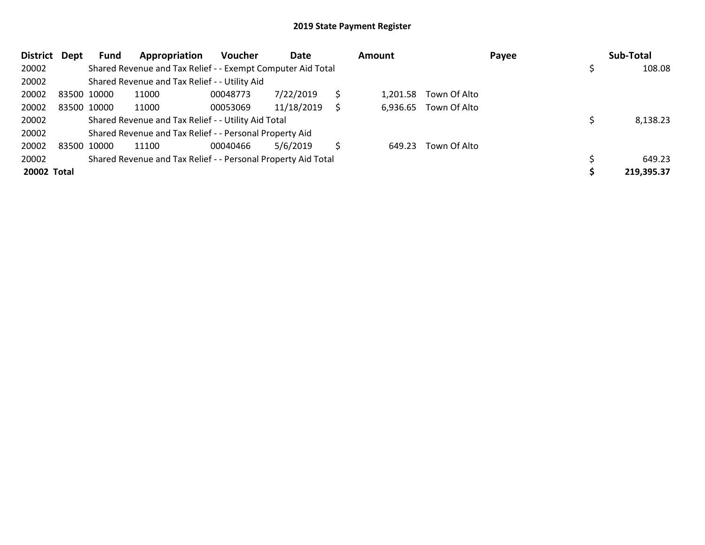| <b>District</b> | Dept        | Fund        | Appropriation                                                 | <b>Voucher</b> | Date       |   | Amount   |                       | Payee | Sub-Total  |
|-----------------|-------------|-------------|---------------------------------------------------------------|----------------|------------|---|----------|-----------------------|-------|------------|
| 20002           |             |             | Shared Revenue and Tax Relief - - Exempt Computer Aid Total   |                |            |   |          |                       |       | 108.08     |
| 20002           |             |             | Shared Revenue and Tax Relief - - Utility Aid                 |                |            |   |          |                       |       |            |
| 20002           | 83500 10000 |             | 11000                                                         | 00048773       | 7/22/2019  | Ś | 1.201.58 | Town Of Alto          |       |            |
| 20002           |             | 83500 10000 | 11000                                                         | 00053069       | 11/18/2019 |   |          | 6,936.65 Town Of Alto |       |            |
| 20002           |             |             | Shared Revenue and Tax Relief - - Utility Aid Total           |                |            |   |          |                       |       | 8,138.23   |
| 20002           |             |             | Shared Revenue and Tax Relief - - Personal Property Aid       |                |            |   |          |                       |       |            |
| 20002           |             | 83500 10000 | 11100                                                         | 00040466       | 5/6/2019   | S | 649.23   | Town Of Alto          |       |            |
| 20002           |             |             | Shared Revenue and Tax Relief - - Personal Property Aid Total |                |            |   |          |                       |       | 649.23     |
| 20002 Total     |             |             |                                                               |                |            |   |          |                       |       | 219,395.37 |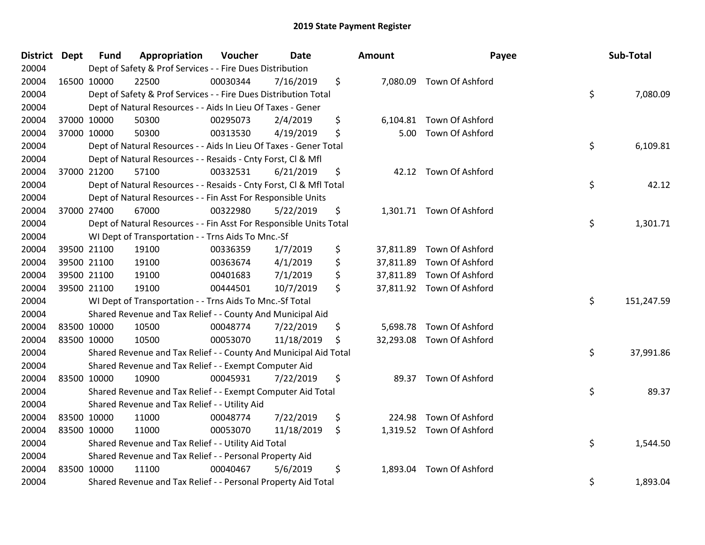| <b>District Dept</b> | Fund        | Appropriation                                                      | Voucher  | <b>Date</b> | <b>Amount</b>   | Payee                     | Sub-Total        |
|----------------------|-------------|--------------------------------------------------------------------|----------|-------------|-----------------|---------------------------|------------------|
| 20004                |             | Dept of Safety & Prof Services - - Fire Dues Distribution          |          |             |                 |                           |                  |
| 20004                | 16500 10000 | 22500                                                              | 00030344 | 7/16/2019   | \$              | 7,080.09 Town Of Ashford  |                  |
| 20004                |             | Dept of Safety & Prof Services - - Fire Dues Distribution Total    |          |             |                 |                           | \$<br>7,080.09   |
| 20004                |             | Dept of Natural Resources - - Aids In Lieu Of Taxes - Gener        |          |             |                 |                           |                  |
| 20004                | 37000 10000 | 50300                                                              | 00295073 | 2/4/2019    | \$<br>6,104.81  | Town Of Ashford           |                  |
| 20004                | 37000 10000 | 50300                                                              | 00313530 | 4/19/2019   | \$<br>5.00      | Town Of Ashford           |                  |
| 20004                |             | Dept of Natural Resources - - Aids In Lieu Of Taxes - Gener Total  |          |             |                 |                           | \$<br>6,109.81   |
| 20004                |             | Dept of Natural Resources - - Resaids - Cnty Forst, Cl & Mfl       |          |             |                 |                           |                  |
| 20004                | 37000 21200 | 57100                                                              | 00332531 | 6/21/2019   | \$              | 42.12 Town Of Ashford     |                  |
| 20004                |             | Dept of Natural Resources - - Resaids - Cnty Forst, Cl & Mfl Total |          |             |                 |                           | \$<br>42.12      |
| 20004                |             | Dept of Natural Resources - - Fin Asst For Responsible Units       |          |             |                 |                           |                  |
| 20004                | 37000 27400 | 67000                                                              | 00322980 | 5/22/2019   | \$              | 1,301.71 Town Of Ashford  |                  |
| 20004                |             | Dept of Natural Resources - - Fin Asst For Responsible Units Total |          |             |                 |                           | \$<br>1,301.71   |
| 20004                |             | WI Dept of Transportation - - Trns Aids To Mnc.-Sf                 |          |             |                 |                           |                  |
| 20004                | 39500 21100 | 19100                                                              | 00336359 | 1/7/2019    | \$              | 37,811.89 Town Of Ashford |                  |
| 20004                | 39500 21100 | 19100                                                              | 00363674 | 4/1/2019    | \$<br>37,811.89 | Town Of Ashford           |                  |
| 20004                | 39500 21100 | 19100                                                              | 00401683 | 7/1/2019    | \$<br>37,811.89 | Town Of Ashford           |                  |
| 20004                | 39500 21100 | 19100                                                              | 00444501 | 10/7/2019   | \$              | 37,811.92 Town Of Ashford |                  |
| 20004                |             | WI Dept of Transportation - - Trns Aids To Mnc.-Sf Total           |          |             |                 |                           | \$<br>151,247.59 |
| 20004                |             | Shared Revenue and Tax Relief - - County And Municipal Aid         |          |             |                 |                           |                  |
| 20004                | 83500 10000 | 10500                                                              | 00048774 | 7/22/2019   | \$              | 5,698.78 Town Of Ashford  |                  |
| 20004                | 83500 10000 | 10500                                                              | 00053070 | 11/18/2019  | \$              | 32,293.08 Town Of Ashford |                  |
| 20004                |             | Shared Revenue and Tax Relief - - County And Municipal Aid Total   |          |             |                 |                           | \$<br>37,991.86  |
| 20004                |             | Shared Revenue and Tax Relief - - Exempt Computer Aid              |          |             |                 |                           |                  |
| 20004                | 83500 10000 | 10900                                                              | 00045931 | 7/22/2019   | \$              | 89.37 Town Of Ashford     |                  |
| 20004                |             | Shared Revenue and Tax Relief - - Exempt Computer Aid Total        |          |             |                 |                           | \$<br>89.37      |
| 20004                |             | Shared Revenue and Tax Relief - - Utility Aid                      |          |             |                 |                           |                  |
| 20004                | 83500 10000 | 11000                                                              | 00048774 | 7/22/2019   | \$<br>224.98    | Town Of Ashford           |                  |
| 20004                | 83500 10000 | 11000                                                              | 00053070 | 11/18/2019  | \$              | 1,319.52 Town Of Ashford  |                  |
| 20004                |             | Shared Revenue and Tax Relief - - Utility Aid Total                |          |             |                 |                           | \$<br>1,544.50   |
| 20004                |             | Shared Revenue and Tax Relief - - Personal Property Aid            |          |             |                 |                           |                  |
| 20004                | 83500 10000 | 11100                                                              | 00040467 | 5/6/2019    | \$<br>1,893.04  | Town Of Ashford           |                  |
| 20004                |             | Shared Revenue and Tax Relief - - Personal Property Aid Total      |          |             |                 |                           | \$<br>1,893.04   |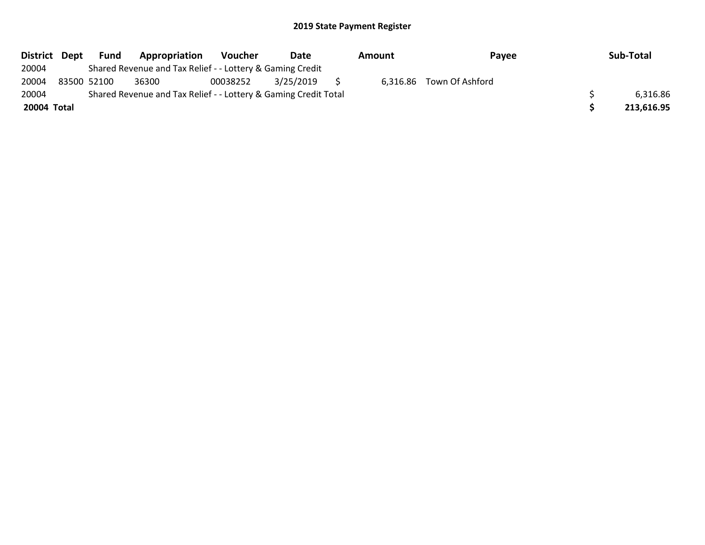| District Dept |             | Fund | Appropriation                                                   | <b>Voucher</b> | Date      | Amount | Payee                    | Sub-Total  |
|---------------|-------------|------|-----------------------------------------------------------------|----------------|-----------|--------|--------------------------|------------|
| 20004         |             |      | Shared Revenue and Tax Relief - - Lottery & Gaming Credit       |                |           |        |                          |            |
| 20004         | 83500 52100 |      | 36300                                                           | 00038252       | 3/25/2019 |        | 6,316.86 Town Of Ashford |            |
| 20004         |             |      | Shared Revenue and Tax Relief - - Lottery & Gaming Credit Total |                |           |        |                          | 6,316.86   |
| 20004 Total   |             |      |                                                                 |                |           |        |                          | 213,616.95 |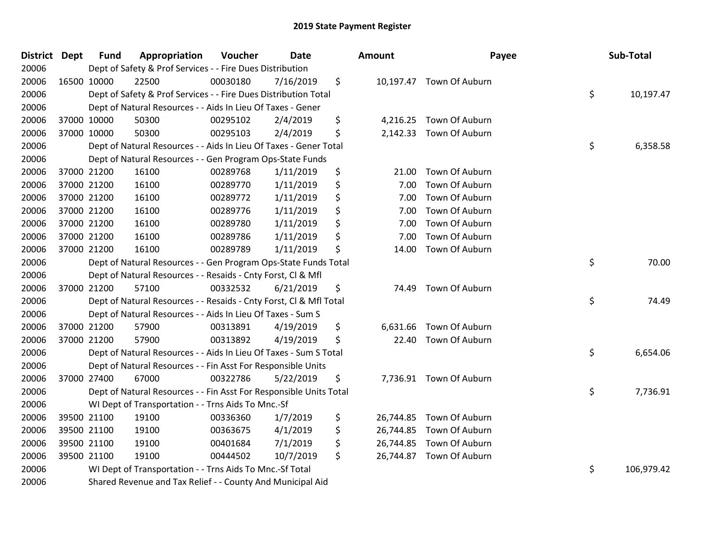| District Dept |             | <b>Fund</b> | Appropriation                                                      | Voucher  | <b>Date</b> | Amount          | Payee                    | Sub-Total        |
|---------------|-------------|-------------|--------------------------------------------------------------------|----------|-------------|-----------------|--------------------------|------------------|
| 20006         |             |             | Dept of Safety & Prof Services - - Fire Dues Distribution          |          |             |                 |                          |                  |
| 20006         | 16500 10000 |             | 22500                                                              | 00030180 | 7/16/2019   | \$              | 10,197.47 Town Of Auburn |                  |
| 20006         |             |             | Dept of Safety & Prof Services - - Fire Dues Distribution Total    |          |             |                 |                          | \$<br>10,197.47  |
| 20006         |             |             | Dept of Natural Resources - - Aids In Lieu Of Taxes - Gener        |          |             |                 |                          |                  |
| 20006         | 37000 10000 |             | 50300                                                              | 00295102 | 2/4/2019    | \$<br>4,216.25  | Town Of Auburn           |                  |
| 20006         |             | 37000 10000 | 50300                                                              | 00295103 | 2/4/2019    | \$              | 2,142.33 Town Of Auburn  |                  |
| 20006         |             |             | Dept of Natural Resources - - Aids In Lieu Of Taxes - Gener Total  |          |             |                 |                          | \$<br>6,358.58   |
| 20006         |             |             | Dept of Natural Resources - - Gen Program Ops-State Funds          |          |             |                 |                          |                  |
| 20006         | 37000 21200 |             | 16100                                                              | 00289768 | 1/11/2019   | \$<br>21.00     | Town Of Auburn           |                  |
| 20006         | 37000 21200 |             | 16100                                                              | 00289770 | 1/11/2019   | \$<br>7.00      | Town Of Auburn           |                  |
| 20006         |             | 37000 21200 | 16100                                                              | 00289772 | 1/11/2019   | \$<br>7.00      | Town Of Auburn           |                  |
| 20006         | 37000 21200 |             | 16100                                                              | 00289776 | 1/11/2019   | \$<br>7.00      | Town Of Auburn           |                  |
| 20006         | 37000 21200 |             | 16100                                                              | 00289780 | 1/11/2019   | \$<br>7.00      | Town Of Auburn           |                  |
| 20006         | 37000 21200 |             | 16100                                                              | 00289786 | 1/11/2019   | \$<br>7.00      | Town Of Auburn           |                  |
| 20006         | 37000 21200 |             | 16100                                                              | 00289789 | 1/11/2019   | \$<br>14.00     | Town Of Auburn           |                  |
| 20006         |             |             | Dept of Natural Resources - - Gen Program Ops-State Funds Total    |          |             |                 |                          | \$<br>70.00      |
| 20006         |             |             | Dept of Natural Resources - - Resaids - Cnty Forst, Cl & Mfl       |          |             |                 |                          |                  |
| 20006         |             | 37000 21200 | 57100                                                              | 00332532 | 6/21/2019   | \$<br>74.49     | Town Of Auburn           |                  |
| 20006         |             |             | Dept of Natural Resources - - Resaids - Cnty Forst, Cl & Mfl Total |          |             |                 |                          | \$<br>74.49      |
| 20006         |             |             | Dept of Natural Resources - - Aids In Lieu Of Taxes - Sum S        |          |             |                 |                          |                  |
| 20006         |             | 37000 21200 | 57900                                                              | 00313891 | 4/19/2019   | \$<br>6,631.66  | Town Of Auburn           |                  |
| 20006         | 37000 21200 |             | 57900                                                              | 00313892 | 4/19/2019   | \$<br>22.40     | Town Of Auburn           |                  |
| 20006         |             |             | Dept of Natural Resources - - Aids In Lieu Of Taxes - Sum S Total  |          |             |                 |                          | \$<br>6,654.06   |
| 20006         |             |             | Dept of Natural Resources - - Fin Asst For Responsible Units       |          |             |                 |                          |                  |
| 20006         | 37000 27400 |             | 67000                                                              | 00322786 | 5/22/2019   | \$              | 7,736.91 Town Of Auburn  |                  |
| 20006         |             |             | Dept of Natural Resources - - Fin Asst For Responsible Units Total |          |             |                 |                          | \$<br>7,736.91   |
| 20006         |             |             | WI Dept of Transportation - - Trns Aids To Mnc.-Sf                 |          |             |                 |                          |                  |
| 20006         |             | 39500 21100 | 19100                                                              | 00336360 | 1/7/2019    | \$<br>26,744.85 | Town Of Auburn           |                  |
| 20006         |             | 39500 21100 | 19100                                                              | 00363675 | 4/1/2019    | \$<br>26,744.85 | Town Of Auburn           |                  |
| 20006         |             | 39500 21100 | 19100                                                              | 00401684 | 7/1/2019    | \$              | 26,744.85 Town Of Auburn |                  |
| 20006         |             | 39500 21100 | 19100                                                              | 00444502 | 10/7/2019   | \$              | 26,744.87 Town Of Auburn |                  |
| 20006         |             |             | WI Dept of Transportation - - Trns Aids To Mnc.-Sf Total           |          |             |                 |                          | \$<br>106,979.42 |
| 20006         |             |             | Shared Revenue and Tax Relief - - County And Municipal Aid         |          |             |                 |                          |                  |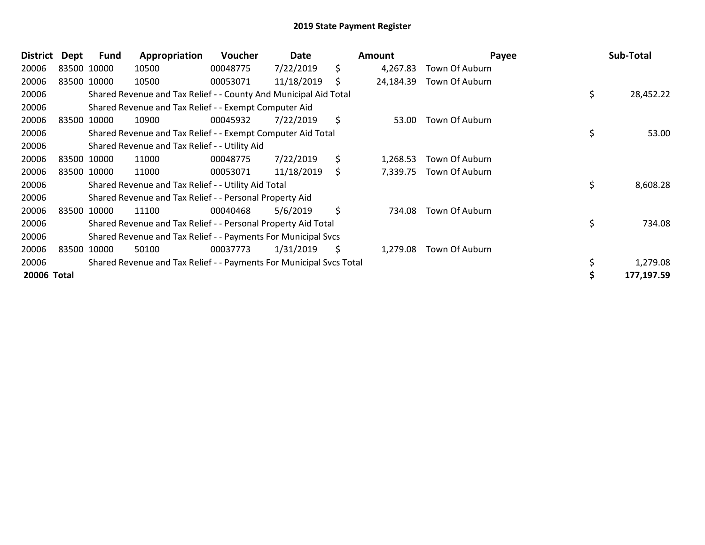| <b>District</b> | Dept  | Fund        | Appropriation                                                       | <b>Voucher</b> | Date       |     | <b>Amount</b> | Payee          | Sub-Total       |
|-----------------|-------|-------------|---------------------------------------------------------------------|----------------|------------|-----|---------------|----------------|-----------------|
| 20006           |       | 83500 10000 | 10500                                                               | 00048775       | 7/22/2019  | \$  | 4,267.83      | Town Of Auburn |                 |
| 20006           |       | 83500 10000 | 10500                                                               | 00053071       | 11/18/2019 | \$  | 24,184.39     | Town Of Auburn |                 |
| 20006           |       |             | Shared Revenue and Tax Relief - - County And Municipal Aid Total    |                |            |     |               |                | \$<br>28,452.22 |
| 20006           |       |             | Shared Revenue and Tax Relief - - Exempt Computer Aid               |                |            |     |               |                |                 |
| 20006           |       | 83500 10000 | 10900                                                               | 00045932       | 7/22/2019  | \$  | 53.00         | Town Of Auburn |                 |
| 20006           |       |             | Shared Revenue and Tax Relief - - Exempt Computer Aid Total         |                |            |     |               |                | \$<br>53.00     |
| 20006           |       |             | Shared Revenue and Tax Relief - - Utility Aid                       |                |            |     |               |                |                 |
| 20006           |       | 83500 10000 | 11000                                                               | 00048775       | 7/22/2019  | \$  | 1,268.53      | Town Of Auburn |                 |
| 20006           |       | 83500 10000 | 11000                                                               | 00053071       | 11/18/2019 | \$. | 7,339.75      | Town Of Auburn |                 |
| 20006           |       |             | Shared Revenue and Tax Relief - - Utility Aid Total                 |                |            |     |               |                | \$<br>8,608.28  |
| 20006           |       |             | Shared Revenue and Tax Relief - - Personal Property Aid             |                |            |     |               |                |                 |
| 20006           |       | 83500 10000 | 11100                                                               | 00040468       | 5/6/2019   | \$  | 734.08        | Town Of Auburn |                 |
| 20006           |       |             | Shared Revenue and Tax Relief - - Personal Property Aid Total       |                |            |     |               |                | \$<br>734.08    |
| 20006           |       |             | Shared Revenue and Tax Relief - - Payments For Municipal Svcs       |                |            |     |               |                |                 |
| 20006           | 83500 | 10000       | 50100                                                               | 00037773       | 1/31/2019  | \$  | 1,279.08      | Town Of Auburn |                 |
| 20006           |       |             | Shared Revenue and Tax Relief - - Payments For Municipal Svcs Total |                |            |     |               |                | 1,279.08        |
| 20006 Total     |       |             |                                                                     |                |            |     |               |                | 177,197.59      |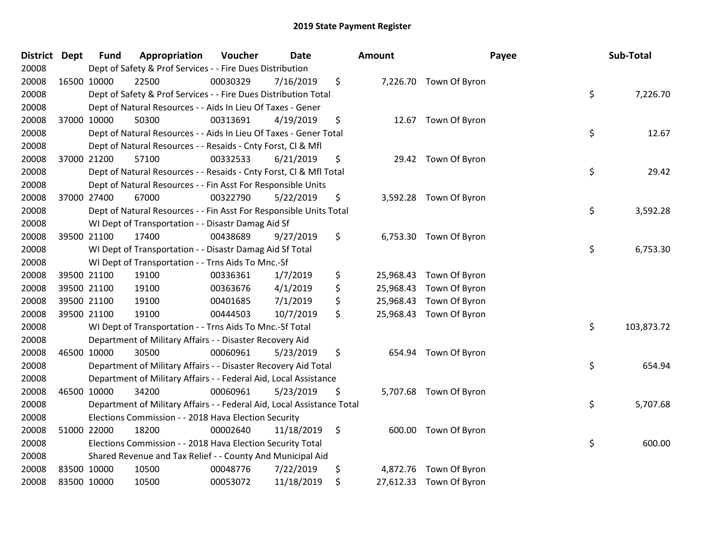| <b>District</b> | <b>Dept</b> | <b>Fund</b> | Appropriation                                                          | Voucher  | <b>Date</b> | <b>Amount</b>   |                         | Payee | Sub-Total  |
|-----------------|-------------|-------------|------------------------------------------------------------------------|----------|-------------|-----------------|-------------------------|-------|------------|
| 20008           |             |             | Dept of Safety & Prof Services - - Fire Dues Distribution              |          |             |                 |                         |       |            |
| 20008           | 16500 10000 |             | 22500                                                                  | 00030329 | 7/16/2019   | \$              | 7,226.70 Town Of Byron  |       |            |
| 20008           |             |             | Dept of Safety & Prof Services - - Fire Dues Distribution Total        |          |             |                 |                         | \$    | 7,226.70   |
| 20008           |             |             | Dept of Natural Resources - - Aids In Lieu Of Taxes - Gener            |          |             |                 |                         |       |            |
| 20008           | 37000 10000 |             | 50300                                                                  | 00313691 | 4/19/2019   | \$              | 12.67 Town Of Byron     |       |            |
| 20008           |             |             | Dept of Natural Resources - - Aids In Lieu Of Taxes - Gener Total      |          |             |                 |                         | \$    | 12.67      |
| 20008           |             |             | Dept of Natural Resources - - Resaids - Cnty Forst, Cl & Mfl           |          |             |                 |                         |       |            |
| 20008           | 37000 21200 |             | 57100                                                                  | 00332533 | 6/21/2019   | \$              | 29.42 Town Of Byron     |       |            |
| 20008           |             |             | Dept of Natural Resources - - Resaids - Cnty Forst, CI & Mfl Total     |          |             |                 |                         | \$    | 29.42      |
| 20008           |             |             | Dept of Natural Resources - - Fin Asst For Responsible Units           |          |             |                 |                         |       |            |
| 20008           | 37000 27400 |             | 67000                                                                  | 00322790 | 5/22/2019   | \$              | 3,592.28 Town Of Byron  |       |            |
| 20008           |             |             | Dept of Natural Resources - - Fin Asst For Responsible Units Total     |          |             |                 |                         | \$    | 3,592.28   |
| 20008           |             |             | WI Dept of Transportation - - Disastr Damag Aid Sf                     |          |             |                 |                         |       |            |
| 20008           | 39500 21100 |             | 17400                                                                  | 00438689 | 9/27/2019   | \$              | 6,753.30 Town Of Byron  |       |            |
| 20008           |             |             | WI Dept of Transportation - - Disastr Damag Aid Sf Total               |          |             |                 |                         | \$    | 6,753.30   |
| 20008           |             |             | WI Dept of Transportation - - Trns Aids To Mnc.-Sf                     |          |             |                 |                         |       |            |
| 20008           | 39500 21100 |             | 19100                                                                  | 00336361 | 1/7/2019    | \$<br>25,968.43 | Town Of Byron           |       |            |
| 20008           | 39500 21100 |             | 19100                                                                  | 00363676 | 4/1/2019    | \$<br>25,968.43 | Town Of Byron           |       |            |
| 20008           | 39500 21100 |             | 19100                                                                  | 00401685 | 7/1/2019    | \$<br>25,968.43 | Town Of Byron           |       |            |
| 20008           | 39500 21100 |             | 19100                                                                  | 00444503 | 10/7/2019   | \$<br>25,968.43 | Town Of Byron           |       |            |
| 20008           |             |             | WI Dept of Transportation - - Trns Aids To Mnc.-Sf Total               |          |             |                 |                         | \$    | 103,873.72 |
| 20008           |             |             | Department of Military Affairs - - Disaster Recovery Aid               |          |             |                 |                         |       |            |
| 20008           | 46500 10000 |             | 30500                                                                  | 00060961 | 5/23/2019   | \$              | 654.94 Town Of Byron    |       |            |
| 20008           |             |             | Department of Military Affairs - - Disaster Recovery Aid Total         |          |             |                 |                         | \$    | 654.94     |
| 20008           |             |             | Department of Military Affairs - - Federal Aid, Local Assistance       |          |             |                 |                         |       |            |
| 20008           | 46500 10000 |             | 34200                                                                  | 00060961 | 5/23/2019   | \$              | 5,707.68 Town Of Byron  |       |            |
| 20008           |             |             | Department of Military Affairs - - Federal Aid, Local Assistance Total |          |             |                 |                         | \$    | 5,707.68   |
| 20008           |             |             | Elections Commission - - 2018 Hava Election Security                   |          |             |                 |                         |       |            |
| 20008           | 51000 22000 |             | 18200                                                                  | 00002640 | 11/18/2019  | \$              | 600.00 Town Of Byron    |       |            |
| 20008           |             |             | Elections Commission - - 2018 Hava Election Security Total             |          |             |                 |                         | \$    | 600.00     |
| 20008           |             |             | Shared Revenue and Tax Relief - - County And Municipal Aid             |          |             |                 |                         |       |            |
| 20008           | 83500 10000 |             | 10500                                                                  | 00048776 | 7/22/2019   | \$              | 4,872.76 Town Of Byron  |       |            |
| 20008           | 83500 10000 |             | 10500                                                                  | 00053072 | 11/18/2019  | \$              | 27,612.33 Town Of Byron |       |            |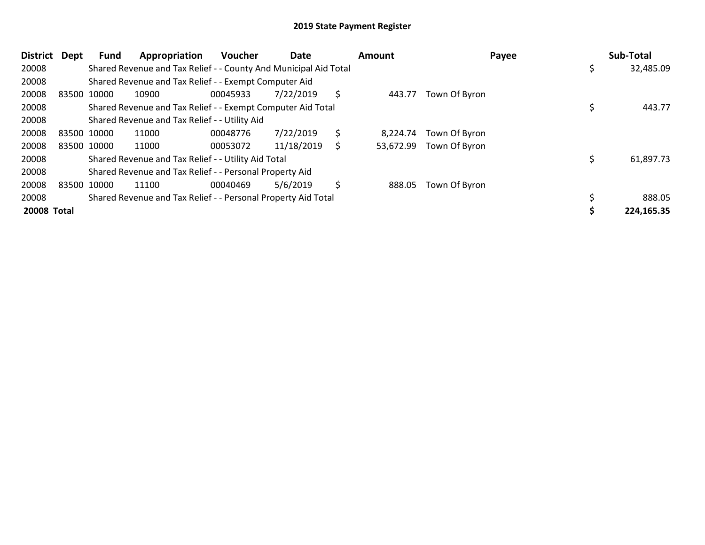| District Dept |             | Fund        | Appropriation                                                    | <b>Voucher</b> | Date       |    | Amount    | Payee         | Sub-Total  |
|---------------|-------------|-------------|------------------------------------------------------------------|----------------|------------|----|-----------|---------------|------------|
| 20008         |             |             | Shared Revenue and Tax Relief - - County And Municipal Aid Total |                |            |    |           |               | 32,485.09  |
| 20008         |             |             | Shared Revenue and Tax Relief - - Exempt Computer Aid            |                |            |    |           |               |            |
| 20008         | 83500 10000 |             | 10900                                                            | 00045933       | 7/22/2019  | \$ | 443.77    | Town Of Byron |            |
| 20008         |             |             | Shared Revenue and Tax Relief - - Exempt Computer Aid Total      |                |            |    |           |               | 443.77     |
| 20008         |             |             | Shared Revenue and Tax Relief - - Utility Aid                    |                |            |    |           |               |            |
| 20008         |             | 83500 10000 | 11000                                                            | 00048776       | 7/22/2019  | \$ | 8.224.74  | Town Of Byron |            |
| 20008         |             | 83500 10000 | 11000                                                            | 00053072       | 11/18/2019 | Ś  | 53,672.99 | Town Of Byron |            |
| 20008         |             |             | Shared Revenue and Tax Relief - - Utility Aid Total              |                |            |    |           |               | 61,897.73  |
| 20008         |             |             | Shared Revenue and Tax Relief - - Personal Property Aid          |                |            |    |           |               |            |
| 20008         | 83500 10000 |             | 11100                                                            | 00040469       | 5/6/2019   | \$ | 888.05    | Town Of Byron |            |
| 20008         |             |             | Shared Revenue and Tax Relief - - Personal Property Aid Total    |                |            |    |           |               | 888.05     |
| 20008 Total   |             |             |                                                                  |                |            |    |           |               | 224,165.35 |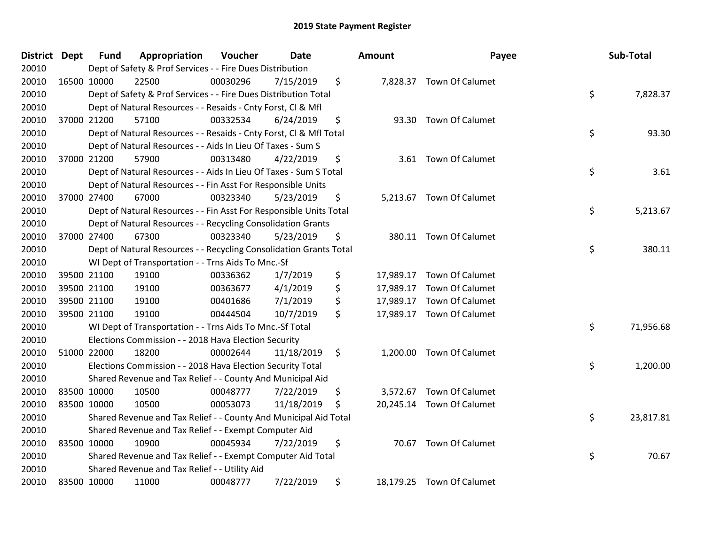| District Dept |             | <b>Fund</b> | Appropriation                                                      | Voucher  | <b>Date</b> | <b>Amount</b> | Payee                     | Sub-Total       |
|---------------|-------------|-------------|--------------------------------------------------------------------|----------|-------------|---------------|---------------------------|-----------------|
| 20010         |             |             | Dept of Safety & Prof Services - - Fire Dues Distribution          |          |             |               |                           |                 |
| 20010         | 16500 10000 |             | 22500                                                              | 00030296 | 7/15/2019   | \$            | 7,828.37 Town Of Calumet  |                 |
| 20010         |             |             | Dept of Safety & Prof Services - - Fire Dues Distribution Total    |          |             |               |                           | \$<br>7,828.37  |
| 20010         |             |             | Dept of Natural Resources - - Resaids - Cnty Forst, Cl & Mfl       |          |             |               |                           |                 |
| 20010         | 37000 21200 |             | 57100                                                              | 00332534 | 6/24/2019   | \$            | 93.30 Town Of Calumet     |                 |
| 20010         |             |             | Dept of Natural Resources - - Resaids - Cnty Forst, Cl & Mfl Total |          |             |               |                           | \$<br>93.30     |
| 20010         |             |             | Dept of Natural Resources - - Aids In Lieu Of Taxes - Sum S        |          |             |               |                           |                 |
| 20010         | 37000 21200 |             | 57900                                                              | 00313480 | 4/22/2019   | \$            | 3.61 Town Of Calumet      |                 |
| 20010         |             |             | Dept of Natural Resources - - Aids In Lieu Of Taxes - Sum S Total  |          |             |               |                           | \$<br>3.61      |
| 20010         |             |             | Dept of Natural Resources - - Fin Asst For Responsible Units       |          |             |               |                           |                 |
| 20010         | 37000 27400 |             | 67000                                                              | 00323340 | 5/23/2019   | \$            | 5,213.67 Town Of Calumet  |                 |
| 20010         |             |             | Dept of Natural Resources - - Fin Asst For Responsible Units Total |          |             |               |                           | \$<br>5,213.67  |
| 20010         |             |             | Dept of Natural Resources - - Recycling Consolidation Grants       |          |             |               |                           |                 |
| 20010         | 37000 27400 |             | 67300                                                              | 00323340 | 5/23/2019   | \$<br>380.11  | <b>Town Of Calumet</b>    |                 |
| 20010         |             |             | Dept of Natural Resources - - Recycling Consolidation Grants Total |          |             |               |                           | \$<br>380.11    |
| 20010         |             |             | WI Dept of Transportation - - Trns Aids To Mnc.-Sf                 |          |             |               |                           |                 |
| 20010         | 39500 21100 |             | 19100                                                              | 00336362 | 1/7/2019    | \$            | 17,989.17 Town Of Calumet |                 |
| 20010         | 39500 21100 |             | 19100                                                              | 00363677 | 4/1/2019    | \$            | 17,989.17 Town Of Calumet |                 |
| 20010         | 39500 21100 |             | 19100                                                              | 00401686 | 7/1/2019    | \$            | 17,989.17 Town Of Calumet |                 |
| 20010         | 39500 21100 |             | 19100                                                              | 00444504 | 10/7/2019   | \$            | 17,989.17 Town Of Calumet |                 |
| 20010         |             |             | WI Dept of Transportation - - Trns Aids To Mnc.-Sf Total           |          |             |               |                           | \$<br>71,956.68 |
| 20010         |             |             | Elections Commission - - 2018 Hava Election Security               |          |             |               |                           |                 |
| 20010         | 51000 22000 |             | 18200                                                              | 00002644 | 11/18/2019  | \$            | 1,200.00 Town Of Calumet  |                 |
| 20010         |             |             | Elections Commission - - 2018 Hava Election Security Total         |          |             |               |                           | \$<br>1,200.00  |
| 20010         |             |             | Shared Revenue and Tax Relief - - County And Municipal Aid         |          |             |               |                           |                 |
| 20010         | 83500 10000 |             | 10500                                                              | 00048777 | 7/22/2019   | \$            | 3,572.67 Town Of Calumet  |                 |
| 20010         | 83500 10000 |             | 10500                                                              | 00053073 | 11/18/2019  | \$            | 20,245.14 Town Of Calumet |                 |
| 20010         |             |             | Shared Revenue and Tax Relief - - County And Municipal Aid Total   |          |             |               |                           | \$<br>23,817.81 |
| 20010         |             |             | Shared Revenue and Tax Relief - - Exempt Computer Aid              |          |             |               |                           |                 |
| 20010         | 83500 10000 |             | 10900                                                              | 00045934 | 7/22/2019   | \$            | 70.67 Town Of Calumet     |                 |
| 20010         |             |             | Shared Revenue and Tax Relief - - Exempt Computer Aid Total        |          |             |               |                           | \$<br>70.67     |
| 20010         |             |             | Shared Revenue and Tax Relief - - Utility Aid                      |          |             |               |                           |                 |
| 20010         | 83500 10000 |             | 11000                                                              | 00048777 | 7/22/2019   | \$            | 18,179.25 Town Of Calumet |                 |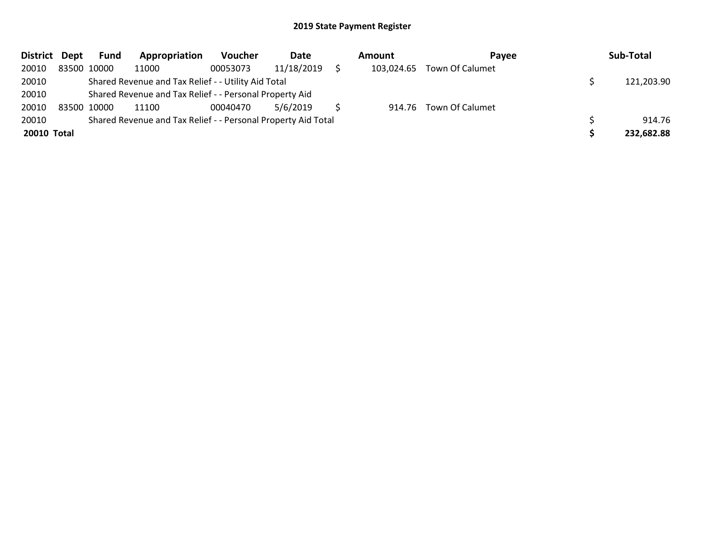| District Dept | <b>Fund</b> | Appropriation                                                 | Voucher  | Date       | <b>Amount</b> | Pavee                  | Sub-Total  |
|---------------|-------------|---------------------------------------------------------------|----------|------------|---------------|------------------------|------------|
| 20010         | 83500 10000 | 11000                                                         | 00053073 | 11/18/2019 | 103,024.65    | Town Of Calumet        |            |
| 20010         |             | Shared Revenue and Tax Relief - - Utility Aid Total           |          |            |               |                        | 121,203.90 |
| 20010         |             | Shared Revenue and Tax Relief - - Personal Property Aid       |          |            |               |                        |            |
| 20010         | 83500 10000 | 11100                                                         | 00040470 | 5/6/2019   |               | 914.76 Town Of Calumet |            |
| 20010         |             | Shared Revenue and Tax Relief - - Personal Property Aid Total |          |            |               |                        | 914.76     |
| 20010 Total   |             |                                                               |          |            |               |                        | 232,682.88 |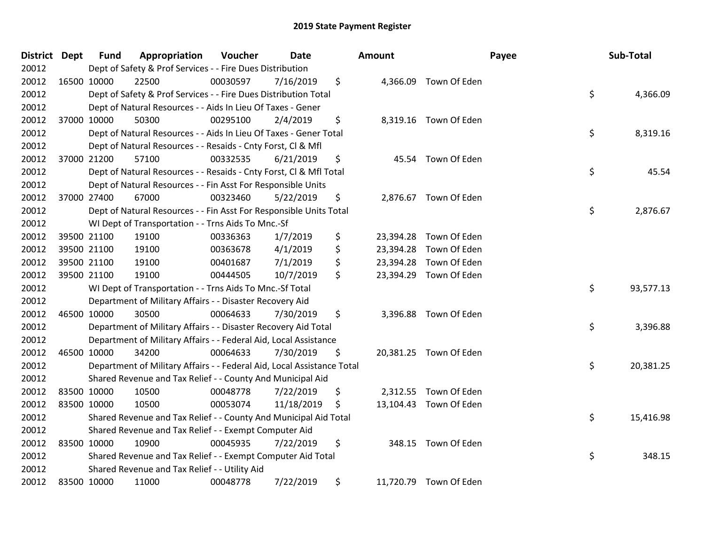| District Dept |             | <b>Fund</b> | Appropriation                                                          | Voucher  | <b>Date</b> | <b>Amount</b> |                        | Payee | Sub-Total |
|---------------|-------------|-------------|------------------------------------------------------------------------|----------|-------------|---------------|------------------------|-------|-----------|
| 20012         |             |             | Dept of Safety & Prof Services - - Fire Dues Distribution              |          |             |               |                        |       |           |
| 20012         | 16500 10000 |             | 22500                                                                  | 00030597 | 7/16/2019   | \$            | 4,366.09 Town Of Eden  |       |           |
| 20012         |             |             | Dept of Safety & Prof Services - - Fire Dues Distribution Total        |          |             |               |                        | \$    | 4,366.09  |
| 20012         |             |             | Dept of Natural Resources - - Aids In Lieu Of Taxes - Gener            |          |             |               |                        |       |           |
| 20012         |             | 37000 10000 | 50300                                                                  | 00295100 | 2/4/2019    | \$            | 8,319.16 Town Of Eden  |       |           |
| 20012         |             |             | Dept of Natural Resources - - Aids In Lieu Of Taxes - Gener Total      |          |             |               |                        | \$    | 8,319.16  |
| 20012         |             |             | Dept of Natural Resources - - Resaids - Cnty Forst, Cl & Mfl           |          |             |               |                        |       |           |
| 20012         |             | 37000 21200 | 57100                                                                  | 00332535 | 6/21/2019   | \$            | 45.54 Town Of Eden     |       |           |
| 20012         |             |             | Dept of Natural Resources - - Resaids - Cnty Forst, CI & Mfl Total     |          |             |               |                        | \$    | 45.54     |
| 20012         |             |             | Dept of Natural Resources - - Fin Asst For Responsible Units           |          |             |               |                        |       |           |
| 20012         |             | 37000 27400 | 67000                                                                  | 00323460 | 5/22/2019   | \$            | 2,876.67 Town Of Eden  |       |           |
| 20012         |             |             | Dept of Natural Resources - - Fin Asst For Responsible Units Total     |          |             |               |                        | \$    | 2,876.67  |
| 20012         |             |             | WI Dept of Transportation - - Trns Aids To Mnc.-Sf                     |          |             |               |                        |       |           |
| 20012         |             | 39500 21100 | 19100                                                                  | 00336363 | 1/7/2019    | \$            | 23,394.28 Town Of Eden |       |           |
| 20012         |             | 39500 21100 | 19100                                                                  | 00363678 | 4/1/2019    | \$            | 23,394.28 Town Of Eden |       |           |
| 20012         |             | 39500 21100 | 19100                                                                  | 00401687 | 7/1/2019    | \$            | 23,394.28 Town Of Eden |       |           |
| 20012         | 39500 21100 |             | 19100                                                                  | 00444505 | 10/7/2019   | \$            | 23,394.29 Town Of Eden |       |           |
| 20012         |             |             | WI Dept of Transportation - - Trns Aids To Mnc.-Sf Total               |          |             |               |                        | \$    | 93,577.13 |
| 20012         |             |             | Department of Military Affairs - - Disaster Recovery Aid               |          |             |               |                        |       |           |
| 20012         | 46500 10000 |             | 30500                                                                  | 00064633 | 7/30/2019   | \$            | 3,396.88 Town Of Eden  |       |           |
| 20012         |             |             | Department of Military Affairs - - Disaster Recovery Aid Total         |          |             |               |                        | \$    | 3,396.88  |
| 20012         |             |             | Department of Military Affairs - - Federal Aid, Local Assistance       |          |             |               |                        |       |           |
| 20012         | 46500 10000 |             | 34200                                                                  | 00064633 | 7/30/2019   | \$            | 20,381.25 Town Of Eden |       |           |
| 20012         |             |             | Department of Military Affairs - - Federal Aid, Local Assistance Total |          |             |               |                        | \$    | 20,381.25 |
| 20012         |             |             | Shared Revenue and Tax Relief - - County And Municipal Aid             |          |             |               |                        |       |           |
| 20012         | 83500 10000 |             | 10500                                                                  | 00048778 | 7/22/2019   | \$            | 2,312.55 Town Of Eden  |       |           |
| 20012         | 83500 10000 |             | 10500                                                                  | 00053074 | 11/18/2019  | \$            | 13,104.43 Town Of Eden |       |           |
| 20012         |             |             | Shared Revenue and Tax Relief - - County And Municipal Aid Total       |          |             |               |                        | \$    | 15,416.98 |
| 20012         |             |             | Shared Revenue and Tax Relief - - Exempt Computer Aid                  |          |             |               |                        |       |           |
| 20012         | 83500 10000 |             | 10900                                                                  | 00045935 | 7/22/2019   | \$            | 348.15 Town Of Eden    |       |           |
| 20012         |             |             | Shared Revenue and Tax Relief - - Exempt Computer Aid Total            |          |             |               |                        | \$    | 348.15    |
| 20012         |             |             | Shared Revenue and Tax Relief - - Utility Aid                          |          |             |               |                        |       |           |
| 20012         | 83500 10000 |             | 11000                                                                  | 00048778 | 7/22/2019   | \$            | 11,720.79 Town Of Eden |       |           |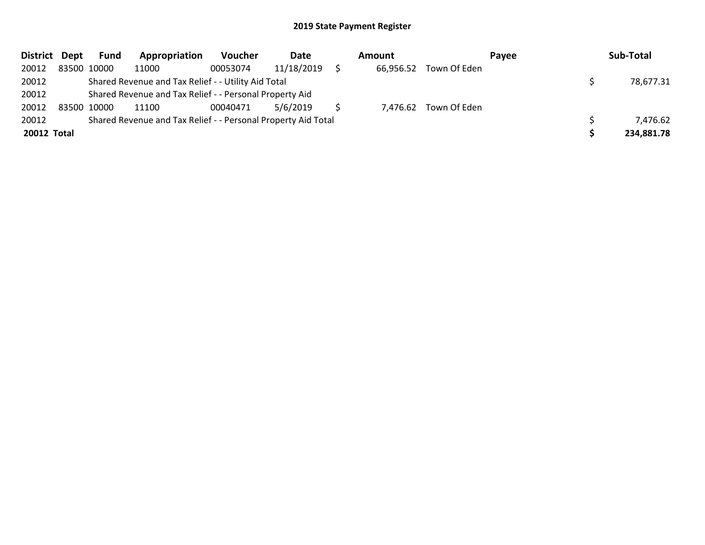| District Dept |             | <b>Fund</b> | Appropriation                                                 | <b>Voucher</b> | Date       | Amount    |                       | Payee | Sub-Total  |
|---------------|-------------|-------------|---------------------------------------------------------------|----------------|------------|-----------|-----------------------|-------|------------|
| 20012         | 83500 10000 |             | 11000                                                         | 00053074       | 11/18/2019 | 66,956.52 | Town Of Eden          |       |            |
| 20012         |             |             | Shared Revenue and Tax Relief - - Utility Aid Total           |                |            |           |                       |       | 78,677.31  |
| 20012         |             |             | Shared Revenue and Tax Relief - - Personal Property Aid       |                |            |           |                       |       |            |
| 20012         | 83500 10000 |             | 11100                                                         | 00040471       | 5/6/2019   |           | 7,476.62 Town Of Eden |       |            |
| 20012         |             |             | Shared Revenue and Tax Relief - - Personal Property Aid Total |                |            |           |                       |       | 7,476.62   |
| 20012 Total   |             |             |                                                               |                |            |           |                       |       | 234,881.78 |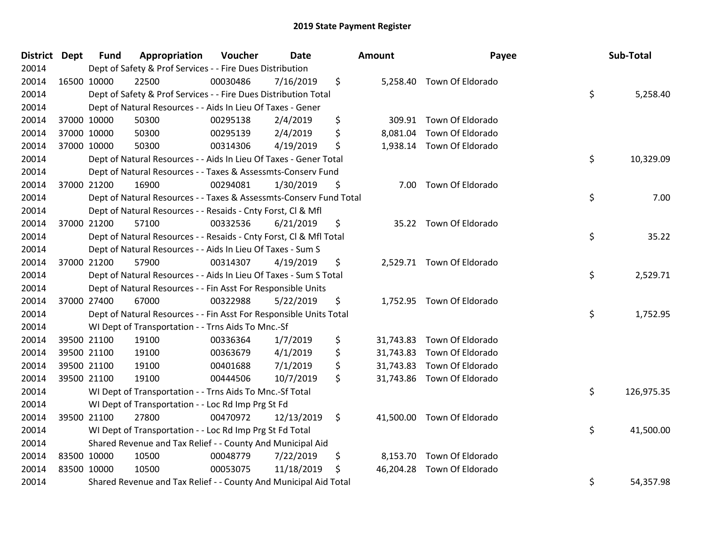| District Dept |             | <b>Fund</b> | Appropriation                                                      | Voucher  | <b>Date</b> | <b>Amount</b> | Payee                      | Sub-Total        |
|---------------|-------------|-------------|--------------------------------------------------------------------|----------|-------------|---------------|----------------------------|------------------|
| 20014         |             |             | Dept of Safety & Prof Services - - Fire Dues Distribution          |          |             |               |                            |                  |
| 20014         | 16500 10000 |             | 22500                                                              | 00030486 | 7/16/2019   | \$            | 5,258.40 Town Of Eldorado  |                  |
| 20014         |             |             | Dept of Safety & Prof Services - - Fire Dues Distribution Total    |          |             |               |                            | \$<br>5,258.40   |
| 20014         |             |             | Dept of Natural Resources - - Aids In Lieu Of Taxes - Gener        |          |             |               |                            |                  |
| 20014         |             | 37000 10000 | 50300                                                              | 00295138 | 2/4/2019    | \$            | 309.91 Town Of Eldorado    |                  |
| 20014         |             | 37000 10000 | 50300                                                              | 00295139 | 2/4/2019    | \$            | 8,081.04 Town Of Eldorado  |                  |
| 20014         | 37000 10000 |             | 50300                                                              | 00314306 | 4/19/2019   | \$            | 1,938.14 Town Of Eldorado  |                  |
| 20014         |             |             | Dept of Natural Resources - - Aids In Lieu Of Taxes - Gener Total  |          |             |               |                            | \$<br>10,329.09  |
| 20014         |             |             | Dept of Natural Resources - - Taxes & Assessmts-Conserv Fund       |          |             |               |                            |                  |
| 20014         | 37000 21200 |             | 16900                                                              | 00294081 | 1/30/2019   | \$            | 7.00 Town Of Eldorado      |                  |
| 20014         |             |             | Dept of Natural Resources - - Taxes & Assessmts-Conserv Fund Total |          |             |               |                            | \$<br>7.00       |
| 20014         |             |             | Dept of Natural Resources - - Resaids - Cnty Forst, Cl & Mfl       |          |             |               |                            |                  |
| 20014         |             | 37000 21200 | 57100                                                              | 00332536 | 6/21/2019   | \$            | 35.22 Town Of Eldorado     |                  |
| 20014         |             |             | Dept of Natural Resources - - Resaids - Cnty Forst, Cl & Mfl Total |          |             |               |                            | \$<br>35.22      |
| 20014         |             |             | Dept of Natural Resources - - Aids In Lieu Of Taxes - Sum S        |          |             |               |                            |                  |
| 20014         | 37000 21200 |             | 57900                                                              | 00314307 | 4/19/2019   | \$            | 2,529.71 Town Of Eldorado  |                  |
| 20014         |             |             | Dept of Natural Resources - - Aids In Lieu Of Taxes - Sum S Total  |          |             |               |                            | \$<br>2,529.71   |
| 20014         |             |             | Dept of Natural Resources - - Fin Asst For Responsible Units       |          |             |               |                            |                  |
| 20014         |             | 37000 27400 | 67000                                                              | 00322988 | 5/22/2019   | \$            | 1,752.95 Town Of Eldorado  |                  |
| 20014         |             |             | Dept of Natural Resources - - Fin Asst For Responsible Units Total |          |             |               |                            | \$<br>1,752.95   |
| 20014         |             |             | WI Dept of Transportation - - Trns Aids To Mnc.-Sf                 |          |             |               |                            |                  |
| 20014         |             | 39500 21100 | 19100                                                              | 00336364 | 1/7/2019    | \$            | 31,743.83 Town Of Eldorado |                  |
| 20014         | 39500 21100 |             | 19100                                                              | 00363679 | 4/1/2019    | \$            | 31,743.83 Town Of Eldorado |                  |
| 20014         | 39500 21100 |             | 19100                                                              | 00401688 | 7/1/2019    | \$            | 31,743.83 Town Of Eldorado |                  |
| 20014         | 39500 21100 |             | 19100                                                              | 00444506 | 10/7/2019   | \$            | 31,743.86 Town Of Eldorado |                  |
| 20014         |             |             | WI Dept of Transportation - - Trns Aids To Mnc.-Sf Total           |          |             |               |                            | \$<br>126,975.35 |
| 20014         |             |             | WI Dept of Transportation - - Loc Rd Imp Prg St Fd                 |          |             |               |                            |                  |
| 20014         |             | 39500 21100 | 27800                                                              | 00470972 | 12/13/2019  | \$            | 41,500.00 Town Of Eldorado |                  |
| 20014         |             |             | WI Dept of Transportation - - Loc Rd Imp Prg St Fd Total           |          |             |               |                            | \$<br>41,500.00  |
| 20014         |             |             | Shared Revenue and Tax Relief - - County And Municipal Aid         |          |             |               |                            |                  |
| 20014         | 83500 10000 |             | 10500                                                              | 00048779 | 7/22/2019   | \$            | 8,153.70 Town Of Eldorado  |                  |
| 20014         | 83500 10000 |             | 10500                                                              | 00053075 | 11/18/2019  | \$            | 46,204.28 Town Of Eldorado |                  |
| 20014         |             |             | Shared Revenue and Tax Relief - - County And Municipal Aid Total   |          |             |               |                            | \$<br>54,357.98  |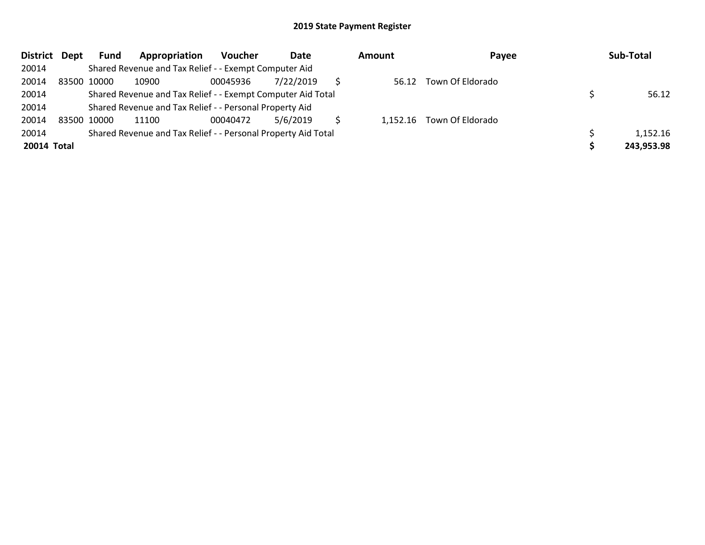| District Dept |             | <b>Fund</b> | Appropriation                                                 | <b>Voucher</b> | Date      | Amount | Payee                     | Sub-Total  |
|---------------|-------------|-------------|---------------------------------------------------------------|----------------|-----------|--------|---------------------------|------------|
| 20014         |             |             | Shared Revenue and Tax Relief - - Exempt Computer Aid         |                |           |        |                           |            |
| 20014         | 83500 10000 |             | 10900                                                         | 00045936       | 7/22/2019 |        | 56.12 Town Of Eldorado    |            |
| 20014         |             |             | Shared Revenue and Tax Relief - - Exempt Computer Aid Total   |                |           |        |                           | 56.12      |
| 20014         |             |             | Shared Revenue and Tax Relief - - Personal Property Aid       |                |           |        |                           |            |
| 20014         | 83500 10000 |             | 11100                                                         | 00040472       | 5/6/2019  |        | 1,152.16 Town Of Eldorado |            |
| 20014         |             |             | Shared Revenue and Tax Relief - - Personal Property Aid Total |                |           |        |                           | 1,152.16   |
| 20014 Total   |             |             |                                                               |                |           |        |                           | 243,953.98 |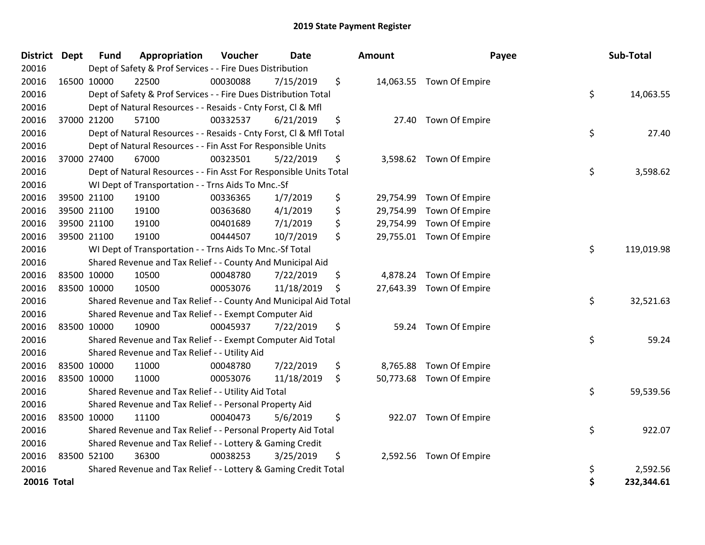| <b>District Dept</b> | <b>Fund</b> | Appropriation                                                      | Voucher  | Date       | <b>Amount</b>   | Payee                    | Sub-Total        |
|----------------------|-------------|--------------------------------------------------------------------|----------|------------|-----------------|--------------------------|------------------|
| 20016                |             | Dept of Safety & Prof Services - - Fire Dues Distribution          |          |            |                 |                          |                  |
| 20016                | 16500 10000 | 22500                                                              | 00030088 | 7/15/2019  | \$              | 14,063.55 Town Of Empire |                  |
| 20016                |             | Dept of Safety & Prof Services - - Fire Dues Distribution Total    |          |            |                 |                          | \$<br>14,063.55  |
| 20016                |             | Dept of Natural Resources - - Resaids - Cnty Forst, CI & Mfl       |          |            |                 |                          |                  |
| 20016                | 37000 21200 | 57100                                                              | 00332537 | 6/21/2019  | \$              | 27.40 Town Of Empire     |                  |
| 20016                |             | Dept of Natural Resources - - Resaids - Cnty Forst, Cl & Mfl Total |          |            |                 |                          | \$<br>27.40      |
| 20016                |             | Dept of Natural Resources - - Fin Asst For Responsible Units       |          |            |                 |                          |                  |
| 20016                | 37000 27400 | 67000                                                              | 00323501 | 5/22/2019  | \$              | 3,598.62 Town Of Empire  |                  |
| 20016                |             | Dept of Natural Resources - - Fin Asst For Responsible Units Total |          |            |                 |                          | \$<br>3,598.62   |
| 20016                |             | WI Dept of Transportation - - Trns Aids To Mnc.-Sf                 |          |            |                 |                          |                  |
| 20016                | 39500 21100 | 19100                                                              | 00336365 | 1/7/2019   | \$<br>29,754.99 | Town Of Empire           |                  |
| 20016                | 39500 21100 | 19100                                                              | 00363680 | 4/1/2019   | \$<br>29,754.99 | Town Of Empire           |                  |
| 20016                | 39500 21100 | 19100                                                              | 00401689 | 7/1/2019   | \$<br>29,754.99 | Town Of Empire           |                  |
| 20016                | 39500 21100 | 19100                                                              | 00444507 | 10/7/2019  | \$<br>29,755.01 | Town Of Empire           |                  |
| 20016                |             | WI Dept of Transportation - - Trns Aids To Mnc.-Sf Total           |          |            |                 |                          | \$<br>119,019.98 |
| 20016                |             | Shared Revenue and Tax Relief - - County And Municipal Aid         |          |            |                 |                          |                  |
| 20016                | 83500 10000 | 10500                                                              | 00048780 | 7/22/2019  | \$              | 4,878.24 Town Of Empire  |                  |
| 20016                | 83500 10000 | 10500                                                              | 00053076 | 11/18/2019 | \$<br>27,643.39 | Town Of Empire           |                  |
| 20016                |             | Shared Revenue and Tax Relief - - County And Municipal Aid Total   |          |            |                 |                          | \$<br>32,521.63  |
| 20016                |             | Shared Revenue and Tax Relief - - Exempt Computer Aid              |          |            |                 |                          |                  |
| 20016                | 83500 10000 | 10900                                                              | 00045937 | 7/22/2019  | \$              | 59.24 Town Of Empire     |                  |
| 20016                |             | Shared Revenue and Tax Relief - - Exempt Computer Aid Total        |          |            |                 |                          | \$<br>59.24      |
| 20016                |             | Shared Revenue and Tax Relief - - Utility Aid                      |          |            |                 |                          |                  |
| 20016                | 83500 10000 | 11000                                                              | 00048780 | 7/22/2019  | \$<br>8,765.88  | Town Of Empire           |                  |
| 20016                | 83500 10000 | 11000                                                              | 00053076 | 11/18/2019 | \$              | 50,773.68 Town Of Empire |                  |
| 20016                |             | Shared Revenue and Tax Relief - - Utility Aid Total                |          |            |                 |                          | \$<br>59,539.56  |
| 20016                |             | Shared Revenue and Tax Relief - - Personal Property Aid            |          |            |                 |                          |                  |
| 20016                | 83500 10000 | 11100                                                              | 00040473 | 5/6/2019   | \$              | 922.07 Town Of Empire    |                  |
| 20016                |             | Shared Revenue and Tax Relief - - Personal Property Aid Total      |          |            |                 |                          | \$<br>922.07     |
| 20016                |             | Shared Revenue and Tax Relief - - Lottery & Gaming Credit          |          |            |                 |                          |                  |
| 20016                | 83500 52100 | 36300                                                              | 00038253 | 3/25/2019  | \$              | 2,592.56 Town Of Empire  |                  |
| 20016                |             | Shared Revenue and Tax Relief - - Lottery & Gaming Credit Total    |          |            |                 |                          | \$<br>2,592.56   |
| 20016 Total          |             |                                                                    |          |            |                 |                          | \$<br>232,344.61 |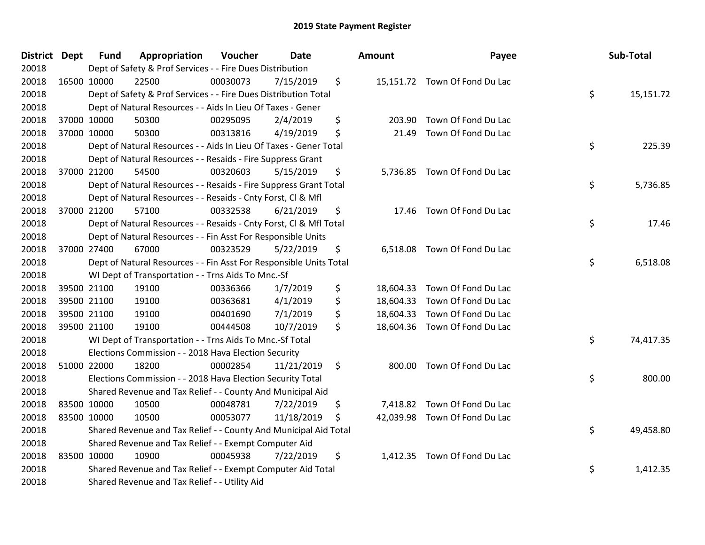| <b>District Dept</b> | <b>Fund</b>          | Appropriation                                                      | Voucher  | Date       | <b>Amount</b>   | Payee                         | Sub-Total       |
|----------------------|----------------------|--------------------------------------------------------------------|----------|------------|-----------------|-------------------------------|-----------------|
| 20018                |                      | Dept of Safety & Prof Services - - Fire Dues Distribution          |          |            |                 |                               |                 |
| 20018                | 16500 10000<br>22500 |                                                                    | 00030073 | 7/15/2019  | \$              | 15,151.72 Town Of Fond Du Lac |                 |
| 20018                |                      | Dept of Safety & Prof Services - - Fire Dues Distribution Total    |          |            |                 |                               | \$<br>15,151.72 |
| 20018                |                      | Dept of Natural Resources - - Aids In Lieu Of Taxes - Gener        |          |            |                 |                               |                 |
| 20018                | 37000 10000<br>50300 |                                                                    | 00295095 | 2/4/2019   | \$<br>203.90    | Town Of Fond Du Lac           |                 |
| 20018                | 37000 10000<br>50300 |                                                                    | 00313816 | 4/19/2019  | \$<br>21.49     | Town Of Fond Du Lac           |                 |
| 20018                |                      | Dept of Natural Resources - - Aids In Lieu Of Taxes - Gener Total  |          |            |                 |                               | \$<br>225.39    |
| 20018                |                      | Dept of Natural Resources - - Resaids - Fire Suppress Grant        |          |            |                 |                               |                 |
| 20018                | 37000 21200<br>54500 |                                                                    | 00320603 | 5/15/2019  | \$              | 5,736.85 Town Of Fond Du Lac  |                 |
| 20018                |                      | Dept of Natural Resources - - Resaids - Fire Suppress Grant Total  |          |            |                 |                               | \$<br>5,736.85  |
| 20018                |                      | Dept of Natural Resources - - Resaids - Cnty Forst, Cl & Mfl       |          |            |                 |                               |                 |
| 20018                | 37000 21200<br>57100 |                                                                    | 00332538 | 6/21/2019  | \$              | 17.46 Town Of Fond Du Lac     |                 |
| 20018                |                      | Dept of Natural Resources - - Resaids - Cnty Forst, Cl & Mfl Total |          |            |                 |                               | \$<br>17.46     |
| 20018                |                      | Dept of Natural Resources - - Fin Asst For Responsible Units       |          |            |                 |                               |                 |
| 20018                | 37000 27400<br>67000 |                                                                    | 00323529 | 5/22/2019  | \$<br>6,518.08  | Town Of Fond Du Lac           |                 |
| 20018                |                      | Dept of Natural Resources - - Fin Asst For Responsible Units Total |          |            |                 |                               | \$<br>6,518.08  |
| 20018                |                      | WI Dept of Transportation - - Trns Aids To Mnc.-Sf                 |          |            |                 |                               |                 |
| 20018                | 39500 21100<br>19100 |                                                                    | 00336366 | 1/7/2019   | \$<br>18,604.33 | Town Of Fond Du Lac           |                 |
| 20018                | 39500 21100<br>19100 |                                                                    | 00363681 | 4/1/2019   | \$<br>18,604.33 | Town Of Fond Du Lac           |                 |
| 20018                | 39500 21100<br>19100 |                                                                    | 00401690 | 7/1/2019   | \$<br>18,604.33 | Town Of Fond Du Lac           |                 |
| 20018                | 39500 21100<br>19100 |                                                                    | 00444508 | 10/7/2019  | \$              | 18,604.36 Town Of Fond Du Lac |                 |
| 20018                |                      | WI Dept of Transportation - - Trns Aids To Mnc.-Sf Total           |          |            |                 |                               | \$<br>74,417.35 |
| 20018                |                      | Elections Commission - - 2018 Hava Election Security               |          |            |                 |                               |                 |
| 20018                | 51000 22000<br>18200 |                                                                    | 00002854 | 11/21/2019 | \$<br>800.00    | Town Of Fond Du Lac           |                 |
| 20018                |                      | Elections Commission - - 2018 Hava Election Security Total         |          |            |                 |                               | \$<br>800.00    |
| 20018                |                      | Shared Revenue and Tax Relief - - County And Municipal Aid         |          |            |                 |                               |                 |
| 20018                | 83500 10000<br>10500 |                                                                    | 00048781 | 7/22/2019  | \$<br>7,418.82  | Town Of Fond Du Lac           |                 |
| 20018                | 83500 10000<br>10500 |                                                                    | 00053077 | 11/18/2019 | \$              | 42,039.98 Town Of Fond Du Lac |                 |
| 20018                |                      | Shared Revenue and Tax Relief - - County And Municipal Aid Total   |          |            |                 |                               | \$<br>49,458.80 |
| 20018                |                      | Shared Revenue and Tax Relief - - Exempt Computer Aid              |          |            |                 |                               |                 |
| 20018                | 83500 10000<br>10900 |                                                                    | 00045938 | 7/22/2019  | \$              | 1,412.35 Town Of Fond Du Lac  |                 |
| 20018                |                      | Shared Revenue and Tax Relief - - Exempt Computer Aid Total        |          |            |                 |                               | \$<br>1,412.35  |
| 20018                |                      | Shared Revenue and Tax Relief - - Utility Aid                      |          |            |                 |                               |                 |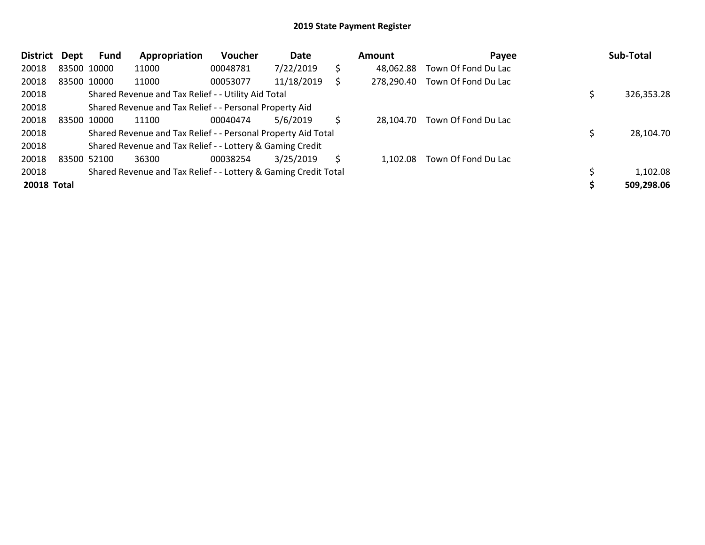| <b>District</b> | Dept        | <b>Fund</b> | Appropriation                                                   | Voucher  | Date       |    | <b>Amount</b> | Payee               | Sub-Total  |
|-----------------|-------------|-------------|-----------------------------------------------------------------|----------|------------|----|---------------|---------------------|------------|
| 20018           | 83500 10000 |             | 11000                                                           | 00048781 | 7/22/2019  | \$ | 48,062.88     | Town Of Fond Du Lac |            |
| 20018           | 83500 10000 |             | 11000                                                           | 00053077 | 11/18/2019 |    | 278,290.40    | Town Of Fond Du Lac |            |
| 20018           |             |             | Shared Revenue and Tax Relief - - Utility Aid Total             |          |            |    |               |                     | 326,353.28 |
| 20018           |             |             | Shared Revenue and Tax Relief - - Personal Property Aid         |          |            |    |               |                     |            |
| 20018           | 83500 10000 |             | 11100                                                           | 00040474 | 5/6/2019   | Ś  | 28.104.70     | Town Of Fond Du Lac |            |
| 20018           |             |             | Shared Revenue and Tax Relief - - Personal Property Aid Total   |          |            |    |               |                     | 28,104.70  |
| 20018           |             |             | Shared Revenue and Tax Relief - - Lottery & Gaming Credit       |          |            |    |               |                     |            |
| 20018           | 83500 52100 |             | 36300                                                           | 00038254 | 3/25/2019  | \$ | 1,102.08      | Town Of Fond Du Lac |            |
| 20018           |             |             | Shared Revenue and Tax Relief - - Lottery & Gaming Credit Total |          |            |    |               |                     | 1,102.08   |
| 20018 Total     |             |             |                                                                 |          |            |    |               |                     | 509,298.06 |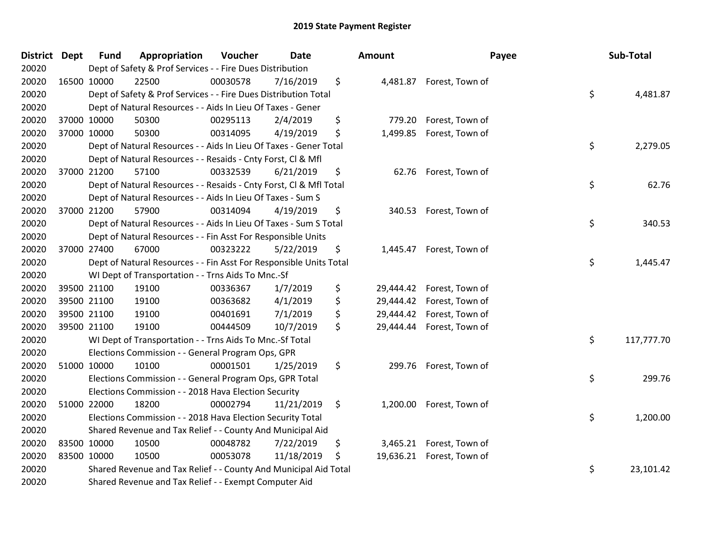| District Dept |             | <b>Fund</b> | Appropriation                                                      | Voucher  | <b>Date</b> | <b>Amount</b>   |                           | Payee | Sub-Total  |
|---------------|-------------|-------------|--------------------------------------------------------------------|----------|-------------|-----------------|---------------------------|-------|------------|
| 20020         |             |             | Dept of Safety & Prof Services - - Fire Dues Distribution          |          |             |                 |                           |       |            |
| 20020         | 16500 10000 |             | 22500                                                              | 00030578 | 7/16/2019   | \$              | 4,481.87 Forest, Town of  |       |            |
| 20020         |             |             | Dept of Safety & Prof Services - - Fire Dues Distribution Total    |          |             |                 |                           | \$    | 4,481.87   |
| 20020         |             |             | Dept of Natural Resources - - Aids In Lieu Of Taxes - Gener        |          |             |                 |                           |       |            |
| 20020         | 37000 10000 |             | 50300                                                              | 00295113 | 2/4/2019    | \$<br>779.20    | Forest, Town of           |       |            |
| 20020         |             | 37000 10000 | 50300                                                              | 00314095 | 4/19/2019   | \$<br>1,499.85  | Forest, Town of           |       |            |
| 20020         |             |             | Dept of Natural Resources - - Aids In Lieu Of Taxes - Gener Total  |          |             |                 |                           | \$    | 2,279.05   |
| 20020         |             |             | Dept of Natural Resources - - Resaids - Cnty Forst, CI & Mfl       |          |             |                 |                           |       |            |
| 20020         |             | 37000 21200 | 57100                                                              | 00332539 | 6/21/2019   | \$<br>62.76     | Forest, Town of           |       |            |
| 20020         |             |             | Dept of Natural Resources - - Resaids - Cnty Forst, Cl & Mfl Total |          |             |                 |                           | \$    | 62.76      |
| 20020         |             |             | Dept of Natural Resources - - Aids In Lieu Of Taxes - Sum S        |          |             |                 |                           |       |            |
| 20020         |             | 37000 21200 | 57900                                                              | 00314094 | 4/19/2019   | \$              | 340.53 Forest, Town of    |       |            |
| 20020         |             |             | Dept of Natural Resources - - Aids In Lieu Of Taxes - Sum S Total  |          |             |                 |                           | \$    | 340.53     |
| 20020         |             |             | Dept of Natural Resources - - Fin Asst For Responsible Units       |          |             |                 |                           |       |            |
| 20020         | 37000 27400 |             | 67000                                                              | 00323222 | 5/22/2019   | \$<br>1,445.47  | Forest, Town of           |       |            |
| 20020         |             |             | Dept of Natural Resources - - Fin Asst For Responsible Units Total |          |             |                 |                           | \$    | 1,445.47   |
| 20020         |             |             | WI Dept of Transportation - - Trns Aids To Mnc.-Sf                 |          |             |                 |                           |       |            |
| 20020         |             | 39500 21100 | 19100                                                              | 00336367 | 1/7/2019    | \$<br>29,444.42 | Forest, Town of           |       |            |
| 20020         |             | 39500 21100 | 19100                                                              | 00363682 | 4/1/2019    | \$<br>29,444.42 | Forest, Town of           |       |            |
| 20020         |             | 39500 21100 | 19100                                                              | 00401691 | 7/1/2019    | \$<br>29,444.42 | Forest, Town of           |       |            |
| 20020         |             | 39500 21100 | 19100                                                              | 00444509 | 10/7/2019   | \$<br>29,444.44 | Forest, Town of           |       |            |
| 20020         |             |             | WI Dept of Transportation - - Trns Aids To Mnc.-Sf Total           |          |             |                 |                           | \$    | 117,777.70 |
| 20020         |             |             | Elections Commission - - General Program Ops, GPR                  |          |             |                 |                           |       |            |
| 20020         |             | 51000 10000 | 10100                                                              | 00001501 | 1/25/2019   | \$<br>299.76    | Forest, Town of           |       |            |
| 20020         |             |             | Elections Commission - - General Program Ops, GPR Total            |          |             |                 |                           | \$    | 299.76     |
| 20020         |             |             | Elections Commission - - 2018 Hava Election Security               |          |             |                 |                           |       |            |
| 20020         | 51000 22000 |             | 18200                                                              | 00002794 | 11/21/2019  | \$              | 1,200.00 Forest, Town of  |       |            |
| 20020         |             |             | Elections Commission - - 2018 Hava Election Security Total         |          |             |                 |                           | \$    | 1,200.00   |
| 20020         |             |             | Shared Revenue and Tax Relief - - County And Municipal Aid         |          |             |                 |                           |       |            |
| 20020         | 83500 10000 |             | 10500                                                              | 00048782 | 7/22/2019   | \$              | 3,465.21 Forest, Town of  |       |            |
| 20020         | 83500 10000 |             | 10500                                                              | 00053078 | 11/18/2019  | \$              | 19,636.21 Forest, Town of |       |            |
| 20020         |             |             | Shared Revenue and Tax Relief - - County And Municipal Aid Total   |          |             |                 |                           | \$    | 23,101.42  |
| 20020         |             |             | Shared Revenue and Tax Relief - - Exempt Computer Aid              |          |             |                 |                           |       |            |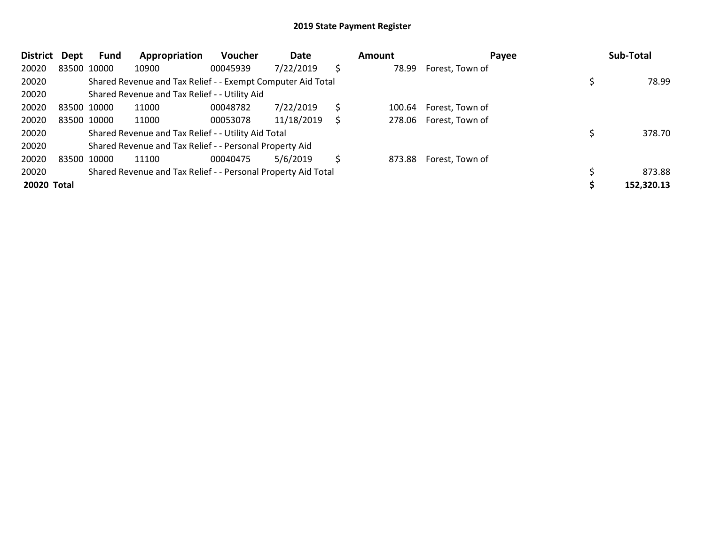| <b>District</b> | Dept | <b>Fund</b> | Appropriation                                                 | Voucher  | Date       |     | Amount | Payee           | Sub-Total  |
|-----------------|------|-------------|---------------------------------------------------------------|----------|------------|-----|--------|-----------------|------------|
| 20020           |      | 83500 10000 | 10900                                                         | 00045939 | 7/22/2019  | \$. | 78.99  | Forest, Town of |            |
| 20020           |      |             | Shared Revenue and Tax Relief - - Exempt Computer Aid Total   |          |            |     |        |                 | 78.99      |
| 20020           |      |             | Shared Revenue and Tax Relief - - Utility Aid                 |          |            |     |        |                 |            |
| 20020           |      | 83500 10000 | 11000                                                         | 00048782 | 7/22/2019  | Ś   | 100.64 | Forest, Town of |            |
| 20020           |      | 83500 10000 | 11000                                                         | 00053078 | 11/18/2019 | S   | 278.06 | Forest, Town of |            |
| 20020           |      |             | Shared Revenue and Tax Relief - - Utility Aid Total           |          |            |     |        |                 | 378.70     |
| 20020           |      |             | Shared Revenue and Tax Relief - - Personal Property Aid       |          |            |     |        |                 |            |
| 20020           |      | 83500 10000 | 11100                                                         | 00040475 | 5/6/2019   | \$  | 873.88 | Forest, Town of |            |
| 20020           |      |             | Shared Revenue and Tax Relief - - Personal Property Aid Total |          |            |     |        |                 | 873.88     |
| 20020 Total     |      |             |                                                               |          |            |     |        |                 | 152,320.13 |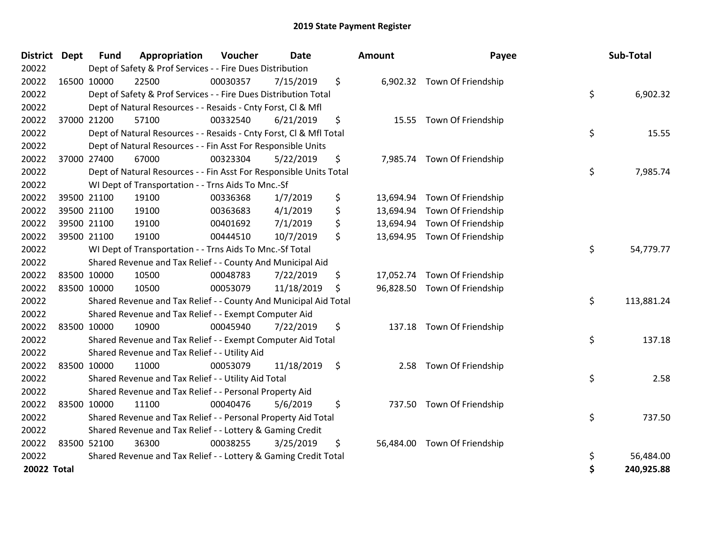| <b>District Dept</b> | <b>Fund</b> | Appropriation                                                      | Voucher  | <b>Date</b> | Amount          | Payee                        | Sub-Total        |
|----------------------|-------------|--------------------------------------------------------------------|----------|-------------|-----------------|------------------------------|------------------|
| 20022                |             | Dept of Safety & Prof Services - - Fire Dues Distribution          |          |             |                 |                              |                  |
| 20022                | 16500 10000 | 22500                                                              | 00030357 | 7/15/2019   | \$              | 6,902.32 Town Of Friendship  |                  |
| 20022                |             | Dept of Safety & Prof Services - - Fire Dues Distribution Total    |          |             |                 |                              | \$<br>6,902.32   |
| 20022                |             | Dept of Natural Resources - - Resaids - Cnty Forst, Cl & Mfl       |          |             |                 |                              |                  |
| 20022                | 37000 21200 | 57100                                                              | 00332540 | 6/21/2019   | \$<br>15.55     | Town Of Friendship           |                  |
| 20022                |             | Dept of Natural Resources - - Resaids - Cnty Forst, Cl & Mfl Total |          |             |                 |                              | \$<br>15.55      |
| 20022                |             | Dept of Natural Resources - - Fin Asst For Responsible Units       |          |             |                 |                              |                  |
| 20022                | 37000 27400 | 67000                                                              | 00323304 | 5/22/2019   | \$              | 7,985.74 Town Of Friendship  |                  |
| 20022                |             | Dept of Natural Resources - - Fin Asst For Responsible Units Total |          |             |                 |                              | \$<br>7,985.74   |
| 20022                |             | WI Dept of Transportation - - Trns Aids To Mnc.-Sf                 |          |             |                 |                              |                  |
| 20022                | 39500 21100 | 19100                                                              | 00336368 | 1/7/2019    | \$              | 13,694.94 Town Of Friendship |                  |
| 20022                | 39500 21100 | 19100                                                              | 00363683 | 4/1/2019    | \$<br>13,694.94 | Town Of Friendship           |                  |
| 20022                | 39500 21100 | 19100                                                              | 00401692 | 7/1/2019    | \$<br>13,694.94 | Town Of Friendship           |                  |
| 20022                | 39500 21100 | 19100                                                              | 00444510 | 10/7/2019   | \$              | 13,694.95 Town Of Friendship |                  |
| 20022                |             | WI Dept of Transportation - - Trns Aids To Mnc.-Sf Total           |          |             |                 |                              | \$<br>54,779.77  |
| 20022                |             | Shared Revenue and Tax Relief - - County And Municipal Aid         |          |             |                 |                              |                  |
| 20022                | 83500 10000 | 10500                                                              | 00048783 | 7/22/2019   | \$              | 17,052.74 Town Of Friendship |                  |
| 20022                | 83500 10000 | 10500                                                              | 00053079 | 11/18/2019  | \$              | 96,828.50 Town Of Friendship |                  |
| 20022                |             | Shared Revenue and Tax Relief - - County And Municipal Aid Total   |          |             |                 |                              | \$<br>113,881.24 |
| 20022                |             | Shared Revenue and Tax Relief - - Exempt Computer Aid              |          |             |                 |                              |                  |
| 20022                | 83500 10000 | 10900                                                              | 00045940 | 7/22/2019   | \$<br>137.18    | Town Of Friendship           |                  |
| 20022                |             | Shared Revenue and Tax Relief - - Exempt Computer Aid Total        |          |             |                 |                              | \$<br>137.18     |
| 20022                |             | Shared Revenue and Tax Relief - - Utility Aid                      |          |             |                 |                              |                  |
| 20022                | 83500 10000 | 11000                                                              | 00053079 | 11/18/2019  | \$<br>2.58      | Town Of Friendship           |                  |
| 20022                |             | Shared Revenue and Tax Relief - - Utility Aid Total                |          |             |                 |                              | \$<br>2.58       |
| 20022                |             | Shared Revenue and Tax Relief - - Personal Property Aid            |          |             |                 |                              |                  |
| 20022                | 83500 10000 | 11100                                                              | 00040476 | 5/6/2019    | \$              | 737.50 Town Of Friendship    |                  |
| 20022                |             | Shared Revenue and Tax Relief - - Personal Property Aid Total      |          |             |                 |                              | \$<br>737.50     |
| 20022                |             | Shared Revenue and Tax Relief - - Lottery & Gaming Credit          |          |             |                 |                              |                  |
| 20022                | 83500 52100 | 36300                                                              | 00038255 | 3/25/2019   | \$              | 56,484.00 Town Of Friendship |                  |
| 20022                |             | Shared Revenue and Tax Relief - - Lottery & Gaming Credit Total    |          |             |                 |                              | \$<br>56,484.00  |
| <b>20022 Total</b>   |             |                                                                    |          |             |                 |                              | \$<br>240,925.88 |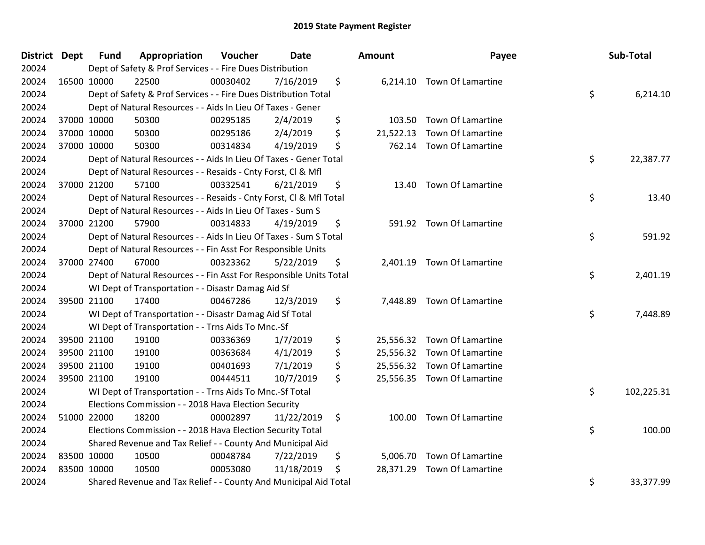| District Dept | <b>Fund</b> | Appropriation                                                      | Voucher  | <b>Date</b> |     | Amount    | Payee                       | Sub-Total        |
|---------------|-------------|--------------------------------------------------------------------|----------|-------------|-----|-----------|-----------------------------|------------------|
| 20024         |             | Dept of Safety & Prof Services - - Fire Dues Distribution          |          |             |     |           |                             |                  |
| 20024         | 16500 10000 | 22500                                                              | 00030402 | 7/16/2019   | \$  |           | 6,214.10 Town Of Lamartine  |                  |
| 20024         |             | Dept of Safety & Prof Services - - Fire Dues Distribution Total    |          |             |     |           |                             | \$<br>6,214.10   |
| 20024         |             | Dept of Natural Resources - - Aids In Lieu Of Taxes - Gener        |          |             |     |           |                             |                  |
| 20024         | 37000 10000 | 50300                                                              | 00295185 | 2/4/2019    | \$  | 103.50    | Town Of Lamartine           |                  |
| 20024         | 37000 10000 | 50300                                                              | 00295186 | 2/4/2019    | \$  | 21,522.13 | Town Of Lamartine           |                  |
| 20024         | 37000 10000 | 50300                                                              | 00314834 | 4/19/2019   | \$  |           | 762.14 Town Of Lamartine    |                  |
| 20024         |             | Dept of Natural Resources - - Aids In Lieu Of Taxes - Gener Total  |          |             |     |           |                             | \$<br>22,387.77  |
| 20024         |             | Dept of Natural Resources - - Resaids - Cnty Forst, Cl & Mfl       |          |             |     |           |                             |                  |
| 20024         | 37000 21200 | 57100                                                              | 00332541 | 6/21/2019   | \$  |           | 13.40 Town Of Lamartine     |                  |
| 20024         |             | Dept of Natural Resources - - Resaids - Cnty Forst, Cl & Mfl Total |          |             |     |           |                             | \$<br>13.40      |
| 20024         |             | Dept of Natural Resources - - Aids In Lieu Of Taxes - Sum S        |          |             |     |           |                             |                  |
| 20024         | 37000 21200 | 57900                                                              | 00314833 | 4/19/2019   | \$  |           | 591.92 Town Of Lamartine    |                  |
| 20024         |             | Dept of Natural Resources - - Aids In Lieu Of Taxes - Sum S Total  |          |             |     |           |                             | \$<br>591.92     |
| 20024         |             | Dept of Natural Resources - - Fin Asst For Responsible Units       |          |             |     |           |                             |                  |
| 20024         | 37000 27400 | 67000                                                              | 00323362 | 5/22/2019   | \$  |           | 2,401.19 Town Of Lamartine  |                  |
| 20024         |             | Dept of Natural Resources - - Fin Asst For Responsible Units Total |          |             |     |           |                             | \$<br>2,401.19   |
| 20024         |             | WI Dept of Transportation - - Disastr Damag Aid Sf                 |          |             |     |           |                             |                  |
| 20024         | 39500 21100 | 17400                                                              | 00467286 | 12/3/2019   | \$  |           | 7,448.89 Town Of Lamartine  |                  |
| 20024         |             | WI Dept of Transportation - - Disastr Damag Aid Sf Total           |          |             |     |           |                             | \$<br>7,448.89   |
| 20024         |             | WI Dept of Transportation - - Trns Aids To Mnc.-Sf                 |          |             |     |           |                             |                  |
| 20024         | 39500 21100 | 19100                                                              | 00336369 | 1/7/2019    | \$  |           | 25,556.32 Town Of Lamartine |                  |
| 20024         | 39500 21100 | 19100                                                              | 00363684 | 4/1/2019    | \$  |           | 25,556.32 Town Of Lamartine |                  |
| 20024         | 39500 21100 | 19100                                                              | 00401693 | 7/1/2019    | \$  |           | 25,556.32 Town Of Lamartine |                  |
| 20024         | 39500 21100 | 19100                                                              | 00444511 | 10/7/2019   | \$  |           | 25,556.35 Town Of Lamartine |                  |
| 20024         |             | WI Dept of Transportation - - Trns Aids To Mnc.-Sf Total           |          |             |     |           |                             | \$<br>102,225.31 |
| 20024         |             | Elections Commission - - 2018 Hava Election Security               |          |             |     |           |                             |                  |
| 20024         | 51000 22000 | 18200                                                              | 00002897 | 11/22/2019  | \$  |           | 100.00 Town Of Lamartine    |                  |
| 20024         |             | Elections Commission - - 2018 Hava Election Security Total         |          |             |     |           |                             | \$<br>100.00     |
| 20024         |             | Shared Revenue and Tax Relief - - County And Municipal Aid         |          |             |     |           |                             |                  |
| 20024         | 83500 10000 | 10500                                                              | 00048784 | 7/22/2019   | \$  |           | 5,006.70 Town Of Lamartine  |                  |
| 20024         | 83500 10000 | 10500                                                              | 00053080 | 11/18/2019  | \$. |           | 28,371.29 Town Of Lamartine |                  |
| 20024         |             | Shared Revenue and Tax Relief - - County And Municipal Aid Total   |          |             |     |           |                             | \$<br>33,377.99  |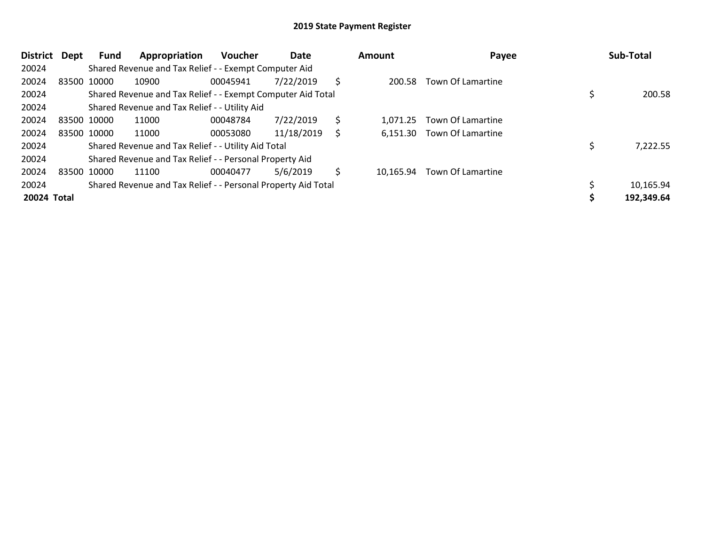| <b>District</b> | Dept | Fund        | Appropriation                                                 | <b>Voucher</b> | Date       |   | Amount    | Payee             | Sub-Total  |
|-----------------|------|-------------|---------------------------------------------------------------|----------------|------------|---|-----------|-------------------|------------|
| 20024           |      |             | Shared Revenue and Tax Relief - - Exempt Computer Aid         |                |            |   |           |                   |            |
| 20024           |      | 83500 10000 | 10900                                                         | 00045941       | 7/22/2019  | Ś | 200.58    | Town Of Lamartine |            |
| 20024           |      |             | Shared Revenue and Tax Relief - - Exempt Computer Aid Total   |                |            |   |           |                   | 200.58     |
| 20024           |      |             | Shared Revenue and Tax Relief - - Utility Aid                 |                |            |   |           |                   |            |
| 20024           |      | 83500 10000 | 11000                                                         | 00048784       | 7/22/2019  | Ś | 1.071.25  | Town Of Lamartine |            |
| 20024           |      | 83500 10000 | 11000                                                         | 00053080       | 11/18/2019 | S | 6,151.30  | Town Of Lamartine |            |
| 20024           |      |             | Shared Revenue and Tax Relief - - Utility Aid Total           |                |            |   |           |                   | 7,222.55   |
| 20024           |      |             | Shared Revenue and Tax Relief - - Personal Property Aid       |                |            |   |           |                   |            |
| 20024           |      | 83500 10000 | 11100                                                         | 00040477       | 5/6/2019   | Ś | 10,165.94 | Town Of Lamartine |            |
| 20024           |      |             | Shared Revenue and Tax Relief - - Personal Property Aid Total |                |            |   |           |                   | 10,165.94  |
| 20024 Total     |      |             |                                                               |                |            |   |           |                   | 192,349.64 |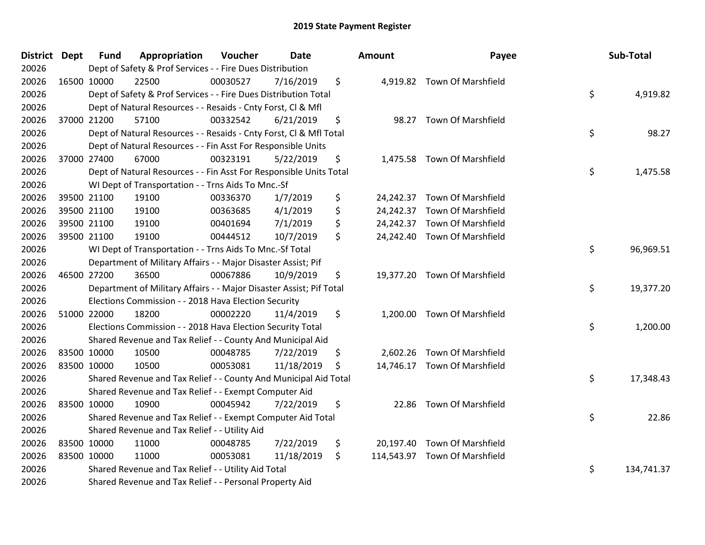| District Dept |             | <b>Fund</b> | Appropriation                                                       | Voucher  | <b>Date</b> | Amount | Payee                         | Sub-Total        |
|---------------|-------------|-------------|---------------------------------------------------------------------|----------|-------------|--------|-------------------------------|------------------|
| 20026         |             |             | Dept of Safety & Prof Services - - Fire Dues Distribution           |          |             |        |                               |                  |
| 20026         | 16500 10000 |             | 22500                                                               | 00030527 | 7/16/2019   | \$     | 4,919.82 Town Of Marshfield   |                  |
| 20026         |             |             | Dept of Safety & Prof Services - - Fire Dues Distribution Total     |          |             |        |                               | \$<br>4,919.82   |
| 20026         |             |             | Dept of Natural Resources - - Resaids - Cnty Forst, Cl & Mfl        |          |             |        |                               |                  |
| 20026         |             | 37000 21200 | 57100                                                               | 00332542 | 6/21/2019   | \$     | 98.27 Town Of Marshfield      |                  |
| 20026         |             |             | Dept of Natural Resources - - Resaids - Cnty Forst, Cl & Mfl Total  |          |             |        |                               | \$<br>98.27      |
| 20026         |             |             | Dept of Natural Resources - - Fin Asst For Responsible Units        |          |             |        |                               |                  |
| 20026         |             | 37000 27400 | 67000                                                               | 00323191 | 5/22/2019   | \$     | 1,475.58 Town Of Marshfield   |                  |
| 20026         |             |             | Dept of Natural Resources - - Fin Asst For Responsible Units Total  |          |             |        |                               | \$<br>1,475.58   |
| 20026         |             |             | WI Dept of Transportation - - Trns Aids To Mnc.-Sf                  |          |             |        |                               |                  |
| 20026         |             | 39500 21100 | 19100                                                               | 00336370 | 1/7/2019    | \$     | 24,242.37 Town Of Marshfield  |                  |
| 20026         |             | 39500 21100 | 19100                                                               | 00363685 | 4/1/2019    | \$     | 24,242.37 Town Of Marshfield  |                  |
| 20026         |             | 39500 21100 | 19100                                                               | 00401694 | 7/1/2019    | \$     | 24,242.37 Town Of Marshfield  |                  |
| 20026         |             | 39500 21100 | 19100                                                               | 00444512 | 10/7/2019   | \$     | 24,242.40 Town Of Marshfield  |                  |
| 20026         |             |             | WI Dept of Transportation - - Trns Aids To Mnc.-Sf Total            |          |             |        |                               | \$<br>96,969.51  |
| 20026         |             |             | Department of Military Affairs - - Major Disaster Assist; Pif       |          |             |        |                               |                  |
| 20026         |             | 46500 27200 | 36500                                                               | 00067886 | 10/9/2019   | \$     | 19,377.20 Town Of Marshfield  |                  |
| 20026         |             |             | Department of Military Affairs - - Major Disaster Assist; Pif Total |          |             |        |                               | \$<br>19,377.20  |
| 20026         |             |             | Elections Commission - - 2018 Hava Election Security                |          |             |        |                               |                  |
| 20026         | 51000 22000 |             | 18200                                                               | 00002220 | 11/4/2019   | \$     | 1,200.00 Town Of Marshfield   |                  |
| 20026         |             |             | Elections Commission - - 2018 Hava Election Security Total          |          |             |        |                               | \$<br>1,200.00   |
| 20026         |             |             | Shared Revenue and Tax Relief - - County And Municipal Aid          |          |             |        |                               |                  |
| 20026         |             | 83500 10000 | 10500                                                               | 00048785 | 7/22/2019   | \$     | 2,602.26 Town Of Marshfield   |                  |
| 20026         |             | 83500 10000 | 10500                                                               | 00053081 | 11/18/2019  | \$     | 14,746.17 Town Of Marshfield  |                  |
| 20026         |             |             | Shared Revenue and Tax Relief - - County And Municipal Aid Total    |          |             |        |                               | \$<br>17,348.43  |
| 20026         |             |             | Shared Revenue and Tax Relief - - Exempt Computer Aid               |          |             |        |                               |                  |
| 20026         |             | 83500 10000 | 10900                                                               | 00045942 | 7/22/2019   | \$     | 22.86 Town Of Marshfield      |                  |
| 20026         |             |             | Shared Revenue and Tax Relief - - Exempt Computer Aid Total         |          |             |        |                               | \$<br>22.86      |
| 20026         |             |             | Shared Revenue and Tax Relief - - Utility Aid                       |          |             |        |                               |                  |
| 20026         |             | 83500 10000 | 11000                                                               | 00048785 | 7/22/2019   | \$     | 20,197.40 Town Of Marshfield  |                  |
| 20026         |             | 83500 10000 | 11000                                                               | 00053081 | 11/18/2019  | \$     | 114,543.97 Town Of Marshfield |                  |
| 20026         |             |             | Shared Revenue and Tax Relief - - Utility Aid Total                 |          |             |        |                               | \$<br>134,741.37 |
| 20026         |             |             | Shared Revenue and Tax Relief - - Personal Property Aid             |          |             |        |                               |                  |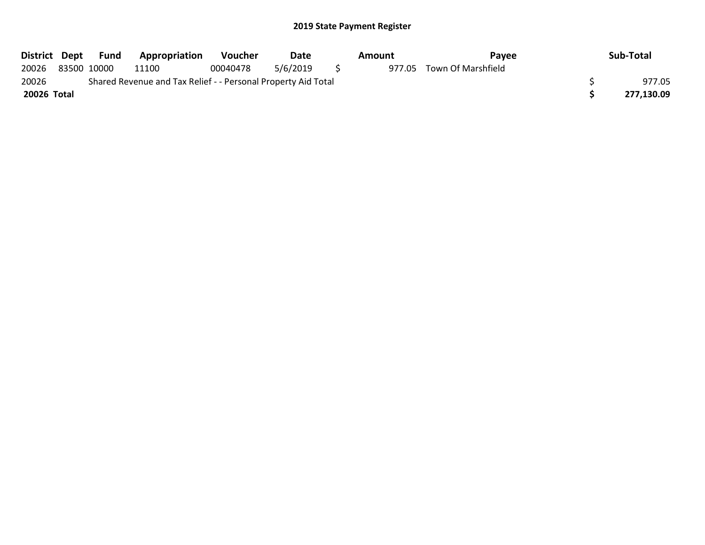| District Dept | Fund        | <b>Appropriation</b>                                          | <b>Voucher</b> | Date     | Amount | Pavee                     | Sub-Total  |
|---------------|-------------|---------------------------------------------------------------|----------------|----------|--------|---------------------------|------------|
| 20026         | 83500 10000 | 11100                                                         | 00040478       | 5/6/2019 |        | 977.05 Town Of Marshfield |            |
| 20026         |             | Shared Revenue and Tax Relief - - Personal Property Aid Total |                |          |        |                           | 977.05     |
| 20026 Total   |             |                                                               |                |          |        |                           | 277,130.09 |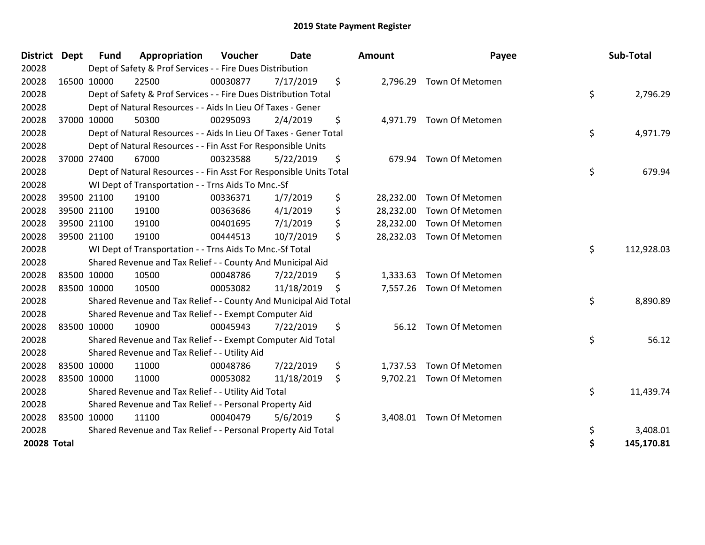| <b>District</b> | <b>Dept</b> | Fund        | Appropriation                                                      | Voucher  | Date       | <b>Amount</b>   | Payee                     | Sub-Total        |
|-----------------|-------------|-------------|--------------------------------------------------------------------|----------|------------|-----------------|---------------------------|------------------|
| 20028           |             |             | Dept of Safety & Prof Services - - Fire Dues Distribution          |          |            |                 |                           |                  |
| 20028           |             | 16500 10000 | 22500                                                              | 00030877 | 7/17/2019  | \$              | 2,796.29 Town Of Metomen  |                  |
| 20028           |             |             | Dept of Safety & Prof Services - - Fire Dues Distribution Total    |          |            |                 |                           | \$<br>2,796.29   |
| 20028           |             |             | Dept of Natural Resources - - Aids In Lieu Of Taxes - Gener        |          |            |                 |                           |                  |
| 20028           | 37000 10000 |             | 50300                                                              | 00295093 | 2/4/2019   | \$              | 4,971.79 Town Of Metomen  |                  |
| 20028           |             |             | Dept of Natural Resources - - Aids In Lieu Of Taxes - Gener Total  |          |            |                 |                           | \$<br>4,971.79   |
| 20028           |             |             | Dept of Natural Resources - - Fin Asst For Responsible Units       |          |            |                 |                           |                  |
| 20028           |             | 37000 27400 | 67000                                                              | 00323588 | 5/22/2019  | \$<br>679.94    | Town Of Metomen           |                  |
| 20028           |             |             | Dept of Natural Resources - - Fin Asst For Responsible Units Total |          |            |                 |                           | \$<br>679.94     |
| 20028           |             |             | WI Dept of Transportation - - Trns Aids To Mnc.-Sf                 |          |            |                 |                           |                  |
| 20028           |             | 39500 21100 | 19100                                                              | 00336371 | 1/7/2019   | \$              | 28,232.00 Town Of Metomen |                  |
| 20028           | 39500 21100 |             | 19100                                                              | 00363686 | 4/1/2019   | \$<br>28,232.00 | Town Of Metomen           |                  |
| 20028           |             | 39500 21100 | 19100                                                              | 00401695 | 7/1/2019   | \$<br>28,232.00 | <b>Town Of Metomen</b>    |                  |
| 20028           | 39500 21100 |             | 19100                                                              | 00444513 | 10/7/2019  | \$              | 28,232.03 Town Of Metomen |                  |
| 20028           |             |             | WI Dept of Transportation - - Trns Aids To Mnc.-Sf Total           |          |            |                 |                           | \$<br>112,928.03 |
| 20028           |             |             | Shared Revenue and Tax Relief - - County And Municipal Aid         |          |            |                 |                           |                  |
| 20028           | 83500 10000 |             | 10500                                                              | 00048786 | 7/22/2019  | \$<br>1,333.63  | Town Of Metomen           |                  |
| 20028           | 83500 10000 |             | 10500                                                              | 00053082 | 11/18/2019 | \$              | 7,557.26 Town Of Metomen  |                  |
| 20028           |             |             | Shared Revenue and Tax Relief - - County And Municipal Aid Total   |          |            |                 |                           | \$<br>8,890.89   |
| 20028           |             |             | Shared Revenue and Tax Relief - - Exempt Computer Aid              |          |            |                 |                           |                  |
| 20028           |             | 83500 10000 | 10900                                                              | 00045943 | 7/22/2019  | \$<br>56.12     | <b>Town Of Metomen</b>    |                  |
| 20028           |             |             | Shared Revenue and Tax Relief - - Exempt Computer Aid Total        |          |            |                 |                           | \$<br>56.12      |
| 20028           |             |             | Shared Revenue and Tax Relief - - Utility Aid                      |          |            |                 |                           |                  |
| 20028           | 83500 10000 |             | 11000                                                              | 00048786 | 7/22/2019  | \$              | 1,737.53 Town Of Metomen  |                  |
| 20028           | 83500 10000 |             | 11000                                                              | 00053082 | 11/18/2019 | \$              | 9,702.21 Town Of Metomen  |                  |
| 20028           |             |             | Shared Revenue and Tax Relief - - Utility Aid Total                |          |            |                 |                           | \$<br>11,439.74  |
| 20028           |             |             | Shared Revenue and Tax Relief - - Personal Property Aid            |          |            |                 |                           |                  |
| 20028           | 83500 10000 |             | 11100                                                              | 00040479 | 5/6/2019   | \$<br>3,408.01  | <b>Town Of Metomen</b>    |                  |
| 20028           |             |             | Shared Revenue and Tax Relief - - Personal Property Aid Total      |          |            |                 |                           | \$<br>3,408.01   |
| 20028 Total     |             |             |                                                                    |          |            |                 |                           | \$<br>145,170.81 |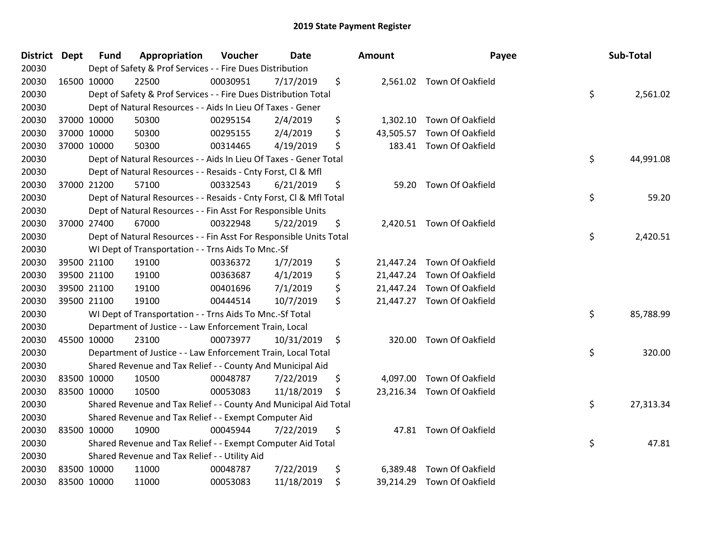| District Dept | <b>Fund</b> | Appropriation                                                      | Voucher  | <b>Date</b> | <b>Amount</b>   | Payee                      | Sub-Total       |
|---------------|-------------|--------------------------------------------------------------------|----------|-------------|-----------------|----------------------------|-----------------|
| 20030         |             | Dept of Safety & Prof Services - - Fire Dues Distribution          |          |             |                 |                            |                 |
| 20030         | 16500 10000 | 22500                                                              | 00030951 | 7/17/2019   | \$              | 2,561.02 Town Of Oakfield  |                 |
| 20030         |             | Dept of Safety & Prof Services - - Fire Dues Distribution Total    |          |             |                 |                            | \$<br>2,561.02  |
| 20030         |             | Dept of Natural Resources - - Aids In Lieu Of Taxes - Gener        |          |             |                 |                            |                 |
| 20030         | 37000 10000 | 50300                                                              | 00295154 | 2/4/2019    | \$<br>1,302.10  | Town Of Oakfield           |                 |
| 20030         | 37000 10000 | 50300                                                              | 00295155 | 2/4/2019    | \$<br>43,505.57 | Town Of Oakfield           |                 |
| 20030         | 37000 10000 | 50300                                                              | 00314465 | 4/19/2019   | \$<br>183.41    | Town Of Oakfield           |                 |
| 20030         |             | Dept of Natural Resources - - Aids In Lieu Of Taxes - Gener Total  |          |             |                 |                            | \$<br>44,991.08 |
| 20030         |             | Dept of Natural Resources - - Resaids - Cnty Forst, Cl & Mfl       |          |             |                 |                            |                 |
| 20030         | 37000 21200 | 57100                                                              | 00332543 | 6/21/2019   | \$<br>59.20     | Town Of Oakfield           |                 |
| 20030         |             | Dept of Natural Resources - - Resaids - Cnty Forst, Cl & Mfl Total |          |             |                 |                            | \$<br>59.20     |
| 20030         |             | Dept of Natural Resources - - Fin Asst For Responsible Units       |          |             |                 |                            |                 |
| 20030         | 37000 27400 | 67000                                                              | 00322948 | 5/22/2019   | \$              | 2,420.51 Town Of Oakfield  |                 |
| 20030         |             | Dept of Natural Resources - - Fin Asst For Responsible Units Total |          |             |                 |                            | \$<br>2,420.51  |
| 20030         |             | WI Dept of Transportation - - Trns Aids To Mnc.-Sf                 |          |             |                 |                            |                 |
| 20030         | 39500 21100 | 19100                                                              | 00336372 | 1/7/2019    | \$<br>21,447.24 | Town Of Oakfield           |                 |
| 20030         | 39500 21100 | 19100                                                              | 00363687 | 4/1/2019    | \$<br>21,447.24 | Town Of Oakfield           |                 |
| 20030         | 39500 21100 | 19100                                                              | 00401696 | 7/1/2019    | \$<br>21,447.24 | Town Of Oakfield           |                 |
| 20030         | 39500 21100 | 19100                                                              | 00444514 | 10/7/2019   | \$              | 21,447.27 Town Of Oakfield |                 |
| 20030         |             | WI Dept of Transportation - - Trns Aids To Mnc.-Sf Total           |          |             |                 |                            | \$<br>85,788.99 |
| 20030         |             | Department of Justice - - Law Enforcement Train, Local             |          |             |                 |                            |                 |
| 20030         | 45500 10000 | 23100                                                              | 00073977 | 10/31/2019  | \$<br>320.00    | Town Of Oakfield           |                 |
| 20030         |             | Department of Justice - - Law Enforcement Train, Local Total       |          |             |                 |                            | \$<br>320.00    |
| 20030         |             | Shared Revenue and Tax Relief - - County And Municipal Aid         |          |             |                 |                            |                 |
| 20030         | 83500 10000 | 10500                                                              | 00048787 | 7/22/2019   | \$<br>4,097.00  | Town Of Oakfield           |                 |
| 20030         | 83500 10000 | 10500                                                              | 00053083 | 11/18/2019  | \$<br>23,216.34 | Town Of Oakfield           |                 |
| 20030         |             | Shared Revenue and Tax Relief - - County And Municipal Aid Total   |          |             |                 |                            | \$<br>27,313.34 |
| 20030         |             | Shared Revenue and Tax Relief - - Exempt Computer Aid              |          |             |                 |                            |                 |
| 20030         | 83500 10000 | 10900                                                              | 00045944 | 7/22/2019   | \$              | 47.81 Town Of Oakfield     |                 |
| 20030         |             | Shared Revenue and Tax Relief - - Exempt Computer Aid Total        |          |             |                 |                            | \$<br>47.81     |
| 20030         |             | Shared Revenue and Tax Relief - - Utility Aid                      |          |             |                 |                            |                 |
| 20030         | 83500 10000 | 11000                                                              | 00048787 | 7/22/2019   | \$<br>6,389.48  | Town Of Oakfield           |                 |
| 20030         | 83500 10000 | 11000                                                              | 00053083 | 11/18/2019  | \$              | 39,214.29 Town Of Oakfield |                 |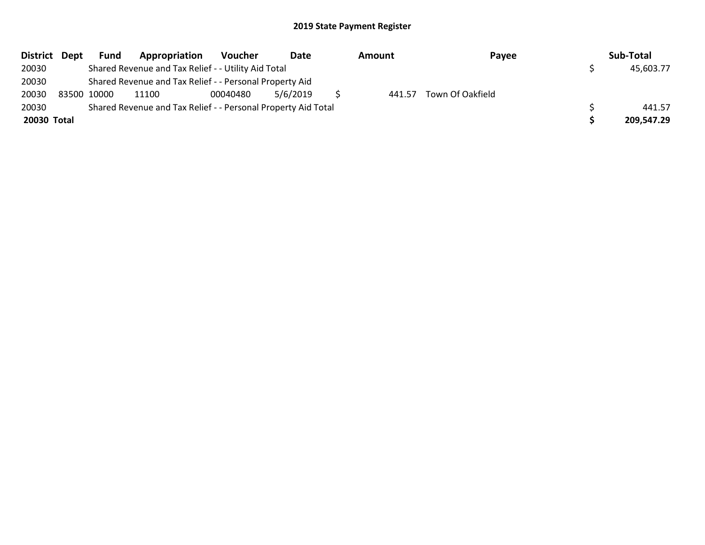|             | District Dept | Fund        | Appropriation                                                 | Voucher  | Date     | Amount | Payee            | Sub-Total  |
|-------------|---------------|-------------|---------------------------------------------------------------|----------|----------|--------|------------------|------------|
| 20030       |               |             | Shared Revenue and Tax Relief - - Utility Aid Total           |          |          |        |                  | 45,603.77  |
| 20030       |               |             | Shared Revenue and Tax Relief - - Personal Property Aid       |          |          |        |                  |            |
| 20030       |               | 83500 10000 | 11100                                                         | 00040480 | 5/6/2019 | 441.57 | Town Of Oakfield |            |
| 20030       |               |             | Shared Revenue and Tax Relief - - Personal Property Aid Total |          |          |        |                  | 441.57     |
| 20030 Total |               |             |                                                               |          |          |        |                  | 209.547.29 |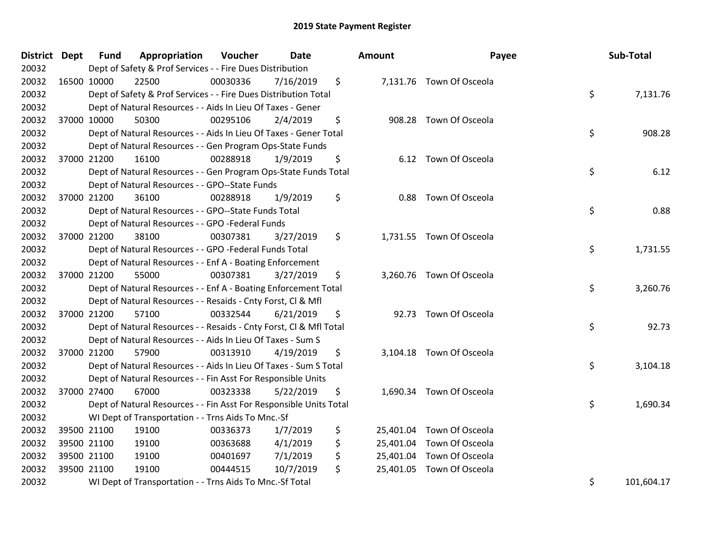| District Dept |             | <b>Fund</b> | Appropriation                                                      | Voucher  | <b>Date</b> | Amount | Payee                     | Sub-Total        |
|---------------|-------------|-------------|--------------------------------------------------------------------|----------|-------------|--------|---------------------------|------------------|
| 20032         |             |             | Dept of Safety & Prof Services - - Fire Dues Distribution          |          |             |        |                           |                  |
| 20032         | 16500 10000 |             | 22500                                                              | 00030336 | 7/16/2019   | \$     | 7,131.76 Town Of Osceola  |                  |
| 20032         |             |             | Dept of Safety & Prof Services - - Fire Dues Distribution Total    |          |             |        |                           | \$<br>7,131.76   |
| 20032         |             |             | Dept of Natural Resources - - Aids In Lieu Of Taxes - Gener        |          |             |        |                           |                  |
| 20032         | 37000 10000 |             | 50300                                                              | 00295106 | 2/4/2019    | \$     | 908.28 Town Of Osceola    |                  |
| 20032         |             |             | Dept of Natural Resources - - Aids In Lieu Of Taxes - Gener Total  |          |             |        |                           | \$<br>908.28     |
| 20032         |             |             | Dept of Natural Resources - - Gen Program Ops-State Funds          |          |             |        |                           |                  |
| 20032         |             | 37000 21200 | 16100                                                              | 00288918 | 1/9/2019    | \$     | 6.12 Town Of Osceola      |                  |
| 20032         |             |             | Dept of Natural Resources - - Gen Program Ops-State Funds Total    |          |             |        |                           | \$<br>6.12       |
| 20032         |             |             | Dept of Natural Resources - - GPO--State Funds                     |          |             |        |                           |                  |
| 20032         |             | 37000 21200 | 36100                                                              | 00288918 | 1/9/2019    | \$     | 0.88 Town Of Osceola      |                  |
| 20032         |             |             | Dept of Natural Resources - - GPO--State Funds Total               |          |             |        |                           | \$<br>0.88       |
| 20032         |             |             | Dept of Natural Resources - - GPO -Federal Funds                   |          |             |        |                           |                  |
| 20032         |             | 37000 21200 | 38100                                                              | 00307381 | 3/27/2019   | \$     | 1,731.55 Town Of Osceola  |                  |
| 20032         |             |             | Dept of Natural Resources - - GPO -Federal Funds Total             |          |             |        |                           | \$<br>1,731.55   |
| 20032         |             |             | Dept of Natural Resources - - Enf A - Boating Enforcement          |          |             |        |                           |                  |
| 20032         |             | 37000 21200 | 55000                                                              | 00307381 | 3/27/2019   | \$     | 3,260.76 Town Of Osceola  |                  |
| 20032         |             |             | Dept of Natural Resources - - Enf A - Boating Enforcement Total    |          |             |        |                           | \$<br>3,260.76   |
| 20032         |             |             | Dept of Natural Resources - - Resaids - Cnty Forst, Cl & Mfl       |          |             |        |                           |                  |
| 20032         | 37000 21200 |             | 57100                                                              | 00332544 | 6/21/2019   | \$     | 92.73 Town Of Osceola     |                  |
| 20032         |             |             | Dept of Natural Resources - - Resaids - Cnty Forst, Cl & Mfl Total |          |             |        |                           | \$<br>92.73      |
| 20032         |             |             | Dept of Natural Resources - - Aids In Lieu Of Taxes - Sum S        |          |             |        |                           |                  |
| 20032         |             | 37000 21200 | 57900                                                              | 00313910 | 4/19/2019   | \$     | 3,104.18 Town Of Osceola  |                  |
| 20032         |             |             | Dept of Natural Resources - - Aids In Lieu Of Taxes - Sum S Total  |          |             |        |                           | \$<br>3,104.18   |
| 20032         |             |             | Dept of Natural Resources - - Fin Asst For Responsible Units       |          |             |        |                           |                  |
| 20032         | 37000 27400 |             | 67000                                                              | 00323338 | 5/22/2019   | \$     | 1,690.34 Town Of Osceola  |                  |
| 20032         |             |             | Dept of Natural Resources - - Fin Asst For Responsible Units Total |          |             |        |                           | \$<br>1,690.34   |
| 20032         |             |             | WI Dept of Transportation - - Trns Aids To Mnc.-Sf                 |          |             |        |                           |                  |
| 20032         |             | 39500 21100 | 19100                                                              | 00336373 | 1/7/2019    | \$     | 25,401.04 Town Of Osceola |                  |
| 20032         | 39500 21100 |             | 19100                                                              | 00363688 | 4/1/2019    | \$     | 25,401.04 Town Of Osceola |                  |
| 20032         |             | 39500 21100 | 19100                                                              | 00401697 | 7/1/2019    | \$     | 25,401.04 Town Of Osceola |                  |
| 20032         | 39500 21100 |             | 19100                                                              | 00444515 | 10/7/2019   | \$     | 25,401.05 Town Of Osceola |                  |
| 20032         |             |             | WI Dept of Transportation - - Trns Aids To Mnc.-Sf Total           |          |             |        |                           | \$<br>101,604.17 |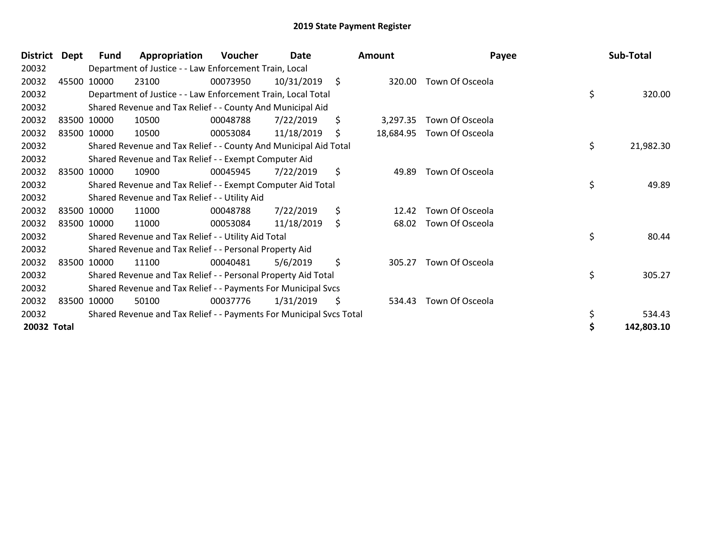| <b>District</b> | Dept | <b>Fund</b> | Appropriation                                                       | <b>Voucher</b> | <b>Date</b> |                    | Amount    | Payee           | Sub-Total       |
|-----------------|------|-------------|---------------------------------------------------------------------|----------------|-------------|--------------------|-----------|-----------------|-----------------|
| 20032           |      |             | Department of Justice - - Law Enforcement Train, Local              |                |             |                    |           |                 |                 |
| 20032           |      | 45500 10000 | 23100                                                               | 00073950       | 10/31/2019  | $\ddot{\varsigma}$ | 320.00    | Town Of Osceola |                 |
| 20032           |      |             | Department of Justice - - Law Enforcement Train, Local Total        |                |             |                    |           |                 | \$<br>320.00    |
| 20032           |      |             | Shared Revenue and Tax Relief - - County And Municipal Aid          |                |             |                    |           |                 |                 |
| 20032           |      | 83500 10000 | 10500                                                               | 00048788       | 7/22/2019   | \$                 | 3,297.35  | Town Of Osceola |                 |
| 20032           |      | 83500 10000 | 10500                                                               | 00053084       | 11/18/2019  | \$                 | 18,684.95 | Town Of Osceola |                 |
| 20032           |      |             | Shared Revenue and Tax Relief - - County And Municipal Aid Total    |                |             |                    |           |                 | \$<br>21,982.30 |
| 20032           |      |             | Shared Revenue and Tax Relief - - Exempt Computer Aid               |                |             |                    |           |                 |                 |
| 20032           |      | 83500 10000 | 10900                                                               | 00045945       | 7/22/2019   | \$                 | 49.89     | Town Of Osceola |                 |
| 20032           |      |             | Shared Revenue and Tax Relief - - Exempt Computer Aid Total         |                |             |                    |           |                 | \$<br>49.89     |
| 20032           |      |             | Shared Revenue and Tax Relief - - Utility Aid                       |                |             |                    |           |                 |                 |
| 20032           |      | 83500 10000 | 11000                                                               | 00048788       | 7/22/2019   | \$                 | 12.42     | Town Of Osceola |                 |
| 20032           |      | 83500 10000 | 11000                                                               | 00053084       | 11/18/2019  | \$                 | 68.02     | Town Of Osceola |                 |
| 20032           |      |             | Shared Revenue and Tax Relief - - Utility Aid Total                 |                |             |                    |           |                 | \$<br>80.44     |
| 20032           |      |             | Shared Revenue and Tax Relief - - Personal Property Aid             |                |             |                    |           |                 |                 |
| 20032           |      | 83500 10000 | 11100                                                               | 00040481       | 5/6/2019    | \$                 | 305.27    | Town Of Osceola |                 |
| 20032           |      |             | Shared Revenue and Tax Relief - - Personal Property Aid Total       |                |             |                    |           |                 | \$<br>305.27    |
| 20032           |      |             | Shared Revenue and Tax Relief - - Payments For Municipal Svcs       |                |             |                    |           |                 |                 |
| 20032           |      | 83500 10000 | 50100                                                               | 00037776       | 1/31/2019   | \$.                | 534.43    | Town Of Osceola |                 |
| 20032           |      |             | Shared Revenue and Tax Relief - - Payments For Municipal Svcs Total |                |             |                    |           |                 | \$<br>534.43    |
| 20032 Total     |      |             |                                                                     |                |             |                    |           |                 | 142,803.10      |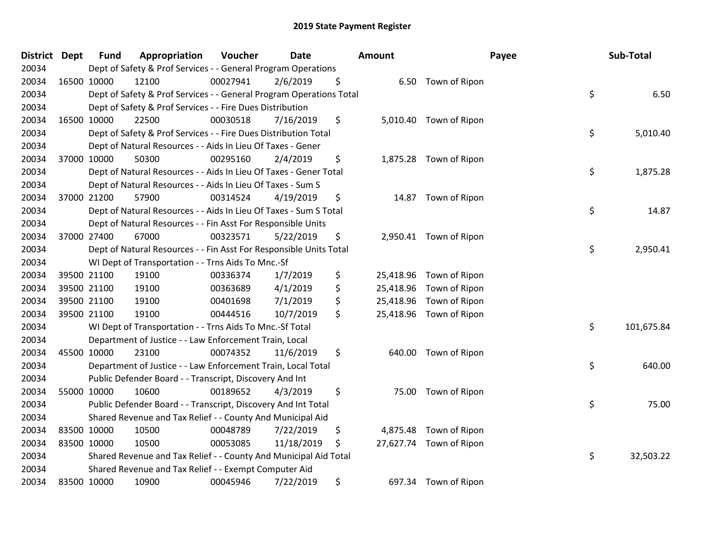| District Dept | <b>Fund</b> | Appropriation                                                       | Voucher  | <b>Date</b> | <b>Amount</b>   |                         | Payee | Sub-Total  |
|---------------|-------------|---------------------------------------------------------------------|----------|-------------|-----------------|-------------------------|-------|------------|
| 20034         |             | Dept of Safety & Prof Services - - General Program Operations       |          |             |                 |                         |       |            |
| 20034         | 16500 10000 | 12100                                                               | 00027941 | 2/6/2019    | \$              | 6.50 Town of Ripon      |       |            |
| 20034         |             | Dept of Safety & Prof Services - - General Program Operations Total |          |             |                 |                         | \$    | 6.50       |
| 20034         |             | Dept of Safety & Prof Services - - Fire Dues Distribution           |          |             |                 |                         |       |            |
| 20034         | 16500 10000 | 22500                                                               | 00030518 | 7/16/2019   | \$              | 5,010.40 Town of Ripon  |       |            |
| 20034         |             | Dept of Safety & Prof Services - - Fire Dues Distribution Total     |          |             |                 |                         | \$    | 5,010.40   |
| 20034         |             | Dept of Natural Resources - - Aids In Lieu Of Taxes - Gener         |          |             |                 |                         |       |            |
| 20034         | 37000 10000 | 50300                                                               | 00295160 | 2/4/2019    | \$              | 1,875.28 Town of Ripon  |       |            |
| 20034         |             | Dept of Natural Resources - - Aids In Lieu Of Taxes - Gener Total   |          |             |                 |                         | \$    | 1,875.28   |
| 20034         |             | Dept of Natural Resources - - Aids In Lieu Of Taxes - Sum S         |          |             |                 |                         |       |            |
| 20034         | 37000 21200 | 57900                                                               | 00314524 | 4/19/2019   | \$              | 14.87 Town of Ripon     |       |            |
| 20034         |             | Dept of Natural Resources - - Aids In Lieu Of Taxes - Sum S Total   |          |             |                 |                         | \$    | 14.87      |
| 20034         |             | Dept of Natural Resources - - Fin Asst For Responsible Units        |          |             |                 |                         |       |            |
| 20034         | 37000 27400 | 67000                                                               | 00323571 | 5/22/2019   | \$              | 2,950.41 Town of Ripon  |       |            |
| 20034         |             | Dept of Natural Resources - - Fin Asst For Responsible Units Total  |          |             |                 |                         | \$    | 2,950.41   |
| 20034         |             | WI Dept of Transportation - - Trns Aids To Mnc.-Sf                  |          |             |                 |                         |       |            |
| 20034         | 39500 21100 | 19100                                                               | 00336374 | 1/7/2019    | \$<br>25,418.96 | Town of Ripon           |       |            |
| 20034         | 39500 21100 | 19100                                                               | 00363689 | 4/1/2019    | \$<br>25,418.96 | Town of Ripon           |       |            |
| 20034         | 39500 21100 | 19100                                                               | 00401698 | 7/1/2019    | \$<br>25,418.96 | Town of Ripon           |       |            |
| 20034         | 39500 21100 | 19100                                                               | 00444516 | 10/7/2019   | \$<br>25,418.96 | Town of Ripon           |       |            |
| 20034         |             | WI Dept of Transportation - - Trns Aids To Mnc.-Sf Total            |          |             |                 |                         | \$    | 101,675.84 |
| 20034         |             | Department of Justice - - Law Enforcement Train, Local              |          |             |                 |                         |       |            |
| 20034         | 45500 10000 | 23100                                                               | 00074352 | 11/6/2019   | \$              | 640.00 Town of Ripon    |       |            |
| 20034         |             | Department of Justice - - Law Enforcement Train, Local Total        |          |             |                 |                         | \$    | 640.00     |
| 20034         |             | Public Defender Board - - Transcript, Discovery And Int             |          |             |                 |                         |       |            |
| 20034         | 55000 10000 | 10600                                                               | 00189652 | 4/3/2019    | \$<br>75.00     | Town of Ripon           |       |            |
| 20034         |             | Public Defender Board - - Transcript, Discovery And Int Total       |          |             |                 |                         | \$    | 75.00      |
| 20034         |             | Shared Revenue and Tax Relief - - County And Municipal Aid          |          |             |                 |                         |       |            |
| 20034         | 83500 10000 | 10500                                                               | 00048789 | 7/22/2019   | \$<br>4,875.48  | Town of Ripon           |       |            |
| 20034         | 83500 10000 | 10500                                                               | 00053085 | 11/18/2019  | \$              | 27,627.74 Town of Ripon |       |            |
| 20034         |             | Shared Revenue and Tax Relief - - County And Municipal Aid Total    |          |             |                 |                         | \$    | 32,503.22  |
| 20034         |             | Shared Revenue and Tax Relief - - Exempt Computer Aid               |          |             |                 |                         |       |            |
| 20034         | 83500 10000 | 10900                                                               | 00045946 | 7/22/2019   | \$              | 697.34 Town of Ripon    |       |            |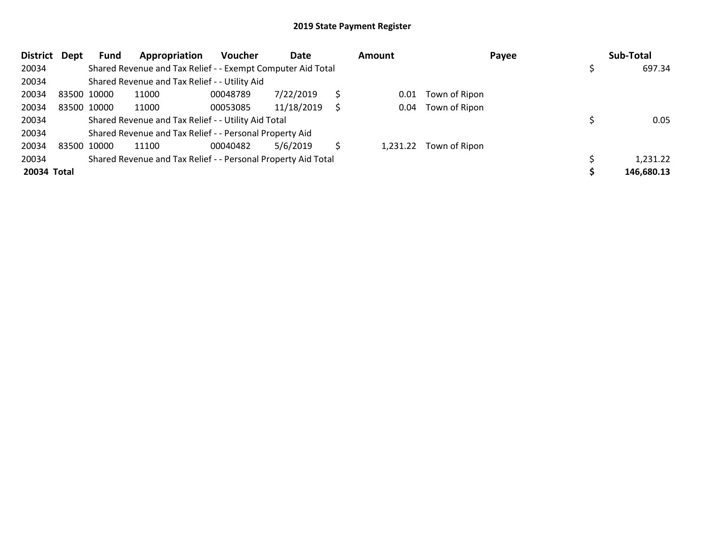| <b>District</b> | Dept        | Fund        | Appropriation                                                 | <b>Voucher</b> | Date       | Amount |                        | Payee | Sub-Total  |
|-----------------|-------------|-------------|---------------------------------------------------------------|----------------|------------|--------|------------------------|-------|------------|
| 20034           |             |             | Shared Revenue and Tax Relief - - Exempt Computer Aid Total   |                |            |        |                        |       | 697.34     |
| 20034           |             |             | Shared Revenue and Tax Relief - - Utility Aid                 |                |            |        |                        |       |            |
| 20034           | 83500 10000 |             | 11000                                                         | 00048789       | 7/22/2019  | 0.01   | Town of Ripon          |       |            |
| 20034           |             | 83500 10000 | 11000                                                         | 00053085       | 11/18/2019 | 0.04   | Town of Ripon          |       |            |
| 20034           |             |             | Shared Revenue and Tax Relief - - Utility Aid Total           |                |            |        |                        |       | 0.05       |
| 20034           |             |             | Shared Revenue and Tax Relief - - Personal Property Aid       |                |            |        |                        |       |            |
| 20034           | 83500 10000 |             | 11100                                                         | 00040482       | 5/6/2019   |        | 1,231.22 Town of Ripon |       |            |
| 20034           |             |             | Shared Revenue and Tax Relief - - Personal Property Aid Total |                |            |        |                        |       | 1,231.22   |
| 20034 Total     |             |             |                                                               |                |            |        |                        |       | 146,680.13 |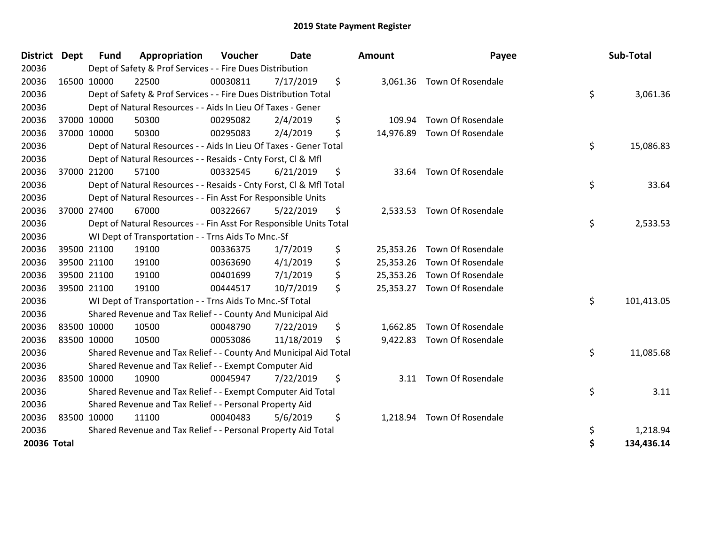| <b>District</b> | <b>Dept</b> | <b>Fund</b> | Appropriation                                                      | Voucher  | <b>Date</b> | <b>Amount</b>   | Payee                       | Sub-Total        |
|-----------------|-------------|-------------|--------------------------------------------------------------------|----------|-------------|-----------------|-----------------------------|------------------|
| 20036           |             |             | Dept of Safety & Prof Services - - Fire Dues Distribution          |          |             |                 |                             |                  |
| 20036           |             | 16500 10000 | 22500                                                              | 00030811 | 7/17/2019   | \$              | 3,061.36 Town Of Rosendale  |                  |
| 20036           |             |             | Dept of Safety & Prof Services - - Fire Dues Distribution Total    |          |             |                 |                             | \$<br>3,061.36   |
| 20036           |             |             | Dept of Natural Resources - - Aids In Lieu Of Taxes - Gener        |          |             |                 |                             |                  |
| 20036           |             | 37000 10000 | 50300                                                              | 00295082 | 2/4/2019    | \$<br>109.94    | Town Of Rosendale           |                  |
| 20036           |             | 37000 10000 | 50300                                                              | 00295083 | 2/4/2019    | \$              | 14,976.89 Town Of Rosendale |                  |
| 20036           |             |             | Dept of Natural Resources - - Aids In Lieu Of Taxes - Gener Total  |          |             |                 |                             | \$<br>15,086.83  |
| 20036           |             |             | Dept of Natural Resources - - Resaids - Cnty Forst, CI & Mfl       |          |             |                 |                             |                  |
| 20036           |             | 37000 21200 | 57100                                                              | 00332545 | 6/21/2019   | \$<br>33.64     | Town Of Rosendale           |                  |
| 20036           |             |             | Dept of Natural Resources - - Resaids - Cnty Forst, Cl & Mfl Total |          |             |                 |                             | \$<br>33.64      |
| 20036           |             |             | Dept of Natural Resources - - Fin Asst For Responsible Units       |          |             |                 |                             |                  |
| 20036           |             | 37000 27400 | 67000                                                              | 00322667 | 5/22/2019   | \$<br>2,533.53  | Town Of Rosendale           |                  |
| 20036           |             |             | Dept of Natural Resources - - Fin Asst For Responsible Units Total |          |             |                 |                             | \$<br>2,533.53   |
| 20036           |             |             | WI Dept of Transportation - - Trns Aids To Mnc.-Sf                 |          |             |                 |                             |                  |
| 20036           |             | 39500 21100 | 19100                                                              | 00336375 | 1/7/2019    | \$<br>25,353.26 | Town Of Rosendale           |                  |
| 20036           |             | 39500 21100 | 19100                                                              | 00363690 | 4/1/2019    | \$<br>25,353.26 | Town Of Rosendale           |                  |
| 20036           |             | 39500 21100 | 19100                                                              | 00401699 | 7/1/2019    | \$<br>25,353.26 | Town Of Rosendale           |                  |
| 20036           |             | 39500 21100 | 19100                                                              | 00444517 | 10/7/2019   | \$              | 25,353.27 Town Of Rosendale |                  |
| 20036           |             |             | WI Dept of Transportation - - Trns Aids To Mnc.-Sf Total           |          |             |                 |                             | \$<br>101,413.05 |
| 20036           |             |             | Shared Revenue and Tax Relief - - County And Municipal Aid         |          |             |                 |                             |                  |
| 20036           |             | 83500 10000 | 10500                                                              | 00048790 | 7/22/2019   | \$<br>1,662.85  | Town Of Rosendale           |                  |
| 20036           |             | 83500 10000 | 10500                                                              | 00053086 | 11/18/2019  | \$<br>9,422.83  | Town Of Rosendale           |                  |
| 20036           |             |             | Shared Revenue and Tax Relief - - County And Municipal Aid Total   |          |             |                 |                             | \$<br>11,085.68  |
| 20036           |             |             | Shared Revenue and Tax Relief - - Exempt Computer Aid              |          |             |                 |                             |                  |
| 20036           |             | 83500 10000 | 10900                                                              | 00045947 | 7/22/2019   | \$              | 3.11 Town Of Rosendale      |                  |
| 20036           |             |             | Shared Revenue and Tax Relief - - Exempt Computer Aid Total        |          |             |                 |                             | \$<br>3.11       |
| 20036           |             |             | Shared Revenue and Tax Relief - - Personal Property Aid            |          |             |                 |                             |                  |
| 20036           | 83500 10000 |             | 11100                                                              | 00040483 | 5/6/2019    | \$<br>1,218.94  | Town Of Rosendale           |                  |
| 20036           |             |             | Shared Revenue and Tax Relief - - Personal Property Aid Total      |          |             |                 |                             | \$<br>1,218.94   |
| 20036 Total     |             |             |                                                                    |          |             |                 |                             | \$<br>134,436.14 |

| nount     | Payee                    | Sub-Total        |
|-----------|--------------------------|------------------|
| 3,061.36  | Town Of Rosendale        | \$<br>3,061.36   |
| 109.94    | Town Of Rosendale        |                  |
| 14,976.89 | Town Of Rosendale        |                  |
|           |                          | \$<br>15,086.83  |
| 33.64     | <b>Town Of Rosendale</b> |                  |
|           |                          | \$<br>33.64      |
| 2,533.53  | Town Of Rosendale        |                  |
|           |                          | \$<br>2,533.53   |
| 25,353.26 | Town Of Rosendale        |                  |
| 25,353.26 | Town Of Rosendale        |                  |
| 25,353.26 | Town Of Rosendale        |                  |
| 25,353.27 | Town Of Rosendale        |                  |
|           |                          | \$<br>101,413.05 |
| 1,662.85  | Town Of Rosendale        |                  |
| 9,422.83  | Town Of Rosendale        |                  |
|           |                          | \$<br>11,085.68  |
|           |                          |                  |
| 3.11      | Town Of Rosendale        | \$<br>3.11       |
|           |                          |                  |
| 1,218.94  | Town Of Rosendale        |                  |
|           |                          | \$<br>1,218.94   |
|           |                          | \$<br>134,436.14 |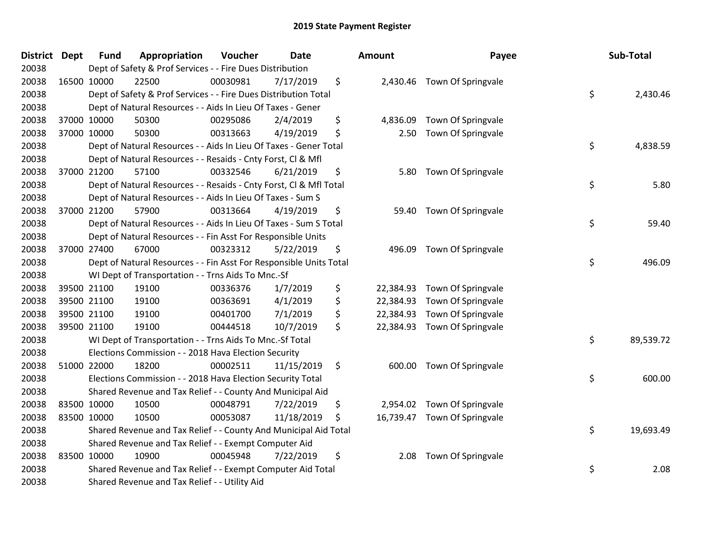| <b>District Dept</b> | <b>Fund</b> | Appropriation                                                      | Voucher  | <b>Date</b> | Amount          | Payee                       | Sub-Total       |
|----------------------|-------------|--------------------------------------------------------------------|----------|-------------|-----------------|-----------------------------|-----------------|
| 20038                |             | Dept of Safety & Prof Services - - Fire Dues Distribution          |          |             |                 |                             |                 |
| 20038                | 16500 10000 | 22500                                                              | 00030981 | 7/17/2019   | \$              | 2,430.46 Town Of Springvale |                 |
| 20038                |             | Dept of Safety & Prof Services - - Fire Dues Distribution Total    |          |             |                 |                             | \$<br>2,430.46  |
| 20038                |             | Dept of Natural Resources - - Aids In Lieu Of Taxes - Gener        |          |             |                 |                             |                 |
| 20038                | 37000 10000 | 50300                                                              | 00295086 | 2/4/2019    | \$<br>4,836.09  | Town Of Springvale          |                 |
| 20038                | 37000 10000 | 50300                                                              | 00313663 | 4/19/2019   | \$<br>2.50      | Town Of Springvale          |                 |
| 20038                |             | Dept of Natural Resources - - Aids In Lieu Of Taxes - Gener Total  |          |             |                 |                             | \$<br>4,838.59  |
| 20038                |             | Dept of Natural Resources - - Resaids - Cnty Forst, Cl & Mfl       |          |             |                 |                             |                 |
| 20038                | 37000 21200 | 57100                                                              | 00332546 | 6/21/2019   | \$<br>5.80      | Town Of Springvale          |                 |
| 20038                |             | Dept of Natural Resources - - Resaids - Cnty Forst, Cl & Mfl Total |          |             |                 |                             | \$<br>5.80      |
| 20038                |             | Dept of Natural Resources - - Aids In Lieu Of Taxes - Sum S        |          |             |                 |                             |                 |
| 20038                | 37000 21200 | 57900                                                              | 00313664 | 4/19/2019   | \$<br>59.40     | Town Of Springvale          |                 |
| 20038                |             | Dept of Natural Resources - - Aids In Lieu Of Taxes - Sum S Total  |          |             |                 |                             | \$<br>59.40     |
| 20038                |             | Dept of Natural Resources - - Fin Asst For Responsible Units       |          |             |                 |                             |                 |
| 20038                | 37000 27400 | 67000                                                              | 00323312 | 5/22/2019   | \$<br>496.09    | Town Of Springvale          |                 |
| 20038                |             | Dept of Natural Resources - - Fin Asst For Responsible Units Total |          |             |                 |                             | \$<br>496.09    |
| 20038                |             | WI Dept of Transportation - - Trns Aids To Mnc.-Sf                 |          |             |                 |                             |                 |
| 20038                | 39500 21100 | 19100                                                              | 00336376 | 1/7/2019    | \$<br>22,384.93 | Town Of Springvale          |                 |
| 20038                | 39500 21100 | 19100                                                              | 00363691 | 4/1/2019    | \$<br>22,384.93 | Town Of Springvale          |                 |
| 20038                | 39500 21100 | 19100                                                              | 00401700 | 7/1/2019    | \$<br>22,384.93 | Town Of Springvale          |                 |
| 20038                | 39500 21100 | 19100                                                              | 00444518 | 10/7/2019   | \$<br>22,384.93 | Town Of Springvale          |                 |
| 20038                |             | WI Dept of Transportation - - Trns Aids To Mnc.-Sf Total           |          |             |                 |                             | \$<br>89,539.72 |
| 20038                |             | Elections Commission - - 2018 Hava Election Security               |          |             |                 |                             |                 |
| 20038                | 51000 22000 | 18200                                                              | 00002511 | 11/15/2019  | \$<br>600.00    | Town Of Springvale          |                 |
| 20038                |             | Elections Commission - - 2018 Hava Election Security Total         |          |             |                 |                             | \$<br>600.00    |
| 20038                |             | Shared Revenue and Tax Relief - - County And Municipal Aid         |          |             |                 |                             |                 |
| 20038                | 83500 10000 | 10500                                                              | 00048791 | 7/22/2019   | \$<br>2,954.02  | Town Of Springvale          |                 |
| 20038                | 83500 10000 | 10500                                                              | 00053087 | 11/18/2019  | \$<br>16,739.47 | Town Of Springvale          |                 |
| 20038                |             | Shared Revenue and Tax Relief - - County And Municipal Aid Total   |          |             |                 |                             | \$<br>19,693.49 |
| 20038                |             | Shared Revenue and Tax Relief - - Exempt Computer Aid              |          |             |                 |                             |                 |
| 20038                | 83500 10000 | 10900                                                              | 00045948 | 7/22/2019   | \$<br>2.08      | Town Of Springvale          |                 |
| 20038                |             | Shared Revenue and Tax Relief - - Exempt Computer Aid Total        |          |             |                 |                             | \$<br>2.08      |
| 20038                |             | Shared Revenue and Tax Relief - - Utility Aid                      |          |             |                 |                             |                 |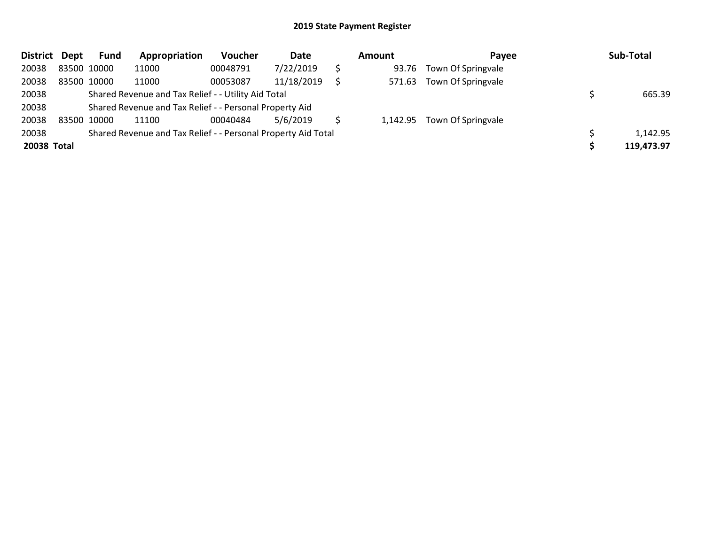| <b>District</b> | Dept        | <b>Fund</b> | Appropriation                                                 | Voucher  | Date       | Amount | <b>Pavee</b>                | Sub-Total  |
|-----------------|-------------|-------------|---------------------------------------------------------------|----------|------------|--------|-----------------------------|------------|
| 20038           | 83500 10000 |             | 11000                                                         | 00048791 | 7/22/2019  | 93.76  | Town Of Springvale          |            |
| 20038           | 83500 10000 |             | 11000                                                         | 00053087 | 11/18/2019 | 571.63 | Town Of Springvale          |            |
| 20038           |             |             | Shared Revenue and Tax Relief - - Utility Aid Total           |          |            |        |                             | 665.39     |
| 20038           |             |             | Shared Revenue and Tax Relief - - Personal Property Aid       |          |            |        |                             |            |
| 20038           | 83500 10000 |             | 11100                                                         | 00040484 | 5/6/2019   |        | 1,142.95 Town Of Springvale |            |
| 20038           |             |             | Shared Revenue and Tax Relief - - Personal Property Aid Total |          |            |        |                             | 1,142.95   |
| 20038 Total     |             |             |                                                               |          |            |        |                             | 119,473.97 |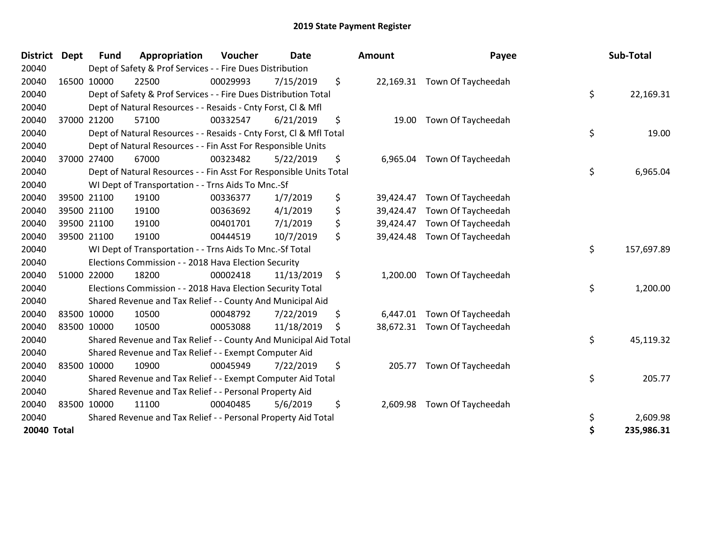| <b>District</b>    | <b>Dept</b> | <b>Fund</b> | Appropriation                                                      | Voucher  | <b>Date</b> | Amount          | Payee                        | Sub-Total        |
|--------------------|-------------|-------------|--------------------------------------------------------------------|----------|-------------|-----------------|------------------------------|------------------|
| 20040              |             |             | Dept of Safety & Prof Services - - Fire Dues Distribution          |          |             |                 |                              |                  |
| 20040              |             | 16500 10000 | 22500                                                              | 00029993 | 7/15/2019   | \$              | 22,169.31 Town Of Taycheedah |                  |
| 20040              |             |             | Dept of Safety & Prof Services - - Fire Dues Distribution Total    |          |             |                 |                              | \$<br>22,169.31  |
| 20040              |             |             | Dept of Natural Resources - - Resaids - Cnty Forst, CI & Mfl       |          |             |                 |                              |                  |
| 20040              |             | 37000 21200 | 57100                                                              | 00332547 | 6/21/2019   | \$<br>19.00     | Town Of Taycheedah           |                  |
| 20040              |             |             | Dept of Natural Resources - - Resaids - Cnty Forst, Cl & Mfl Total |          |             |                 |                              | \$<br>19.00      |
| 20040              |             |             | Dept of Natural Resources - - Fin Asst For Responsible Units       |          |             |                 |                              |                  |
| 20040              |             | 37000 27400 | 67000                                                              | 00323482 | 5/22/2019   | \$<br>6,965.04  | Town Of Taycheedah           |                  |
| 20040              |             |             | Dept of Natural Resources - - Fin Asst For Responsible Units Total |          |             |                 |                              | \$<br>6,965.04   |
| 20040              |             |             | WI Dept of Transportation - - Trns Aids To Mnc.-Sf                 |          |             |                 |                              |                  |
| 20040              |             | 39500 21100 | 19100                                                              | 00336377 | 1/7/2019    | \$<br>39,424.47 | Town Of Taycheedah           |                  |
| 20040              |             | 39500 21100 | 19100                                                              | 00363692 | 4/1/2019    | \$<br>39,424.47 | Town Of Taycheedah           |                  |
| 20040              |             | 39500 21100 | 19100                                                              | 00401701 | 7/1/2019    | \$<br>39,424.47 | Town Of Taycheedah           |                  |
| 20040              |             | 39500 21100 | 19100                                                              | 00444519 | 10/7/2019   | \$<br>39,424.48 | Town Of Taycheedah           |                  |
| 20040              |             |             | WI Dept of Transportation - - Trns Aids To Mnc.-Sf Total           |          |             |                 |                              | \$<br>157,697.89 |
| 20040              |             |             | Elections Commission - - 2018 Hava Election Security               |          |             |                 |                              |                  |
| 20040              |             | 51000 22000 | 18200                                                              | 00002418 | 11/13/2019  | \$<br>1,200.00  | Town Of Taycheedah           |                  |
| 20040              |             |             | Elections Commission - - 2018 Hava Election Security Total         |          |             |                 |                              | \$<br>1,200.00   |
| 20040              |             |             | Shared Revenue and Tax Relief - - County And Municipal Aid         |          |             |                 |                              |                  |
| 20040              |             | 83500 10000 | 10500                                                              | 00048792 | 7/22/2019   | \$              | 6,447.01 Town Of Taycheedah  |                  |
| 20040              |             | 83500 10000 | 10500                                                              | 00053088 | 11/18/2019  | \$              | 38,672.31 Town Of Taycheedah |                  |
| 20040              |             |             | Shared Revenue and Tax Relief - - County And Municipal Aid Total   |          |             |                 |                              | \$<br>45,119.32  |
| 20040              |             |             | Shared Revenue and Tax Relief - - Exempt Computer Aid              |          |             |                 |                              |                  |
| 20040              |             | 83500 10000 | 10900                                                              | 00045949 | 7/22/2019   | \$<br>205.77    | Town Of Taycheedah           |                  |
| 20040              |             |             | Shared Revenue and Tax Relief - - Exempt Computer Aid Total        |          |             |                 |                              | \$<br>205.77     |
| 20040              |             |             | Shared Revenue and Tax Relief - - Personal Property Aid            |          |             |                 |                              |                  |
| 20040              |             | 83500 10000 | 11100                                                              | 00040485 | 5/6/2019    | \$<br>2,609.98  | Town Of Taycheedah           |                  |
| 20040              |             |             | Shared Revenue and Tax Relief - - Personal Property Aid Total      |          |             |                 |                              | \$<br>2,609.98   |
| <b>20040 Total</b> |             |             |                                                                    |          |             |                 |                              | \$<br>235,986.31 |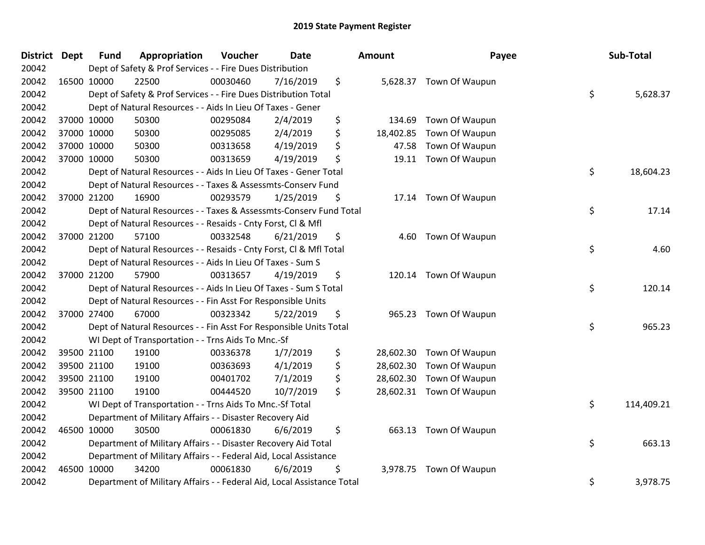| <b>District Dept</b> | <b>Fund</b> | Appropriation                                                          | Voucher  | <b>Date</b> | Amount          | Payee                    | Sub-Total        |
|----------------------|-------------|------------------------------------------------------------------------|----------|-------------|-----------------|--------------------------|------------------|
| 20042                |             | Dept of Safety & Prof Services - - Fire Dues Distribution              |          |             |                 |                          |                  |
| 20042                | 16500 10000 | 22500                                                                  | 00030460 | 7/16/2019   | \$              | 5,628.37 Town Of Waupun  |                  |
| 20042                |             | Dept of Safety & Prof Services - - Fire Dues Distribution Total        |          |             |                 |                          | \$<br>5,628.37   |
| 20042                |             | Dept of Natural Resources - - Aids In Lieu Of Taxes - Gener            |          |             |                 |                          |                  |
| 20042                | 37000 10000 | 50300                                                                  | 00295084 | 2/4/2019    | \$<br>134.69    | Town Of Waupun           |                  |
| 20042                | 37000 10000 | 50300                                                                  | 00295085 | 2/4/2019    | \$<br>18,402.85 | Town Of Waupun           |                  |
| 20042                | 37000 10000 | 50300                                                                  | 00313658 | 4/19/2019   | \$<br>47.58     | Town Of Waupun           |                  |
| 20042                | 37000 10000 | 50300                                                                  | 00313659 | 4/19/2019   | \$<br>19.11     | Town Of Waupun           |                  |
| 20042                |             | Dept of Natural Resources - - Aids In Lieu Of Taxes - Gener Total      |          |             |                 |                          | \$<br>18,604.23  |
| 20042                |             | Dept of Natural Resources - - Taxes & Assessmts-Conserv Fund           |          |             |                 |                          |                  |
| 20042                | 37000 21200 | 16900                                                                  | 00293579 | 1/25/2019   | \$<br>17.14     | Town Of Waupun           |                  |
| 20042                |             | Dept of Natural Resources - - Taxes & Assessmts-Conserv Fund Total     |          |             |                 |                          | \$<br>17.14      |
| 20042                |             | Dept of Natural Resources - - Resaids - Cnty Forst, Cl & Mfl           |          |             |                 |                          |                  |
| 20042                | 37000 21200 | 57100                                                                  | 00332548 | 6/21/2019   | \$<br>4.60      | Town Of Waupun           |                  |
| 20042                |             | Dept of Natural Resources - - Resaids - Cnty Forst, Cl & Mfl Total     |          |             |                 |                          | \$<br>4.60       |
| 20042                |             | Dept of Natural Resources - - Aids In Lieu Of Taxes - Sum S            |          |             |                 |                          |                  |
| 20042                | 37000 21200 | 57900                                                                  | 00313657 | 4/19/2019   | \$<br>120.14    | Town Of Waupun           |                  |
| 20042                |             | Dept of Natural Resources - - Aids In Lieu Of Taxes - Sum S Total      |          |             |                 |                          | \$<br>120.14     |
| 20042                |             | Dept of Natural Resources - - Fin Asst For Responsible Units           |          |             |                 |                          |                  |
| 20042                | 37000 27400 | 67000                                                                  | 00323342 | 5/22/2019   | \$<br>965.23    | Town Of Waupun           |                  |
| 20042                |             | Dept of Natural Resources - - Fin Asst For Responsible Units Total     |          |             |                 |                          | \$<br>965.23     |
| 20042                |             | WI Dept of Transportation - - Trns Aids To Mnc.-Sf                     |          |             |                 |                          |                  |
| 20042                | 39500 21100 | 19100                                                                  | 00336378 | 1/7/2019    | \$              | 28,602.30 Town Of Waupun |                  |
| 20042                | 39500 21100 | 19100                                                                  | 00363693 | 4/1/2019    | \$<br>28,602.30 | Town Of Waupun           |                  |
| 20042                | 39500 21100 | 19100                                                                  | 00401702 | 7/1/2019    | \$<br>28,602.30 | Town Of Waupun           |                  |
| 20042                | 39500 21100 | 19100                                                                  | 00444520 | 10/7/2019   | \$              | 28,602.31 Town Of Waupun |                  |
| 20042                |             | WI Dept of Transportation - - Trns Aids To Mnc.-Sf Total               |          |             |                 |                          | \$<br>114,409.21 |
| 20042                |             | Department of Military Affairs - - Disaster Recovery Aid               |          |             |                 |                          |                  |
| 20042                | 46500 10000 | 30500                                                                  | 00061830 | 6/6/2019    | \$              | 663.13 Town Of Waupun    |                  |
| 20042                |             | Department of Military Affairs - - Disaster Recovery Aid Total         |          |             |                 |                          | \$<br>663.13     |
| 20042                |             | Department of Military Affairs - - Federal Aid, Local Assistance       |          |             |                 |                          |                  |
| 20042                | 46500 10000 | 34200                                                                  | 00061830 | 6/6/2019    | \$<br>3,978.75  | Town Of Waupun           |                  |
| 20042                |             | Department of Military Affairs - - Federal Aid, Local Assistance Total |          |             |                 |                          | \$<br>3,978.75   |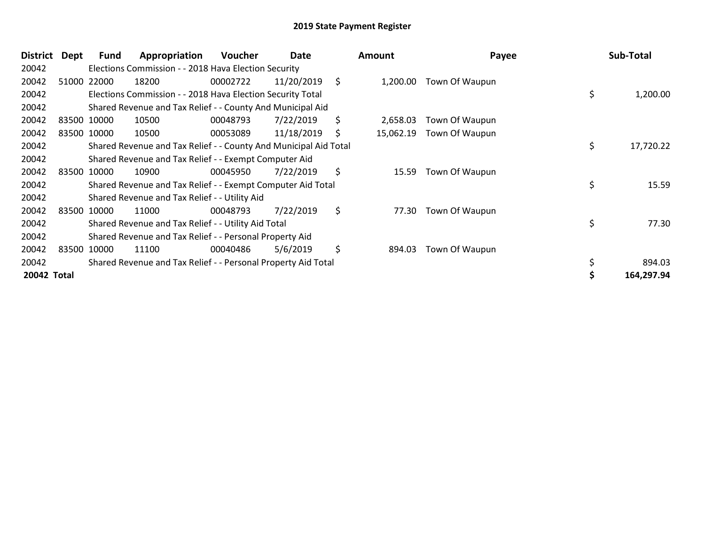| <b>District</b> | <b>Dept</b> | Fund        | Appropriation                                                    | Voucher  | Date       | <b>Amount</b>   | Payee          | Sub-Total       |
|-----------------|-------------|-------------|------------------------------------------------------------------|----------|------------|-----------------|----------------|-----------------|
| 20042           |             |             | Elections Commission - - 2018 Hava Election Security             |          |            |                 |                |                 |
| 20042           |             | 51000 22000 | 18200                                                            | 00002722 | 11/20/2019 | \$<br>1,200.00  | Town Of Waupun |                 |
| 20042           |             |             | Elections Commission - - 2018 Hava Election Security Total       |          |            |                 |                | \$<br>1,200.00  |
| 20042           |             |             | Shared Revenue and Tax Relief - - County And Municipal Aid       |          |            |                 |                |                 |
| 20042           |             | 83500 10000 | 10500                                                            | 00048793 | 7/22/2019  | \$<br>2,658.03  | Town Of Waupun |                 |
| 20042           |             | 83500 10000 | 10500                                                            | 00053089 | 11/18/2019 | \$<br>15,062.19 | Town Of Waupun |                 |
| 20042           |             |             | Shared Revenue and Tax Relief - - County And Municipal Aid Total |          |            |                 |                | \$<br>17,720.22 |
| 20042           |             |             | Shared Revenue and Tax Relief - - Exempt Computer Aid            |          |            |                 |                |                 |
| 20042           |             | 83500 10000 | 10900                                                            | 00045950 | 7/22/2019  | \$<br>15.59     | Town Of Waupun |                 |
| 20042           |             |             | Shared Revenue and Tax Relief - - Exempt Computer Aid Total      |          |            |                 |                | \$<br>15.59     |
| 20042           |             |             | Shared Revenue and Tax Relief - - Utility Aid                    |          |            |                 |                |                 |
| 20042           |             | 83500 10000 | 11000                                                            | 00048793 | 7/22/2019  | \$<br>77.30     | Town Of Waupun |                 |
| 20042           |             |             | Shared Revenue and Tax Relief - - Utility Aid Total              |          |            |                 |                | \$<br>77.30     |
| 20042           |             |             | Shared Revenue and Tax Relief - - Personal Property Aid          |          |            |                 |                |                 |
| 20042           |             | 83500 10000 | 11100                                                            | 00040486 | 5/6/2019   | \$<br>894.03    | Town Of Waupun |                 |
| 20042           |             |             | Shared Revenue and Tax Relief - - Personal Property Aid Total    |          |            |                 |                | 894.03          |
| 20042 Total     |             |             |                                                                  |          |            |                 |                | 164,297.94      |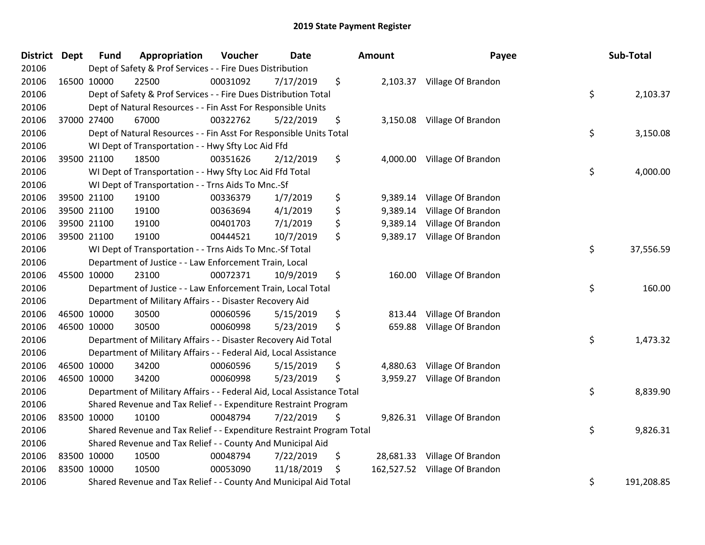| <b>District</b> | <b>Dept</b> | <b>Fund</b> | Appropriation                                                          | Voucher  | <b>Date</b> | Amount         | Payee                         | Sub-Total        |
|-----------------|-------------|-------------|------------------------------------------------------------------------|----------|-------------|----------------|-------------------------------|------------------|
| 20106           |             |             | Dept of Safety & Prof Services - - Fire Dues Distribution              |          |             |                |                               |                  |
| 20106           | 16500 10000 |             | 22500                                                                  | 00031092 | 7/17/2019   | \$             | 2,103.37 Village Of Brandon   |                  |
| 20106           |             |             | Dept of Safety & Prof Services - - Fire Dues Distribution Total        |          |             |                |                               | \$<br>2,103.37   |
| 20106           |             |             | Dept of Natural Resources - - Fin Asst For Responsible Units           |          |             |                |                               |                  |
| 20106           | 37000 27400 |             | 67000                                                                  | 00322762 | 5/22/2019   | \$             | 3,150.08 Village Of Brandon   |                  |
| 20106           |             |             | Dept of Natural Resources - - Fin Asst For Responsible Units Total     |          |             |                |                               | \$<br>3,150.08   |
| 20106           |             |             | WI Dept of Transportation - - Hwy Sfty Loc Aid Ffd                     |          |             |                |                               |                  |
| 20106           |             | 39500 21100 | 18500                                                                  | 00351626 | 2/12/2019   | \$             | 4,000.00 Village Of Brandon   |                  |
| 20106           |             |             | WI Dept of Transportation - - Hwy Sfty Loc Aid Ffd Total               |          |             |                |                               | \$<br>4,000.00   |
| 20106           |             |             | WI Dept of Transportation - - Trns Aids To Mnc.-Sf                     |          |             |                |                               |                  |
| 20106           |             | 39500 21100 | 19100                                                                  | 00336379 | 1/7/2019    | \$<br>9,389.14 | Village Of Brandon            |                  |
| 20106           |             | 39500 21100 | 19100                                                                  | 00363694 | 4/1/2019    | \$<br>9,389.14 | Village Of Brandon            |                  |
| 20106           |             | 39500 21100 | 19100                                                                  | 00401703 | 7/1/2019    | \$             | 9,389.14 Village Of Brandon   |                  |
| 20106           | 39500 21100 |             | 19100                                                                  | 00444521 | 10/7/2019   | \$             | 9,389.17 Village Of Brandon   |                  |
| 20106           |             |             | WI Dept of Transportation - - Trns Aids To Mnc.-Sf Total               |          |             |                |                               | \$<br>37,556.59  |
| 20106           |             |             | Department of Justice - - Law Enforcement Train, Local                 |          |             |                |                               |                  |
| 20106           | 45500 10000 |             | 23100                                                                  | 00072371 | 10/9/2019   | \$<br>160.00   | Village Of Brandon            |                  |
| 20106           |             |             | Department of Justice - - Law Enforcement Train, Local Total           |          |             |                |                               | \$<br>160.00     |
| 20106           |             |             | Department of Military Affairs - - Disaster Recovery Aid               |          |             |                |                               |                  |
| 20106           | 46500 10000 |             | 30500                                                                  | 00060596 | 5/15/2019   | \$<br>813.44   | Village Of Brandon            |                  |
| 20106           | 46500 10000 |             | 30500                                                                  | 00060998 | 5/23/2019   | \$<br>659.88   | Village Of Brandon            |                  |
| 20106           |             |             | Department of Military Affairs - - Disaster Recovery Aid Total         |          |             |                |                               | \$<br>1,473.32   |
| 20106           |             |             | Department of Military Affairs - - Federal Aid, Local Assistance       |          |             |                |                               |                  |
| 20106           |             | 46500 10000 | 34200                                                                  | 00060596 | 5/15/2019   | \$             | 4,880.63 Village Of Brandon   |                  |
| 20106           | 46500 10000 |             | 34200                                                                  | 00060998 | 5/23/2019   | \$             | 3,959.27 Village Of Brandon   |                  |
| 20106           |             |             | Department of Military Affairs - - Federal Aid, Local Assistance Total |          |             |                |                               | \$<br>8,839.90   |
| 20106           |             |             | Shared Revenue and Tax Relief - - Expenditure Restraint Program        |          |             |                |                               |                  |
| 20106           | 83500 10000 |             | 10100                                                                  | 00048794 | 7/22/2019   | \$             | 9,826.31 Village Of Brandon   |                  |
| 20106           |             |             | Shared Revenue and Tax Relief - - Expenditure Restraint Program Total  |          |             |                |                               | \$<br>9,826.31   |
| 20106           |             |             | Shared Revenue and Tax Relief - - County And Municipal Aid             |          |             |                |                               |                  |
| 20106           | 83500 10000 |             | 10500                                                                  | 00048794 | 7/22/2019   | \$             | 28,681.33 Village Of Brandon  |                  |
| 20106           | 83500 10000 |             | 10500                                                                  | 00053090 | 11/18/2019  | \$             | 162,527.52 Village Of Brandon |                  |
| 20106           |             |             | Shared Revenue and Tax Relief - - County And Municipal Aid Total       |          |             |                |                               | \$<br>191,208.85 |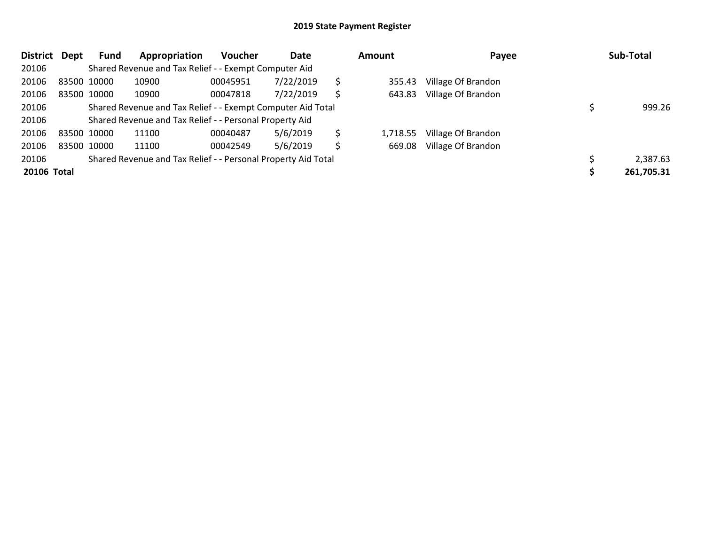| <b>District</b> | Dept        | Fund | Appropriation                                                 | <b>Voucher</b> | Date      | Amount |          | Payee              |  | Sub-Total  |  |
|-----------------|-------------|------|---------------------------------------------------------------|----------------|-----------|--------|----------|--------------------|--|------------|--|
| 20106           |             |      | Shared Revenue and Tax Relief - - Exempt Computer Aid         |                |           |        |          |                    |  |            |  |
| 20106           | 83500 10000 |      | 10900                                                         | 00045951       | 7/22/2019 | S      | 355.43   | Village Of Brandon |  |            |  |
| 20106           | 83500 10000 |      | 10900                                                         | 00047818       | 7/22/2019 | S      | 643.83   | Village Of Brandon |  |            |  |
| 20106           |             |      | Shared Revenue and Tax Relief - - Exempt Computer Aid Total   |                |           |        |          |                    |  | 999.26     |  |
| 20106           |             |      | Shared Revenue and Tax Relief - - Personal Property Aid       |                |           |        |          |                    |  |            |  |
| 20106           | 83500 10000 |      | 11100                                                         | 00040487       | 5/6/2019  | \$.    | 1,718.55 | Village Of Brandon |  |            |  |
| 20106           | 83500 10000 |      | 11100                                                         | 00042549       | 5/6/2019  | \$     | 669.08   | Village Of Brandon |  |            |  |
| 20106           |             |      | Shared Revenue and Tax Relief - - Personal Property Aid Total |                |           |        |          |                    |  | 2,387.63   |  |
| 20106 Total     |             |      |                                                               |                |           |        |          |                    |  | 261,705.31 |  |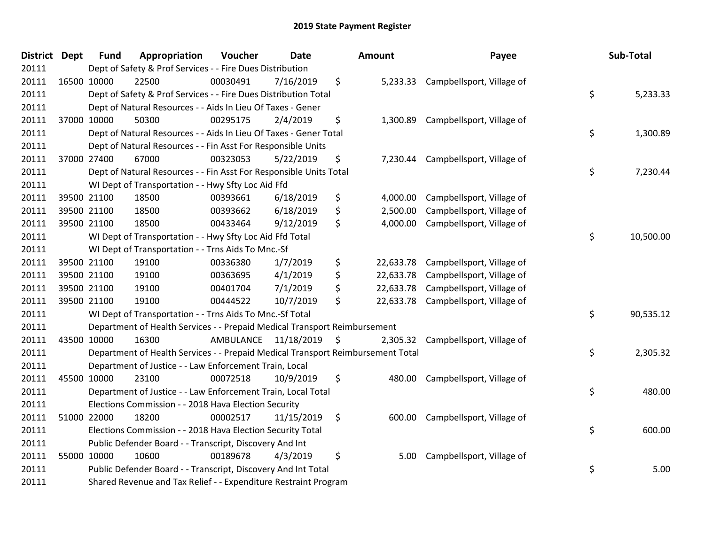| District Dept | <b>Fund</b> | Appropriation                                                                   | Voucher   | <b>Date</b>     | Amount          | Payee                              | Sub-Total       |
|---------------|-------------|---------------------------------------------------------------------------------|-----------|-----------------|-----------------|------------------------------------|-----------------|
| 20111         |             | Dept of Safety & Prof Services - - Fire Dues Distribution                       |           |                 |                 |                                    |                 |
| 20111         | 16500 10000 | 22500                                                                           | 00030491  | 7/16/2019       | \$              | 5,233.33 Campbellsport, Village of |                 |
| 20111         |             | Dept of Safety & Prof Services - - Fire Dues Distribution Total                 |           |                 |                 |                                    | \$<br>5,233.33  |
| 20111         |             | Dept of Natural Resources - - Aids In Lieu Of Taxes - Gener                     |           |                 |                 |                                    |                 |
| 20111         | 37000 10000 | 50300                                                                           | 00295175  | 2/4/2019        | \$<br>1,300.89  | Campbellsport, Village of          |                 |
| 20111         |             | Dept of Natural Resources - - Aids In Lieu Of Taxes - Gener Total               |           |                 |                 |                                    | \$<br>1,300.89  |
| 20111         |             | Dept of Natural Resources - - Fin Asst For Responsible Units                    |           |                 |                 |                                    |                 |
| 20111         | 37000 27400 | 67000                                                                           | 00323053  | 5/22/2019       | \$<br>7,230.44  | Campbellsport, Village of          |                 |
| 20111         |             | Dept of Natural Resources - - Fin Asst For Responsible Units Total              |           |                 |                 |                                    | \$<br>7,230.44  |
| 20111         |             | WI Dept of Transportation - - Hwy Sfty Loc Aid Ffd                              |           |                 |                 |                                    |                 |
| 20111         | 39500 21100 | 18500                                                                           | 00393661  | 6/18/2019       | \$<br>4,000.00  | Campbellsport, Village of          |                 |
| 20111         | 39500 21100 | 18500                                                                           | 00393662  | 6/18/2019       | \$<br>2,500.00  | Campbellsport, Village of          |                 |
| 20111         | 39500 21100 | 18500                                                                           | 00433464  | 9/12/2019       | \$<br>4,000.00  | Campbellsport, Village of          |                 |
| 20111         |             | WI Dept of Transportation - - Hwy Sfty Loc Aid Ffd Total                        |           |                 |                 |                                    | \$<br>10,500.00 |
| 20111         |             | WI Dept of Transportation - - Trns Aids To Mnc.-Sf                              |           |                 |                 |                                    |                 |
| 20111         | 39500 21100 | 19100                                                                           | 00336380  | 1/7/2019        | \$<br>22,633.78 | Campbellsport, Village of          |                 |
| 20111         | 39500 21100 | 19100                                                                           | 00363695  | 4/1/2019        | \$<br>22,633.78 | Campbellsport, Village of          |                 |
| 20111         | 39500 21100 | 19100                                                                           | 00401704  | 7/1/2019        | \$<br>22,633.78 | Campbellsport, Village of          |                 |
| 20111         | 39500 21100 | 19100                                                                           | 00444522  | 10/7/2019       | \$<br>22,633.78 | Campbellsport, Village of          |                 |
| 20111         |             | WI Dept of Transportation - - Trns Aids To Mnc.-Sf Total                        |           |                 |                 |                                    | \$<br>90,535.12 |
| 20111         |             | Department of Health Services - - Prepaid Medical Transport Reimbursement       |           |                 |                 |                                    |                 |
| 20111         | 43500 10000 | 16300                                                                           | AMBULANCE | $11/18/2019$ \$ | 2,305.32        | Campbellsport, Village of          |                 |
| 20111         |             | Department of Health Services - - Prepaid Medical Transport Reimbursement Total |           |                 |                 |                                    | \$<br>2,305.32  |
| 20111         |             | Department of Justice - - Law Enforcement Train, Local                          |           |                 |                 |                                    |                 |
| 20111         | 45500 10000 | 23100                                                                           | 00072518  | 10/9/2019       | \$<br>480.00    | Campbellsport, Village of          |                 |
| 20111         |             | Department of Justice - - Law Enforcement Train, Local Total                    |           |                 |                 |                                    | \$<br>480.00    |
| 20111         |             | Elections Commission - - 2018 Hava Election Security                            |           |                 |                 |                                    |                 |
| 20111         | 51000 22000 | 18200                                                                           | 00002517  | 11/15/2019      | \$<br>600.00    | Campbellsport, Village of          |                 |
| 20111         |             | Elections Commission - - 2018 Hava Election Security Total                      |           |                 |                 |                                    | \$<br>600.00    |
| 20111         |             | Public Defender Board - - Transcript, Discovery And Int                         |           |                 |                 |                                    |                 |
| 20111         | 55000 10000 | 10600                                                                           | 00189678  | 4/3/2019        | \$<br>5.00      | Campbellsport, Village of          |                 |
| 20111         |             | Public Defender Board - - Transcript, Discovery And Int Total                   |           |                 |                 |                                    | \$<br>5.00      |
| 20111         |             | Shared Revenue and Tax Relief - - Expenditure Restraint Program                 |           |                 |                 |                                    |                 |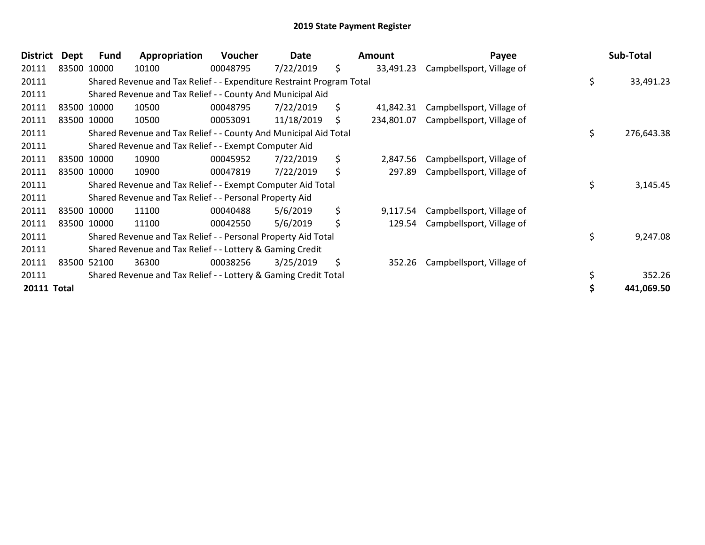| <b>District</b>    | <b>Dept</b> | <b>Fund</b> | Appropriation                                                         | <b>Voucher</b> | Date       | <b>Amount</b>    | Payee                     |     | Sub-Total  |
|--------------------|-------------|-------------|-----------------------------------------------------------------------|----------------|------------|------------------|---------------------------|-----|------------|
| 20111              |             | 83500 10000 | 10100                                                                 | 00048795       | 7/22/2019  | \$<br>33,491.23  | Campbellsport, Village of |     |            |
| 20111              |             |             | Shared Revenue and Tax Relief - - Expenditure Restraint Program Total |                |            |                  |                           | \$  | 33,491.23  |
| 20111              |             |             | Shared Revenue and Tax Relief - - County And Municipal Aid            |                |            |                  |                           |     |            |
| 20111              |             | 83500 10000 | 10500                                                                 | 00048795       | 7/22/2019  | \$<br>41,842.31  | Campbellsport, Village of |     |            |
| 20111              |             | 83500 10000 | 10500                                                                 | 00053091       | 11/18/2019 | \$<br>234,801.07 | Campbellsport, Village of |     |            |
| 20111              |             |             | Shared Revenue and Tax Relief - - County And Municipal Aid Total      |                |            |                  |                           | \$. | 276,643.38 |
| 20111              |             |             | Shared Revenue and Tax Relief - - Exempt Computer Aid                 |                |            |                  |                           |     |            |
| 20111              |             | 83500 10000 | 10900                                                                 | 00045952       | 7/22/2019  | \$<br>2,847.56   | Campbellsport, Village of |     |            |
| 20111              |             | 83500 10000 | 10900                                                                 | 00047819       | 7/22/2019  | \$<br>297.89     | Campbellsport, Village of |     |            |
| 20111              |             |             | Shared Revenue and Tax Relief - - Exempt Computer Aid Total           |                |            |                  |                           | \$  | 3,145.45   |
| 20111              |             |             | Shared Revenue and Tax Relief - - Personal Property Aid               |                |            |                  |                           |     |            |
| 20111              |             | 83500 10000 | 11100                                                                 | 00040488       | 5/6/2019   | \$<br>9,117.54   | Campbellsport, Village of |     |            |
| 20111              |             | 83500 10000 | 11100                                                                 | 00042550       | 5/6/2019   | \$<br>129.54     | Campbellsport, Village of |     |            |
| 20111              |             |             | Shared Revenue and Tax Relief - - Personal Property Aid Total         |                |            |                  |                           | \$  | 9,247.08   |
| 20111              |             |             | Shared Revenue and Tax Relief - - Lottery & Gaming Credit             |                |            |                  |                           |     |            |
| 20111              |             | 83500 52100 | 36300                                                                 | 00038256       | 3/25/2019  | \$<br>352.26     | Campbellsport, Village of |     |            |
| 20111              |             |             | Shared Revenue and Tax Relief - - Lottery & Gaming Credit Total       |                |            |                  |                           | \$  | 352.26     |
| <b>20111 Total</b> |             |             |                                                                       |                |            |                  |                           |     | 441,069.50 |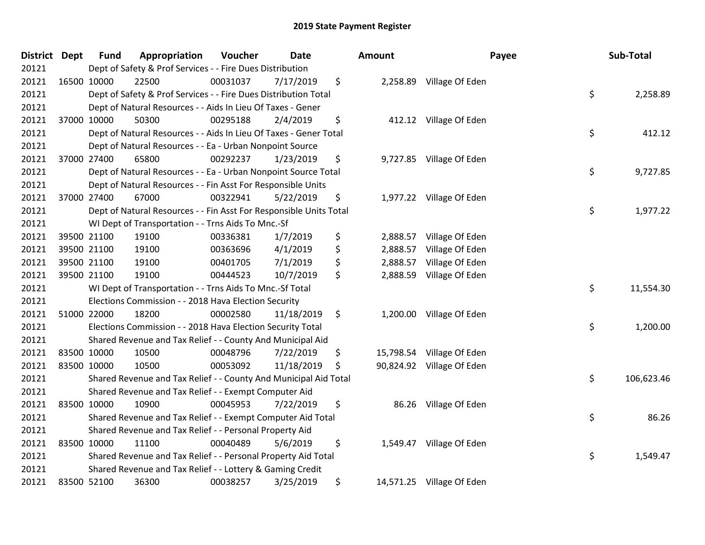| <b>District Dept</b> | Fund        | Appropriation                                                      | Voucher  | <b>Date</b> | <b>Amount</b>   |                           | Payee | Sub-Total  |
|----------------------|-------------|--------------------------------------------------------------------|----------|-------------|-----------------|---------------------------|-------|------------|
| 20121                |             | Dept of Safety & Prof Services - - Fire Dues Distribution          |          |             |                 |                           |       |            |
| 20121                | 16500 10000 | 22500                                                              | 00031037 | 7/17/2019   | \$              | 2,258.89 Village Of Eden  |       |            |
| 20121                |             | Dept of Safety & Prof Services - - Fire Dues Distribution Total    |          |             |                 |                           | \$    | 2,258.89   |
| 20121                |             | Dept of Natural Resources - - Aids In Lieu Of Taxes - Gener        |          |             |                 |                           |       |            |
| 20121                | 37000 10000 | 50300                                                              | 00295188 | 2/4/2019    | \$<br>412.12    | Village Of Eden           |       |            |
| 20121                |             | Dept of Natural Resources - - Aids In Lieu Of Taxes - Gener Total  |          |             |                 |                           | \$    | 412.12     |
| 20121                |             | Dept of Natural Resources - - Ea - Urban Nonpoint Source           |          |             |                 |                           |       |            |
| 20121                | 37000 27400 | 65800                                                              | 00292237 | 1/23/2019   | \$              | 9,727.85 Village Of Eden  |       |            |
| 20121                |             | Dept of Natural Resources - - Ea - Urban Nonpoint Source Total     |          |             |                 |                           | \$    | 9,727.85   |
| 20121                |             | Dept of Natural Resources - - Fin Asst For Responsible Units       |          |             |                 |                           |       |            |
| 20121                | 37000 27400 | 67000                                                              | 00322941 | 5/22/2019   | \$              | 1,977.22 Village Of Eden  |       |            |
| 20121                |             | Dept of Natural Resources - - Fin Asst For Responsible Units Total |          |             |                 |                           | \$    | 1,977.22   |
| 20121                |             | WI Dept of Transportation - - Trns Aids To Mnc.-Sf                 |          |             |                 |                           |       |            |
| 20121                | 39500 21100 | 19100                                                              | 00336381 | 1/7/2019    | \$<br>2,888.57  | Village Of Eden           |       |            |
| 20121                | 39500 21100 | 19100                                                              | 00363696 | 4/1/2019    | \$<br>2,888.57  | Village Of Eden           |       |            |
| 20121                | 39500 21100 | 19100                                                              | 00401705 | 7/1/2019    | \$<br>2,888.57  | Village Of Eden           |       |            |
| 20121                | 39500 21100 | 19100                                                              | 00444523 | 10/7/2019   | \$<br>2,888.59  | Village Of Eden           |       |            |
| 20121                |             | WI Dept of Transportation - - Trns Aids To Mnc.-Sf Total           |          |             |                 |                           | \$    | 11,554.30  |
| 20121                |             | Elections Commission - - 2018 Hava Election Security               |          |             |                 |                           |       |            |
| 20121                | 51000 22000 | 18200                                                              | 00002580 | 11/18/2019  | \$              | 1,200.00 Village Of Eden  |       |            |
| 20121                |             | Elections Commission - - 2018 Hava Election Security Total         |          |             |                 |                           | \$    | 1,200.00   |
| 20121                |             | Shared Revenue and Tax Relief - - County And Municipal Aid         |          |             |                 |                           |       |            |
| 20121                | 83500 10000 | 10500                                                              | 00048796 | 7/22/2019   | \$              | 15,798.54 Village Of Eden |       |            |
| 20121                | 83500 10000 | 10500                                                              | 00053092 | 11/18/2019  | \$<br>90,824.92 | Village Of Eden           |       |            |
| 20121                |             | Shared Revenue and Tax Relief - - County And Municipal Aid Total   |          |             |                 |                           | \$    | 106,623.46 |
| 20121                |             | Shared Revenue and Tax Relief - - Exempt Computer Aid              |          |             |                 |                           |       |            |
| 20121                | 83500 10000 | 10900                                                              | 00045953 | 7/22/2019   | \$              | 86.26 Village Of Eden     |       |            |
| 20121                |             | Shared Revenue and Tax Relief - - Exempt Computer Aid Total        |          |             |                 |                           | \$    | 86.26      |
| 20121                |             | Shared Revenue and Tax Relief - - Personal Property Aid            |          |             |                 |                           |       |            |
| 20121                | 83500 10000 | 11100                                                              | 00040489 | 5/6/2019    | \$              | 1,549.47 Village Of Eden  |       |            |
| 20121                |             | Shared Revenue and Tax Relief - - Personal Property Aid Total      |          |             |                 |                           | \$    | 1,549.47   |
| 20121                |             | Shared Revenue and Tax Relief - - Lottery & Gaming Credit          |          |             |                 |                           |       |            |
| 20121                | 83500 52100 | 36300                                                              | 00038257 | 3/25/2019   | \$              | 14,571.25 Village Of Eden |       |            |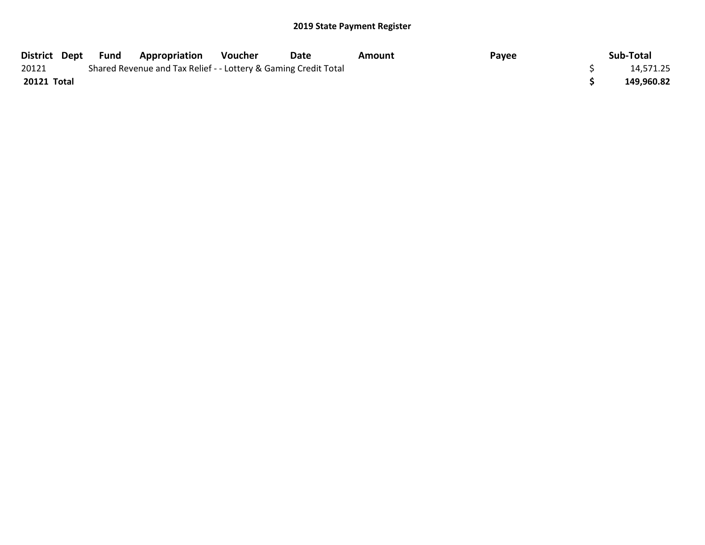| District Dept | Fund | <b>Appropriation</b>                                            | Voucher | Date | Amount | Payee | Sub-Total  |
|---------------|------|-----------------------------------------------------------------|---------|------|--------|-------|------------|
| 20121         |      | Shared Revenue and Tax Relief - - Lottery & Gaming Credit Total |         |      |        |       | 14,571.25  |
| 20121 Total   |      |                                                                 |         |      |        |       | 149,960.82 |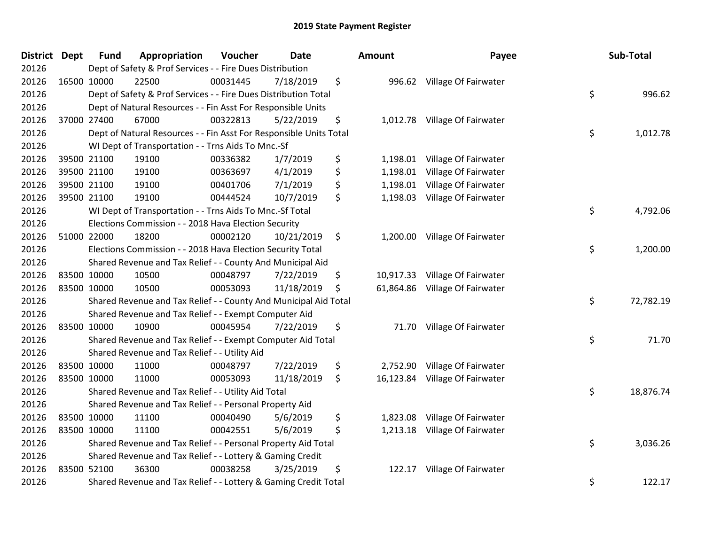| <b>District</b> | <b>Dept</b> | <b>Fund</b> | Appropriation                                                      | Voucher  | <b>Date</b> |    | Amount    | Payee                          | Sub-Total       |
|-----------------|-------------|-------------|--------------------------------------------------------------------|----------|-------------|----|-----------|--------------------------------|-----------------|
| 20126           |             |             | Dept of Safety & Prof Services - - Fire Dues Distribution          |          |             |    |           |                                |                 |
| 20126           |             | 16500 10000 | 22500                                                              | 00031445 | 7/18/2019   | \$ |           | 996.62 Village Of Fairwater    |                 |
| 20126           |             |             | Dept of Safety & Prof Services - - Fire Dues Distribution Total    |          |             |    |           |                                | \$<br>996.62    |
| 20126           |             |             | Dept of Natural Resources - - Fin Asst For Responsible Units       |          |             |    |           |                                |                 |
| 20126           |             | 37000 27400 | 67000                                                              | 00322813 | 5/22/2019   | \$ |           | 1,012.78 Village Of Fairwater  |                 |
| 20126           |             |             | Dept of Natural Resources - - Fin Asst For Responsible Units Total |          |             |    |           |                                | \$<br>1,012.78  |
| 20126           |             |             | WI Dept of Transportation - - Trns Aids To Mnc.-Sf                 |          |             |    |           |                                |                 |
| 20126           |             | 39500 21100 | 19100                                                              | 00336382 | 1/7/2019    | \$ | 1,198.01  | Village Of Fairwater           |                 |
| 20126           |             | 39500 21100 | 19100                                                              | 00363697 | 4/1/2019    | \$ |           | 1,198.01 Village Of Fairwater  |                 |
| 20126           |             | 39500 21100 | 19100                                                              | 00401706 | 7/1/2019    | \$ | 1,198.01  | Village Of Fairwater           |                 |
| 20126           |             | 39500 21100 | 19100                                                              | 00444524 | 10/7/2019   | \$ | 1,198.03  | Village Of Fairwater           |                 |
| 20126           |             |             | WI Dept of Transportation - - Trns Aids To Mnc.-Sf Total           |          |             |    |           |                                | \$<br>4,792.06  |
| 20126           |             |             | Elections Commission - - 2018 Hava Election Security               |          |             |    |           |                                |                 |
| 20126           |             | 51000 22000 | 18200                                                              | 00002120 | 10/21/2019  | \$ |           | 1,200.00 Village Of Fairwater  |                 |
| 20126           |             |             | Elections Commission - - 2018 Hava Election Security Total         |          |             |    |           |                                | \$<br>1,200.00  |
| 20126           |             |             | Shared Revenue and Tax Relief - - County And Municipal Aid         |          |             |    |           |                                |                 |
| 20126           |             | 83500 10000 | 10500                                                              | 00048797 | 7/22/2019   | \$ | 10,917.33 | Village Of Fairwater           |                 |
| 20126           |             | 83500 10000 | 10500                                                              | 00053093 | 11/18/2019  | \$ |           | 61,864.86 Village Of Fairwater |                 |
| 20126           |             |             | Shared Revenue and Tax Relief - - County And Municipal Aid Total   |          |             |    |           |                                | \$<br>72,782.19 |
| 20126           |             |             | Shared Revenue and Tax Relief - - Exempt Computer Aid              |          |             |    |           |                                |                 |
| 20126           |             | 83500 10000 | 10900                                                              | 00045954 | 7/22/2019   | \$ |           | 71.70 Village Of Fairwater     |                 |
| 20126           |             |             | Shared Revenue and Tax Relief - - Exempt Computer Aid Total        |          |             |    |           |                                | \$<br>71.70     |
| 20126           |             |             | Shared Revenue and Tax Relief - - Utility Aid                      |          |             |    |           |                                |                 |
| 20126           |             | 83500 10000 | 11000                                                              | 00048797 | 7/22/2019   | \$ |           | 2,752.90 Village Of Fairwater  |                 |
| 20126           |             | 83500 10000 | 11000                                                              | 00053093 | 11/18/2019  | \$ | 16,123.84 | Village Of Fairwater           |                 |
| 20126           |             |             | Shared Revenue and Tax Relief - - Utility Aid Total                |          |             |    |           |                                | \$<br>18,876.74 |
| 20126           |             |             | Shared Revenue and Tax Relief - - Personal Property Aid            |          |             |    |           |                                |                 |
| 20126           |             | 83500 10000 | 11100                                                              | 00040490 | 5/6/2019    | \$ | 1,823.08  | Village Of Fairwater           |                 |
| 20126           |             | 83500 10000 | 11100                                                              | 00042551 | 5/6/2019    | \$ | 1,213.18  | Village Of Fairwater           |                 |
| 20126           |             |             | Shared Revenue and Tax Relief - - Personal Property Aid Total      |          |             |    |           |                                | \$<br>3,036.26  |
| 20126           |             |             | Shared Revenue and Tax Relief - - Lottery & Gaming Credit          |          |             |    |           |                                |                 |
| 20126           |             | 83500 52100 | 36300                                                              | 00038258 | 3/25/2019   | \$ | 122.17    | Village Of Fairwater           |                 |
| 20126           |             |             | Shared Revenue and Tax Relief - - Lottery & Gaming Credit Total    |          |             |    |           |                                | \$<br>122.17    |

| lount                            | Payee                                                                | Sub-Total       |
|----------------------------------|----------------------------------------------------------------------|-----------------|
| 996.62                           | Village Of Fairwater                                                 | \$<br>996.62    |
| 1,012.78                         | Village Of Fairwater                                                 | \$<br>1,012.78  |
| 1,198.01<br>1,198.01<br>1,198.01 | Village Of Fairwater<br>Village Of Fairwater<br>Village Of Fairwater |                 |
| 1,198.03                         | Village Of Fairwater                                                 | \$<br>4,792.06  |
| 1,200.00                         | Village Of Fairwater                                                 | \$<br>1,200.00  |
| 10,917.33                        | Village Of Fairwater                                                 |                 |
| 61,864.86                        | Village Of Fairwater                                                 | \$<br>72,782.19 |
| 71.70                            | Village Of Fairwater                                                 | \$<br>71.70     |
| 2,752.90<br>16,123.84            | Village Of Fairwater<br>Village Of Fairwater                         | \$<br>18,876.74 |
| 1,823.08<br>1,213.18             | Village Of Fairwater<br>Village Of Fairwater                         | \$<br>3,036.26  |
| 122.17                           | Village Of Fairwater                                                 | \$<br>122.17    |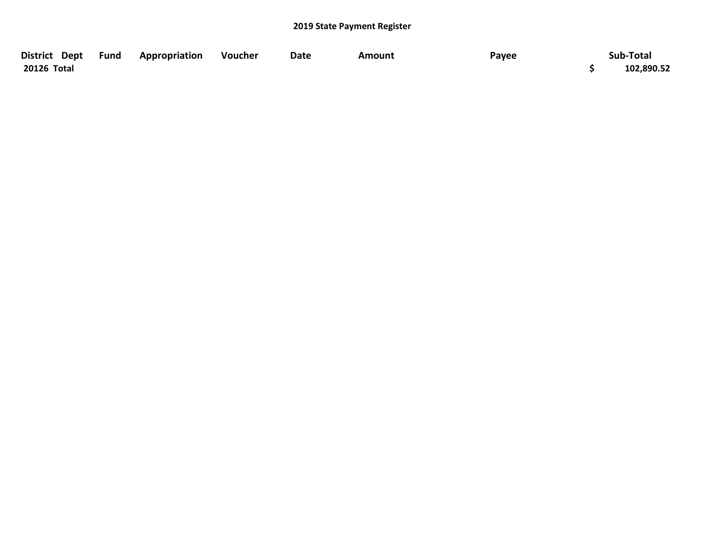| District Dept Fund | Appropriation | Voucher | Date | Amount | Payee | Sub-Total  |
|--------------------|---------------|---------|------|--------|-------|------------|
| 20126 Total        |               |         |      |        |       | 102,890.52 |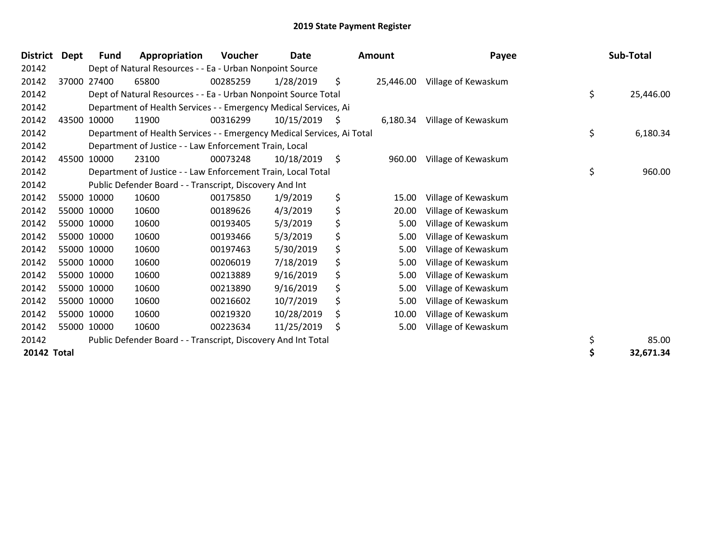| <b>District</b> | Dept | <b>Fund</b> | Appropriation                                                          | <b>Voucher</b> | <b>Date</b> |    | <b>Amount</b> | Payee               | Sub-Total       |
|-----------------|------|-------------|------------------------------------------------------------------------|----------------|-------------|----|---------------|---------------------|-----------------|
| 20142           |      |             | Dept of Natural Resources - - Ea - Urban Nonpoint Source               |                |             |    |               |                     |                 |
| 20142           |      | 37000 27400 | 65800                                                                  | 00285259       | 1/28/2019   | \$ | 25,446.00     | Village of Kewaskum |                 |
| 20142           |      |             | Dept of Natural Resources - - Ea - Urban Nonpoint Source Total         |                |             |    |               |                     | \$<br>25,446.00 |
| 20142           |      |             | Department of Health Services - - Emergency Medical Services, Ai       |                |             |    |               |                     |                 |
| 20142           |      | 43500 10000 | 11900                                                                  | 00316299       | 10/15/2019  | Ş  | 6,180.34      | Village of Kewaskum |                 |
| 20142           |      |             | Department of Health Services - - Emergency Medical Services, Ai Total |                |             |    |               |                     | \$<br>6,180.34  |
| 20142           |      |             | Department of Justice - - Law Enforcement Train, Local                 |                |             |    |               |                     |                 |
| 20142           |      | 45500 10000 | 23100                                                                  | 00073248       | 10/18/2019  | \$ | 960.00        | Village of Kewaskum |                 |
| 20142           |      |             | Department of Justice - - Law Enforcement Train, Local Total           |                |             |    |               |                     | \$<br>960.00    |
| 20142           |      |             | Public Defender Board - - Transcript, Discovery And Int                |                |             |    |               |                     |                 |
| 20142           |      | 55000 10000 | 10600                                                                  | 00175850       | 1/9/2019    | \$ | 15.00         | Village of Kewaskum |                 |
| 20142           |      | 55000 10000 | 10600                                                                  | 00189626       | 4/3/2019    | \$ | 20.00         | Village of Kewaskum |                 |
| 20142           |      | 55000 10000 | 10600                                                                  | 00193405       | 5/3/2019    | \$ | 5.00          | Village of Kewaskum |                 |
| 20142           |      | 55000 10000 | 10600                                                                  | 00193466       | 5/3/2019    | \$ | 5.00          | Village of Kewaskum |                 |
| 20142           |      | 55000 10000 | 10600                                                                  | 00197463       | 5/30/2019   | \$ | 5.00          | Village of Kewaskum |                 |
| 20142           |      | 55000 10000 | 10600                                                                  | 00206019       | 7/18/2019   | \$ | 5.00          | Village of Kewaskum |                 |
| 20142           |      | 55000 10000 | 10600                                                                  | 00213889       | 9/16/2019   | \$ | 5.00          | Village of Kewaskum |                 |
| 20142           |      | 55000 10000 | 10600                                                                  | 00213890       | 9/16/2019   | \$ | 5.00          | Village of Kewaskum |                 |
| 20142           |      | 55000 10000 | 10600                                                                  | 00216602       | 10/7/2019   | \$ | 5.00          | Village of Kewaskum |                 |
| 20142           |      | 55000 10000 | 10600                                                                  | 00219320       | 10/28/2019  | \$ | 10.00         | Village of Kewaskum |                 |
| 20142           |      | 55000 10000 | 10600                                                                  | 00223634       | 11/25/2019  | \$ | 5.00          | Village of Kewaskum |                 |
| 20142           |      |             | Public Defender Board - - Transcript, Discovery And Int Total          |                |             |    |               |                     | \$<br>85.00     |
| 20142 Total     |      |             |                                                                        |                |             |    |               |                     | \$<br>32,671.34 |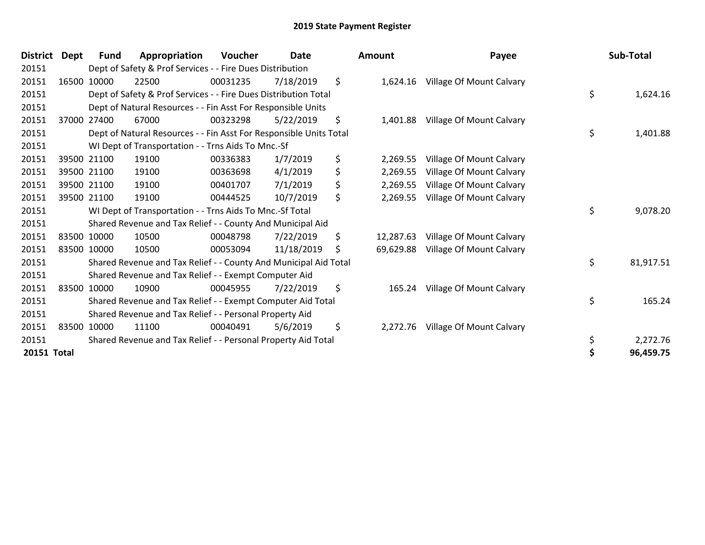| <b>District</b>    | <b>Dept</b> | Fund        | Appropriation                                                      | Voucher  | Date       | <b>Amount</b>   | Payee                    | Sub-Total       |
|--------------------|-------------|-------------|--------------------------------------------------------------------|----------|------------|-----------------|--------------------------|-----------------|
| 20151              |             |             | Dept of Safety & Prof Services - - Fire Dues Distribution          |          |            |                 |                          |                 |
| 20151              |             | 16500 10000 | 22500                                                              | 00031235 | 7/18/2019  | \$<br>1,624.16  | Village Of Mount Calvary |                 |
| 20151              |             |             | Dept of Safety & Prof Services - - Fire Dues Distribution Total    |          |            |                 |                          | \$<br>1,624.16  |
| 20151              |             |             | Dept of Natural Resources - - Fin Asst For Responsible Units       |          |            |                 |                          |                 |
| 20151              |             | 37000 27400 | 67000                                                              | 00323298 | 5/22/2019  | \$<br>1,401.88  | Village Of Mount Calvary |                 |
| 20151              |             |             | Dept of Natural Resources - - Fin Asst For Responsible Units Total |          |            |                 |                          | \$<br>1,401.88  |
| 20151              |             |             | WI Dept of Transportation - - Trns Aids To Mnc.-Sf                 |          |            |                 |                          |                 |
| 20151              |             | 39500 21100 | 19100                                                              | 00336383 | 1/7/2019   | \$<br>2,269.55  | Village Of Mount Calvary |                 |
| 20151              |             | 39500 21100 | 19100                                                              | 00363698 | 4/1/2019   | \$<br>2,269.55  | Village Of Mount Calvary |                 |
| 20151              |             | 39500 21100 | 19100                                                              | 00401707 | 7/1/2019   | \$<br>2,269.55  | Village Of Mount Calvary |                 |
| 20151              |             | 39500 21100 | 19100                                                              | 00444525 | 10/7/2019  | \$<br>2,269.55  | Village Of Mount Calvary |                 |
| 20151              |             |             | WI Dept of Transportation - - Trns Aids To Mnc.-Sf Total           |          |            |                 |                          | \$<br>9,078.20  |
| 20151              |             |             | Shared Revenue and Tax Relief - - County And Municipal Aid         |          |            |                 |                          |                 |
| 20151              |             | 83500 10000 | 10500                                                              | 00048798 | 7/22/2019  | \$<br>12,287.63 | Village Of Mount Calvary |                 |
| 20151              |             | 83500 10000 | 10500                                                              | 00053094 | 11/18/2019 | \$<br>69,629.88 | Village Of Mount Calvary |                 |
| 20151              |             |             | Shared Revenue and Tax Relief - - County And Municipal Aid Total   |          |            |                 |                          | \$<br>81,917.51 |
| 20151              |             |             | Shared Revenue and Tax Relief - - Exempt Computer Aid              |          |            |                 |                          |                 |
| 20151              |             | 83500 10000 | 10900                                                              | 00045955 | 7/22/2019  | \$<br>165.24    | Village Of Mount Calvary |                 |
| 20151              |             |             | Shared Revenue and Tax Relief - - Exempt Computer Aid Total        |          |            |                 |                          | \$<br>165.24    |
| 20151              |             |             | Shared Revenue and Tax Relief - - Personal Property Aid            |          |            |                 |                          |                 |
| 20151              |             | 83500 10000 | 11100                                                              | 00040491 | 5/6/2019   | \$<br>2,272.76  | Village Of Mount Calvary |                 |
| 20151              |             |             | Shared Revenue and Tax Relief - - Personal Property Aid Total      |          |            |                 |                          | \$<br>2,272.76  |
| <b>20151 Total</b> |             |             |                                                                    |          |            |                 |                          | 96,459.75       |

| <b>\mount</b> | Payee                              | Sub-Total       |
|---------------|------------------------------------|-----------------|
| 1,624.16      | Village Of Mount Calvary           | \$<br>1,624.16  |
|               |                                    |                 |
| 1,401.88      | Village Of Mount Calvary           |                 |
|               |                                    | \$<br>1,401.88  |
|               | 2,269.55 Village Of Mount Calvary  |                 |
|               | 2,269.55 Village Of Mount Calvary  |                 |
|               | 2,269.55 Village Of Mount Calvary  |                 |
| 2,269.55      | Village Of Mount Calvary           |                 |
|               |                                    | \$<br>9,078.20  |
|               | 12,287.63 Village Of Mount Calvary |                 |
|               | 69,629.88 Village Of Mount Calvary |                 |
|               |                                    | \$<br>81,917.51 |
| 165.24        | Village Of Mount Calvary           |                 |
|               |                                    | \$<br>165.24    |
| 2,272.76      | Village Of Mount Calvary           |                 |
|               |                                    | \$<br>2,272.76  |
|               |                                    | \$<br>96,459.75 |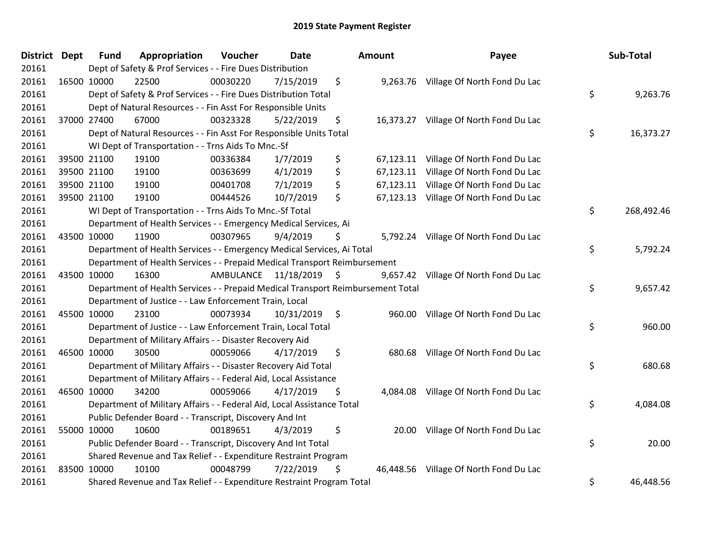| District Dept | <b>Fund</b> | Appropriation                                                                   | Voucher   | <b>Date</b> |     | Amount    | Payee                                  | Sub-Total        |
|---------------|-------------|---------------------------------------------------------------------------------|-----------|-------------|-----|-----------|----------------------------------------|------------------|
| 20161         |             | Dept of Safety & Prof Services - - Fire Dues Distribution                       |           |             |     |           |                                        |                  |
| 20161         | 16500 10000 | 22500                                                                           | 00030220  | 7/15/2019   | \$  |           | 9,263.76 Village Of North Fond Du Lac  |                  |
| 20161         |             | Dept of Safety & Prof Services - - Fire Dues Distribution Total                 |           |             |     |           |                                        | \$<br>9,263.76   |
| 20161         |             | Dept of Natural Resources - - Fin Asst For Responsible Units                    |           |             |     |           |                                        |                  |
| 20161         | 37000 27400 | 67000                                                                           | 00323328  | 5/22/2019   | \$  |           | 16,373.27 Village Of North Fond Du Lac |                  |
| 20161         |             | Dept of Natural Resources - - Fin Asst For Responsible Units Total              |           |             |     |           |                                        | \$<br>16,373.27  |
| 20161         |             | WI Dept of Transportation - - Trns Aids To Mnc.-Sf                              |           |             |     |           |                                        |                  |
| 20161         | 39500 21100 | 19100                                                                           | 00336384  | 1/7/2019    | \$  |           | 67,123.11 Village Of North Fond Du Lac |                  |
| 20161         | 39500 21100 | 19100                                                                           | 00363699  | 4/1/2019    | \$  | 67,123.11 | Village Of North Fond Du Lac           |                  |
| 20161         | 39500 21100 | 19100                                                                           | 00401708  | 7/1/2019    | \$  | 67,123.11 | Village Of North Fond Du Lac           |                  |
| 20161         | 39500 21100 | 19100                                                                           | 00444526  | 10/7/2019   | \$  | 67,123.13 | Village Of North Fond Du Lac           |                  |
| 20161         |             | WI Dept of Transportation - - Trns Aids To Mnc.-Sf Total                        |           |             |     |           |                                        | \$<br>268,492.46 |
| 20161         |             | Department of Health Services - - Emergency Medical Services, Ai                |           |             |     |           |                                        |                  |
| 20161         | 43500 10000 | 11900                                                                           | 00307965  | 9/4/2019    | \$  |           | 5,792.24 Village Of North Fond Du Lac  |                  |
| 20161         |             | Department of Health Services - - Emergency Medical Services, Ai Total          |           |             |     |           |                                        | \$<br>5,792.24   |
| 20161         |             | Department of Health Services - - Prepaid Medical Transport Reimbursement       |           |             |     |           |                                        |                  |
| 20161         | 43500 10000 | 16300                                                                           | AMBULANCE | 11/18/2019  | \$  | 9,657.42  | Village Of North Fond Du Lac           |                  |
| 20161         |             | Department of Health Services - - Prepaid Medical Transport Reimbursement Total |           |             |     |           |                                        | \$<br>9,657.42   |
| 20161         |             | Department of Justice - - Law Enforcement Train, Local                          |           |             |     |           |                                        |                  |
| 20161         | 45500 10000 | 23100                                                                           | 00073934  | 10/31/2019  | -\$ | 960.00    | Village Of North Fond Du Lac           |                  |
| 20161         |             | Department of Justice - - Law Enforcement Train, Local Total                    |           |             |     |           |                                        | \$<br>960.00     |
| 20161         |             | Department of Military Affairs - - Disaster Recovery Aid                        |           |             |     |           |                                        |                  |
| 20161         | 46500 10000 | 30500                                                                           | 00059066  | 4/17/2019   | \$  | 680.68    | Village Of North Fond Du Lac           |                  |
| 20161         |             | Department of Military Affairs - - Disaster Recovery Aid Total                  |           |             |     |           |                                        | \$<br>680.68     |
| 20161         |             | Department of Military Affairs - - Federal Aid, Local Assistance                |           |             |     |           |                                        |                  |
| 20161         | 46500 10000 | 34200                                                                           | 00059066  | 4/17/2019   | \$  | 4,084.08  | Village Of North Fond Du Lac           |                  |
| 20161         |             | Department of Military Affairs - - Federal Aid, Local Assistance Total          |           |             |     |           |                                        | \$<br>4,084.08   |
| 20161         |             | Public Defender Board - - Transcript, Discovery And Int                         |           |             |     |           |                                        |                  |
| 20161         | 55000 10000 | 10600                                                                           | 00189651  | 4/3/2019    | \$  | 20.00     | Village Of North Fond Du Lac           |                  |
| 20161         |             | Public Defender Board - - Transcript, Discovery And Int Total                   |           |             |     |           |                                        | \$<br>20.00      |
| 20161         |             | Shared Revenue and Tax Relief - - Expenditure Restraint Program                 |           |             |     |           |                                        |                  |
| 20161         | 83500 10000 | 10100                                                                           | 00048799  | 7/22/2019   | \$  |           | 46,448.56 Village Of North Fond Du Lac |                  |
| 20161         |             | Shared Revenue and Tax Relief - - Expenditure Restraint Program Total           |           |             |     |           |                                        | \$<br>46,448.56  |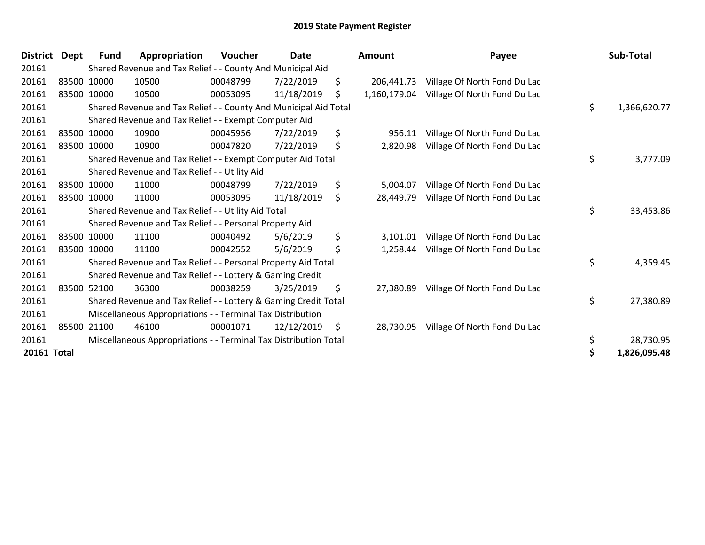| <b>District</b> | Dept | <b>Fund</b> | Appropriation                                                    | Voucher  | <b>Date</b> | <b>Amount</b>      | Payee                        | Sub-Total          |
|-----------------|------|-------------|------------------------------------------------------------------|----------|-------------|--------------------|------------------------------|--------------------|
| 20161           |      |             | Shared Revenue and Tax Relief - - County And Municipal Aid       |          |             |                    |                              |                    |
| 20161           |      | 83500 10000 | 10500                                                            | 00048799 | 7/22/2019   | \$<br>206.441.73   | Village Of North Fond Du Lac |                    |
| 20161           |      | 83500 10000 | 10500                                                            | 00053095 | 11/18/2019  | \$<br>1,160,179.04 | Village Of North Fond Du Lac |                    |
| 20161           |      |             | Shared Revenue and Tax Relief - - County And Municipal Aid Total |          |             |                    |                              | \$<br>1,366,620.77 |
| 20161           |      |             | Shared Revenue and Tax Relief - - Exempt Computer Aid            |          |             |                    |                              |                    |
| 20161           |      | 83500 10000 | 10900                                                            | 00045956 | 7/22/2019   | \$<br>956.11       | Village Of North Fond Du Lac |                    |
| 20161           |      | 83500 10000 | 10900                                                            | 00047820 | 7/22/2019   | \$<br>2,820.98     | Village Of North Fond Du Lac |                    |
| 20161           |      |             | Shared Revenue and Tax Relief - - Exempt Computer Aid Total      |          |             |                    |                              | \$<br>3,777.09     |
| 20161           |      |             | Shared Revenue and Tax Relief - - Utility Aid                    |          |             |                    |                              |                    |
| 20161           |      | 83500 10000 | 11000                                                            | 00048799 | 7/22/2019   | \$<br>5,004.07     | Village Of North Fond Du Lac |                    |
| 20161           |      | 83500 10000 | 11000                                                            | 00053095 | 11/18/2019  | \$<br>28,449.79    | Village Of North Fond Du Lac |                    |
| 20161           |      |             | Shared Revenue and Tax Relief - - Utility Aid Total              |          |             |                    |                              | \$<br>33,453.86    |
| 20161           |      |             | Shared Revenue and Tax Relief - - Personal Property Aid          |          |             |                    |                              |                    |
| 20161           |      | 83500 10000 | 11100                                                            | 00040492 | 5/6/2019    | \$<br>3,101.01     | Village Of North Fond Du Lac |                    |
| 20161           |      | 83500 10000 | 11100                                                            | 00042552 | 5/6/2019    | \$<br>1,258.44     | Village Of North Fond Du Lac |                    |
| 20161           |      |             | Shared Revenue and Tax Relief - - Personal Property Aid Total    |          |             |                    |                              | \$<br>4,359.45     |
| 20161           |      |             | Shared Revenue and Tax Relief - - Lottery & Gaming Credit        |          |             |                    |                              |                    |
| 20161           |      | 83500 52100 | 36300                                                            | 00038259 | 3/25/2019   | \$<br>27,380.89    | Village Of North Fond Du Lac |                    |
| 20161           |      |             | Shared Revenue and Tax Relief - - Lottery & Gaming Credit Total  |          |             |                    |                              | \$<br>27,380.89    |
| 20161           |      |             | Miscellaneous Appropriations - - Terminal Tax Distribution       |          |             |                    |                              |                    |
| 20161           |      | 85500 21100 | 46100                                                            | 00001071 | 12/12/2019  | \$<br>28,730.95    | Village Of North Fond Du Lac |                    |
| 20161           |      |             | Miscellaneous Appropriations - - Terminal Tax Distribution Total |          |             |                    |                              | \$<br>28,730.95    |
| 20161 Total     |      |             |                                                                  |          |             |                    |                              | \$<br>1,826,095.48 |

| Sub-Total    | Payee                                   | າount      |
|--------------|-----------------------------------------|------------|
|              | 206,441.73 Village Of North Fond Du Lac |            |
|              | Village Of North Fond Du Lac            | 160,179.04 |
| 1,366,620.77 | \$                                      |            |
|              | Village Of North Fond Du Lac            | 956.11     |
|              | Village Of North Fond Du Lac            | 2,820.98   |
| 3,777.09     | \$                                      |            |
|              | Village Of North Fond Du Lac            | 5,004.07   |
|              | Village Of North Fond Du Lac            | 28,449.79  |
| 33,453.86    | \$                                      |            |
|              | Village Of North Fond Du Lac            | 3,101.01   |
|              | Village Of North Fond Du Lac            | 1,258.44   |
| 4,359.45     | \$                                      |            |
|              | Village Of North Fond Du Lac            | 27.380.89  |
| 27,380.89    | \$                                      |            |
|              | Village Of North Fond Du Lac            | 28,730.95  |
| 28,730.95    | \$                                      |            |
| 1,826,095.48 | \$                                      |            |
|              |                                         |            |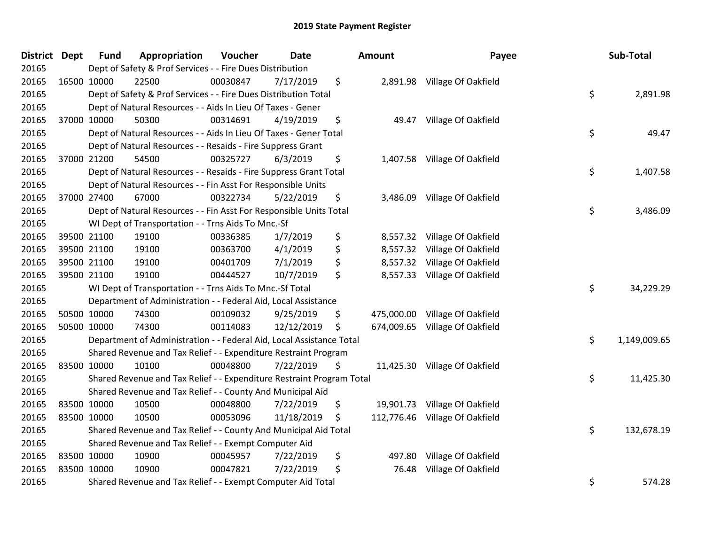| <b>District Dept</b> | <b>Fund</b> | Appropriation                                                         | Voucher  | <b>Date</b> |    | <b>Amount</b> | Payee                          | Sub-Total          |
|----------------------|-------------|-----------------------------------------------------------------------|----------|-------------|----|---------------|--------------------------------|--------------------|
| 20165                |             | Dept of Safety & Prof Services - - Fire Dues Distribution             |          |             |    |               |                                |                    |
| 20165                | 16500 10000 | 22500                                                                 | 00030847 | 7/17/2019   | \$ |               | 2,891.98 Village Of Oakfield   |                    |
| 20165                |             | Dept of Safety & Prof Services - - Fire Dues Distribution Total       |          |             |    |               |                                | \$<br>2,891.98     |
| 20165                |             | Dept of Natural Resources - - Aids In Lieu Of Taxes - Gener           |          |             |    |               |                                |                    |
| 20165                | 37000 10000 | 50300                                                                 | 00314691 | 4/19/2019   | \$ |               | 49.47 Village Of Oakfield      |                    |
| 20165                |             | Dept of Natural Resources - - Aids In Lieu Of Taxes - Gener Total     |          |             |    |               |                                | \$<br>49.47        |
| 20165                |             | Dept of Natural Resources - - Resaids - Fire Suppress Grant           |          |             |    |               |                                |                    |
| 20165                | 37000 21200 | 54500                                                                 | 00325727 | 6/3/2019    | \$ |               | 1,407.58 Village Of Oakfield   |                    |
| 20165                |             | Dept of Natural Resources - - Resaids - Fire Suppress Grant Total     |          |             |    |               |                                | \$<br>1,407.58     |
| 20165                |             | Dept of Natural Resources - - Fin Asst For Responsible Units          |          |             |    |               |                                |                    |
| 20165                | 37000 27400 | 67000                                                                 | 00322734 | 5/22/2019   | \$ |               | 3,486.09 Village Of Oakfield   |                    |
| 20165                |             | Dept of Natural Resources - - Fin Asst For Responsible Units Total    |          |             |    |               |                                | \$<br>3,486.09     |
| 20165                |             | WI Dept of Transportation - - Trns Aids To Mnc.-Sf                    |          |             |    |               |                                |                    |
| 20165                | 39500 21100 | 19100                                                                 | 00336385 | 1/7/2019    | \$ | 8,557.32      | Village Of Oakfield            |                    |
| 20165                | 39500 21100 | 19100                                                                 | 00363700 | 4/1/2019    | \$ |               | 8,557.32 Village Of Oakfield   |                    |
| 20165                | 39500 21100 | 19100                                                                 | 00401709 | 7/1/2019    | \$ |               | 8,557.32 Village Of Oakfield   |                    |
| 20165                | 39500 21100 | 19100                                                                 | 00444527 | 10/7/2019   | \$ |               | 8,557.33 Village Of Oakfield   |                    |
| 20165                |             | WI Dept of Transportation - - Trns Aids To Mnc.-Sf Total              |          |             |    |               |                                | \$<br>34,229.29    |
| 20165                |             | Department of Administration - - Federal Aid, Local Assistance        |          |             |    |               |                                |                    |
| 20165                | 50500 10000 | 74300                                                                 | 00109032 | 9/25/2019   | \$ |               | 475,000.00 Village Of Oakfield |                    |
| 20165                | 50500 10000 | 74300                                                                 | 00114083 | 12/12/2019  | Ş  |               | 674,009.65 Village Of Oakfield |                    |
| 20165                |             | Department of Administration - - Federal Aid, Local Assistance Total  |          |             |    |               |                                | \$<br>1,149,009.65 |
| 20165                |             | Shared Revenue and Tax Relief - - Expenditure Restraint Program       |          |             |    |               |                                |                    |
| 20165                | 83500 10000 | 10100                                                                 | 00048800 | 7/22/2019   | \$ |               | 11,425.30 Village Of Oakfield  |                    |
| 20165                |             | Shared Revenue and Tax Relief - - Expenditure Restraint Program Total |          |             |    |               |                                | \$<br>11,425.30    |
| 20165                |             | Shared Revenue and Tax Relief - - County And Municipal Aid            |          |             |    |               |                                |                    |
| 20165                | 83500 10000 | 10500                                                                 | 00048800 | 7/22/2019   | \$ |               | 19,901.73 Village Of Oakfield  |                    |
| 20165                | 83500 10000 | 10500                                                                 | 00053096 | 11/18/2019  | \$ |               | 112,776.46 Village Of Oakfield |                    |
| 20165                |             | Shared Revenue and Tax Relief - - County And Municipal Aid Total      |          |             |    |               |                                | \$<br>132,678.19   |
| 20165                |             | Shared Revenue and Tax Relief - - Exempt Computer Aid                 |          |             |    |               |                                |                    |
| 20165                | 83500 10000 | 10900                                                                 | 00045957 | 7/22/2019   | \$ | 497.80        | Village Of Oakfield            |                    |
| 20165                | 83500 10000 | 10900                                                                 | 00047821 | 7/22/2019   | \$ | 76.48         | Village Of Oakfield            |                    |
| 20165                |             | Shared Revenue and Tax Relief - - Exempt Computer Aid Total           |          |             |    |               |                                | \$<br>574.28       |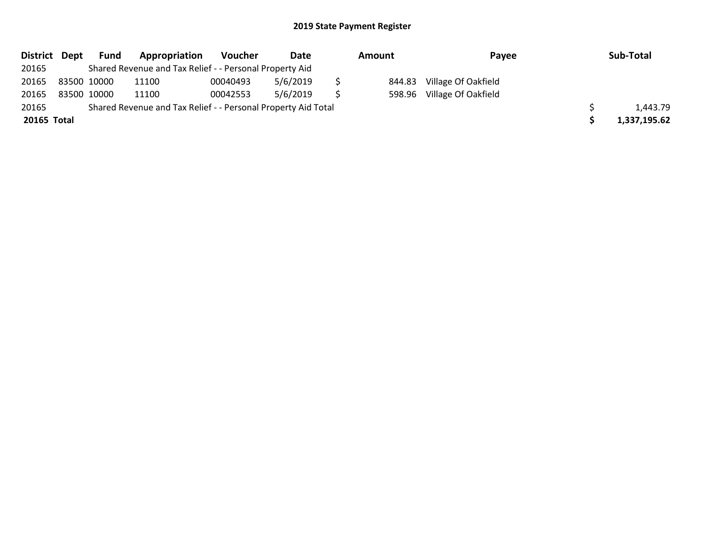| District Dept |             | Fund | Appropriation                                                 | Voucher  | Date     | Amount |        | Payee                      | Sub-Total    |
|---------------|-------------|------|---------------------------------------------------------------|----------|----------|--------|--------|----------------------------|--------------|
| 20165         |             |      | Shared Revenue and Tax Relief - - Personal Property Aid       |          |          |        |        |                            |              |
| 20165         | 83500 10000 |      | 11100                                                         | 00040493 | 5/6/2019 |        | 844.83 | Village Of Oakfield        |              |
| 20165         | 83500 10000 |      | 11100                                                         | 00042553 | 5/6/2019 |        |        | 598.96 Village Of Oakfield |              |
| 20165         |             |      | Shared Revenue and Tax Relief - - Personal Property Aid Total |          |          |        |        |                            | 1,443.79     |
| 20165 Total   |             |      |                                                               |          |          |        |        |                            | 1,337,195.62 |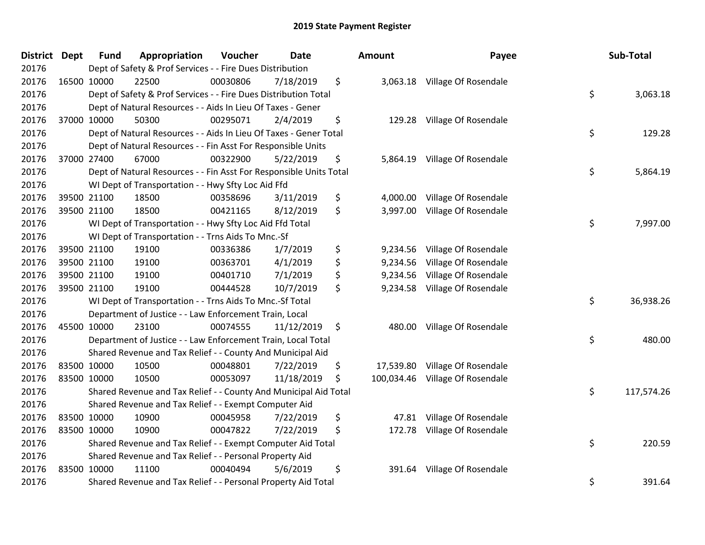| District Dept | <b>Fund</b>                                                       | Appropriation                                                      | Voucher  | <b>Date</b> |    | <b>Amount</b> | Payee                         |        | Sub-Total  |
|---------------|-------------------------------------------------------------------|--------------------------------------------------------------------|----------|-------------|----|---------------|-------------------------------|--------|------------|
| 20176         |                                                                   | Dept of Safety & Prof Services - - Fire Dues Distribution          |          |             |    |               |                               |        |            |
| 20176         | 16500 10000                                                       | 22500                                                              | 00030806 | 7/18/2019   | \$ |               | 3,063.18 Village Of Rosendale |        |            |
| 20176         | Dept of Safety & Prof Services - - Fire Dues Distribution Total   |                                                                    |          |             |    |               |                               |        | 3,063.18   |
| 20176         | Dept of Natural Resources - - Aids In Lieu Of Taxes - Gener       |                                                                    |          |             |    |               |                               |        |            |
| 20176         | 37000 10000                                                       | 50300                                                              | 00295071 | 2/4/2019    | \$ |               | 129.28 Village Of Rosendale   |        |            |
| 20176         |                                                                   | Dept of Natural Resources - - Aids In Lieu Of Taxes - Gener Total  |          |             |    |               |                               | \$     | 129.28     |
| 20176         |                                                                   | Dept of Natural Resources - - Fin Asst For Responsible Units       |          |             |    |               |                               |        |            |
| 20176         | 37000 27400                                                       | 67000                                                              | 00322900 | 5/22/2019   | \$ | 5,864.19      | Village Of Rosendale          |        |            |
| 20176         |                                                                   | Dept of Natural Resources - - Fin Asst For Responsible Units Total |          |             |    |               |                               | \$     | 5,864.19   |
| 20176         |                                                                   | WI Dept of Transportation - - Hwy Sfty Loc Aid Ffd                 |          |             |    |               |                               |        |            |
| 20176         | 39500 21100                                                       | 18500                                                              | 00358696 | 3/11/2019   | \$ | 4,000.00      | Village Of Rosendale          |        |            |
| 20176         | 39500 21100                                                       | 18500                                                              | 00421165 | 8/12/2019   | \$ | 3,997.00      | Village Of Rosendale          |        |            |
| 20176         |                                                                   | WI Dept of Transportation - - Hwy Sfty Loc Aid Ffd Total           |          |             |    |               |                               | \$     | 7,997.00   |
| 20176         |                                                                   | WI Dept of Transportation - - Trns Aids To Mnc.-Sf                 |          |             |    |               |                               |        |            |
| 20176         | 39500 21100                                                       | 19100                                                              | 00336386 | 1/7/2019    | \$ | 9,234.56      | Village Of Rosendale          |        |            |
| 20176         | 39500 21100                                                       | 19100                                                              | 00363701 | 4/1/2019    | \$ | 9,234.56      | Village Of Rosendale          |        |            |
| 20176         | 39500 21100                                                       | 19100                                                              | 00401710 | 7/1/2019    | \$ | 9,234.56      | Village Of Rosendale          |        |            |
| 20176         | 39500 21100                                                       | 19100                                                              | 00444528 | 10/7/2019   | \$ | 9,234.58      | Village Of Rosendale          |        |            |
| 20176         |                                                                   | WI Dept of Transportation - - Trns Aids To Mnc.-Sf Total           |          |             |    |               |                               | \$     | 36,938.26  |
| 20176         |                                                                   | Department of Justice - - Law Enforcement Train, Local             |          |             |    |               |                               |        |            |
| 20176         | 45500 10000                                                       | 23100                                                              | 00074555 | 11/12/2019  | \$ | 480.00        | Village Of Rosendale          |        |            |
| 20176         |                                                                   | Department of Justice - - Law Enforcement Train, Local Total       |          |             |    |               |                               | \$     | 480.00     |
| 20176         |                                                                   | Shared Revenue and Tax Relief - - County And Municipal Aid         |          |             |    |               |                               |        |            |
| 20176         | 83500 10000                                                       | 10500                                                              | 00048801 | 7/22/2019   | \$ | 17,539.80     | Village Of Rosendale          |        |            |
| 20176         | 83500 10000                                                       | 10500                                                              | 00053097 | 11/18/2019  | \$ | 100,034.46    | Village Of Rosendale          |        |            |
| 20176         |                                                                   | Shared Revenue and Tax Relief - - County And Municipal Aid Total   |          |             |    |               |                               | \$     | 117,574.26 |
| 20176         |                                                                   | Shared Revenue and Tax Relief - - Exempt Computer Aid              |          |             |    |               |                               |        |            |
| 20176         | 83500 10000                                                       | 10900                                                              | 00045958 | 7/22/2019   | \$ | 47.81         | Village Of Rosendale          |        |            |
| 20176         | 83500 10000                                                       | 10900                                                              | 00047822 | 7/22/2019   | \$ | 172.78        | Village Of Rosendale          |        |            |
| 20176         | \$<br>Shared Revenue and Tax Relief - - Exempt Computer Aid Total |                                                                    |          |             |    |               |                               |        | 220.59     |
| 20176         | Shared Revenue and Tax Relief - - Personal Property Aid           |                                                                    |          |             |    |               |                               |        |            |
| 20176         | 83500 10000                                                       | 11100                                                              | 00040494 | 5/6/2019    | \$ | 391.64        | Village Of Rosendale          |        |            |
| 20176         | Shared Revenue and Tax Relief - - Personal Property Aid Total     |                                                                    |          |             |    |               | \$                            | 391.64 |            |

| ount       | Payee                | Sub-Total        |  |  |
|------------|----------------------|------------------|--|--|
| 3,063.18   | Village Of Rosendale | \$<br>3,063.18   |  |  |
| 129.28     | Village Of Rosendale | \$<br>129.28     |  |  |
| 5,864.19   | Village Of Rosendale | \$<br>5,864.19   |  |  |
| 4,000.00   | Village Of Rosendale |                  |  |  |
| 3,997.00   | Village Of Rosendale | \$<br>7,997.00   |  |  |
| 9,234.56   | Village Of Rosendale |                  |  |  |
| 9,234.56   | Village Of Rosendale |                  |  |  |
| 9,234.56   | Village Of Rosendale |                  |  |  |
| 9,234.58   | Village Of Rosendale | \$<br>36,938.26  |  |  |
| 480.00     | Village Of Rosendale | \$<br>480.00     |  |  |
| 17,539.80  | Village Of Rosendale |                  |  |  |
| 100,034.46 | Village Of Rosendale |                  |  |  |
|            |                      | \$<br>117,574.26 |  |  |
| 47.81      | Village Of Rosendale |                  |  |  |
| 172.78     | Village Of Rosendale | \$<br>220.59     |  |  |
| 391.64     | Village Of Rosendale | \$<br>391.64     |  |  |
|            |                      |                  |  |  |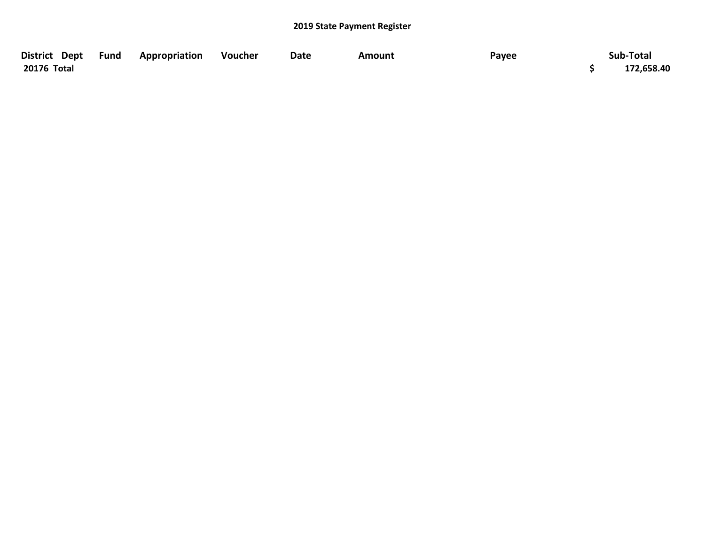| District Dept Fund | <b>Appropriation</b> | Voucher | Date | Amount | Payee | Sub-Total  |
|--------------------|----------------------|---------|------|--------|-------|------------|
| 20176 Total        |                      |         |      |        |       | 172,658.40 |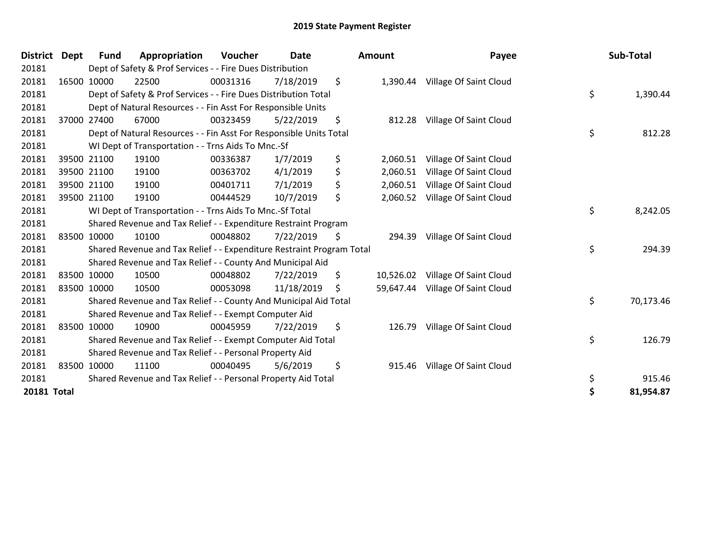| District    | <b>Dept</b> | <b>Fund</b>                                                   | Appropriation                                                         | <b>Voucher</b> | Date       | <b>Amount</b> |           | Payee                           |    | Sub-Total |  |
|-------------|-------------|---------------------------------------------------------------|-----------------------------------------------------------------------|----------------|------------|---------------|-----------|---------------------------------|----|-----------|--|
| 20181       |             | Dept of Safety & Prof Services - - Fire Dues Distribution     |                                                                       |                |            |               |           |                                 |    |           |  |
| 20181       |             | 16500 10000                                                   | 22500                                                                 | 00031316       | 7/18/2019  | \$            |           | 1,390.44 Village Of Saint Cloud |    |           |  |
| 20181       |             |                                                               | Dept of Safety & Prof Services - - Fire Dues Distribution Total       |                |            |               |           |                                 | \$ | 1,390.44  |  |
| 20181       |             |                                                               | Dept of Natural Resources - - Fin Asst For Responsible Units          |                |            |               |           |                                 |    |           |  |
| 20181       |             | 37000 27400                                                   | 67000                                                                 | 00323459       | 5/22/2019  | \$            | 812.28    | Village Of Saint Cloud          |    |           |  |
| 20181       |             |                                                               | Dept of Natural Resources - - Fin Asst For Responsible Units Total    |                |            |               |           |                                 | \$ | 812.28    |  |
| 20181       |             |                                                               | WI Dept of Transportation - - Trns Aids To Mnc.-Sf                    |                |            |               |           |                                 |    |           |  |
| 20181       |             | 39500 21100                                                   | 19100                                                                 | 00336387       | 1/7/2019   | \$            | 2,060.51  | Village Of Saint Cloud          |    |           |  |
| 20181       |             | 39500 21100                                                   | 19100                                                                 | 00363702       | 4/1/2019   | \$            | 2,060.51  | Village Of Saint Cloud          |    |           |  |
| 20181       |             | 39500 21100                                                   | 19100                                                                 | 00401711       | 7/1/2019   | \$            | 2,060.51  | Village Of Saint Cloud          |    |           |  |
| 20181       |             | 39500 21100                                                   | 19100                                                                 | 00444529       | 10/7/2019  | \$            | 2,060.52  | Village Of Saint Cloud          |    |           |  |
| 20181       |             |                                                               | WI Dept of Transportation - - Trns Aids To Mnc.-Sf Total              |                |            |               |           |                                 | \$ | 8,242.05  |  |
| 20181       |             |                                                               | Shared Revenue and Tax Relief - - Expenditure Restraint Program       |                |            |               |           |                                 |    |           |  |
| 20181       |             | 83500 10000                                                   | 10100                                                                 | 00048802       | 7/22/2019  | \$            | 294.39    | Village Of Saint Cloud          |    |           |  |
| 20181       |             |                                                               | Shared Revenue and Tax Relief - - Expenditure Restraint Program Total |                |            |               |           |                                 | \$ | 294.39    |  |
| 20181       |             |                                                               | Shared Revenue and Tax Relief - - County And Municipal Aid            |                |            |               |           |                                 |    |           |  |
| 20181       |             | 83500 10000                                                   | 10500                                                                 | 00048802       | 7/22/2019  | \$            | 10,526.02 | Village Of Saint Cloud          |    |           |  |
| 20181       | 83500 10000 |                                                               | 10500                                                                 | 00053098       | 11/18/2019 | \$            | 59,647.44 | Village Of Saint Cloud          |    |           |  |
| 20181       |             |                                                               | Shared Revenue and Tax Relief - - County And Municipal Aid Total      |                |            |               |           |                                 | \$ | 70,173.46 |  |
| 20181       |             |                                                               | Shared Revenue and Tax Relief - - Exempt Computer Aid                 |                |            |               |           |                                 |    |           |  |
| 20181       |             | 83500 10000                                                   | 10900                                                                 | 00045959       | 7/22/2019  | \$            | 126.79    | Village Of Saint Cloud          |    |           |  |
| 20181       |             | Shared Revenue and Tax Relief - - Exempt Computer Aid Total   |                                                                       |                |            |               |           |                                 | \$ | 126.79    |  |
| 20181       |             | Shared Revenue and Tax Relief - - Personal Property Aid       |                                                                       |                |            |               |           |                                 |    |           |  |
| 20181       |             | 83500 10000                                                   | 11100                                                                 | 00040495       | 5/6/2019   | \$            | 915.46    | Village Of Saint Cloud          |    |           |  |
| 20181       |             | Shared Revenue and Tax Relief - - Personal Property Aid Total |                                                                       |                |            |               |           |                                 | \$ | 915.46    |  |
| 20181 Total |             |                                                               |                                                                       |                |            |               |           |                                 | \$ | 81,954.87 |  |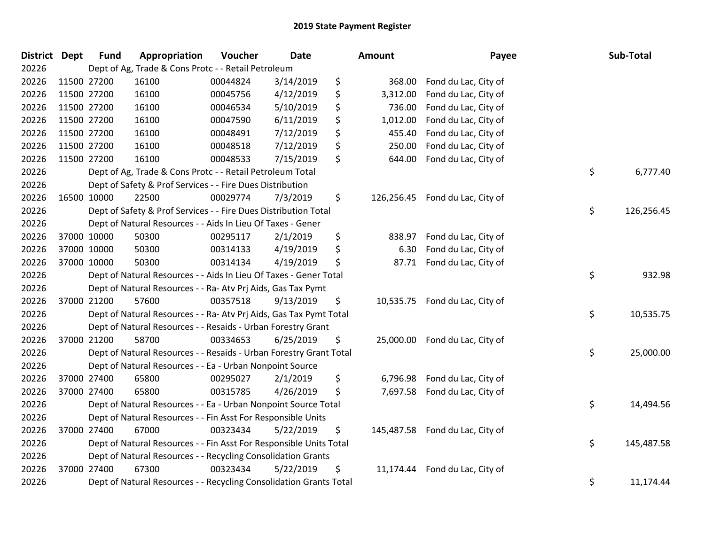| <b>District Dept</b> | <b>Fund</b> | Appropriation                                                      | Voucher  | <b>Date</b> | Amount           | Payee                | Sub-Total        |
|----------------------|-------------|--------------------------------------------------------------------|----------|-------------|------------------|----------------------|------------------|
| 20226                |             | Dept of Ag, Trade & Cons Protc - - Retail Petroleum                |          |             |                  |                      |                  |
| 20226                | 11500 27200 | 16100                                                              | 00044824 | 3/14/2019   | \$<br>368.00     | Fond du Lac, City of |                  |
| 20226                | 11500 27200 | 16100                                                              | 00045756 | 4/12/2019   | \$<br>3,312.00   | Fond du Lac, City of |                  |
| 20226                | 11500 27200 | 16100                                                              | 00046534 | 5/10/2019   | \$<br>736.00     | Fond du Lac, City of |                  |
| 20226                | 11500 27200 | 16100                                                              | 00047590 | 6/11/2019   | \$<br>1,012.00   | Fond du Lac, City of |                  |
| 20226                | 11500 27200 | 16100                                                              | 00048491 | 7/12/2019   | \$<br>455.40     | Fond du Lac, City of |                  |
| 20226                | 11500 27200 | 16100                                                              | 00048518 | 7/12/2019   | \$<br>250.00     | Fond du Lac, City of |                  |
| 20226                | 11500 27200 | 16100                                                              | 00048533 | 7/15/2019   | \$<br>644.00     | Fond du Lac, City of |                  |
| 20226                |             | Dept of Ag, Trade & Cons Protc - - Retail Petroleum Total          |          |             |                  |                      | \$<br>6,777.40   |
| 20226                |             | Dept of Safety & Prof Services - - Fire Dues Distribution          |          |             |                  |                      |                  |
| 20226                | 16500 10000 | 22500                                                              | 00029774 | 7/3/2019    | \$<br>126,256.45 | Fond du Lac, City of |                  |
| 20226                |             | Dept of Safety & Prof Services - - Fire Dues Distribution Total    |          |             |                  |                      | \$<br>126,256.45 |
| 20226                |             | Dept of Natural Resources - - Aids In Lieu Of Taxes - Gener        |          |             |                  |                      |                  |
| 20226                | 37000 10000 | 50300                                                              | 00295117 | 2/1/2019    | \$<br>838.97     | Fond du Lac, City of |                  |
| 20226                | 37000 10000 | 50300                                                              | 00314133 | 4/19/2019   | \$<br>6.30       | Fond du Lac, City of |                  |
| 20226                | 37000 10000 | 50300                                                              | 00314134 | 4/19/2019   | \$<br>87.71      | Fond du Lac, City of |                  |
| 20226                |             | Dept of Natural Resources - - Aids In Lieu Of Taxes - Gener Total  |          |             |                  |                      | \$<br>932.98     |
| 20226                |             | Dept of Natural Resources - - Ra- Atv Prj Aids, Gas Tax Pymt       |          |             |                  |                      |                  |
| 20226                | 37000 21200 | 57600                                                              | 00357518 | 9/13/2019   | \$<br>10,535.75  | Fond du Lac, City of |                  |
| 20226                |             | Dept of Natural Resources - - Ra- Atv Prj Aids, Gas Tax Pymt Total |          |             |                  |                      | \$<br>10,535.75  |
| 20226                |             | Dept of Natural Resources - - Resaids - Urban Forestry Grant       |          |             |                  |                      |                  |
| 20226                | 37000 21200 | 58700                                                              | 00334653 | 6/25/2019   | \$<br>25,000.00  | Fond du Lac, City of |                  |
| 20226                |             | Dept of Natural Resources - - Resaids - Urban Forestry Grant Total |          |             |                  |                      | \$<br>25,000.00  |
| 20226                |             | Dept of Natural Resources - - Ea - Urban Nonpoint Source           |          |             |                  |                      |                  |
| 20226                | 37000 27400 | 65800                                                              | 00295027 | 2/1/2019    | \$<br>6,796.98   | Fond du Lac, City of |                  |
| 20226                | 37000 27400 | 65800                                                              | 00315785 | 4/26/2019   | \$<br>7,697.58   | Fond du Lac, City of |                  |
| 20226                |             | Dept of Natural Resources - - Ea - Urban Nonpoint Source Total     |          |             |                  |                      | \$<br>14,494.56  |
| 20226                |             | Dept of Natural Resources - - Fin Asst For Responsible Units       |          |             |                  |                      |                  |
| 20226                | 37000 27400 | 67000                                                              | 00323434 | 5/22/2019   | \$<br>145,487.58 | Fond du Lac, City of |                  |
| 20226                |             | Dept of Natural Resources - - Fin Asst For Responsible Units Total |          |             |                  |                      | \$<br>145,487.58 |
| 20226                |             | Dept of Natural Resources - - Recycling Consolidation Grants       |          |             |                  |                      |                  |
| 20226                | 37000 27400 | 67300                                                              | 00323434 | 5/22/2019   | \$<br>11,174.44  | Fond du Lac, City of |                  |
| 20226                |             | Dept of Natural Resources - - Recycling Consolidation Grants Total |          |             |                  |                      | \$<br>11,174.44  |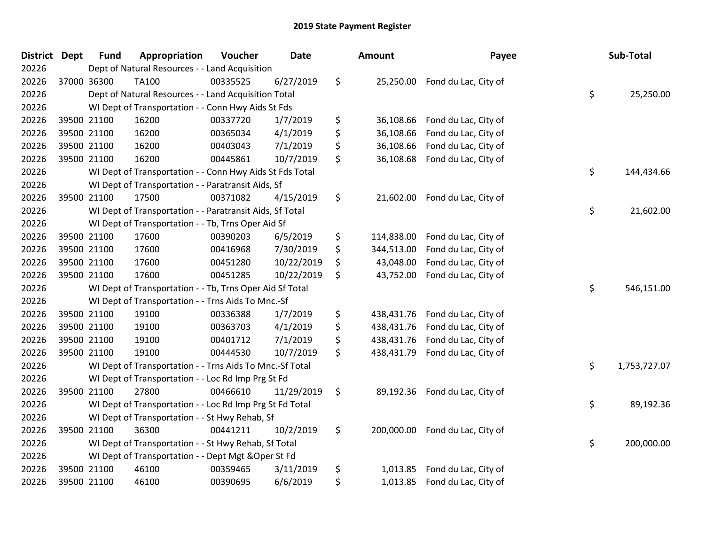| <b>District</b> | <b>Dept</b> | <b>Fund</b> | Appropriation                                            | Voucher  | <b>Date</b> | Amount           | Payee                | Sub-Total          |
|-----------------|-------------|-------------|----------------------------------------------------------|----------|-------------|------------------|----------------------|--------------------|
| 20226           |             |             | Dept of Natural Resources - - Land Acquisition           |          |             |                  |                      |                    |
| 20226           |             | 37000 36300 | <b>TA100</b>                                             | 00335525 | 6/27/2019   | \$<br>25,250.00  | Fond du Lac, City of |                    |
| 20226           |             |             | Dept of Natural Resources - - Land Acquisition Total     |          |             |                  |                      | \$<br>25,250.00    |
| 20226           |             |             | WI Dept of Transportation - - Conn Hwy Aids St Fds       |          |             |                  |                      |                    |
| 20226           |             | 39500 21100 | 16200                                                    | 00337720 | 1/7/2019    | \$<br>36,108.66  | Fond du Lac, City of |                    |
| 20226           |             | 39500 21100 | 16200                                                    | 00365034 | 4/1/2019    | \$<br>36,108.66  | Fond du Lac, City of |                    |
| 20226           |             | 39500 21100 | 16200                                                    | 00403043 | 7/1/2019    | \$<br>36,108.66  | Fond du Lac, City of |                    |
| 20226           |             | 39500 21100 | 16200                                                    | 00445861 | 10/7/2019   | \$<br>36,108.68  | Fond du Lac, City of |                    |
| 20226           |             |             | WI Dept of Transportation - - Conn Hwy Aids St Fds Total |          |             |                  |                      | \$<br>144,434.66   |
| 20226           |             |             | WI Dept of Transportation - - Paratransit Aids, Sf       |          |             |                  |                      |                    |
| 20226           |             | 39500 21100 | 17500                                                    | 00371082 | 4/15/2019   | \$<br>21,602.00  | Fond du Lac, City of |                    |
| 20226           |             |             | WI Dept of Transportation - - Paratransit Aids, Sf Total |          |             |                  |                      | \$<br>21,602.00    |
| 20226           |             |             | WI Dept of Transportation - - Tb, Trns Oper Aid Sf       |          |             |                  |                      |                    |
| 20226           |             | 39500 21100 | 17600                                                    | 00390203 | 6/5/2019    | \$<br>114,838.00 | Fond du Lac, City of |                    |
| 20226           |             | 39500 21100 | 17600                                                    | 00416968 | 7/30/2019   | \$<br>344,513.00 | Fond du Lac, City of |                    |
| 20226           |             | 39500 21100 | 17600                                                    | 00451280 | 10/22/2019  | \$<br>43,048.00  | Fond du Lac, City of |                    |
| 20226           |             | 39500 21100 | 17600                                                    | 00451285 | 10/22/2019  | \$<br>43,752.00  | Fond du Lac, City of |                    |
| 20226           |             |             | WI Dept of Transportation - - Tb, Trns Oper Aid Sf Total |          |             |                  |                      | \$<br>546,151.00   |
| 20226           |             |             | WI Dept of Transportation - - Trns Aids To Mnc.-Sf       |          |             |                  |                      |                    |
| 20226           |             | 39500 21100 | 19100                                                    | 00336388 | 1/7/2019    | \$<br>438,431.76 | Fond du Lac, City of |                    |
| 20226           |             | 39500 21100 | 19100                                                    | 00363703 | 4/1/2019    | \$<br>438,431.76 | Fond du Lac, City of |                    |
| 20226           |             | 39500 21100 | 19100                                                    | 00401712 | 7/1/2019    | \$<br>438,431.76 | Fond du Lac, City of |                    |
| 20226           |             | 39500 21100 | 19100                                                    | 00444530 | 10/7/2019   | \$<br>438,431.79 | Fond du Lac, City of |                    |
| 20226           |             |             | WI Dept of Transportation - - Trns Aids To Mnc.-Sf Total |          |             |                  |                      | \$<br>1,753,727.07 |
| 20226           |             |             | WI Dept of Transportation - - Loc Rd Imp Prg St Fd       |          |             |                  |                      |                    |
| 20226           |             | 39500 21100 | 27800                                                    | 00466610 | 11/29/2019  | \$<br>89,192.36  | Fond du Lac, City of |                    |
| 20226           |             |             | WI Dept of Transportation - - Loc Rd Imp Prg St Fd Total |          |             |                  |                      | \$<br>89,192.36    |
| 20226           |             |             | WI Dept of Transportation - - St Hwy Rehab, Sf           |          |             |                  |                      |                    |
| 20226           |             | 39500 21100 | 36300                                                    | 00441211 | 10/2/2019   | \$<br>200,000.00 | Fond du Lac, City of |                    |
| 20226           |             |             | WI Dept of Transportation - - St Hwy Rehab, Sf Total     |          |             |                  |                      | \$<br>200,000.00   |
| 20226           |             |             | WI Dept of Transportation - - Dept Mgt & Oper St Fd      |          |             |                  |                      |                    |
| 20226           |             | 39500 21100 | 46100                                                    | 00359465 | 3/11/2019   | \$<br>1,013.85   | Fond du Lac, City of |                    |
| 20226           |             | 39500 21100 | 46100                                                    | 00390695 | 6/6/2019    | \$<br>1,013.85   | Fond du Lac, City of |                    |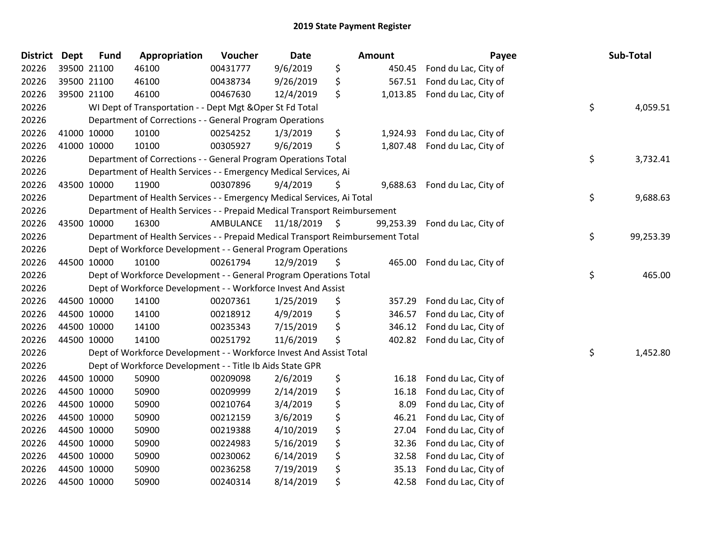| <b>District</b> | <b>Dept</b> | <b>Fund</b> | Appropriation                                                                   | Voucher   | Date          |    | <b>Amount</b> | Payee                | Sub-Total       |
|-----------------|-------------|-------------|---------------------------------------------------------------------------------|-----------|---------------|----|---------------|----------------------|-----------------|
| 20226           |             | 39500 21100 | 46100                                                                           | 00431777  | 9/6/2019      | \$ | 450.45        | Fond du Lac, City of |                 |
| 20226           |             | 39500 21100 | 46100                                                                           | 00438734  | 9/26/2019     | \$ | 567.51        | Fond du Lac, City of |                 |
| 20226           |             | 39500 21100 | 46100                                                                           | 00467630  | 12/4/2019     | \$ | 1,013.85      | Fond du Lac, City of |                 |
| 20226           |             |             | WI Dept of Transportation - - Dept Mgt & Oper St Fd Total                       |           |               |    |               |                      | \$<br>4,059.51  |
| 20226           |             |             | Department of Corrections - - General Program Operations                        |           |               |    |               |                      |                 |
| 20226           |             | 41000 10000 | 10100                                                                           | 00254252  | 1/3/2019      | \$ | 1,924.93      | Fond du Lac, City of |                 |
| 20226           |             | 41000 10000 | 10100                                                                           | 00305927  | 9/6/2019      | \$ | 1,807.48      | Fond du Lac, City of |                 |
| 20226           |             |             | Department of Corrections - - General Program Operations Total                  |           |               |    |               |                      | \$<br>3,732.41  |
| 20226           |             |             | Department of Health Services - - Emergency Medical Services, Ai                |           |               |    |               |                      |                 |
| 20226           |             | 43500 10000 | 11900                                                                           | 00307896  | 9/4/2019      | S  | 9,688.63      | Fond du Lac, City of |                 |
| 20226           |             |             | Department of Health Services - - Emergency Medical Services, Ai Total          |           |               |    |               |                      | \$<br>9,688.63  |
| 20226           |             |             | Department of Health Services - - Prepaid Medical Transport Reimbursement       |           |               |    |               |                      |                 |
| 20226           |             | 43500 10000 | 16300                                                                           | AMBULANCE | 11/18/2019 \$ |    | 99,253.39     | Fond du Lac, City of |                 |
| 20226           |             |             | Department of Health Services - - Prepaid Medical Transport Reimbursement Total |           |               |    |               |                      | \$<br>99,253.39 |
| 20226           |             |             | Dept of Workforce Development - - General Program Operations                    |           |               |    |               |                      |                 |
| 20226           |             | 44500 10000 | 10100                                                                           | 00261794  | 12/9/2019     | \$ | 465.00        | Fond du Lac, City of |                 |
| 20226           |             |             | Dept of Workforce Development - - General Program Operations Total              |           |               |    |               |                      | \$<br>465.00    |
| 20226           |             |             | Dept of Workforce Development - - Workforce Invest And Assist                   |           |               |    |               |                      |                 |
| 20226           |             | 44500 10000 | 14100                                                                           | 00207361  | 1/25/2019     | \$ | 357.29        | Fond du Lac, City of |                 |
| 20226           |             | 44500 10000 | 14100                                                                           | 00218912  | 4/9/2019      | \$ | 346.57        | Fond du Lac, City of |                 |
| 20226           |             | 44500 10000 | 14100                                                                           | 00235343  | 7/15/2019     | \$ | 346.12        | Fond du Lac, City of |                 |
| 20226           |             | 44500 10000 | 14100                                                                           | 00251792  | 11/6/2019     | \$ | 402.82        | Fond du Lac, City of |                 |
| 20226           |             |             | Dept of Workforce Development - - Workforce Invest And Assist Total             |           |               |    |               |                      | \$<br>1,452.80  |
| 20226           |             |             | Dept of Workforce Development - - Title Ib Aids State GPR                       |           |               |    |               |                      |                 |
| 20226           |             | 44500 10000 | 50900                                                                           | 00209098  | 2/6/2019      | \$ | 16.18         | Fond du Lac, City of |                 |
| 20226           |             | 44500 10000 | 50900                                                                           | 00209999  | 2/14/2019     | \$ | 16.18         | Fond du Lac, City of |                 |
| 20226           |             | 44500 10000 | 50900                                                                           | 00210764  | 3/4/2019      | \$ | 8.09          | Fond du Lac, City of |                 |
| 20226           |             | 44500 10000 | 50900                                                                           | 00212159  | 3/6/2019      | \$ | 46.21         | Fond du Lac, City of |                 |
| 20226           |             | 44500 10000 | 50900                                                                           | 00219388  | 4/10/2019     | \$ | 27.04         | Fond du Lac, City of |                 |
| 20226           |             | 44500 10000 | 50900                                                                           | 00224983  | 5/16/2019     | \$ | 32.36         | Fond du Lac, City of |                 |
| 20226           |             | 44500 10000 | 50900                                                                           | 00230062  | 6/14/2019     | \$ | 32.58         | Fond du Lac, City of |                 |
| 20226           |             | 44500 10000 | 50900                                                                           | 00236258  | 7/19/2019     | \$ | 35.13         | Fond du Lac, City of |                 |
| 20226           |             | 44500 10000 | 50900                                                                           | 00240314  | 8/14/2019     | \$ | 42.58         | Fond du Lac, City of |                 |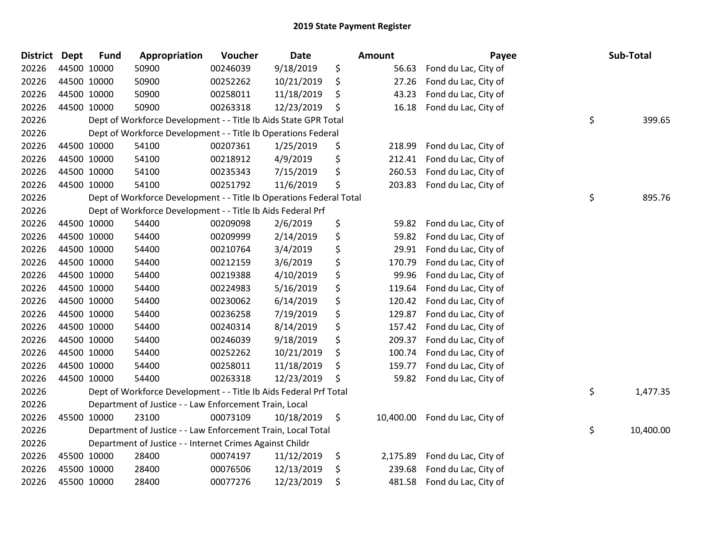| District Dept | <b>Fund</b> | Appropriation                                                       | Voucher  | <b>Date</b> | Amount          | Payee                | Sub-Total       |
|---------------|-------------|---------------------------------------------------------------------|----------|-------------|-----------------|----------------------|-----------------|
| 20226         | 44500 10000 | 50900                                                               | 00246039 | 9/18/2019   | \$<br>56.63     | Fond du Lac, City of |                 |
| 20226         | 44500 10000 | 50900                                                               | 00252262 | 10/21/2019  | \$<br>27.26     | Fond du Lac, City of |                 |
| 20226         | 44500 10000 | 50900                                                               | 00258011 | 11/18/2019  | \$<br>43.23     | Fond du Lac, City of |                 |
| 20226         | 44500 10000 | 50900                                                               | 00263318 | 12/23/2019  | \$<br>16.18     | Fond du Lac, City of |                 |
| 20226         |             | Dept of Workforce Development - - Title Ib Aids State GPR Total     |          |             |                 |                      | \$<br>399.65    |
| 20226         |             | Dept of Workforce Development - - Title Ib Operations Federal       |          |             |                 |                      |                 |
| 20226         | 44500 10000 | 54100                                                               | 00207361 | 1/25/2019   | \$<br>218.99    | Fond du Lac, City of |                 |
| 20226         | 44500 10000 | 54100                                                               | 00218912 | 4/9/2019    | \$<br>212.41    | Fond du Lac, City of |                 |
| 20226         | 44500 10000 | 54100                                                               | 00235343 | 7/15/2019   | \$<br>260.53    | Fond du Lac, City of |                 |
| 20226         | 44500 10000 | 54100                                                               | 00251792 | 11/6/2019   | \$<br>203.83    | Fond du Lac, City of |                 |
| 20226         |             | Dept of Workforce Development - - Title Ib Operations Federal Total |          |             |                 |                      | \$<br>895.76    |
| 20226         |             | Dept of Workforce Development - - Title Ib Aids Federal Prf         |          |             |                 |                      |                 |
| 20226         | 44500 10000 | 54400                                                               | 00209098 | 2/6/2019    | \$<br>59.82     | Fond du Lac, City of |                 |
| 20226         | 44500 10000 | 54400                                                               | 00209999 | 2/14/2019   | \$<br>59.82     | Fond du Lac, City of |                 |
| 20226         | 44500 10000 | 54400                                                               | 00210764 | 3/4/2019    | \$<br>29.91     | Fond du Lac, City of |                 |
| 20226         | 44500 10000 | 54400                                                               | 00212159 | 3/6/2019    | \$<br>170.79    | Fond du Lac, City of |                 |
| 20226         | 44500 10000 | 54400                                                               | 00219388 | 4/10/2019   | \$<br>99.96     | Fond du Lac, City of |                 |
| 20226         | 44500 10000 | 54400                                                               | 00224983 | 5/16/2019   | \$<br>119.64    | Fond du Lac, City of |                 |
| 20226         | 44500 10000 | 54400                                                               | 00230062 | 6/14/2019   | \$<br>120.42    | Fond du Lac, City of |                 |
| 20226         | 44500 10000 | 54400                                                               | 00236258 | 7/19/2019   | \$<br>129.87    | Fond du Lac, City of |                 |
| 20226         | 44500 10000 | 54400                                                               | 00240314 | 8/14/2019   | \$<br>157.42    | Fond du Lac, City of |                 |
| 20226         | 44500 10000 | 54400                                                               | 00246039 | 9/18/2019   | \$<br>209.37    | Fond du Lac, City of |                 |
| 20226         | 44500 10000 | 54400                                                               | 00252262 | 10/21/2019  | \$<br>100.74    | Fond du Lac, City of |                 |
| 20226         | 44500 10000 | 54400                                                               | 00258011 | 11/18/2019  | \$<br>159.77    | Fond du Lac, City of |                 |
| 20226         | 44500 10000 | 54400                                                               | 00263318 | 12/23/2019  | \$<br>59.82     | Fond du Lac, City of |                 |
| 20226         |             | Dept of Workforce Development - - Title Ib Aids Federal Prf Total   |          |             |                 |                      | \$<br>1,477.35  |
| 20226         |             | Department of Justice - - Law Enforcement Train, Local              |          |             |                 |                      |                 |
| 20226         | 45500 10000 | 23100                                                               | 00073109 | 10/18/2019  | \$<br>10,400.00 | Fond du Lac, City of |                 |
| 20226         |             | Department of Justice - - Law Enforcement Train, Local Total        |          |             |                 |                      | \$<br>10,400.00 |
| 20226         |             | Department of Justice - - Internet Crimes Against Childr            |          |             |                 |                      |                 |
| 20226         | 45500 10000 | 28400                                                               | 00074197 | 11/12/2019  | \$<br>2,175.89  | Fond du Lac, City of |                 |
| 20226         | 45500 10000 | 28400                                                               | 00076506 | 12/13/2019  | \$<br>239.68    | Fond du Lac, City of |                 |
| 20226         | 45500 10000 | 28400                                                               | 00077276 | 12/23/2019  | \$<br>481.58    | Fond du Lac, City of |                 |
|               |             |                                                                     |          |             |                 |                      |                 |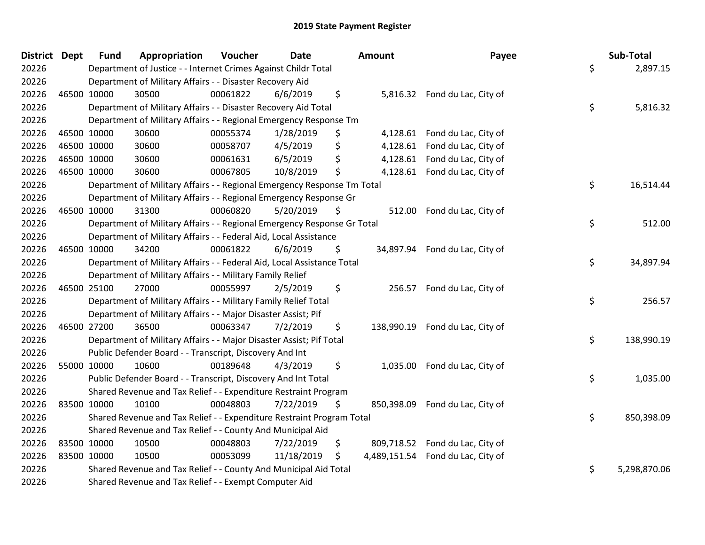| <b>District Dept</b> |             | <b>Fund</b> | Appropriation                                                           | Voucher  | <b>Date</b> | Amount           | Payee                             | Sub-Total          |
|----------------------|-------------|-------------|-------------------------------------------------------------------------|----------|-------------|------------------|-----------------------------------|--------------------|
| 20226                |             |             | Department of Justice - - Internet Crimes Against Childr Total          |          |             |                  |                                   | \$<br>2,897.15     |
| 20226                |             |             | Department of Military Affairs - - Disaster Recovery Aid                |          |             |                  |                                   |                    |
| 20226                | 46500 10000 |             | 30500                                                                   | 00061822 | 6/6/2019    | \$               | 5,816.32 Fond du Lac, City of     |                    |
| 20226                |             |             | Department of Military Affairs - - Disaster Recovery Aid Total          |          |             |                  |                                   | \$<br>5,816.32     |
| 20226                |             |             | Department of Military Affairs - - Regional Emergency Response Tm       |          |             |                  |                                   |                    |
| 20226                | 46500 10000 |             | 30600                                                                   | 00055374 | 1/28/2019   | \$               | 4,128.61 Fond du Lac, City of     |                    |
| 20226                | 46500 10000 |             | 30600                                                                   | 00058707 | 4/5/2019    | \$               | 4,128.61 Fond du Lac, City of     |                    |
| 20226                | 46500 10000 |             | 30600                                                                   | 00061631 | 6/5/2019    | \$               | 4,128.61 Fond du Lac, City of     |                    |
| 20226                | 46500 10000 |             | 30600                                                                   | 00067805 | 10/8/2019   | \$               | 4,128.61 Fond du Lac, City of     |                    |
| 20226                |             |             | Department of Military Affairs - - Regional Emergency Response Tm Total |          |             |                  |                                   | \$<br>16,514.44    |
| 20226                |             |             | Department of Military Affairs - - Regional Emergency Response Gr       |          |             |                  |                                   |                    |
| 20226                | 46500 10000 |             | 31300                                                                   | 00060820 | 5/20/2019   | \$<br>512.00     | Fond du Lac, City of              |                    |
| 20226                |             |             | Department of Military Affairs - - Regional Emergency Response Gr Total |          |             |                  |                                   | \$<br>512.00       |
| 20226                |             |             | Department of Military Affairs - - Federal Aid, Local Assistance        |          |             |                  |                                   |                    |
| 20226                | 46500 10000 |             | 34200                                                                   | 00061822 | 6/6/2019    | \$               | 34,897.94 Fond du Lac, City of    |                    |
| 20226                |             |             | Department of Military Affairs - - Federal Aid, Local Assistance Total  |          |             |                  |                                   | \$<br>34,897.94    |
| 20226                |             |             | Department of Military Affairs - - Military Family Relief               |          |             |                  |                                   |                    |
| 20226                | 46500 25100 |             | 27000                                                                   | 00055997 | 2/5/2019    | \$<br>256.57     | Fond du Lac, City of              |                    |
| 20226                |             |             | Department of Military Affairs - - Military Family Relief Total         |          |             |                  |                                   | \$<br>256.57       |
| 20226                |             |             | Department of Military Affairs - - Major Disaster Assist; Pif           |          |             |                  |                                   |                    |
| 20226                | 46500 27200 |             | 36500                                                                   | 00063347 | 7/2/2019    | \$               | 138,990.19 Fond du Lac, City of   |                    |
| 20226                |             |             | Department of Military Affairs - - Major Disaster Assist; Pif Total     |          |             |                  |                                   | \$<br>138,990.19   |
| 20226                |             |             | Public Defender Board - - Transcript, Discovery And Int                 |          |             |                  |                                   |                    |
| 20226                | 55000 10000 |             | 10600                                                                   | 00189648 | 4/3/2019    | \$<br>1,035.00   | Fond du Lac, City of              |                    |
| 20226                |             |             | Public Defender Board - - Transcript, Discovery And Int Total           |          |             |                  |                                   | \$<br>1,035.00     |
| 20226                |             |             | Shared Revenue and Tax Relief - - Expenditure Restraint Program         |          |             |                  |                                   |                    |
| 20226                | 83500 10000 |             | 10100                                                                   | 00048803 | 7/22/2019   | \$<br>850,398.09 | Fond du Lac, City of              |                    |
| 20226                |             |             | Shared Revenue and Tax Relief - - Expenditure Restraint Program Total   |          |             |                  |                                   | \$<br>850,398.09   |
| 20226                |             |             | Shared Revenue and Tax Relief - - County And Municipal Aid              |          |             |                  |                                   |                    |
| 20226                | 83500 10000 |             | 10500                                                                   | 00048803 | 7/22/2019   | \$<br>809,718.52 | Fond du Lac, City of              |                    |
| 20226                | 83500 10000 |             | 10500                                                                   | 00053099 | 11/18/2019  | \$               | 4,489,151.54 Fond du Lac, City of |                    |
| 20226                |             |             | Shared Revenue and Tax Relief - - County And Municipal Aid Total        |          |             |                  |                                   | \$<br>5,298,870.06 |
| 20226                |             |             | Shared Revenue and Tax Relief - - Exempt Computer Aid                   |          |             |                  |                                   |                    |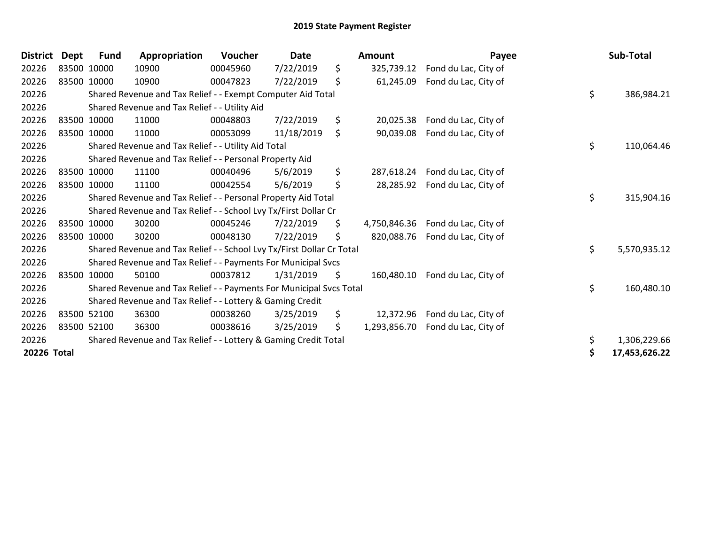| <b>District</b> | <b>Dept</b> | Fund        | Appropriation                                                         | Voucher          | <b>Date</b> | Amount             | Payee                | Sub-Total           |
|-----------------|-------------|-------------|-----------------------------------------------------------------------|------------------|-------------|--------------------|----------------------|---------------------|
| 20226           |             | 83500 10000 | 10900                                                                 | 00045960         | 7/22/2019   | \$<br>325,739.12   | Fond du Lac, City of |                     |
| 20226           |             | 83500 10000 | 10900                                                                 | 00047823         | 7/22/2019   | \$<br>61,245.09    | Fond du Lac, City of |                     |
| 20226           |             |             | Shared Revenue and Tax Relief - - Exempt Computer Aid Total           |                  |             |                    |                      | \$<br>386,984.21    |
| 20226           |             |             | Shared Revenue and Tax Relief - - Utility Aid                         |                  |             |                    |                      |                     |
| 20226           |             | 83500 10000 | 11000                                                                 | 00048803         | 7/22/2019   | \$<br>20,025.38    | Fond du Lac, City of |                     |
| 20226           |             | 83500 10000 | 11000                                                                 | 00053099         | 11/18/2019  | \$<br>90,039.08    | Fond du Lac, City of |                     |
| 20226           |             |             | Shared Revenue and Tax Relief - - Utility Aid Total                   |                  |             |                    |                      | \$<br>110,064.46    |
| 20226           |             |             | Shared Revenue and Tax Relief - - Personal Property Aid               |                  |             |                    |                      |                     |
| 20226           |             | 83500 10000 | 11100                                                                 | 00040496         | 5/6/2019    | \$<br>287,618.24   | Fond du Lac, City of |                     |
| 20226           |             | 83500 10000 | 11100                                                                 | 00042554         | 5/6/2019    | \$<br>28,285.92    | Fond du Lac, City of |                     |
| 20226           |             |             | Shared Revenue and Tax Relief - - Personal Property Aid Total         | \$<br>315,904.16 |             |                    |                      |                     |
| 20226           |             |             | Shared Revenue and Tax Relief - - School Lvy Tx/First Dollar Cr       |                  |             |                    |                      |                     |
| 20226           |             | 83500 10000 | 30200                                                                 | 00045246         | 7/22/2019   | \$<br>4,750,846.36 | Fond du Lac, City of |                     |
| 20226           |             | 83500 10000 | 30200                                                                 | 00048130         | 7/22/2019   | \$<br>820,088.76   | Fond du Lac, City of |                     |
| 20226           |             |             | Shared Revenue and Tax Relief - - School Lvy Tx/First Dollar Cr Total |                  |             |                    |                      | \$<br>5,570,935.12  |
| 20226           |             |             | Shared Revenue and Tax Relief - - Payments For Municipal Svcs         |                  |             |                    |                      |                     |
| 20226           |             | 83500 10000 | 50100                                                                 | 00037812         | 1/31/2019   | \$<br>160,480.10   | Fond du Lac, City of |                     |
| 20226           |             |             | Shared Revenue and Tax Relief - - Payments For Municipal Svcs Total   |                  |             |                    |                      | \$<br>160,480.10    |
| 20226           |             |             | Shared Revenue and Tax Relief - - Lottery & Gaming Credit             |                  |             |                    |                      |                     |
| 20226           |             | 83500 52100 | 36300                                                                 | 00038260         | 3/25/2019   | \$<br>12,372.96    | Fond du Lac, City of |                     |
| 20226           |             | 83500 52100 | 36300                                                                 | 00038616         | 3/25/2019   | \$<br>1,293,856.70 | Fond du Lac, City of |                     |
| 20226           |             |             | Shared Revenue and Tax Relief - - Lottery & Gaming Credit Total       |                  |             |                    |                      | \$<br>1,306,229.66  |
| 20226 Total     |             |             |                                                                       |                  |             |                    |                      | \$<br>17,453,626.22 |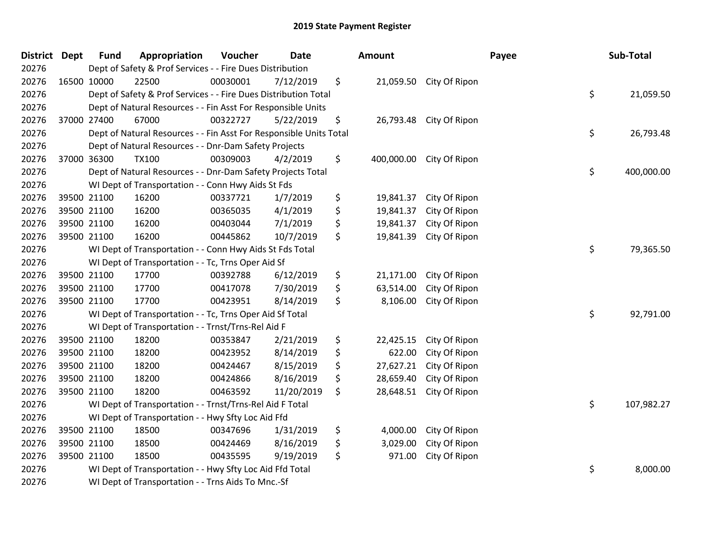| District Dept |             | <b>Fund</b> | Appropriation                                                      | Voucher  | <b>Date</b> |    | Amount     |                         | Payee |  | Sub-Total  |
|---------------|-------------|-------------|--------------------------------------------------------------------|----------|-------------|----|------------|-------------------------|-------|--|------------|
| 20276         |             |             | Dept of Safety & Prof Services - - Fire Dues Distribution          |          |             |    |            |                         |       |  |            |
| 20276         | 16500 10000 |             | 22500                                                              | 00030001 | 7/12/2019   | \$ |            | 21,059.50 City Of Ripon |       |  |            |
| 20276         |             |             | Dept of Safety & Prof Services - - Fire Dues Distribution Total    |          |             |    |            |                         | \$    |  | 21,059.50  |
| 20276         |             |             | Dept of Natural Resources - - Fin Asst For Responsible Units       |          |             |    |            |                         |       |  |            |
| 20276         | 37000 27400 |             | 67000                                                              | 00322727 | 5/22/2019   | \$ | 26,793.48  | City Of Ripon           |       |  |            |
| 20276         |             |             | Dept of Natural Resources - - Fin Asst For Responsible Units Total |          |             |    |            |                         | \$    |  | 26,793.48  |
| 20276         |             |             | Dept of Natural Resources - - Dnr-Dam Safety Projects              |          |             |    |            |                         |       |  |            |
| 20276         | 37000 36300 |             | <b>TX100</b>                                                       | 00309003 | 4/2/2019    | \$ | 400,000.00 | City Of Ripon           |       |  |            |
| 20276         |             |             | Dept of Natural Resources - - Dnr-Dam Safety Projects Total        |          |             |    |            |                         | \$    |  | 400,000.00 |
| 20276         |             |             | WI Dept of Transportation - - Conn Hwy Aids St Fds                 |          |             |    |            |                         |       |  |            |
| 20276         | 39500 21100 |             | 16200                                                              | 00337721 | 1/7/2019    | \$ | 19,841.37  | City Of Ripon           |       |  |            |
| 20276         |             | 39500 21100 | 16200                                                              | 00365035 | 4/1/2019    | \$ | 19,841.37  | City Of Ripon           |       |  |            |
| 20276         | 39500 21100 |             | 16200                                                              | 00403044 | 7/1/2019    | \$ | 19,841.37  | City Of Ripon           |       |  |            |
| 20276         | 39500 21100 |             | 16200                                                              | 00445862 | 10/7/2019   | \$ | 19,841.39  | City Of Ripon           |       |  |            |
| 20276         |             |             | \$<br>WI Dept of Transportation - - Conn Hwy Aids St Fds Total     |          |             |    |            |                         |       |  | 79,365.50  |
| 20276         |             |             | WI Dept of Transportation - - Tc, Trns Oper Aid Sf                 |          |             |    |            |                         |       |  |            |
| 20276         | 39500 21100 |             | 17700                                                              | 00392788 | 6/12/2019   | \$ | 21,171.00  | City Of Ripon           |       |  |            |
| 20276         | 39500 21100 |             | 17700                                                              | 00417078 | 7/30/2019   | \$ | 63,514.00  | City Of Ripon           |       |  |            |
| 20276         | 39500 21100 |             | 17700                                                              | 00423951 | 8/14/2019   | \$ | 8,106.00   | City Of Ripon           |       |  |            |
| 20276         |             |             | WI Dept of Transportation - - Tc, Trns Oper Aid Sf Total           |          |             |    |            |                         | \$    |  | 92,791.00  |
| 20276         |             |             | WI Dept of Transportation - - Trnst/Trns-Rel Aid F                 |          |             |    |            |                         |       |  |            |
| 20276         | 39500 21100 |             | 18200                                                              | 00353847 | 2/21/2019   | \$ | 22,425.15  | City Of Ripon           |       |  |            |
| 20276         | 39500 21100 |             | 18200                                                              | 00423952 | 8/14/2019   | \$ | 622.00     | City Of Ripon           |       |  |            |
| 20276         | 39500 21100 |             | 18200                                                              | 00424467 | 8/15/2019   | \$ | 27,627.21  | City Of Ripon           |       |  |            |
| 20276         | 39500 21100 |             | 18200                                                              | 00424866 | 8/16/2019   | \$ | 28,659.40  | City Of Ripon           |       |  |            |
| 20276         | 39500 21100 |             | 18200                                                              | 00463592 | 11/20/2019  | \$ | 28,648.51  | City Of Ripon           |       |  |            |
| 20276         |             |             | WI Dept of Transportation - - Trnst/Trns-Rel Aid F Total           |          |             |    |            |                         | \$    |  | 107,982.27 |
| 20276         |             |             | WI Dept of Transportation - - Hwy Sfty Loc Aid Ffd                 |          |             |    |            |                         |       |  |            |
| 20276         | 39500 21100 |             | 18500                                                              | 00347696 | 1/31/2019   | \$ | 4,000.00   | City Of Ripon           |       |  |            |
| 20276         | 39500 21100 |             | 18500                                                              | 00424469 | 8/16/2019   | \$ | 3,029.00   | City Of Ripon           |       |  |            |
| 20276         | 39500 21100 |             | 18500                                                              | 00435595 | 9/19/2019   | \$ | 971.00     | City Of Ripon           |       |  |            |
| 20276         |             |             | WI Dept of Transportation - - Hwy Sfty Loc Aid Ffd Total           |          |             |    |            |                         | \$    |  | 8,000.00   |
| 20276         |             |             | WI Dept of Transportation - - Trns Aids To Mnc.-Sf                 |          |             |    |            |                         |       |  |            |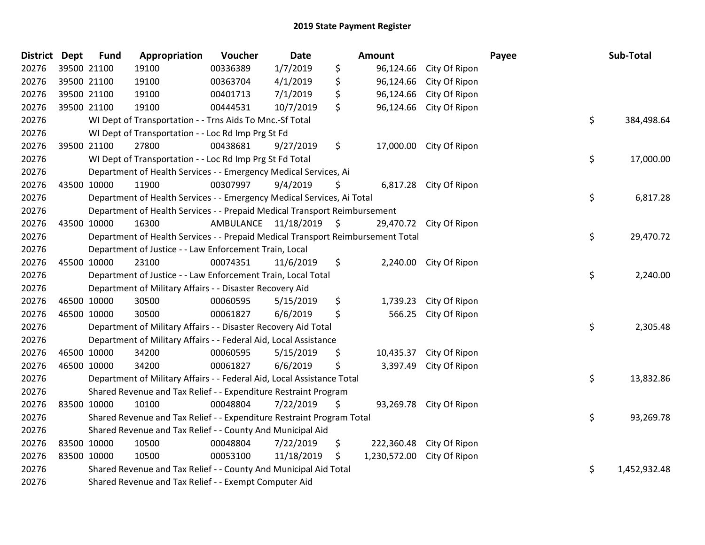| <b>District</b> | Dept        | <b>Fund</b> | Appropriation                                                                   | Voucher                 | <b>Date</b> |    | Amount                     |                         | Payee | Sub-Total    |  |
|-----------------|-------------|-------------|---------------------------------------------------------------------------------|-------------------------|-------------|----|----------------------------|-------------------------|-------|--------------|--|
| 20276           | 39500 21100 |             | 19100                                                                           | 00336389                | 1/7/2019    | \$ | 96,124.66                  | City Of Ripon           |       |              |  |
| 20276           | 39500 21100 |             | 19100                                                                           | 00363704                | 4/1/2019    | \$ | 96,124.66                  | City Of Ripon           |       |              |  |
| 20276           | 39500 21100 |             | 19100                                                                           | 00401713                | 7/1/2019    | \$ | 96,124.66                  | City Of Ripon           |       |              |  |
| 20276           | 39500 21100 |             | 19100                                                                           | 00444531                | 10/7/2019   | \$ | 96,124.66                  | City Of Ripon           |       |              |  |
| 20276           |             |             | WI Dept of Transportation - - Trns Aids To Mnc.-Sf Total                        |                         |             |    |                            |                         | \$    | 384,498.64   |  |
| 20276           |             |             | WI Dept of Transportation - - Loc Rd Imp Prg St Fd                              |                         |             |    |                            |                         |       |              |  |
| 20276           |             | 39500 21100 | 27800                                                                           | 00438681                | 9/27/2019   | \$ | 17,000.00                  | City Of Ripon           |       |              |  |
| 20276           |             |             | WI Dept of Transportation - - Loc Rd Imp Prg St Fd Total                        |                         |             |    |                            |                         | \$    | 17,000.00    |  |
| 20276           |             |             | Department of Health Services - - Emergency Medical Services, Ai                |                         |             |    |                            |                         |       |              |  |
| 20276           | 43500 10000 |             | 11900                                                                           | 00307997                | 9/4/2019    | S  |                            | 6,817.28 City Of Ripon  |       |              |  |
| 20276           |             |             | Department of Health Services - - Emergency Medical Services, Ai Total          |                         |             |    |                            |                         | \$    | 6,817.28     |  |
| 20276           |             |             | Department of Health Services - - Prepaid Medical Transport Reimbursement       |                         |             |    |                            |                         |       |              |  |
| 20276           | 43500 10000 |             | 16300                                                                           | AMBULANCE 11/18/2019 \$ |             |    |                            | 29,470.72 City Of Ripon |       |              |  |
| 20276           |             |             | Department of Health Services - - Prepaid Medical Transport Reimbursement Total |                         |             |    |                            |                         | \$    | 29,470.72    |  |
| 20276           |             |             | Department of Justice - - Law Enforcement Train, Local                          |                         |             |    |                            |                         |       |              |  |
| 20276           | 45500 10000 |             | 23100                                                                           | 00074351                | 11/6/2019   | \$ |                            | 2,240.00 City Of Ripon  |       |              |  |
| 20276           |             |             | Department of Justice - - Law Enforcement Train, Local Total                    |                         |             |    |                            |                         | \$    | 2,240.00     |  |
| 20276           |             |             | Department of Military Affairs - - Disaster Recovery Aid                        |                         |             |    |                            |                         |       |              |  |
| 20276           | 46500 10000 |             | 30500                                                                           | 00060595                | 5/15/2019   | \$ | 1,739.23                   | City Of Ripon           |       |              |  |
| 20276           | 46500 10000 |             | 30500                                                                           | 00061827                | 6/6/2019    | \$ | 566.25                     | City Of Ripon           |       |              |  |
| 20276           |             |             | Department of Military Affairs - - Disaster Recovery Aid Total                  |                         |             |    |                            |                         | \$    | 2,305.48     |  |
| 20276           |             |             | Department of Military Affairs - - Federal Aid, Local Assistance                |                         |             |    |                            |                         |       |              |  |
| 20276           | 46500 10000 |             | 34200                                                                           | 00060595                | 5/15/2019   | \$ |                            | 10,435.37 City Of Ripon |       |              |  |
| 20276           | 46500 10000 |             | 34200                                                                           | 00061827                | 6/6/2019    | \$ | 3,397.49                   | City Of Ripon           |       |              |  |
| 20276           |             |             | Department of Military Affairs - - Federal Aid, Local Assistance Total          |                         |             |    |                            |                         | \$    | 13,832.86    |  |
| 20276           |             |             | Shared Revenue and Tax Relief - - Expenditure Restraint Program                 |                         |             |    |                            |                         |       |              |  |
| 20276           | 83500 10000 |             | 10100                                                                           | 00048804                | 7/22/2019   | \$ | 93,269.78                  | City Of Ripon           |       |              |  |
| 20276           |             |             | Shared Revenue and Tax Relief - - Expenditure Restraint Program Total           |                         |             |    |                            |                         | \$    | 93,269.78    |  |
| 20276           |             |             | Shared Revenue and Tax Relief - - County And Municipal Aid                      |                         |             |    |                            |                         |       |              |  |
| 20276           | 83500 10000 |             | 10500                                                                           | 00048804                | 7/22/2019   | \$ | 222,360.48                 | City Of Ripon           |       |              |  |
| 20276           | 83500 10000 |             | 10500                                                                           | 00053100                | 11/18/2019  | \$ | 1,230,572.00 City Of Ripon |                         |       |              |  |
| 20276           |             |             | Shared Revenue and Tax Relief - - County And Municipal Aid Total                |                         |             |    |                            |                         | \$    | 1,452,932.48 |  |
| 20276           |             |             | Shared Revenue and Tax Relief - - Exempt Computer Aid                           |                         |             |    |                            |                         |       |              |  |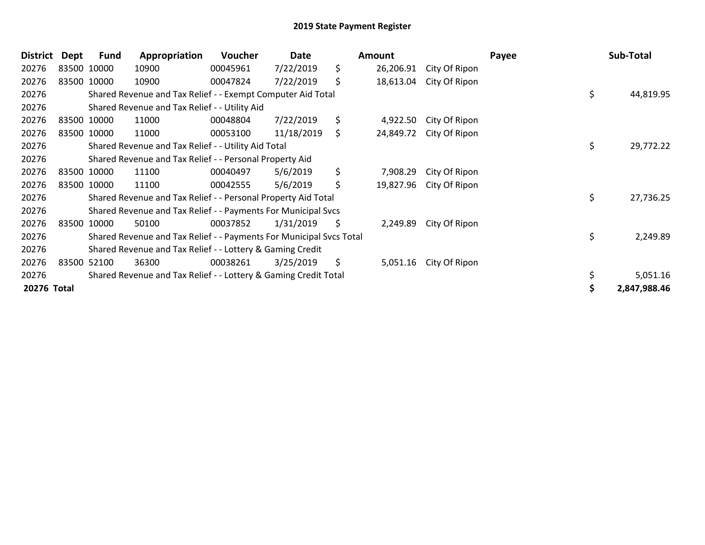| <b>District</b> | Dept | Fund        | Appropriation                                                       | <b>Voucher</b> | Date       |    | Amount    |               | Payee | Sub-Total    |  |
|-----------------|------|-------------|---------------------------------------------------------------------|----------------|------------|----|-----------|---------------|-------|--------------|--|
| 20276           |      | 83500 10000 | 10900                                                               | 00045961       | 7/22/2019  | \$ | 26,206.91 | City Of Ripon |       |              |  |
| 20276           |      | 83500 10000 | 10900                                                               | 00047824       | 7/22/2019  | \$ | 18,613.04 | City Of Ripon |       |              |  |
| 20276           |      |             | Shared Revenue and Tax Relief - - Exempt Computer Aid Total         |                |            |    |           |               | \$    | 44,819.95    |  |
| 20276           |      |             | Shared Revenue and Tax Relief - - Utility Aid                       |                |            |    |           |               |       |              |  |
| 20276           |      | 83500 10000 | 11000                                                               | 00048804       | 7/22/2019  | \$ | 4,922.50  | City Of Ripon |       |              |  |
| 20276           |      | 83500 10000 | 11000                                                               | 00053100       | 11/18/2019 | \$ | 24,849.72 | City Of Ripon |       |              |  |
| 20276           |      |             | Shared Revenue and Tax Relief - - Utility Aid Total                 |                |            |    |           |               | \$    | 29,772.22    |  |
| 20276           |      |             | Shared Revenue and Tax Relief - - Personal Property Aid             |                |            |    |           |               |       |              |  |
| 20276           |      | 83500 10000 | 11100                                                               | 00040497       | 5/6/2019   | \$ | 7,908.29  | City Of Ripon |       |              |  |
| 20276           |      | 83500 10000 | 11100                                                               | 00042555       | 5/6/2019   | \$ | 19,827.96 | City Of Ripon |       |              |  |
| 20276           |      |             | Shared Revenue and Tax Relief - - Personal Property Aid Total       |                |            |    |           |               | \$.   | 27,736.25    |  |
| 20276           |      |             | Shared Revenue and Tax Relief - - Payments For Municipal Svcs       |                |            |    |           |               |       |              |  |
| 20276           |      | 83500 10000 | 50100                                                               | 00037852       | 1/31/2019  | \$ | 2,249.89  | City Of Ripon |       |              |  |
| 20276           |      |             | Shared Revenue and Tax Relief - - Payments For Municipal Svcs Total |                |            |    |           |               | \$    | 2,249.89     |  |
| 20276           |      |             | Shared Revenue and Tax Relief - - Lottery & Gaming Credit           |                |            |    |           |               |       |              |  |
| 20276           |      | 83500 52100 | 36300                                                               | 00038261       | 3/25/2019  | \$ | 5,051.16  | City Of Ripon |       |              |  |
| 20276           |      |             | Shared Revenue and Tax Relief - - Lottery & Gaming Credit Total     |                |            |    |           |               | \$    | 5,051.16     |  |
| 20276 Total     |      |             |                                                                     |                |            |    |           |               |       | 2,847,988.46 |  |